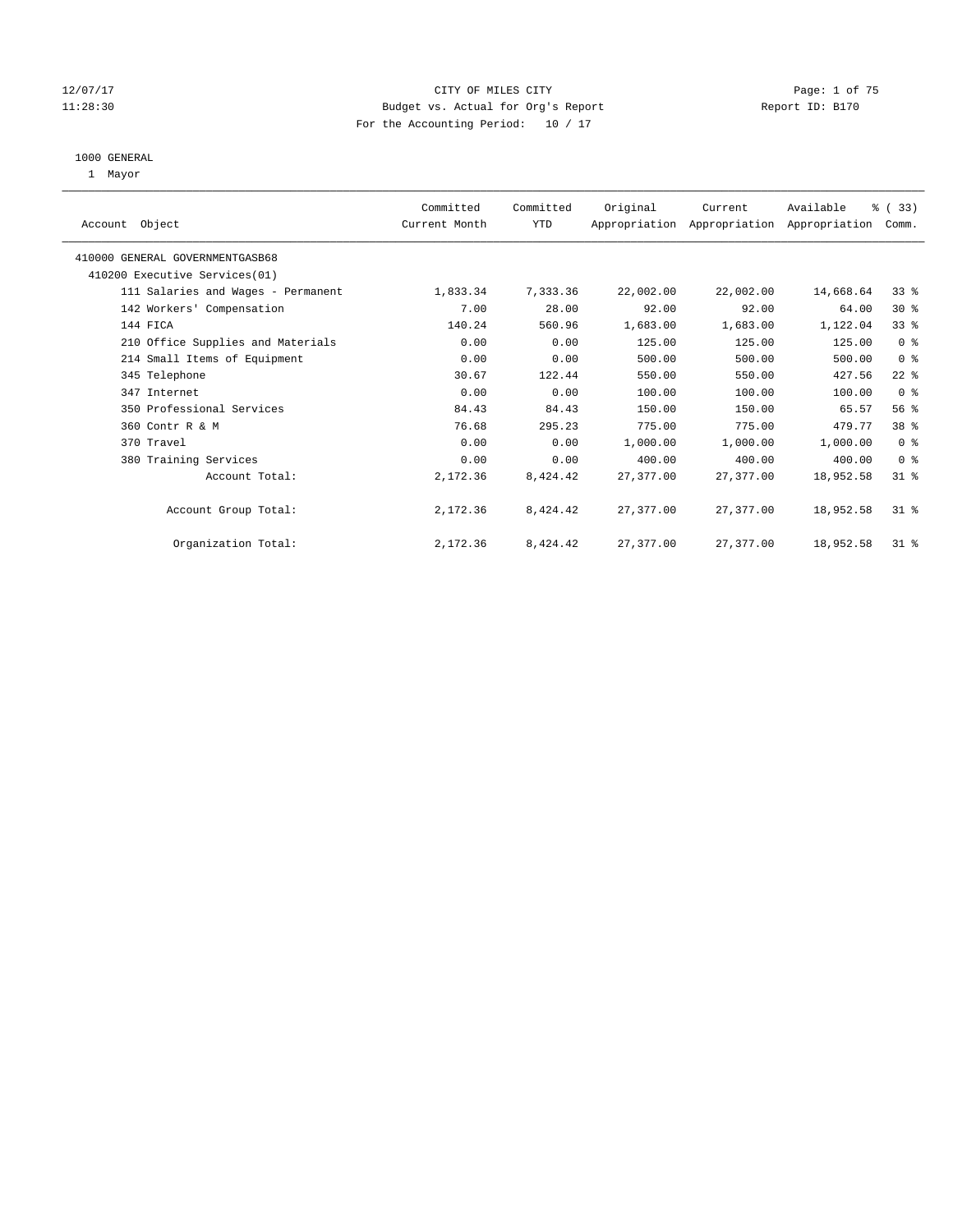#### 12/07/17 CITY OF MILES CITY Page: 1 of 75 11:28:30 Budget vs. Actual for Org's Report Report ID: B170 For the Accounting Period: 10 / 17

#### 1000 GENERAL

1 Mayor

| Account Object |                                    | Committed<br>Current Month | Committed<br><b>YTD</b> | Original    | Current<br>Appropriation Appropriation Appropriation Comm. | Available | % (33)          |
|----------------|------------------------------------|----------------------------|-------------------------|-------------|------------------------------------------------------------|-----------|-----------------|
|                | 410000 GENERAL GOVERNMENTGASB68    |                            |                         |             |                                                            |           |                 |
|                | 410200 Executive Services (01)     |                            |                         |             |                                                            |           |                 |
|                | 111 Salaries and Wages - Permanent | 1,833.34                   | 7,333.36                | 22,002.00   | 22,002.00                                                  | 14,668.64 | $33*$           |
|                | 142 Workers' Compensation          | 7.00                       | 28.00                   | 92.00       | 92.00                                                      | 64.00     | $30*$           |
| 144 FICA       |                                    | 140.24                     | 560.96                  | 1,683.00    | 1,683.00                                                   | 1,122.04  | 33 <sup>8</sup> |
|                | 210 Office Supplies and Materials  | 0.00                       | 0.00                    | 125.00      | 125.00                                                     | 125.00    | 0 <sup>8</sup>  |
|                | 214 Small Items of Equipment       | 0.00                       | 0.00                    | 500.00      | 500.00                                                     | 500.00    | 0 <sup>8</sup>  |
|                | 345 Telephone                      | 30.67                      | 122.44                  | 550.00      | 550.00                                                     | 427.56    | $22$ %          |
|                | 347 Internet                       | 0.00                       | 0.00                    | 100.00      | 100.00                                                     | 100.00    | 0 <sup>8</sup>  |
|                | 350 Professional Services          | 84.43                      | 84.43                   | 150.00      | 150.00                                                     | 65.57     | 56%             |
|                | 360 Contr R & M                    | 76.68                      | 295.23                  | 775.00      | 775.00                                                     | 479.77    | 38 <sup>8</sup> |
| 370 Travel     |                                    | 0.00                       | 0.00                    | 1,000.00    | 1,000.00                                                   | 1,000.00  | 0 <sup>8</sup>  |
|                | 380 Training Services              | 0.00                       | 0.00                    | 400.00      | 400.00                                                     | 400.00    | 0 <sup>8</sup>  |
|                | Account Total:                     | 2,172.36                   | 8,424.42                | 27, 377, 00 | 27,377.00                                                  | 18,952.58 | $31*$           |
|                | Account Group Total:               | 2,172.36                   | 8,424.42                | 27,377.00   | 27,377.00                                                  | 18,952.58 | $31*$           |
|                | Organization Total:                | 2,172.36                   | 8,424.42                | 27,377.00   | 27,377.00                                                  | 18,952.58 | $31$ %          |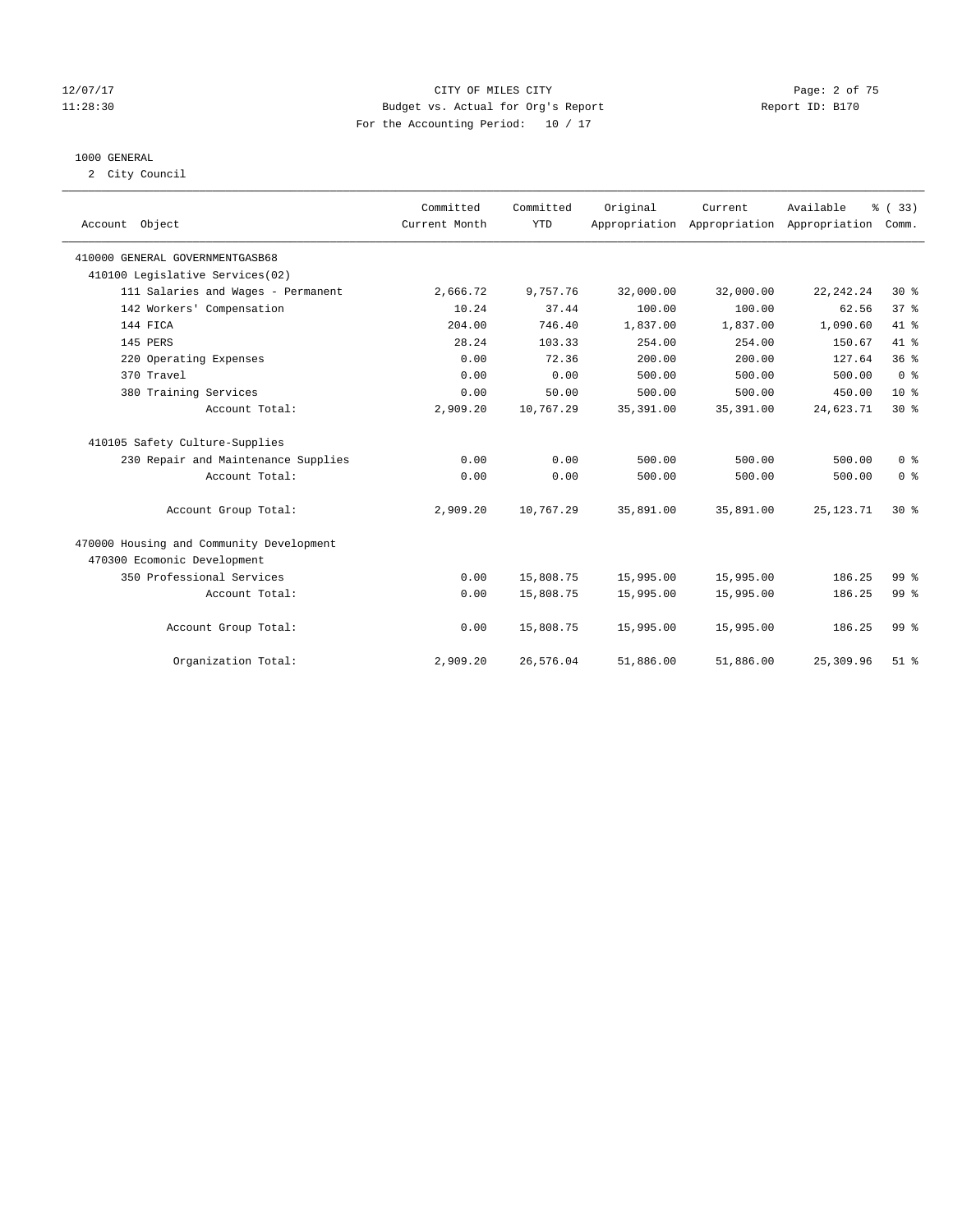#### 12/07/17 CITY OF MILES CITY Page: 2 of 75 11:28:30 Budget vs. Actual for Org's Report Report ID: B170 For the Accounting Period: 10 / 17

#### 1000 GENERAL

2 City Council

| Account Object                           | Committed<br>Current Month | Committed<br><b>YTD</b> | Original   | Current<br>Appropriation Appropriation Appropriation | Available   | % (33)<br>Comm. |
|------------------------------------------|----------------------------|-------------------------|------------|------------------------------------------------------|-------------|-----------------|
|                                          |                            |                         |            |                                                      |             |                 |
| 410000 GENERAL GOVERNMENTGASB68          |                            |                         |            |                                                      |             |                 |
| 410100 Legislative Services(02)          |                            |                         |            |                                                      |             |                 |
| 111 Salaries and Wages - Permanent       | 2,666.72                   | 9,757.76                | 32,000.00  | 32,000.00                                            | 22, 242. 24 | $30*$           |
| 142 Workers' Compensation                | 10.24                      | 37.44                   | 100.00     | 100.00                                               | 62.56       | 37%             |
| 144 FICA                                 | 204.00                     | 746.40                  | 1,837.00   | 1,837.00                                             | 1,090.60    | 41 %            |
| 145 PERS                                 | 28.24                      | 103.33                  | 254.00     | 254.00                                               | 150.67      | 41 %            |
| 220 Operating Expenses                   | 0.00                       | 72.36                   | 200.00     | 200.00                                               | 127.64      | 36%             |
| 370 Travel                               | 0.00                       | 0.00                    | 500.00     | 500.00                                               | 500.00      | 0 <sup>8</sup>  |
| 380 Training Services                    | 0.00                       | 50.00                   | 500.00     | 500.00                                               | 450.00      | $10*$           |
| Account Total:                           | 2,909.20                   | 10,767.29               | 35, 391.00 | 35, 391.00                                           | 24,623.71   | $30*$           |
| 410105 Safety Culture-Supplies           |                            |                         |            |                                                      |             |                 |
| 230 Repair and Maintenance Supplies      | 0.00                       | 0.00                    | 500.00     | 500.00                                               | 500.00      | 0 <sup>8</sup>  |
| Account Total:                           | 0.00                       | 0.00                    | 500.00     | 500.00                                               | 500.00      | 0 <sup>8</sup>  |
| Account Group Total:                     | 2,909.20                   | 10,767.29               | 35,891.00  | 35,891.00                                            | 25, 123. 71 | $30*$           |
| 470000 Housing and Community Development |                            |                         |            |                                                      |             |                 |
| 470300 Ecomonic Development              |                            |                         |            |                                                      |             |                 |
| 350 Professional Services                | 0.00                       | 15,808.75               | 15,995.00  | 15,995.00                                            | 186.25      | 99 <sup>8</sup> |
| Account Total:                           | 0.00                       | 15,808.75               | 15,995.00  | 15,995.00                                            | 186.25      | 99 <sup>8</sup> |
| Account Group Total:                     | 0.00                       | 15,808.75               | 15,995.00  | 15,995.00                                            | 186.25      | 99 <sup>8</sup> |
| Organization Total:                      | 2,909.20                   | 26,576.04               | 51,886.00  | 51,886.00                                            | 25,309.96   | $51$ $%$        |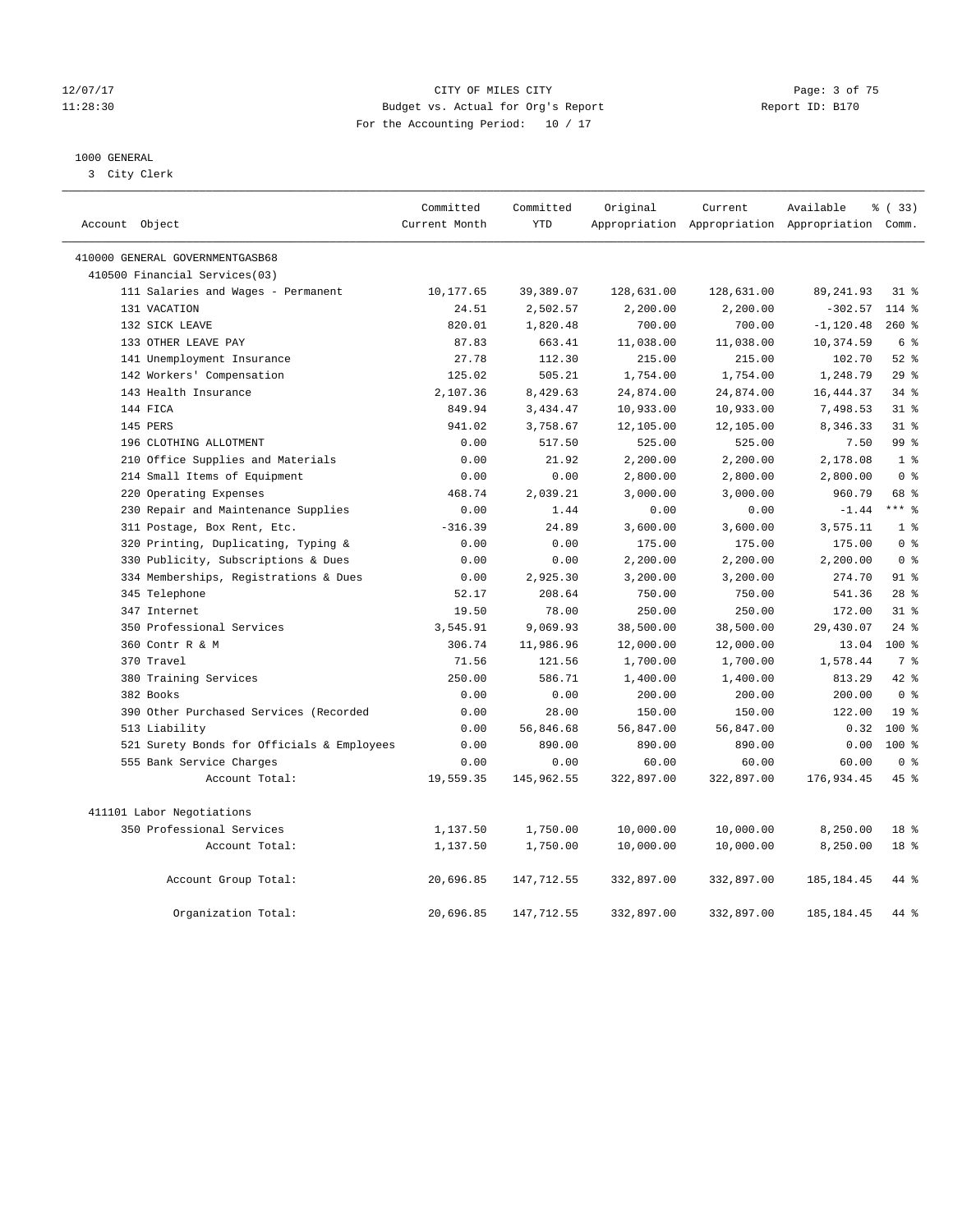#### 12/07/17 CITY OF MILES CITY Page: 3 of 75 11:28:30 Budget vs. Actual for Org's Report Report ID: B170 For the Accounting Period: 10 / 17

### 1000 GENERAL

3 City Clerk

|                                 |                                            | Committed     | Committed   | Original   | Current    | Available                                       | % (33)           |
|---------------------------------|--------------------------------------------|---------------|-------------|------------|------------|-------------------------------------------------|------------------|
| Account Object                  |                                            | Current Month | <b>YTD</b>  |            |            | Appropriation Appropriation Appropriation Comm. |                  |
| 410000 GENERAL GOVERNMENTGASB68 |                                            |               |             |            |            |                                                 |                  |
|                                 | 410500 Financial Services(03)              |               |             |            |            |                                                 |                  |
|                                 | 111 Salaries and Wages - Permanent         | 10,177.65     | 39,389.07   | 128,631.00 | 128,631.00 | 89, 241.93                                      | $31$ %           |
| 131 VACATION                    |                                            | 24.51         | 2,502.57    | 2,200.00   | 2,200.00   | $-302.57$                                       | $114$ %          |
| 132 SICK LEAVE                  |                                            | 820.01        | 1,820.48    | 700.00     | 700.00     | $-1, 120.48$                                    | $260*$           |
|                                 | 133 OTHER LEAVE PAY                        | 87.83         | 663.41      | 11,038.00  | 11,038.00  | 10,374.59                                       | 6 <sup>°</sup>   |
|                                 | 141 Unemployment Insurance                 | 27.78         | 112.30      | 215.00     | 215.00     | 102.70                                          | $52$ $%$         |
|                                 | 142 Workers' Compensation                  | 125.02        | 505.21      | 1,754.00   | 1,754.00   | 1,248.79                                        | 29%              |
|                                 | 143 Health Insurance                       | 2,107.36      | 8,429.63    | 24,874.00  | 24,874.00  | 16,444.37                                       | $34$ $%$         |
| 144 FICA                        |                                            | 849.94        | 3,434.47    | 10,933.00  | 10,933.00  | 7,498.53                                        | 31.8             |
| 145 PERS                        |                                            | 941.02        | 3,758.67    | 12,105.00  | 12,105.00  | 8,346.33                                        | 318              |
|                                 | 196 CLOTHING ALLOTMENT                     | 0.00          | 517.50      | 525.00     | 525.00     | 7.50                                            | 99 <sub>8</sub>  |
|                                 | 210 Office Supplies and Materials          | 0.00          | 21.92       | 2,200.00   | 2,200.00   | 2,178.08                                        | 1 <sup>°</sup>   |
|                                 | 214 Small Items of Equipment               | 0.00          | 0.00        | 2,800.00   | 2,800.00   | 2,800.00                                        | 0 <sup>8</sup>   |
|                                 | 220 Operating Expenses                     | 468.74        | 2,039.21    | 3,000.00   | 3,000.00   | 960.79                                          | 68 %             |
|                                 | 230 Repair and Maintenance Supplies        | 0.00          | 1.44        | 0.00       | 0.00       | $-1.44$                                         | $***$ $_{8}$     |
|                                 | 311 Postage, Box Rent, Etc.                | $-316.39$     | 24.89       | 3,600.00   | 3,600.00   | 3,575.11                                        | 1 <sup>8</sup>   |
|                                 | 320 Printing, Duplicating, Typing &        | 0.00          | 0.00        | 175.00     | 175.00     | 175.00                                          | 0 <sup>8</sup>   |
|                                 | 330 Publicity, Subscriptions & Dues        | 0.00          | 0.00        | 2,200.00   | 2,200.00   | 2,200.00                                        | 0 <sup>8</sup>   |
|                                 | 334 Memberships, Registrations & Dues      | 0.00          | 2,925.30    | 3,200.00   | 3,200.00   | 274.70                                          | $91$ $%$         |
| 345 Telephone                   |                                            | 52.17         | 208.64      | 750.00     | 750.00     | 541.36                                          | 28 <sup>8</sup>  |
| 347 Internet                    |                                            | 19.50         | 78.00       | 250.00     | 250.00     | 172.00                                          | 318              |
|                                 | 350 Professional Services                  | 3,545.91      | 9,069.93    | 38,500.00  | 38,500.00  | 29,430.07                                       | $24$ %           |
| 360 Contr R & M                 |                                            | 306.74        | 11,986.96   | 12,000.00  | 12,000.00  | 13.04                                           | 100 <sub>8</sub> |
| 370 Travel                      |                                            | 71.56         | 121.56      | 1,700.00   | 1,700.00   | 1,578.44                                        | 7 %              |
|                                 | 380 Training Services                      | 250.00        | 586.71      | 1,400.00   | 1,400.00   | 813.29                                          | $42$ %           |
| 382 Books                       |                                            | 0.00          | 0.00        | 200.00     | 200.00     | 200.00                                          | 0 <sup>8</sup>   |
|                                 | 390 Other Purchased Services (Recorded     | 0.00          | 28.00       | 150.00     | 150.00     | 122.00                                          | 19 <sup>°</sup>  |
| 513 Liability                   |                                            | 0.00          | 56,846.68   | 56,847.00  | 56,847.00  | 0.32                                            | $100*$           |
|                                 | 521 Surety Bonds for Officials & Employees | 0.00          | 890.00      | 890.00     | 890.00     | 0.00                                            | $100*$           |
|                                 | 555 Bank Service Charges                   | 0.00          | 0.00        | 60.00      | 60.00      | 60.00                                           | 0 <sup>8</sup>   |
|                                 | Account Total:                             | 19,559.35     | 145,962.55  | 322,897.00 | 322,897.00 | 176,934.45                                      | 45 %             |
| 411101 Labor Negotiations       |                                            |               |             |            |            |                                                 |                  |
|                                 | 350 Professional Services                  | 1,137.50      | 1,750.00    | 10,000.00  | 10,000.00  | 8,250.00                                        | 18 <sup>8</sup>  |
|                                 | Account Total:                             | 1,137.50      | 1,750.00    | 10,000.00  | 10,000.00  | 8,250.00                                        | 18 <sup>8</sup>  |
|                                 | Account Group Total:                       | 20,696.85     | 147, 712.55 | 332,897.00 | 332,897.00 | 185, 184.45                                     | 44 %             |
|                                 | Organization Total:                        | 20,696.85     | 147,712.55  | 332,897.00 | 332,897.00 | 185, 184.45                                     | 44 %             |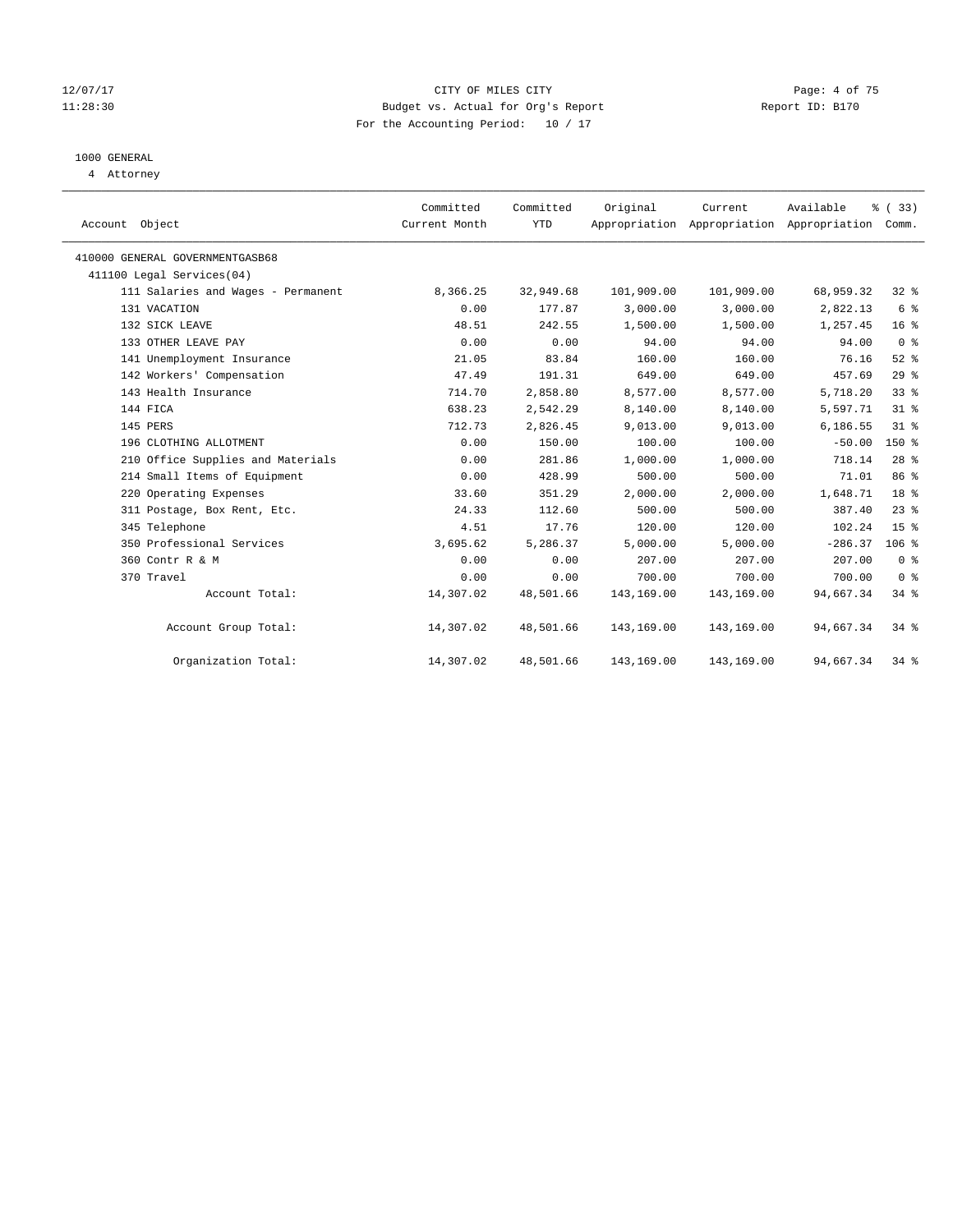#### 12/07/17 CITY OF MILES CITY Page: 4 of 75 11:28:30 Budget vs. Actual for Org's Report Report ID: B170 For the Accounting Period: 10 / 17

## 1000 GENERAL

4 Attorney

| Account Object                     | Committed<br>Current Month | Committed<br><b>YTD</b> | Original   | Current<br>Appropriation Appropriation Appropriation | Available | % (33)<br>Comm. |
|------------------------------------|----------------------------|-------------------------|------------|------------------------------------------------------|-----------|-----------------|
| 410000 GENERAL GOVERNMENTGASB68    |                            |                         |            |                                                      |           |                 |
| 411100 Legal Services(04)          |                            |                         |            |                                                      |           |                 |
| 111 Salaries and Wages - Permanent | 8,366.25                   | 32,949.68               | 101,909.00 | 101,909.00                                           | 68,959.32 | $32$ $%$        |
| 131 VACATION                       | 0.00                       | 177.87                  | 3,000.00   | 3,000.00                                             | 2,822.13  | 6 %             |
| 132 SICK LEAVE                     | 48.51                      | 242.55                  | 1,500.00   | 1,500.00                                             | 1,257.45  | 16 <sup>°</sup> |
| 133 OTHER LEAVE PAY                | 0.00                       | 0.00                    | 94.00      | 94.00                                                | 94.00     | 0 <sup>8</sup>  |
| 141 Unemployment Insurance         | 21.05                      | 83.84                   | 160.00     | 160.00                                               | 76.16     | $52$ $%$        |
| 142 Workers' Compensation          | 47.49                      | 191.31                  | 649.00     | 649.00                                               | 457.69    | 29%             |
| 143 Health Insurance               | 714.70                     | 2,858.80                | 8,577.00   | 8,577.00                                             | 5,718.20  | 33%             |
| 144 FICA                           | 638.23                     | 2,542.29                | 8,140.00   | 8,140.00                                             | 5,597.71  | $31$ %          |
| 145 PERS                           | 712.73                     | 2,826.45                | 9,013.00   | 9,013.00                                             | 6,186.55  | 31.8            |
| 196 CLOTHING ALLOTMENT             | 0.00                       | 150.00                  | 100.00     | 100.00                                               | $-50.00$  | $150*$          |
| 210 Office Supplies and Materials  | 0.00                       | 281.86                  | 1,000.00   | 1,000.00                                             | 718.14    | $28$ %          |
| 214 Small Items of Equipment       | 0.00                       | 428.99                  | 500.00     | 500.00                                               | 71.01     | 86 %            |
| 220 Operating Expenses             | 33.60                      | 351.29                  | 2,000.00   | 2,000.00                                             | 1,648.71  | 18 <sup>8</sup> |
| 311 Postage, Box Rent, Etc.        | 24.33                      | 112.60                  | 500.00     | 500.00                                               | 387.40    | $23$ $%$        |
| 345 Telephone                      | 4.51                       | 17.76                   | 120.00     | 120.00                                               | 102.24    | 15 <sup>°</sup> |
| 350 Professional Services          | 3,695.62                   | 5,286.37                | 5,000.00   | 5,000.00                                             | $-286.37$ | $106$ %         |
| 360 Contr R & M                    | 0.00                       | 0.00                    | 207.00     | 207.00                                               | 207.00    | 0 <sup>8</sup>  |
| 370 Travel                         | 0.00                       | 0.00                    | 700.00     | 700.00                                               | 700.00    | 0 <sup>8</sup>  |
| Account Total:                     | 14,307.02                  | 48,501.66               | 143,169.00 | 143,169.00                                           | 94,667.34 | 34.8            |
| Account Group Total:               | 14,307.02                  | 48,501.66               | 143,169.00 | 143,169.00                                           | 94,667.34 | $34$ $%$        |
| Organization Total:                | 14,307.02                  | 48,501.66               | 143,169.00 | 143,169.00                                           | 94,667.34 | $34$ $%$        |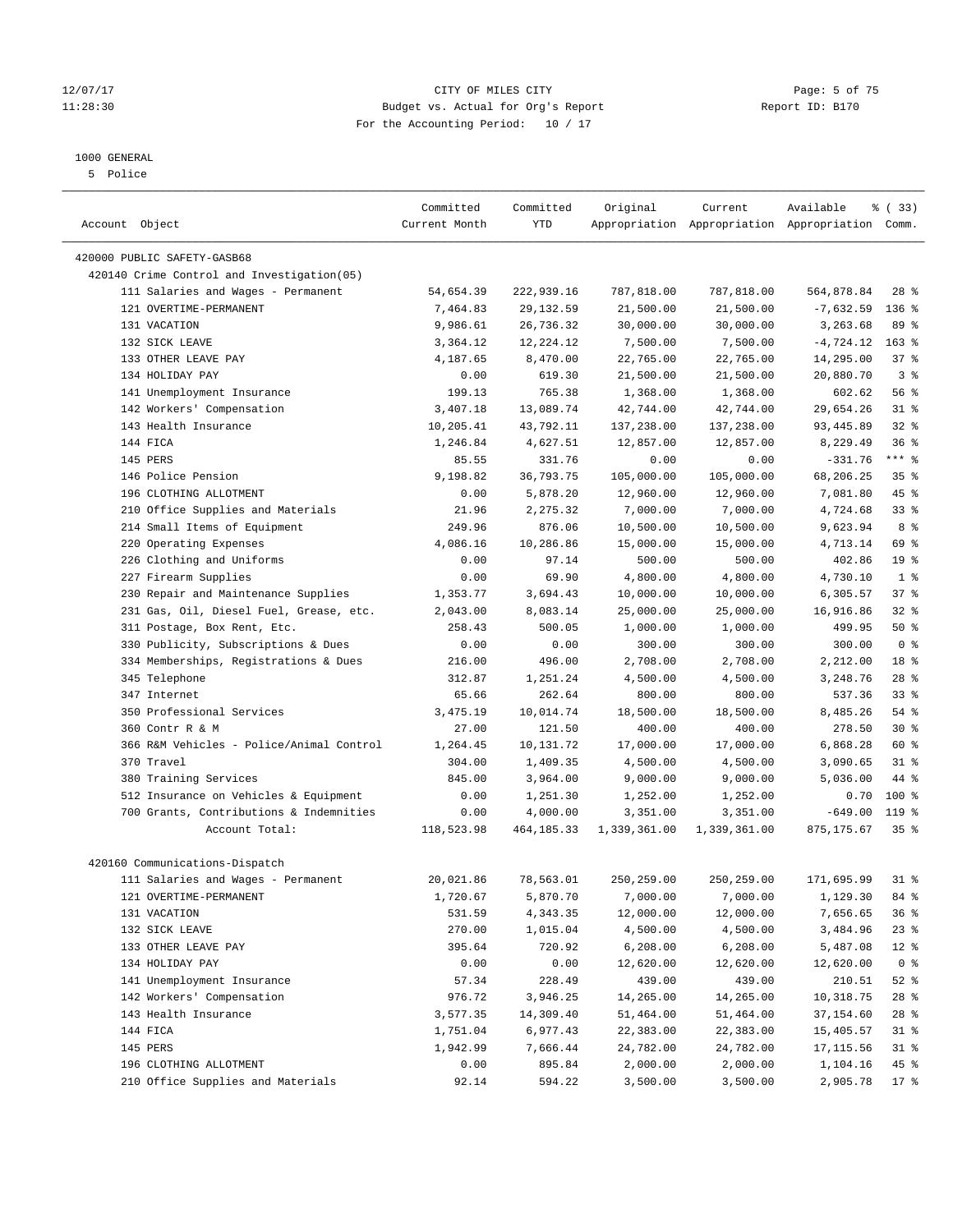#### 12/07/17 CITY OF MILES CITY Page: 5 of 75 11:28:30 Budget vs. Actual for Org's Report Report ID: B170 For the Accounting Period: 10 / 17

————————————————————————————————————————————————————————————————————————————————————————————————————————————————————————————————————

## 1000 GENERAL

5 Police

|                                            | Committed     | Committed                | Original     | Current      | Available                                       | 8 (33)          |
|--------------------------------------------|---------------|--------------------------|--------------|--------------|-------------------------------------------------|-----------------|
| Account Object                             | Current Month | YTD                      |              |              | Appropriation Appropriation Appropriation Comm. |                 |
|                                            |               |                          |              |              |                                                 |                 |
| 420000 PUBLIC SAFETY-GASB68                |               |                          |              |              |                                                 |                 |
| 420140 Crime Control and Investigation(05) |               |                          |              |              |                                                 |                 |
| 111 Salaries and Wages - Permanent         | 54,654.39     | 222,939.16<br>29, 132.59 | 787,818.00   | 787,818.00   | 564,878.84                                      | $28$ %          |
| 121 OVERTIME-PERMANENT                     | 7,464.83      |                          | 21,500.00    | 21,500.00    | $-7,632.59$                                     | $136$ %         |
| 131 VACATION                               | 9,986.61      | 26,736.32                | 30,000.00    | 30,000.00    | 3,263.68                                        | 89 %            |
| 132 SICK LEAVE                             | 3,364.12      | 12,224.12                | 7,500.00     | 7,500.00     | $-4,724.12$                                     | $163$ %         |
| 133 OTHER LEAVE PAY                        | 4,187.65      | 8,470.00                 | 22,765.00    | 22,765.00    | 14,295.00                                       | 37%             |
| 134 HOLIDAY PAY                            | 0.00          | 619.30                   | 21,500.00    | 21,500.00    | 20,880.70                                       | 3%              |
| 141 Unemployment Insurance                 | 199.13        | 765.38                   | 1,368.00     | 1,368.00     | 602.62                                          | 56%             |
| 142 Workers' Compensation                  | 3,407.18      | 13,089.74                | 42,744.00    | 42,744.00    | 29,654.26                                       | $31$ %          |
| 143 Health Insurance                       | 10,205.41     | 43,792.11                | 137,238.00   | 137,238.00   | 93,445.89                                       | $32$ $%$        |
| 144 FICA                                   | 1,246.84      | 4,627.51                 | 12,857.00    | 12,857.00    | 8,229.49                                        | 36%             |
| 145 PERS                                   | 85.55         | 331.76                   | 0.00         | 0.00         | $-331.76$                                       | *** %           |
| 146 Police Pension                         | 9,198.82      | 36,793.75                | 105,000.00   | 105,000.00   | 68,206.25                                       | 35%             |
| 196 CLOTHING ALLOTMENT                     | 0.00          | 5,878.20                 | 12,960.00    | 12,960.00    | 7,081.80                                        | 45 %            |
| 210 Office Supplies and Materials          | 21.96         | 2,275.32                 | 7,000.00     | 7,000.00     | 4,724.68                                        | $33$ $%$        |
| 214 Small Items of Equipment               | 249.96        | 876.06                   | 10,500.00    | 10,500.00    | 9,623.94                                        | 8 %             |
| 220 Operating Expenses                     | 4,086.16      | 10,286.86                | 15,000.00    | 15,000.00    | 4,713.14                                        | 69 %            |
| 226 Clothing and Uniforms                  | 0.00          | 97.14                    | 500.00       | 500.00       | 402.86                                          | 19 <sup>°</sup> |
| 227 Firearm Supplies                       | 0.00          | 69.90                    | 4,800.00     | 4,800.00     | 4,730.10                                        | 1 <sup>°</sup>  |
| 230 Repair and Maintenance Supplies        | 1,353.77      | 3,694.43                 | 10,000.00    | 10,000.00    | 6,305.57                                        | 37%             |
| 231 Gas, Oil, Diesel Fuel, Grease, etc.    | 2,043.00      | 8,083.14                 | 25,000.00    | 25,000.00    | 16,916.86                                       | 32%             |
| 311 Postage, Box Rent, Etc.                | 258.43        | 500.05                   | 1,000.00     | 1,000.00     | 499.95                                          | 50%             |
| 330 Publicity, Subscriptions & Dues        | 0.00          | 0.00                     | 300.00       | 300.00       | 300.00                                          | 0 <sup>8</sup>  |
| 334 Memberships, Registrations & Dues      | 216.00        | 496.00                   | 2,708.00     | 2,708.00     | 2,212.00                                        | 18 %            |
| 345 Telephone                              | 312.87        | 1,251.24                 | 4,500.00     | 4,500.00     | 3,248.76                                        | $28$ %          |
| 347 Internet                               | 65.66         | 262.64                   | 800.00       | 800.00       | 537.36                                          | 33%             |
| 350 Professional Services                  | 3,475.19      | 10,014.74                | 18,500.00    | 18,500.00    | 8,485.26                                        | 54 %            |
| 360 Contr R & M                            | 27.00         | 121.50                   | 400.00       | 400.00       | 278.50                                          | $30*$           |
| 366 R&M Vehicles - Police/Animal Control   | 1,264.45      | 10,131.72                | 17,000.00    | 17,000.00    | 6,868.28                                        | 60 %            |
| 370 Travel                                 | 304.00        | 1,409.35                 | 4,500.00     | 4,500.00     | 3,090.65                                        | $31$ %          |
| 380 Training Services                      | 845.00        | 3,964.00                 | 9,000.00     | 9,000.00     | 5,036.00                                        | 44 %            |
| 512 Insurance on Vehicles & Equipment      | 0.00          | 1,251.30                 | 1,252.00     | 1,252.00     | 0.70                                            | $100*$          |
| 700 Grants, Contributions & Indemnities    | 0.00          | 4,000.00                 | 3,351.00     | 3,351.00     | $-649.00$                                       | 119 %           |
| Account Total:                             | 118,523.98    | 464,185.33               | 1,339,361.00 | 1,339,361.00 | 875,175.67                                      | 35 <sup>8</sup> |
| 420160 Communications-Dispatch             |               |                          |              |              |                                                 |                 |
| 111 Salaries and Wages - Permanent         | 20,021.86     | 78,563.01                | 250,259.00   | 250,259.00   | 171,695.99                                      | $31$ %          |
| 121 OVERTIME-PERMANENT                     | 1,720.67      |                          | 7,000.00     | 7,000.00     | 1,129.30                                        | 84 %            |
|                                            |               | 5,870.70                 |              |              |                                                 |                 |
| 131 VACATION                               | 531.59        | 4,343.35                 | 12,000.00    | 12,000.00    | 7,656.65                                        | 36%             |
| 132 SICK LEAVE                             | 270.00        | 1,015.04                 | 4,500.00     | 4,500.00     | 3,484.96                                        | $23$ %          |
| 133 OTHER LEAVE PAY                        | 395.64        | 720.92                   | 6, 208.00    | 6,208.00     | 5,487.08                                        | $12*$           |
| 134 HOLIDAY PAY                            | 0.00          | 0.00                     | 12,620.00    | 12,620.00    | 12,620.00                                       | 0 <sup>8</sup>  |
| 141 Unemployment Insurance                 | 57.34         | 228.49                   | 439.00       | 439.00       | 210.51                                          | $52$ $%$        |
| 142 Workers' Compensation                  | 976.72        | 3,946.25                 | 14,265.00    | 14,265.00    | 10,318.75                                       | 28 %            |
| 143 Health Insurance                       | 3,577.35      | 14,309.40                | 51,464.00    | 51,464.00    | 37,154.60                                       | 28 %            |
| 144 FICA                                   | 1,751.04      | 6,977.43                 | 22,383.00    | 22,383.00    | 15,405.57                                       | $31$ %          |
| 145 PERS                                   | 1,942.99      | 7,666.44                 | 24,782.00    | 24,782.00    | 17, 115.56                                      | 31 %            |
| 196 CLOTHING ALLOTMENT                     | 0.00          | 895.84                   | 2,000.00     | 2,000.00     | 1,104.16                                        | 45 %            |
| 210 Office Supplies and Materials          | 92.14         | 594.22                   | 3,500.00     | 3,500.00     | 2,905.78 17 %                                   |                 |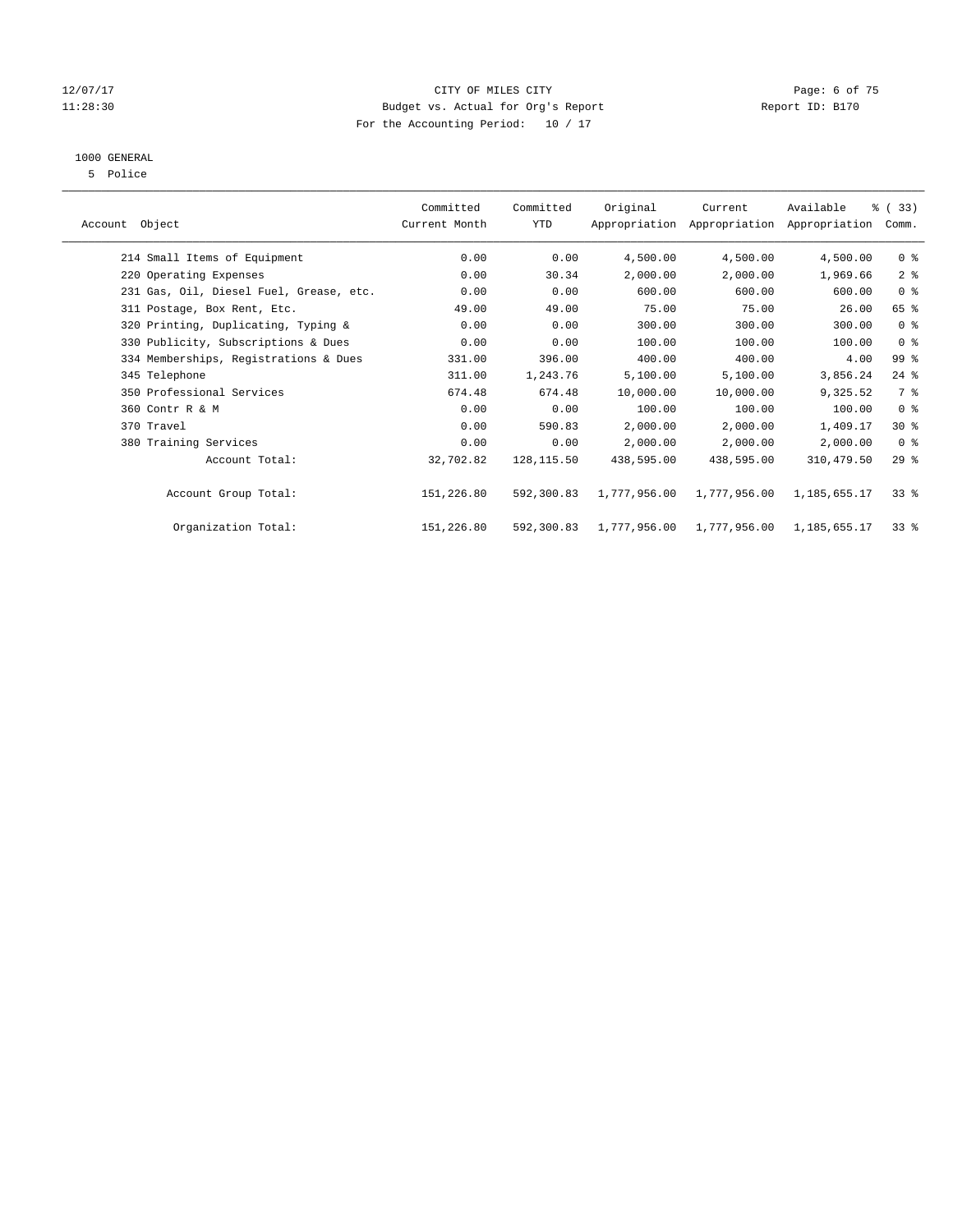#### 12/07/17 CITY OF MILES CITY Page: 6 of 75 11:28:30 Budget vs. Actual for Org's Report Report ID: B170 For the Accounting Period: 10 / 17

## 1000 GENERAL

5 Police

|                                         | Committed     | Committed   | Original     | Current      | Available                                 | % (33)         |
|-----------------------------------------|---------------|-------------|--------------|--------------|-------------------------------------------|----------------|
| Account Object                          | Current Month | YTD         |              |              | Appropriation Appropriation Appropriation | Comm.          |
| 214 Small Items of Equipment            | 0.00          | 0.00        | 4,500.00     | 4,500.00     | 4,500.00                                  | 0 <sup>8</sup> |
| 220 Operating Expenses                  | 0.00          | 30.34       | 2,000.00     | 2,000.00     | 1,969.66                                  | 2 <sup>8</sup> |
| 231 Gas, Oil, Diesel Fuel, Grease, etc. | 0.00          | 0.00        | 600.00       | 600.00       | 600.00                                    | 0 <sup>8</sup> |
| 311 Postage, Box Rent, Etc.             | 49.00         | 49.00       | 75.00        | 75.00        | 26.00                                     | 65 %           |
| 320 Printing, Duplicating, Typing &     | 0.00          | 0.00        | 300.00       | 300.00       | 300.00                                    | 0 <sup>8</sup> |
| 330 Publicity, Subscriptions & Dues     | 0.00          | 0.00        | 100.00       | 100.00       | 100.00                                    | 0 <sup>8</sup> |
| 334 Memberships, Registrations & Dues   | 331.00        | 396.00      | 400.00       | 400.00       | 4.00                                      | 99 %           |
| 345 Telephone                           | 311.00        | 1,243.76    | 5,100.00     | 5,100.00     | 3,856.24                                  | $24$ %         |
| 350 Professional Services               | 674.48        | 674.48      | 10,000.00    | 10,000.00    | 9,325.52                                  | 7 %            |
| 360 Contr R & M                         | 0.00          | 0.00        | 100.00       | 100.00       | 100.00                                    | 0 <sup>8</sup> |
| 370 Travel                              | 0.00          | 590.83      | 2,000.00     | 2,000.00     | 1,409.17                                  | $30*$          |
| 380 Training Services                   | 0.00          | 0.00        | 2,000.00     | 2,000.00     | 2,000.00                                  | 0 <sup>8</sup> |
| Account Total:                          | 32,702.82     | 128, 115.50 | 438,595.00   | 438,595.00   | 310,479.50                                | 29%            |
| Account Group Total:                    | 151,226.80    | 592,300.83  | 1,777,956.00 | 1,777,956.00 | 1,185,655.17                              | $33*$          |
| Organization Total:                     | 151,226.80    | 592,300.83  | 1,777,956.00 | 1,777,956.00 | 1,185,655.17                              | $33$ $%$       |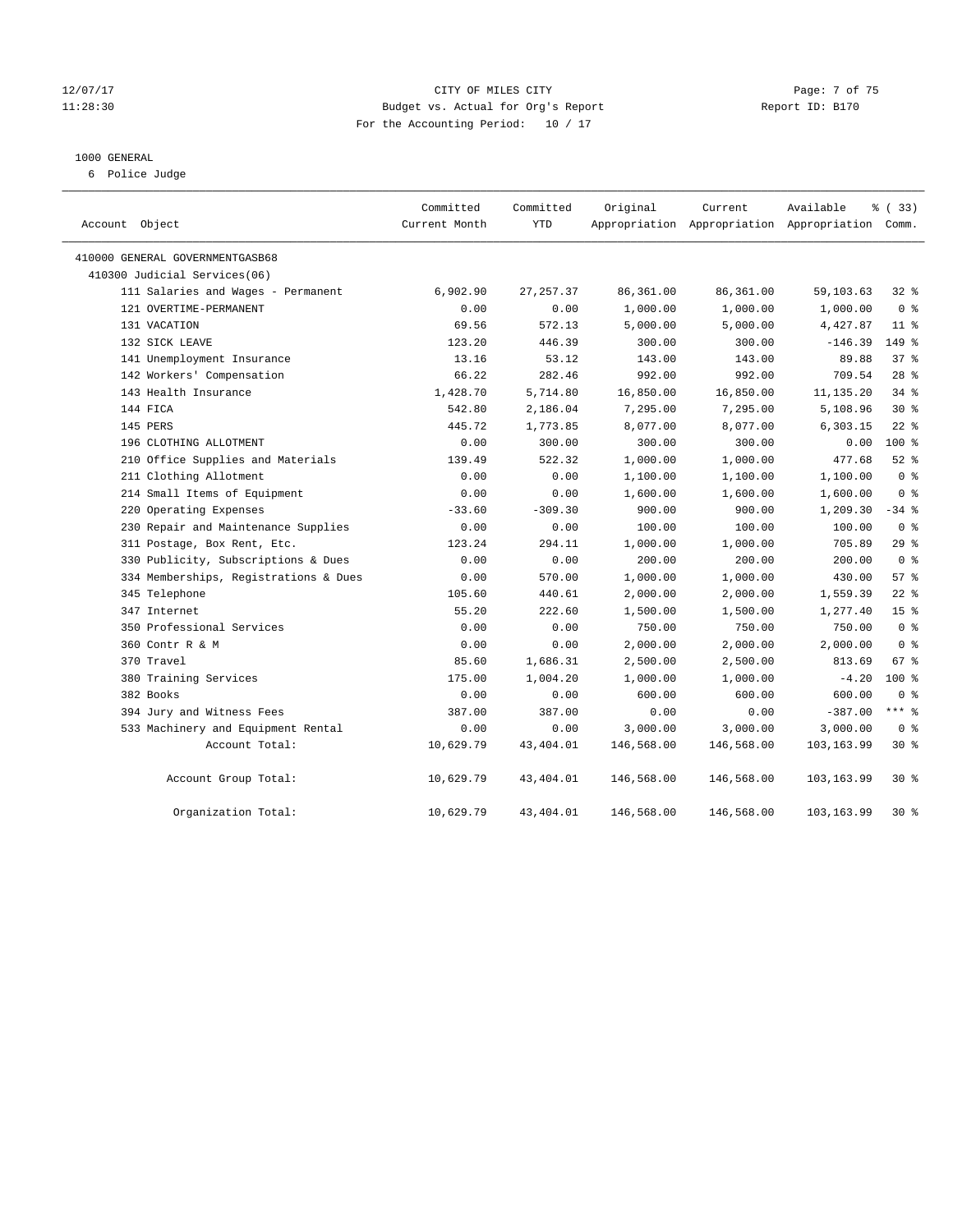#### 12/07/17 CITY OF MILES CITY Page: 7 of 75 11:28:30 Budget vs. Actual for Org's Report Report ID: B170 For the Accounting Period: 10 / 17

#### 1000 GENERAL

6 Police Judge

| Account Object                        | Committed<br>Current Month | Committed<br><b>YTD</b> | Original   | Current    | Available<br>Appropriation Appropriation Appropriation Comm. | 8 (33)          |
|---------------------------------------|----------------------------|-------------------------|------------|------------|--------------------------------------------------------------|-----------------|
| 410000 GENERAL GOVERNMENTGASB68       |                            |                         |            |            |                                                              |                 |
| 410300 Judicial Services(06)          |                            |                         |            |            |                                                              |                 |
| 111 Salaries and Wages - Permanent    | 6,902.90                   | 27, 257.37              | 86,361.00  | 86,361.00  | 59,103.63                                                    | $32$ $%$        |
| 121 OVERTIME-PERMANENT                | 0.00                       | 0.00                    | 1,000.00   | 1,000.00   | 1,000.00                                                     | 0 <sup>8</sup>  |
| 131 VACATION                          | 69.56                      | 572.13                  | 5,000.00   | 5,000.00   | 4,427.87                                                     | 11 <sup>8</sup> |
| 132 SICK LEAVE                        | 123.20                     | 446.39                  | 300.00     | 300.00     | $-146.39$                                                    | $149$ %         |
| 141 Unemployment Insurance            | 13.16                      | 53.12                   | 143.00     | 143.00     | 89.88                                                        | 37 <sup>8</sup> |
| 142 Workers' Compensation             | 66.22                      | 282.46                  | 992.00     | 992.00     | 709.54                                                       | 28 <sup>8</sup> |
| 143 Health Insurance                  | 1,428.70                   | 5,714.80                | 16,850.00  | 16,850.00  | 11,135.20                                                    | 34%             |
| 144 FICA                              | 542.80                     | 2,186.04                | 7,295.00   | 7,295.00   | 5,108.96                                                     | $30*$           |
| 145 PERS                              | 445.72                     | 1,773.85                | 8,077.00   | 8,077.00   | 6,303.15                                                     | $22$ %          |
| 196 CLOTHING ALLOTMENT                | 0.00                       | 300.00                  | 300.00     | 300.00     | 0.00                                                         | 100 %           |
| 210 Office Supplies and Materials     | 139.49                     | 522.32                  | 1,000.00   | 1,000.00   | 477.68                                                       | $52$ $%$        |
| 211 Clothing Allotment                | 0.00                       | 0.00                    | 1,100.00   | 1,100.00   | 1,100.00                                                     | 0 <sup>8</sup>  |
| 214 Small Items of Equipment          | 0.00                       | 0.00                    | 1,600.00   | 1,600.00   | 1,600.00                                                     | 0 <sup>8</sup>  |
| 220 Operating Expenses                | $-33.60$                   | $-309.30$               | 900.00     | 900.00     | 1,209.30                                                     | $-34$ %         |
| 230 Repair and Maintenance Supplies   | 0.00                       | 0.00                    | 100.00     | 100.00     | 100.00                                                       | 0 <sup>8</sup>  |
| 311 Postage, Box Rent, Etc.           | 123.24                     | 294.11                  | 1,000.00   | 1,000.00   | 705.89                                                       | 29%             |
| 330 Publicity, Subscriptions & Dues   | 0.00                       | 0.00                    | 200.00     | 200.00     | 200.00                                                       | 0 <sup>8</sup>  |
| 334 Memberships, Registrations & Dues | 0.00                       | 570.00                  | 1,000.00   | 1,000.00   | 430.00                                                       | 57%             |
| 345 Telephone                         | 105.60                     | 440.61                  | 2,000.00   | 2,000.00   | 1,559.39                                                     | $22$ %          |
| 347 Internet                          | 55.20                      | 222.60                  | 1,500.00   | 1,500.00   | 1,277.40                                                     | 15 <sup>°</sup> |
| 350 Professional Services             | 0.00                       | 0.00                    | 750.00     | 750.00     | 750.00                                                       | 0 <sup>8</sup>  |
| 360 Contr R & M                       | 0.00                       | 0.00                    | 2,000.00   | 2,000.00   | 2,000.00                                                     | 0 <sup>8</sup>  |
| 370 Travel                            | 85.60                      | 1,686.31                | 2,500.00   | 2,500.00   | 813.69                                                       | 67 %            |
| 380 Training Services                 | 175.00                     | 1,004.20                | 1,000.00   | 1,000.00   | $-4.20$                                                      | $100*$          |
| 382 Books                             | 0.00                       | 0.00                    | 600.00     | 600.00     | 600.00                                                       | 0 <sup>8</sup>  |
| 394 Jury and Witness Fees             | 387.00                     | 387.00                  | 0.00       | 0.00       | $-387.00$                                                    | $***$ %         |
| 533 Machinery and Equipment Rental    | 0.00                       | 0.00                    | 3,000.00   | 3,000.00   | 3,000.00                                                     | 0 <sup>8</sup>  |
| Account Total:                        | 10,629.79                  | 43,404.01               | 146,568.00 | 146,568.00 | 103,163.99                                                   | $30*$           |
| Account Group Total:                  | 10,629.79                  | 43,404.01               | 146,568.00 | 146,568.00 | 103,163.99                                                   | $30*$           |
| Organization Total:                   | 10,629.79                  | 43, 404.01              | 146,568.00 | 146,568.00 | 103,163.99                                                   | $30*$           |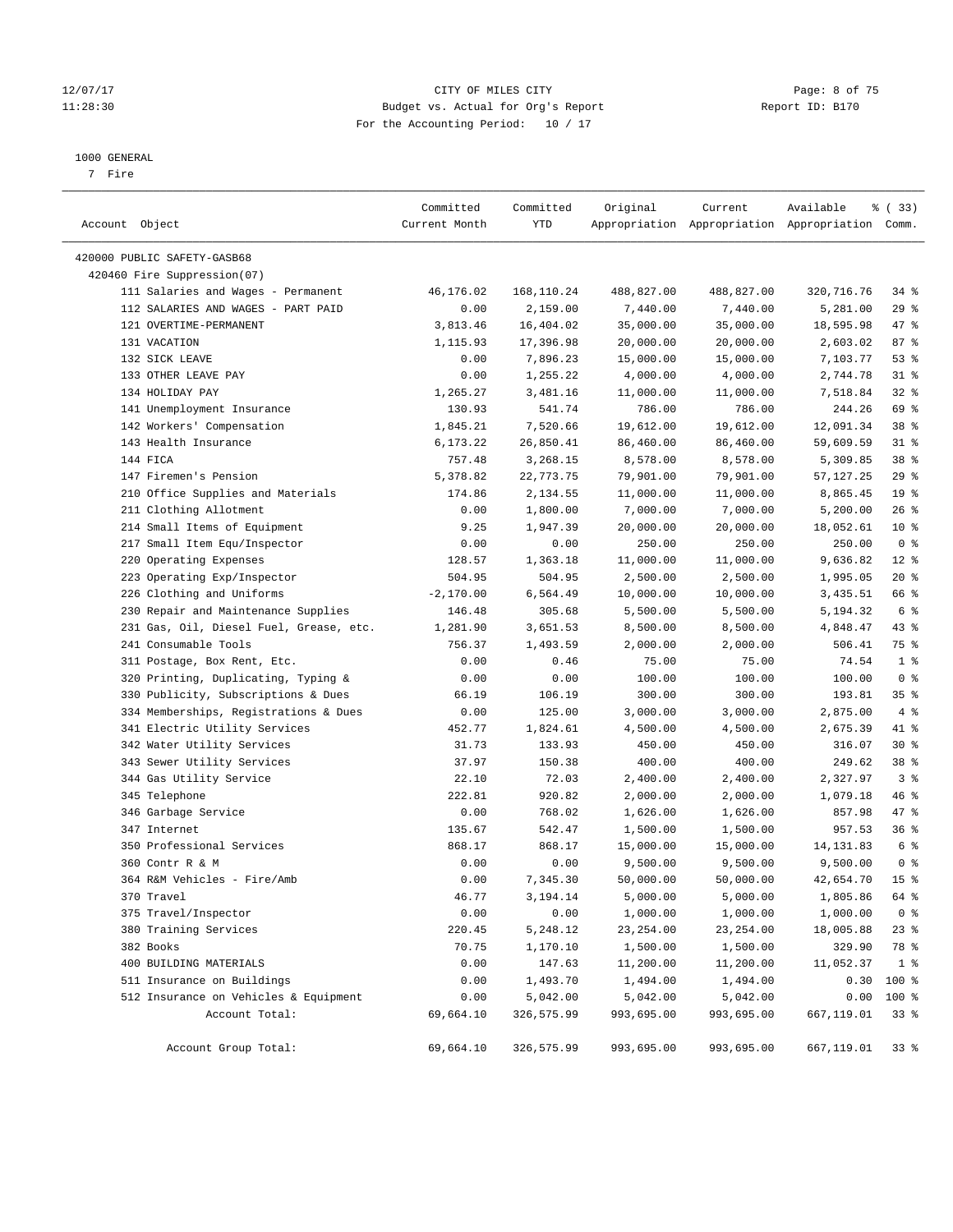#### 12/07/17 CITY OF MILES CITY Page: 8 of 75 11:28:30 Budget vs. Actual for Org's Report Report ID: B170 For the Accounting Period: 10 / 17

#### 1000 GENERAL

7 Fire

| Account Object                          | Committed<br>Current Month | Committed<br>YTD | Original   | Current    | Available<br>Appropriation Appropriation Appropriation Comm. | % (33)          |
|-----------------------------------------|----------------------------|------------------|------------|------------|--------------------------------------------------------------|-----------------|
| 420000 PUBLIC SAFETY-GASB68             |                            |                  |            |            |                                                              |                 |
| 420460 Fire Suppression(07)             |                            |                  |            |            |                                                              |                 |
| 111 Salaries and Wages - Permanent      | 46,176.02                  | 168,110.24       | 488,827.00 | 488,827.00 | 320,716.76                                                   | $34$ $%$        |
| 112 SALARIES AND WAGES - PART PAID      | 0.00                       | 2,159.00         | 7,440.00   | 7,440.00   | 5,281.00                                                     | $29$ %          |
| 121 OVERTIME-PERMANENT                  | 3,813.46                   | 16,404.02        | 35,000.00  | 35,000.00  | 18,595.98                                                    | 47 %            |
| 131 VACATION                            | 1,115.93                   | 17,396.98        | 20,000.00  | 20,000.00  | 2,603.02                                                     | 87%             |
| 132 SICK LEAVE                          | 0.00                       | 7,896.23         | 15,000.00  | 15,000.00  | 7,103.77                                                     | 53%             |
| 133 OTHER LEAVE PAY                     | 0.00                       | 1,255.22         | 4,000.00   | 4,000.00   | 2,744.78                                                     | $31$ %          |
| 134 HOLIDAY PAY                         | 1,265.27                   | 3,481.16         | 11,000.00  | 11,000.00  | 7,518.84                                                     | 32%             |
| 141 Unemployment Insurance              | 130.93                     | 541.74           | 786.00     | 786.00     | 244.26                                                       | 69 %            |
| 142 Workers' Compensation               | 1,845.21                   | 7,520.66         | 19,612.00  | 19,612.00  | 12,091.34                                                    | 38 <sup>8</sup> |
| 143 Health Insurance                    | 6,173.22                   | 26,850.41        | 86,460.00  | 86,460.00  | 59,609.59                                                    | $31$ %          |
| 144 FICA                                | 757.48                     | 3,268.15         | 8,578.00   | 8,578.00   | 5,309.85                                                     | 38 <sup>8</sup> |
| 147 Firemen's Pension                   | 5,378.82                   | 22,773.75        | 79,901.00  | 79,901.00  | 57,127.25                                                    | $29$ %          |
| 210 Office Supplies and Materials       | 174.86                     | 2,134.55         | 11,000.00  | 11,000.00  | 8,865.45                                                     | 19 <sup>°</sup> |
| 211 Clothing Allotment                  | 0.00                       | 1,800.00         | 7,000.00   | 7,000.00   | 5,200.00                                                     | 26%             |
| 214 Small Items of Equipment            | 9.25                       | 1,947.39         | 20,000.00  | 20,000.00  | 18,052.61                                                    | $10*$           |
| 217 Small Item Equ/Inspector            | 0.00                       | 0.00             | 250.00     | 250.00     | 250.00                                                       | 0 <sup>8</sup>  |
| 220 Operating Expenses                  | 128.57                     | 1,363.18         | 11,000.00  | 11,000.00  | 9,636.82                                                     | $12*$           |
| 223 Operating Exp/Inspector             | 504.95                     | 504.95           | 2,500.00   | 2,500.00   | 1,995.05                                                     | $20*$           |
| 226 Clothing and Uniforms               | $-2,170.00$                | 6,564.49         | 10,000.00  | 10,000.00  | 3,435.51                                                     | 66 %            |
| 230 Repair and Maintenance Supplies     | 146.48                     | 305.68           | 5,500.00   | 5,500.00   | 5,194.32                                                     | 6 <sup>°</sup>  |
| 231 Gas, Oil, Diesel Fuel, Grease, etc. | 1,281.90                   | 3,651.53         | 8,500.00   | 8,500.00   | 4,848.47                                                     | $43$ %          |
| 241 Consumable Tools                    | 756.37                     | 1,493.59         | 2,000.00   | 2,000.00   | 506.41                                                       | 75 %            |
| 311 Postage, Box Rent, Etc.             | 0.00                       | 0.46             | 75.00      | 75.00      | 74.54                                                        | 1 <sup>°</sup>  |
| 320 Printing, Duplicating, Typing &     | 0.00                       | 0.00             | 100.00     | 100.00     | 100.00                                                       | 0 <sup>8</sup>  |
| 330 Publicity, Subscriptions & Dues     | 66.19                      | 106.19           | 300.00     | 300.00     | 193.81                                                       | 35%             |
| 334 Memberships, Registrations & Dues   | 0.00                       | 125.00           | 3,000.00   | 3,000.00   | 2,875.00                                                     | 4%              |
| 341 Electric Utility Services           | 452.77                     | 1,824.61         | 4,500.00   | 4,500.00   | 2,675.39                                                     | 41 %            |
| 342 Water Utility Services              | 31.73                      | 133.93           | 450.00     | 450.00     | 316.07                                                       | $30*$           |
| 343 Sewer Utility Services              | 37.97                      | 150.38           | 400.00     | 400.00     | 249.62                                                       | 38 <sup>8</sup> |
| 344 Gas Utility Service                 | 22.10                      | 72.03            | 2,400.00   | 2,400.00   | 2,327.97                                                     | 3 <sup>8</sup>  |
| 345 Telephone                           | 222.81                     | 920.82           | 2,000.00   | 2,000.00   | 1,079.18                                                     | 46 %            |
| 346 Garbage Service                     | 0.00                       | 768.02           | 1,626.00   | 1,626.00   | 857.98                                                       | 47 %            |
| 347 Internet                            | 135.67                     | 542.47           | 1,500.00   | 1,500.00   | 957.53                                                       | 36%             |
| 350 Professional Services               | 868.17                     | 868.17           | 15,000.00  | 15,000.00  | 14, 131.83                                                   | 6 %             |
| 360 Contr R & M                         | 0.00                       | 0.00             | 9,500.00   | 9,500.00   | 9,500.00                                                     | 0 <sup>8</sup>  |
| 364 R&M Vehicles - Fire/Amb             | 0.00                       | 7,345.30         | 50,000.00  | 50,000.00  | 42,654.70                                                    | 15 <sup>°</sup> |
| 370 Travel                              | 46.77                      | 3,194.14         | 5,000.00   | 5,000.00   | 1,805.86                                                     | 64 %            |
| 375 Travel/Inspector                    | 0.00                       | 0.00             | 1,000.00   | 1,000.00   | 1,000.00                                                     | 0 <sup>8</sup>  |
| 380 Training Services                   | 220.45                     | 5,248.12         | 23, 254.00 | 23, 254.00 | 18,005.88                                                    | $23$ %          |
| 382 Books                               | 70.75                      | 1,170.10         | 1,500.00   | 1,500.00   | 329.90                                                       | 78 %            |
| 400 BUILDING MATERIALS                  | 0.00                       | 147.63           | 11,200.00  | 11,200.00  | 11,052.37                                                    | 1 <sup>8</sup>  |
| 511 Insurance on Buildings              | 0.00                       | 1,493.70         | 1,494.00   | 1,494.00   | 0.30                                                         | 100 %           |
| 512 Insurance on Vehicles & Equipment   | 0.00                       | 5,042.00         | 5,042.00   | 5,042.00   | 0.00                                                         | 100 %           |
| Account Total:                          | 69,664.10                  | 326,575.99       | 993,695.00 | 993,695.00 | 667,119.01                                                   | 33 <sup>8</sup> |
| Account Group Total:                    | 69,664.10                  | 326,575.99       | 993,695.00 | 993,695.00 | 667,119.01                                                   | 33 <sup>8</sup> |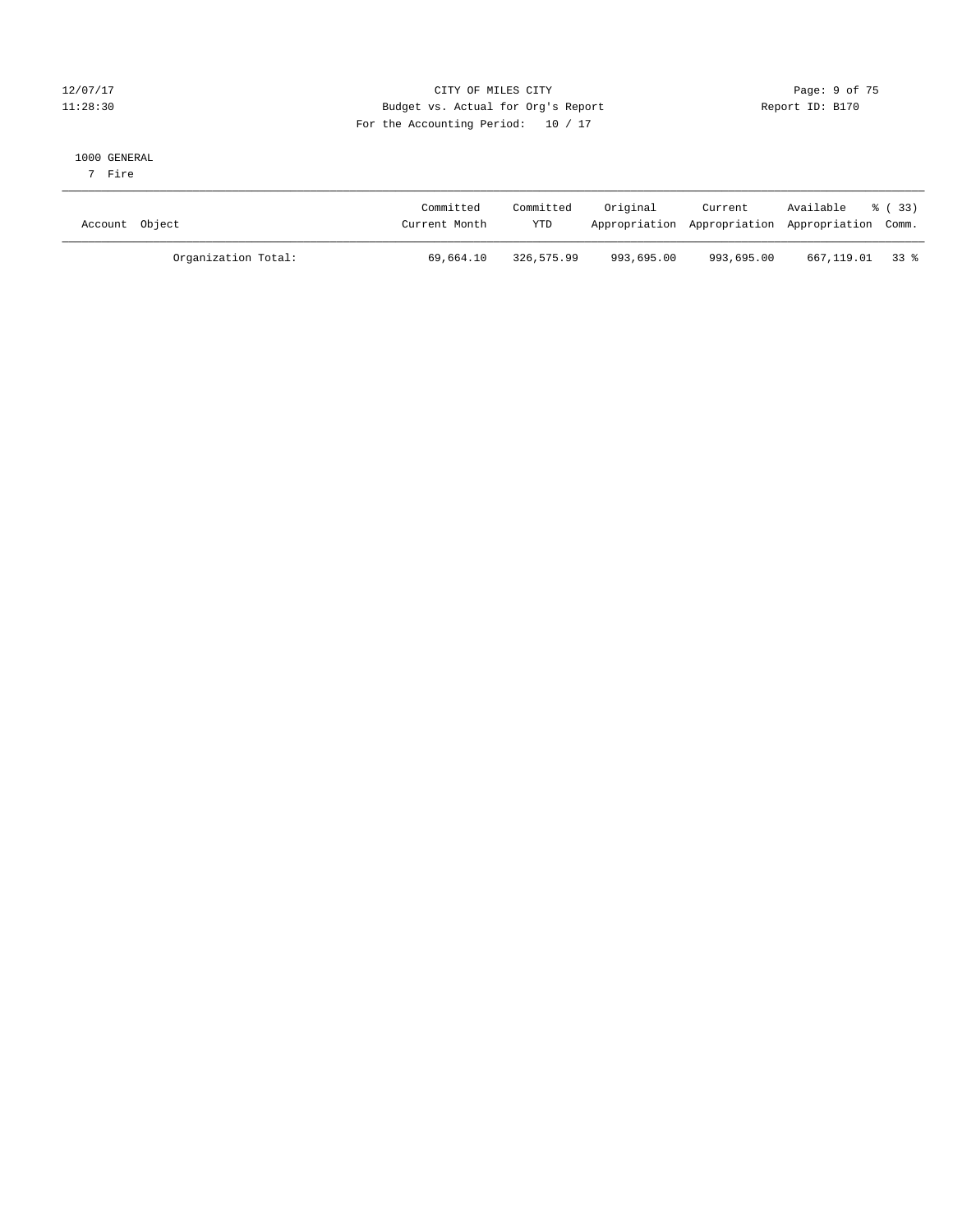#### 12/07/17 CITY OF MILES CITY Page: 9 of 75 11:28:30 Budget vs. Actual for Org's Report Changer Report ID: B170 For the Accounting Period: 10 / 17

#### 1000 GENERAL

7 Fire

| Account Object      | Committed<br>Current Month | Committed<br><b>YTD</b> | Original   | Current<br>Appropriation Appropriation Appropriation Comm. | Available % (33) |  |
|---------------------|----------------------------|-------------------------|------------|------------------------------------------------------------|------------------|--|
| Organization Total: | 69,664.10                  | 326,575.99              | 993,695.00 | 993,695.00                                                 | 667,119.01 33 %  |  |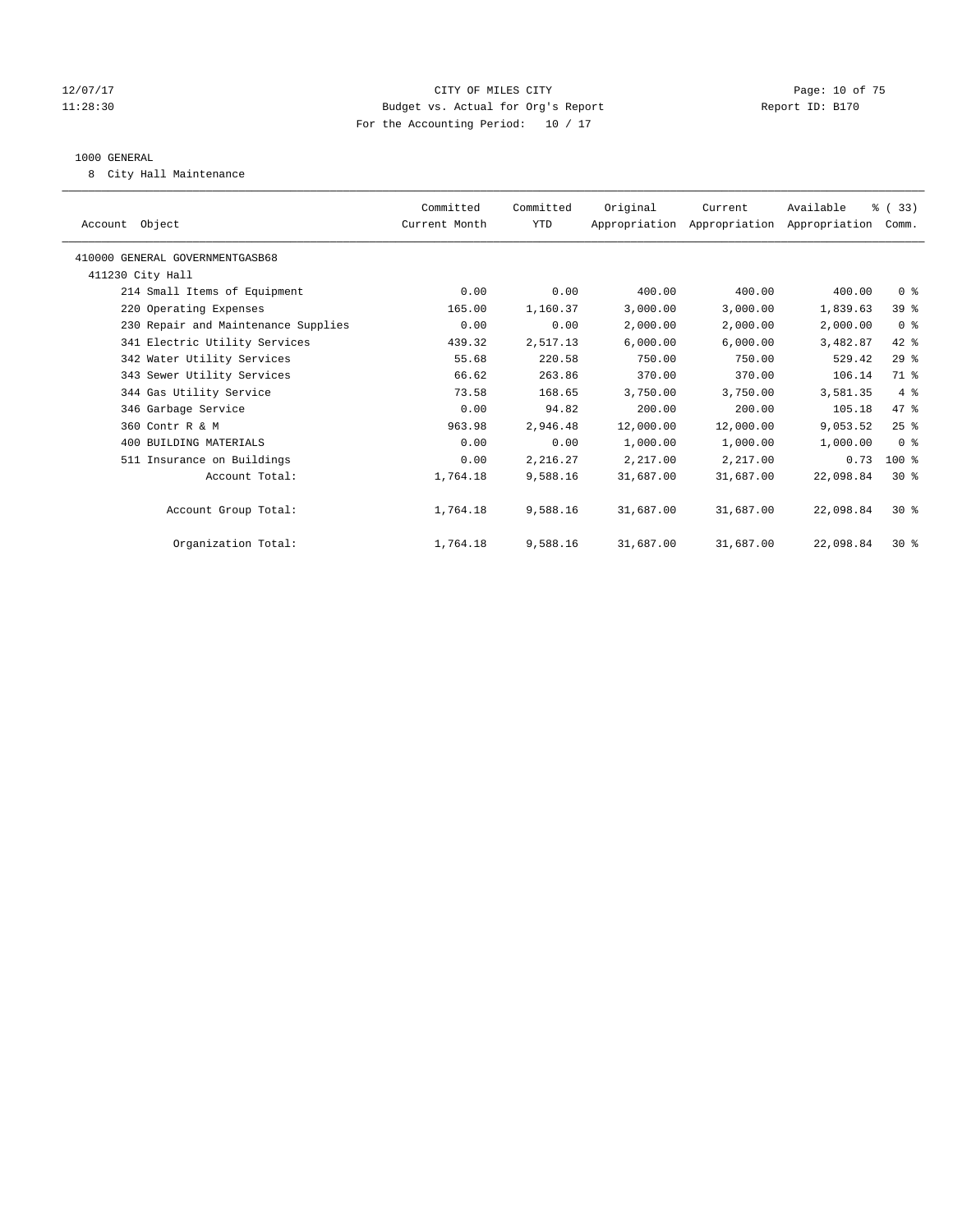#### 12/07/17 Page: 10 of 75 11:28:30 Budget vs. Actual for Org's Report Report ID: B170 For the Accounting Period: 10 / 17

#### 1000 GENERAL

8 City Hall Maintenance

| Account Object                      | Committed<br>Current Month | Committed<br>YTD | Original  | Current<br>Appropriation Appropriation Appropriation Comm. | Available | % (33)         |
|-------------------------------------|----------------------------|------------------|-----------|------------------------------------------------------------|-----------|----------------|
| 410000 GENERAL GOVERNMENTGASB68     |                            |                  |           |                                                            |           |                |
| 411230 City Hall                    |                            |                  |           |                                                            |           |                |
| 214 Small Items of Equipment        | 0.00                       | 0.00             | 400.00    | 400.00                                                     | 400.00    | 0 <sup>8</sup> |
| 220 Operating Expenses              | 165.00                     | 1,160.37         | 3,000.00  | 3,000.00                                                   | 1,839.63  | 39 %           |
| 230 Repair and Maintenance Supplies | 0.00                       | 0.00             | 2,000.00  | 2,000.00                                                   | 2,000.00  | 0 <sup>8</sup> |
| 341 Electric Utility Services       | 439.32                     | 2,517.13         | 6,000.00  | 6,000.00                                                   | 3,482.87  | 42 %           |
| 342 Water Utility Services          | 55.68                      | 220.58           | 750.00    | 750.00                                                     | 529.42    | 29%            |
| 343 Sewer Utility Services          | 66.62                      | 263.86           | 370.00    | 370.00                                                     | 106.14    | 71 %           |
| 344 Gas Utility Service             | 73.58                      | 168.65           | 3,750.00  | 3,750.00                                                   | 3,581.35  | 4%             |
| 346 Garbage Service                 | 0.00                       | 94.82            | 200.00    | 200.00                                                     | 105.18    | 47.8           |
| 360 Contr R & M                     | 963.98                     | 2,946.48         | 12,000.00 | 12,000.00                                                  | 9,053.52  | $25$ $%$       |
| 400 BUILDING MATERIALS              | 0.00                       | 0.00             | 1,000.00  | 1,000.00                                                   | 1,000.00  | 0 <sup>8</sup> |
| 511 Insurance on Buildings          | 0.00                       | 2,216.27         | 2,217.00  | 2,217.00                                                   | 0.73      | $100$ %        |
| Account Total:                      | 1,764.18                   | 9,588.16         | 31,687.00 | 31,687.00                                                  | 22,098.84 | $30*$          |
| Account Group Total:                | 1,764.18                   | 9,588.16         | 31,687.00 | 31,687.00                                                  | 22,098.84 | $30*$          |
| Organization Total:                 | 1,764.18                   | 9,588.16         | 31,687.00 | 31,687.00                                                  | 22,098.84 | $30*$          |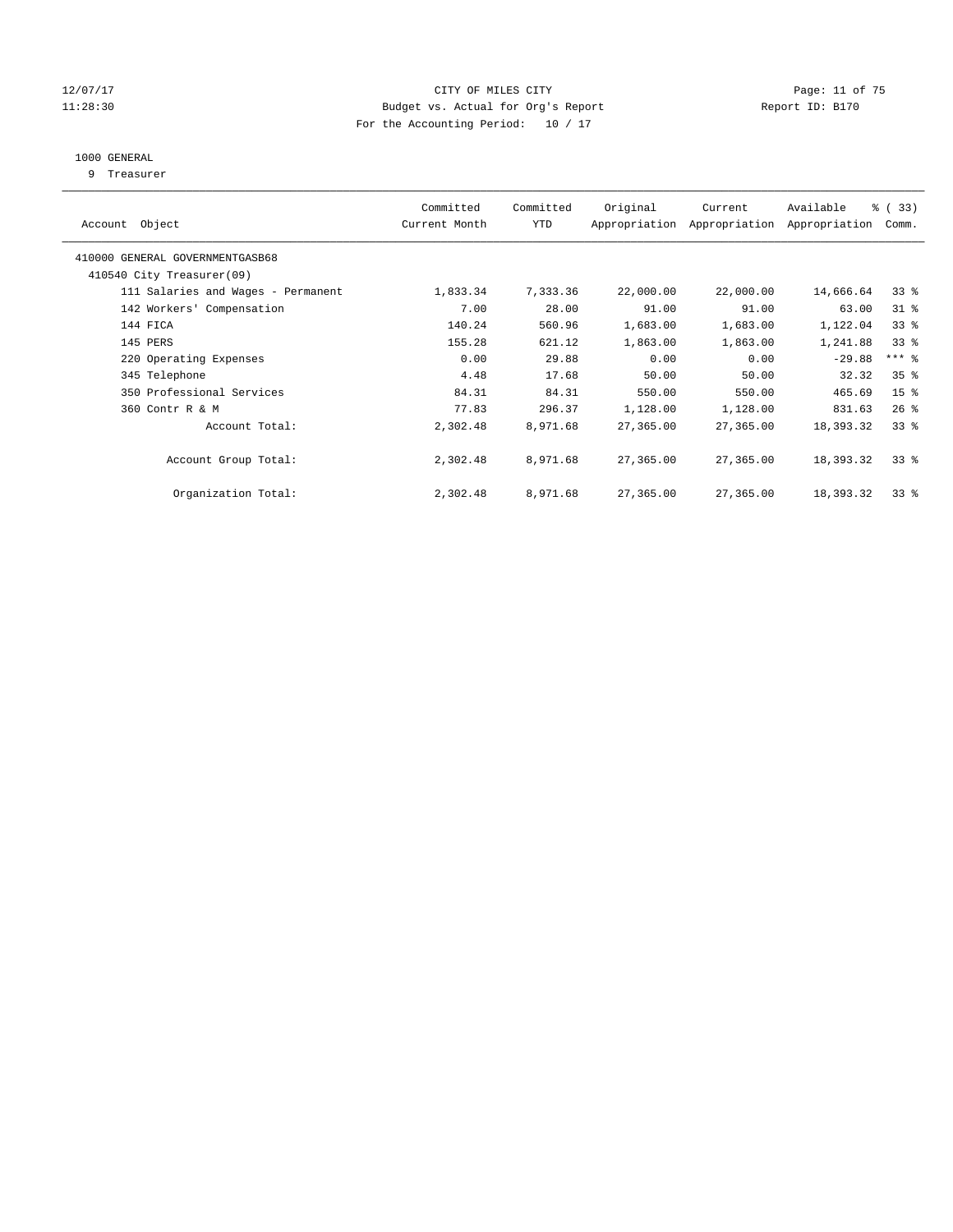#### 12/07/17 Page: 11 of 75 11:28:30 Budget vs. Actual for Org's Report Report ID: B170 For the Accounting Period: 10 / 17

## 1000 GENERAL

9 Treasurer

| Object<br>Account                  | Committed<br>Current Month | Committed<br><b>YTD</b> | Original  | Current<br>Appropriation Appropriation | Available<br>Appropriation | % (33)<br>Comm.     |
|------------------------------------|----------------------------|-------------------------|-----------|----------------------------------------|----------------------------|---------------------|
| 410000 GENERAL GOVERNMENTGASB68    |                            |                         |           |                                        |                            |                     |
| 410540 City Treasurer(09)          |                            |                         |           |                                        |                            |                     |
| 111 Salaries and Wages - Permanent | 1,833.34                   | 7,333.36                | 22,000.00 | 22,000.00                              | 14,666.64                  | 33 <sup>8</sup>     |
| 142 Workers' Compensation          | 7.00                       | 28.00                   | 91.00     | 91.00                                  | 63.00                      | $31$ %              |
| 144 FICA                           | 140.24                     | 560.96                  | 1,683.00  | 1,683.00                               | 1,122.04                   | 33 <sup>8</sup>     |
| 145 PERS                           | 155.28                     | 621.12                  | 1,863.00  | 1,863.00                               | 1,241.88                   | 33 <sup>8</sup>     |
| 220 Operating Expenses             | 0.00                       | 29.88                   | 0.00      | 0.00                                   | $-29.88$                   | $***$ $\frac{6}{5}$ |
| 345 Telephone                      | 4.48                       | 17.68                   | 50.00     | 50.00                                  | 32.32                      | 35 <sup>8</sup>     |
| 350 Professional Services          | 84.31                      | 84.31                   | 550.00    | 550.00                                 | 465.69                     | 15 <sup>8</sup>     |
| 360 Contr R & M                    | 77.83                      | 296.37                  | 1,128.00  | 1,128.00                               | 831.63                     | $26$ %              |
| Account Total:                     | 2,302.48                   | 8,971.68                | 27,365.00 | 27,365.00                              | 18,393.32                  | 33 <sup>8</sup>     |
| Account Group Total:               | 2,302.48                   | 8,971.68                | 27,365.00 | 27,365.00                              | 18,393.32                  | 33 <sup>8</sup>     |
| Organization Total:                | 2,302.48                   | 8,971.68                | 27,365.00 | 27,365.00                              | 18,393.32                  | 33 <sup>8</sup>     |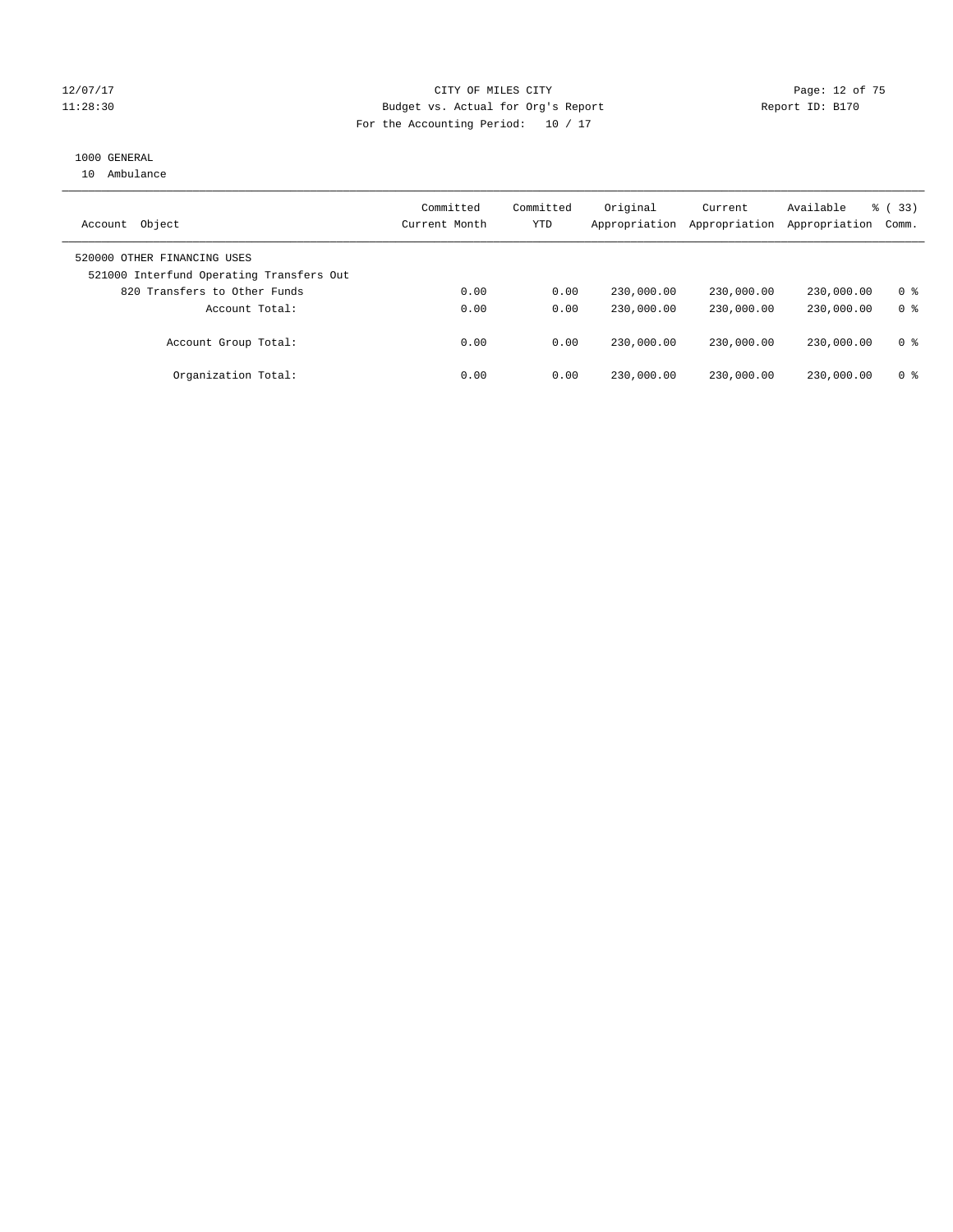#### 12/07/17 Page: 12 of 75 11:28:30 Budget vs. Actual for Org's Report Report ID: B170 For the Accounting Period: 10 / 17

### 1000 GENERAL

10 Ambulance

| Object<br>Account                                                       | Committed<br>Current Month | Committed<br>YTD | Original<br>Appropriation | Current<br>Appropriation | Available<br>Appropriation | % (33)<br>Comm. |
|-------------------------------------------------------------------------|----------------------------|------------------|---------------------------|--------------------------|----------------------------|-----------------|
| 520000 OTHER FINANCING USES<br>521000 Interfund Operating Transfers Out |                            |                  |                           |                          |                            |                 |
| 820 Transfers to Other Funds                                            | 0.00                       | 0.00             | 230,000.00                | 230,000.00               | 230,000.00                 | 0 <sup>8</sup>  |
| Account Total:                                                          | 0.00                       | 0.00             | 230,000.00                | 230,000.00               | 230,000.00                 | 0 <sup>8</sup>  |
| Account Group Total:                                                    | 0.00                       | 0.00             | 230,000.00                | 230,000.00               | 230,000.00                 | 0 %             |
| Organization Total:                                                     | 0.00                       | 0.00             | 230,000.00                | 230,000.00               | 230,000.00                 | 0 %             |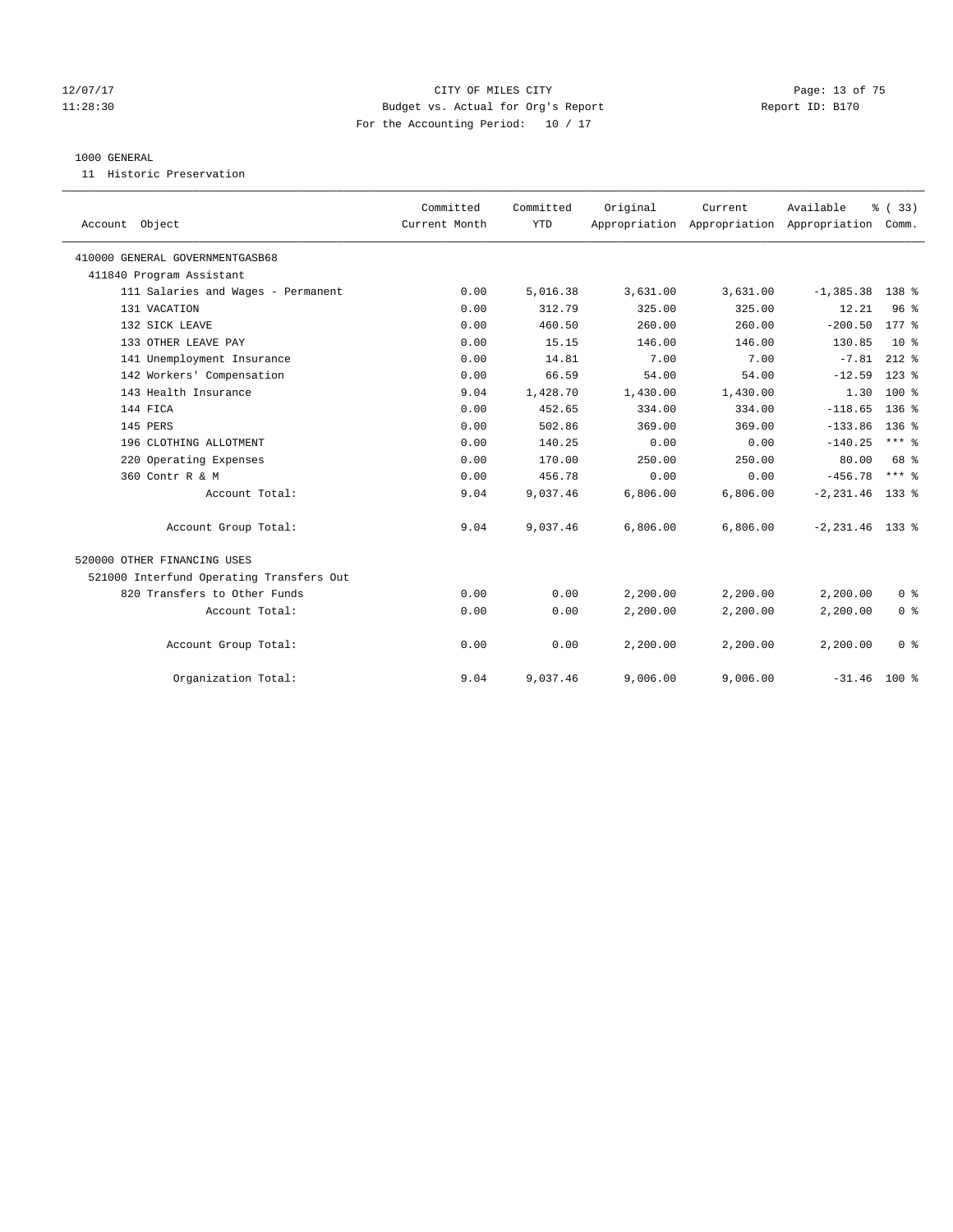#### 12/07/17 Page: 13 of 75 11:28:30 Budget vs. Actual for Org's Report Report ID: B170 For the Accounting Period: 10 / 17

#### 1000 GENERAL

11 Historic Preservation

|                                          | Committed     | Committed  | Original | Current                                         | Available          | % (33)          |
|------------------------------------------|---------------|------------|----------|-------------------------------------------------|--------------------|-----------------|
| Account Object                           | Current Month | <b>YTD</b> |          | Appropriation Appropriation Appropriation Comm. |                    |                 |
| 410000 GENERAL GOVERNMENTGASB68          |               |            |          |                                                 |                    |                 |
| 411840 Program Assistant                 |               |            |          |                                                 |                    |                 |
| 111 Salaries and Wages - Permanent       | 0.00          | 5,016.38   | 3,631.00 | 3,631.00                                        | $-1, 385.38$       | 138 %           |
| 131 VACATION                             | 0.00          | 312.79     | 325.00   | 325.00                                          | 12.21              | 96 <sup>8</sup> |
| 132 SICK LEAVE                           | 0.00          | 460.50     | 260.00   | 260.00                                          | $-200.50$          | $177$ $%$       |
| 133 OTHER LEAVE PAY                      | 0.00          | 15.15      | 146.00   | 146.00                                          | 130.85             | 10 <sup>8</sup> |
| 141 Unemployment Insurance               | 0.00          | 14.81      | 7.00     | 7.00                                            | $-7.81$            | $212$ %         |
| 142 Workers' Compensation                | 0.00          | 66.59      | 54.00    | 54.00                                           | $-12.59$           | $123$ $%$       |
| 143 Health Insurance                     | 9.04          | 1,428.70   | 1,430.00 | 1,430.00                                        | 1.30               | $100*$          |
| 144 FICA                                 | 0.00          | 452.65     | 334.00   | 334.00                                          | $-118.65$          | $136$ $%$       |
| 145 PERS                                 | 0.00          | 502.86     | 369.00   | 369.00                                          | $-133.86$          | 136%            |
| 196 CLOTHING ALLOTMENT                   | 0.00          | 140.25     | 0.00     | 0.00                                            | $-140.25$          | $***$ $_{8}$    |
| 220 Operating Expenses                   | 0.00          | 170.00     | 250.00   | 250.00                                          | 80.00              | 68 %            |
| 360 Contr R & M                          | 0.00          | 456.78     | 0.00     | 0.00                                            | $-456.78$          | $***$ 8         |
| Account Total:                           | 9.04          | 9,037.46   | 6,806.00 | 6,806.00                                        | $-2, 231.46$       | 133 %           |
| Account Group Total:                     | 9.04          | 9,037.46   | 6,806.00 | 6,806.00                                        | $-2, 231.46$ 133 % |                 |
| 520000 OTHER FINANCING USES              |               |            |          |                                                 |                    |                 |
| 521000 Interfund Operating Transfers Out |               |            |          |                                                 |                    |                 |
| 820 Transfers to Other Funds             | 0.00          | 0.00       | 2,200.00 | 2,200.00                                        | 2,200.00           | 0 <sup>8</sup>  |
| Account Total:                           | 0.00          | 0.00       | 2,200.00 | 2,200.00                                        | 2,200.00           | 0 <sup>8</sup>  |
| Account Group Total:                     | 0.00          | 0.00       | 2,200.00 | 2,200.00                                        | 2,200.00           | 0 <sup>8</sup>  |
| Organization Total:                      | 9.04          | 9,037.46   | 9.006.00 | 9,006.00                                        | $-31.46$ 100 %     |                 |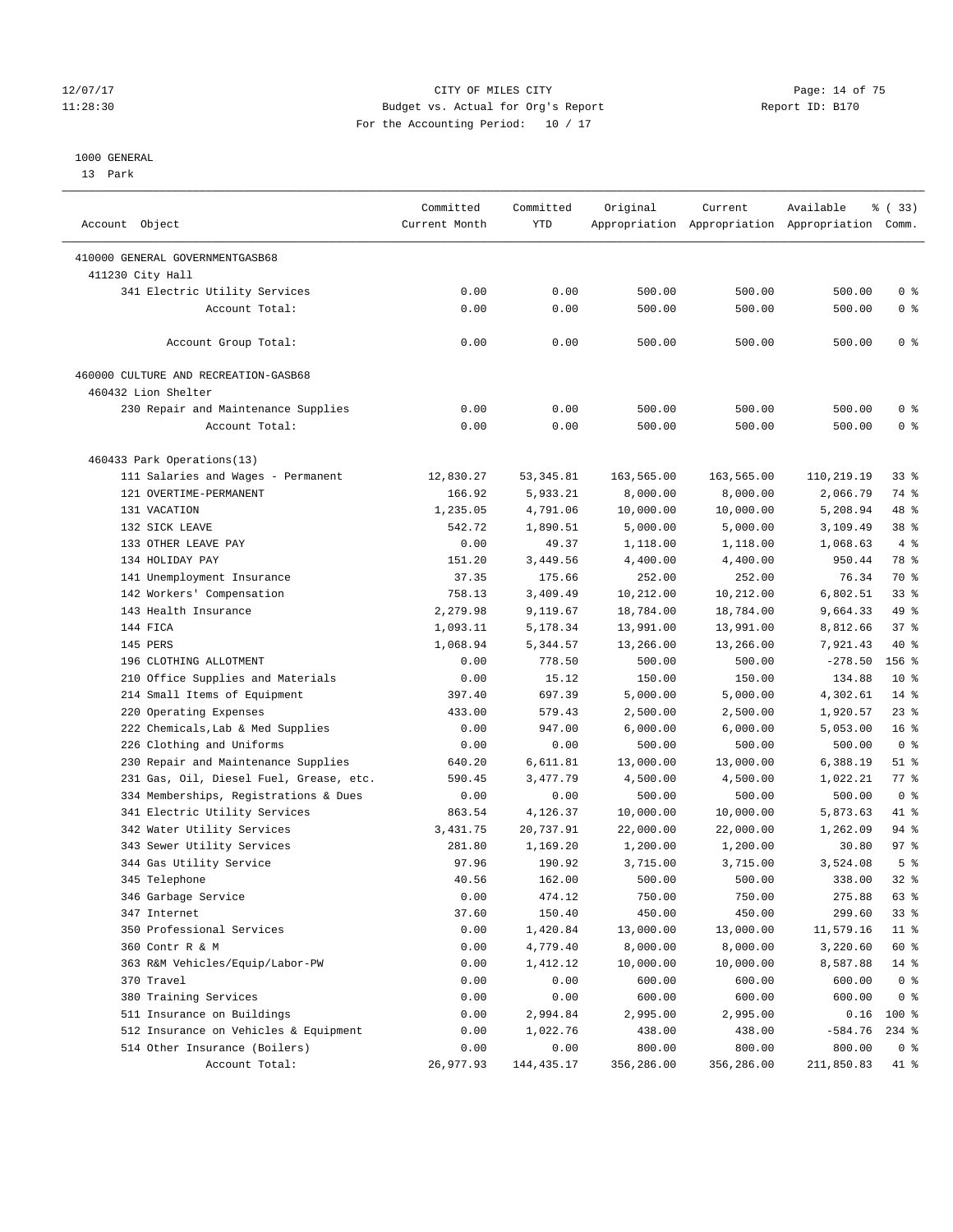#### 12/07/17 Page: 14 of 75 11:28:30 Budget vs. Actual for Org's Report Report ID: B170 For the Accounting Period: 10 / 17

————————————————————————————————————————————————————————————————————————————————————————————————————————————————————————————————————

#### 1000 GENERAL

13 Park

|                                         | Committed     | Committed   | Original   | Current    | Available                                       | % (33)          |
|-----------------------------------------|---------------|-------------|------------|------------|-------------------------------------------------|-----------------|
| Account Object                          | Current Month | <b>YTD</b>  |            |            | Appropriation Appropriation Appropriation Comm. |                 |
| 410000 GENERAL GOVERNMENTGASB68         |               |             |            |            |                                                 |                 |
| 411230 City Hall                        |               |             |            |            |                                                 |                 |
| 341 Electric Utility Services           | 0.00          | 0.00        | 500.00     | 500.00     | 500.00                                          | 0 <sup>8</sup>  |
| Account Total:                          | 0.00          | 0.00        | 500.00     | 500.00     | 500.00                                          | 0 <sup>8</sup>  |
| Account Group Total:                    | 0.00          | 0.00        | 500.00     | 500.00     | 500.00                                          | 0 <sup>8</sup>  |
| 460000 CULTURE AND RECREATION-GASB68    |               |             |            |            |                                                 |                 |
| 460432 Lion Shelter                     |               |             |            |            |                                                 |                 |
| 230 Repair and Maintenance Supplies     | 0.00          | 0.00        | 500.00     | 500.00     | 500.00                                          | 0 <sup>8</sup>  |
| Account Total:                          | 0.00          | 0.00        | 500.00     | 500.00     | 500.00                                          | 0 <sup>8</sup>  |
| 460433 Park Operations(13)              |               |             |            |            |                                                 |                 |
| 111 Salaries and Wages - Permanent      | 12,830.27     | 53,345.81   | 163,565.00 | 163,565.00 | 110,219.19                                      | 33%             |
| 121 OVERTIME-PERMANENT                  | 166.92        | 5,933.21    | 8,000.00   | 8,000.00   | 2,066.79                                        | 74 %            |
| 131 VACATION                            | 1,235.05      | 4,791.06    | 10,000.00  | 10,000.00  | 5,208.94                                        | 48 %            |
| 132 SICK LEAVE                          | 542.72        | 1,890.51    | 5,000.00   | 5,000.00   | 3,109.49                                        | 38 <sup>8</sup> |
| 133 OTHER LEAVE PAY                     | 0.00          | 49.37       | 1,118.00   | 1,118.00   | 1,068.63                                        | 4%              |
| 134 HOLIDAY PAY                         | 151.20        | 3,449.56    | 4,400.00   | 4,400.00   | 950.44                                          | 78 %            |
| 141 Unemployment Insurance              | 37.35         | 175.66      | 252.00     | 252.00     | 76.34                                           | 70 %            |
| 142 Workers' Compensation               | 758.13        | 3,409.49    | 10,212.00  | 10,212.00  | 6,802.51                                        | 33%             |
| 143 Health Insurance                    | 2,279.98      | 9,119.67    | 18,784.00  | 18,784.00  | 9,664.33                                        | 49 %            |
| 144 FICA                                | 1,093.11      | 5,178.34    | 13,991.00  | 13,991.00  | 8,812.66                                        | 37%             |
| 145 PERS                                | 1,068.94      | 5,344.57    | 13,266.00  | 13,266.00  | 7,921.43                                        | 40 %            |
| 196 CLOTHING ALLOTMENT                  | 0.00          | 778.50      | 500.00     | 500.00     | $-278.50$                                       | 156 %           |
| 210 Office Supplies and Materials       | 0.00          | 15.12       | 150.00     | 150.00     | 134.88                                          | $10*$           |
| 214 Small Items of Equipment            | 397.40        | 697.39      | 5,000.00   | 5,000.00   | 4,302.61                                        | $14*$           |
| 220 Operating Expenses                  | 433.00        | 579.43      | 2,500.00   | 2,500.00   | 1,920.57                                        | $23$ %          |
| 222 Chemicals, Lab & Med Supplies       | 0.00          | 947.00      | 6,000.00   | 6,000.00   | 5,053.00                                        | 16 <sup>8</sup> |
| 226 Clothing and Uniforms               | 0.00          | 0.00        | 500.00     | 500.00     | 500.00                                          | 0 <sup>8</sup>  |
| 230 Repair and Maintenance Supplies     | 640.20        | 6,611.81    | 13,000.00  | 13,000.00  | 6,388.19                                        | $51$ %          |
| 231 Gas, Oil, Diesel Fuel, Grease, etc. | 590.45        | 3,477.79    | 4,500.00   | 4,500.00   | 1,022.21                                        | 77.8            |
| 334 Memberships, Registrations & Dues   | 0.00          | 0.00        | 500.00     | 500.00     | 500.00                                          | 0 <sup>8</sup>  |
| 341 Electric Utility Services           | 863.54        | 4,126.37    | 10,000.00  | 10,000.00  | 5,873.63                                        | 41 %            |
| 342 Water Utility Services              | 3,431.75      | 20,737.91   | 22,000.00  | 22,000.00  | 1,262.09                                        | 94 %            |
| 343 Sewer Utility Services              | 281.80        | 1,169.20    | 1,200.00   | 1,200.00   | 30.80                                           | 97 <sub>8</sub> |
| 344 Gas Utility Service                 | 97.96         | 190.92      | 3,715.00   | 3,715.00   | 3,524.08                                        | 5 <sup>°</sup>  |
| 345 Telephone                           | 40.56         | 162.00      | 500.00     | 500.00     | 338.00                                          | $32$ $%$        |
| 346 Garbage Service                     | 0.00          | 474.12      | 750.00     | 750.00     | 275.88                                          | 63 %            |
| 347 Internet                            | 37.60         | 150.40      | 450.00     | 450.00     | 299.60                                          | 33 %            |
| 350 Professional Services               | 0.00          | 1,420.84    | 13,000.00  | 13,000.00  | 11,579.16                                       | $11$ %          |
| 360 Contr R & M                         | 0.00          | 4,779.40    | 8,000.00   | 8,000.00   | 3,220.60                                        | 60 %            |
| 363 R&M Vehicles/Equip/Labor-PW         | 0.00          | 1,412.12    | 10,000.00  | 10,000.00  | 8,587.88                                        | $14$ %          |
| 370 Travel                              | 0.00          | 0.00        | 600.00     | 600.00     | 600.00                                          | 0 <sup>8</sup>  |
| 380 Training Services                   | 0.00          | 0.00        | 600.00     | 600.00     | 600.00                                          | 0 <sup>8</sup>  |
| 511 Insurance on Buildings              | 0.00          | 2,994.84    | 2,995.00   | 2,995.00   | 0.16                                            | 100 %           |
| 512 Insurance on Vehicles & Equipment   | 0.00          | 1,022.76    | 438.00     | 438.00     | $-584.76$                                       | $234$ %         |
| 514 Other Insurance (Boilers)           | 0.00          | 0.00        | 800.00     | 800.00     | 800.00                                          | 0 <sup>8</sup>  |
| Account Total:                          | 26,977.93     | 144, 435.17 | 356,286.00 | 356,286.00 | 211,850.83                                      | 41 %            |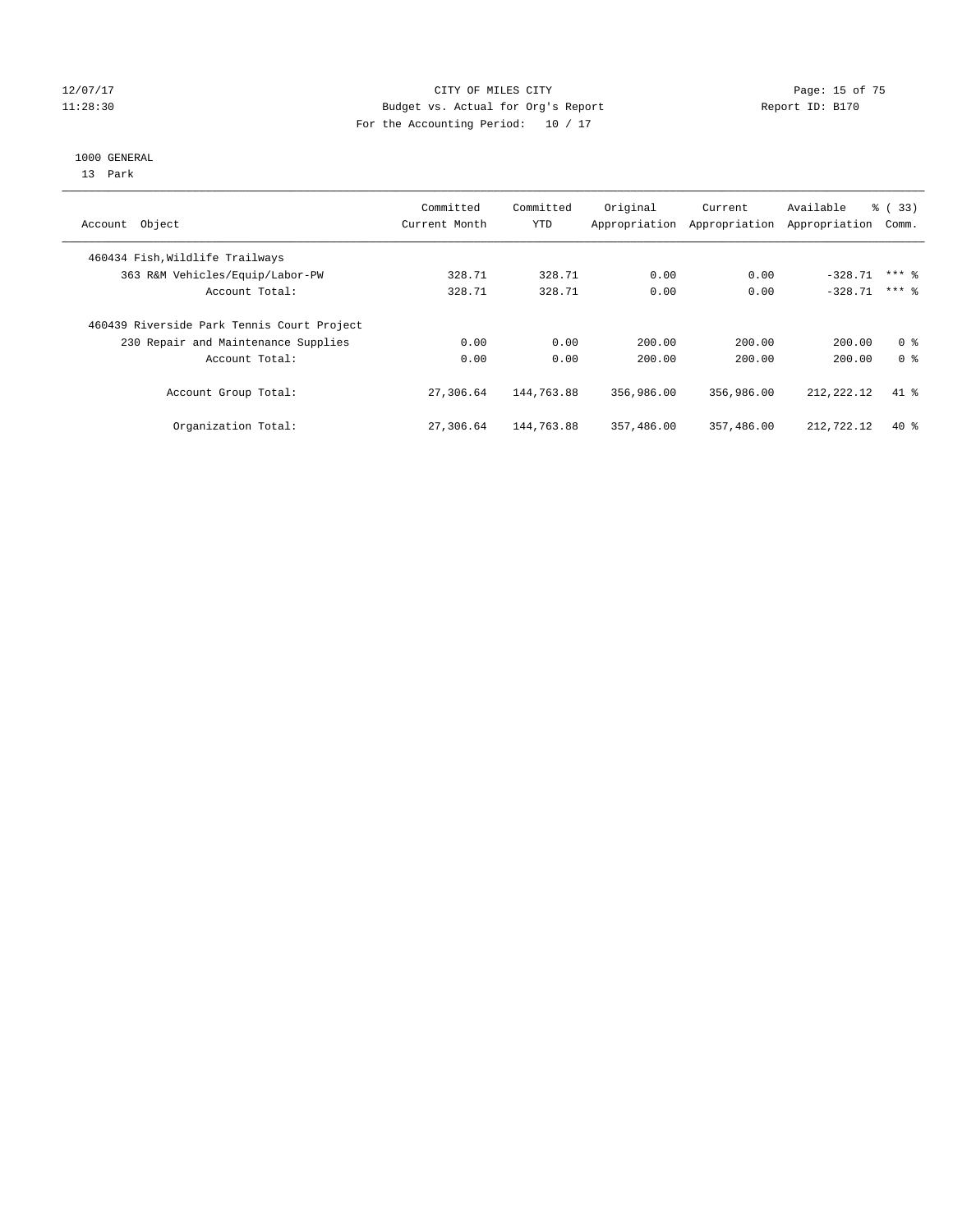#### 12/07/17 Page: 15 of 75 11:28:30 Budget vs. Actual for Org's Report Report ID: B170 For the Accounting Period: 10 / 17

#### 1000 GENERAL

13 Park

| Account Object                             | Committed<br>Current Month | Committed<br><b>YTD</b> | Original<br>Appropriation | Current<br>Appropriation | Available<br>Appropriation | % (33)<br>Comm. |
|--------------------------------------------|----------------------------|-------------------------|---------------------------|--------------------------|----------------------------|-----------------|
| 460434 Fish, Wildlife Trailways            |                            |                         |                           |                          |                            |                 |
| 363 R&M Vehicles/Equip/Labor-PW            | 328.71                     | 328.71                  | 0.00                      | 0.00                     | $-328.71$                  | $***$ 2         |
| Account Total:                             | 328.71                     | 328.71                  | 0.00                      | 0.00                     | $-328.71$                  | $***$ 2         |
| 460439 Riverside Park Tennis Court Project |                            |                         |                           |                          |                            |                 |
| 230 Repair and Maintenance Supplies        | 0.00                       | 0.00                    | 200.00                    | 200.00                   | 200.00                     | 0 <sup>8</sup>  |
| Account Total:                             | 0.00                       | 0.00                    | 200.00                    | 200.00                   | 200.00                     | 0 <sup>8</sup>  |
| Account Group Total:                       | 27,306.64                  | 144,763.88              | 356,986.00                | 356,986.00               | 212,222.12                 | $41*$           |
| Organization Total:                        | 27,306.64                  | 144,763.88              | 357,486.00                | 357,486.00               | 212,722.12                 | $40*$           |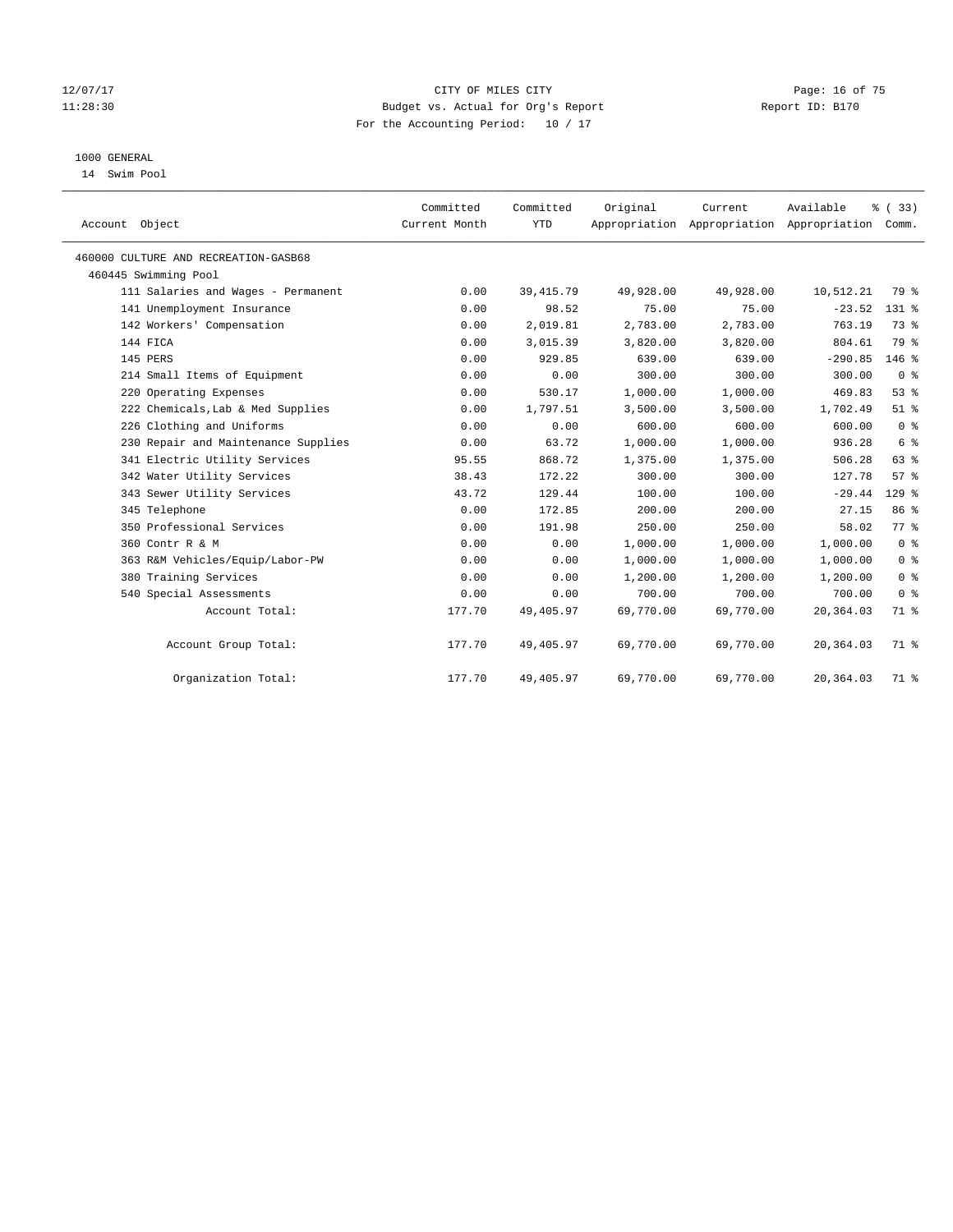#### 12/07/17 Page: 16 of 75 11:28:30 Budget vs. Actual for Org's Report Report ID: B170 For the Accounting Period: 10 / 17

## 1000 GENERAL

14 Swim Pool

| Account Object                       | Committed<br>Current Month | Committed<br><b>YTD</b> | Original  | Current<br>Appropriation Appropriation Appropriation Comm. | Available | % (33)          |
|--------------------------------------|----------------------------|-------------------------|-----------|------------------------------------------------------------|-----------|-----------------|
| 460000 CULTURE AND RECREATION-GASB68 |                            |                         |           |                                                            |           |                 |
| 460445 Swimming Pool                 |                            |                         |           |                                                            |           |                 |
| 111 Salaries and Wages - Permanent   | 0.00                       | 39, 415.79              | 49,928.00 | 49,928.00                                                  | 10,512.21 | 79 %            |
| 141 Unemployment Insurance           | 0.00                       | 98.52                   | 75.00     | 75.00                                                      | $-23.52$  | 131 %           |
| 142 Workers' Compensation            | 0.00                       | 2,019.81                | 2,783.00  | 2,783.00                                                   | 763.19    | 73 %            |
| 144 FICA                             | 0.00                       | 3,015.39                | 3,820.00  | 3,820.00                                                   | 804.61    | 79 %            |
| 145 PERS                             | 0.00                       | 929.85                  | 639.00    | 639.00                                                     | $-290.85$ | $146$ %         |
| 214 Small Items of Equipment         | 0.00                       | 0.00                    | 300.00    | 300.00                                                     | 300.00    | 0 <sup>8</sup>  |
| 220 Operating Expenses               | 0.00                       | 530.17                  | 1,000.00  | 1,000.00                                                   | 469.83    | 53%             |
| 222 Chemicals, Lab & Med Supplies    | 0.00                       | 1,797.51                | 3,500.00  | 3,500.00                                                   | 1,702.49  | $51$ $%$        |
| 226 Clothing and Uniforms            | 0.00                       | 0.00                    | 600.00    | 600.00                                                     | 600.00    | 0 <sup>8</sup>  |
| 230 Repair and Maintenance Supplies  | 0.00                       | 63.72                   | 1,000.00  | 1,000.00                                                   | 936.28    | $6\degree$      |
| 341 Electric Utility Services        | 95.55                      | 868.72                  | 1,375.00  | 1,375.00                                                   | 506.28    | 63 %            |
| 342 Water Utility Services           | 38.43                      | 172.22                  | 300.00    | 300.00                                                     | 127.78    | 57%             |
| 343 Sewer Utility Services           | 43.72                      | 129.44                  | 100.00    | 100.00                                                     | $-29.44$  | $129$ %         |
| 345 Telephone                        | 0.00                       | 172.85                  | 200.00    | 200.00                                                     | 27.15     | 86 <sup>8</sup> |
| 350 Professional Services            | 0.00                       | 191.98                  | 250.00    | 250.00                                                     | 58.02     | 77 %            |
| 360 Contr R & M                      | 0.00                       | 0.00                    | 1,000.00  | 1,000.00                                                   | 1,000.00  | 0 <sup>8</sup>  |
| 363 R&M Vehicles/Equip/Labor-PW      | 0.00                       | 0.00                    | 1,000.00  | 1,000.00                                                   | 1,000.00  | 0 <sup>8</sup>  |
| 380 Training Services                | 0.00                       | 0.00                    | 1,200.00  | 1,200.00                                                   | 1,200.00  | 0 <sup>8</sup>  |
| 540 Special Assessments              | 0.00                       | 0.00                    | 700.00    | 700.00                                                     | 700.00    | 0 <sup>8</sup>  |
| Account Total:                       | 177.70                     | 49,405.97               | 69,770.00 | 69,770.00                                                  | 20,364.03 | 71 %            |
| Account Group Total:                 | 177.70                     | 49,405.97               | 69,770.00 | 69,770.00                                                  | 20,364.03 | 71 %            |
| Organization Total:                  | 177.70                     | 49,405.97               | 69,770.00 | 69,770.00                                                  | 20,364.03 | 71 %            |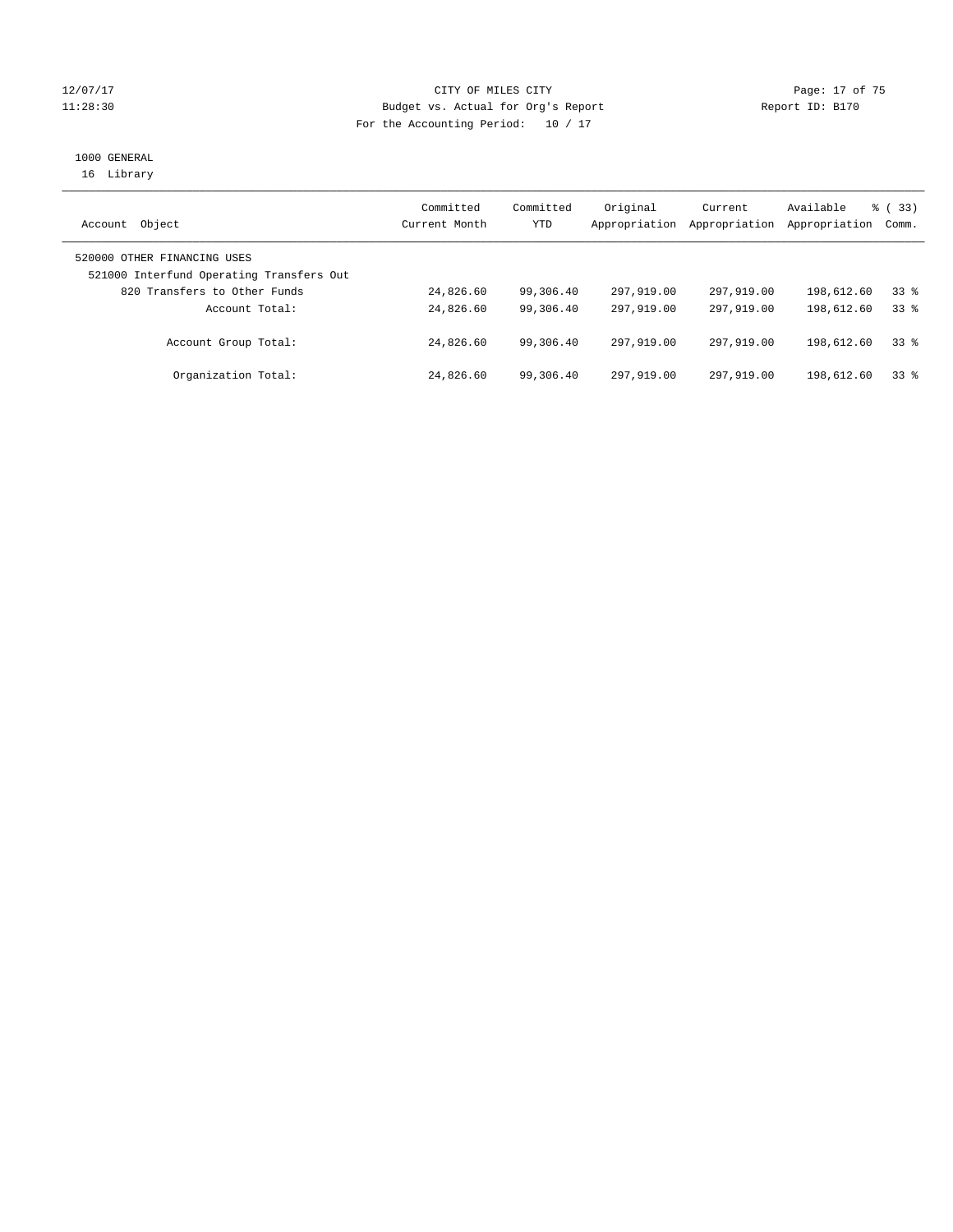#### 12/07/17 Page: 17 of 75 11:28:30 Budget vs. Actual for Org's Report Changer Report ID: B170 For the Accounting Period: 10 / 17

## 1000 GENERAL

16 Library

| Object<br>Account                                                       | Committed<br>Current Month | Committed<br>YTD | Original<br>Appropriation | Current<br>Appropriation | Available<br>Appropriation | % (33)<br>Comm. |
|-------------------------------------------------------------------------|----------------------------|------------------|---------------------------|--------------------------|----------------------------|-----------------|
| 520000 OTHER FINANCING USES<br>521000 Interfund Operating Transfers Out |                            |                  |                           |                          |                            |                 |
| 820 Transfers to Other Funds                                            | 24,826.60                  | 99,306.40        | 297,919.00                | 297,919.00               | 198,612.60                 | 338             |
| Account Total:                                                          | 24,826.60                  | 99,306.40        | 297,919,00                | 297,919.00               | 198,612.60                 | 338             |
| Account Group Total:                                                    | 24,826.60                  | 99,306.40        | 297,919.00                | 297,919.00               | 198,612.60                 | 338             |
| Organization Total:                                                     | 24,826.60                  | 99,306.40        | 297,919.00                | 297,919.00               | 198,612.60                 | 338             |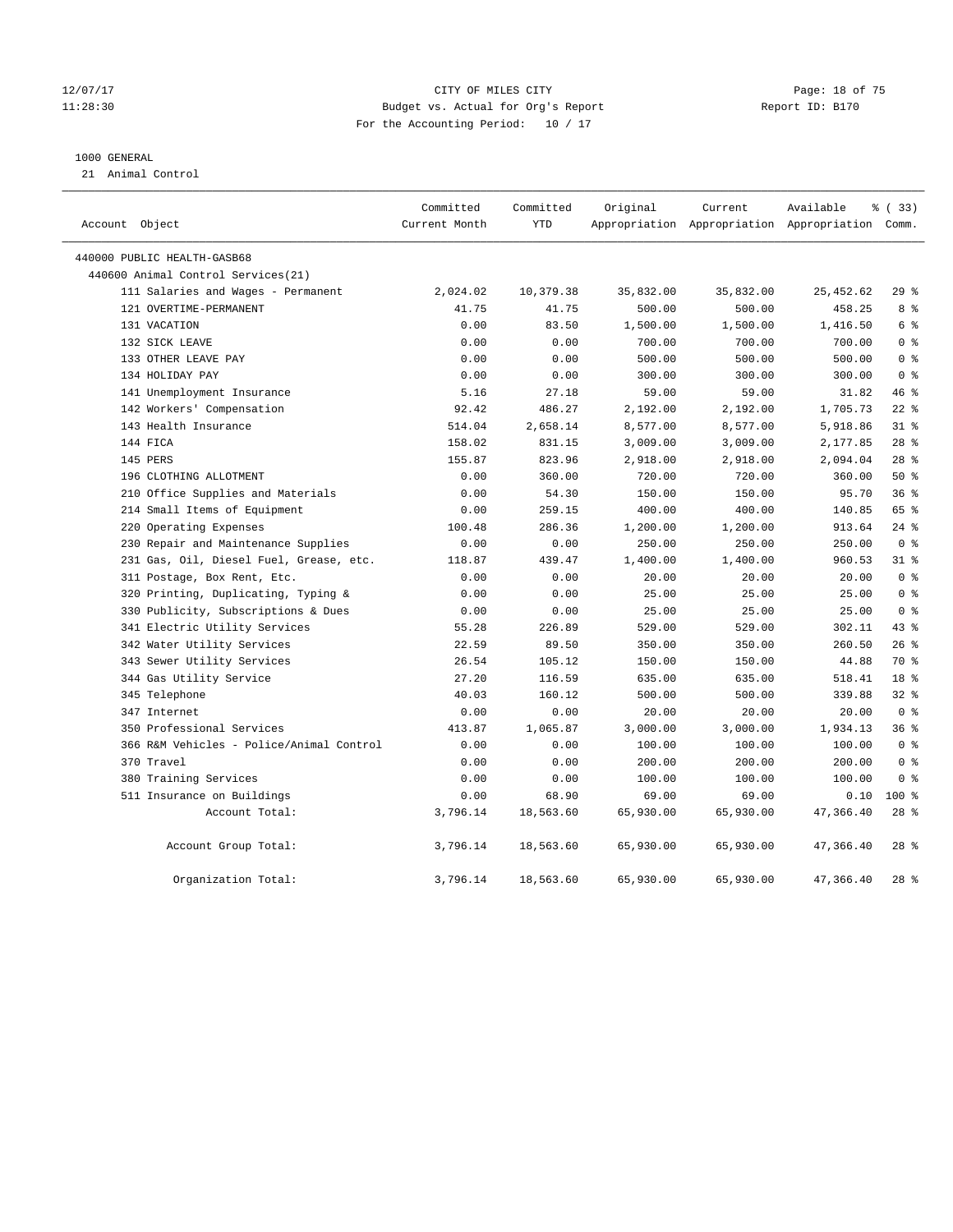#### 12/07/17 Page: 18 of 75 11:28:30 Budget vs. Actual for Org's Report Report ID: B170 For the Accounting Period: 10 / 17

#### 1000 GENERAL

21 Animal Control

| Account Object                           | Committed<br>Current Month | Committed<br><b>YTD</b> | Original  | Current<br>Appropriation Appropriation Appropriation Comm. | Available | % (33)          |
|------------------------------------------|----------------------------|-------------------------|-----------|------------------------------------------------------------|-----------|-----------------|
| 440000 PUBLIC HEALTH-GASB68              |                            |                         |           |                                                            |           |                 |
| 440600 Animal Control Services (21)      |                            |                         |           |                                                            |           |                 |
| 111 Salaries and Wages - Permanent       | 2,024.02                   | 10,379.38               | 35,832.00 | 35,832.00                                                  | 25,452.62 | 29%             |
| 121 OVERTIME-PERMANENT                   | 41.75                      | 41.75                   | 500.00    | 500.00                                                     | 458.25    | 8 %             |
| 131 VACATION                             | 0.00                       | 83.50                   | 1,500.00  | 1,500.00                                                   | 1,416.50  | $6\degree$      |
| 132 SICK LEAVE                           | 0.00                       | 0.00                    | 700.00    | 700.00                                                     | 700.00    | 0 <sup>8</sup>  |
| 133 OTHER LEAVE PAY                      | 0.00                       | 0.00                    | 500.00    | 500.00                                                     | 500.00    | 0 <sup>8</sup>  |
| 134 HOLIDAY PAY                          | 0.00                       | 0.00                    | 300.00    | 300.00                                                     | 300.00    | 0 <sup>8</sup>  |
| 141 Unemployment Insurance               | 5.16                       | 27.18                   | 59.00     | 59.00                                                      | 31.82     | 46%             |
| 142 Workers' Compensation                | 92.42                      | 486.27                  | 2,192.00  | 2,192.00                                                   | 1,705.73  | $22$ %          |
| 143 Health Insurance                     | 514.04                     | 2,658.14                | 8,577.00  | 8,577.00                                                   | 5,918.86  | 31.8            |
| 144 FICA                                 | 158.02                     | 831.15                  | 3,009.00  | 3,009.00                                                   | 2,177.85  | 28 <sup>8</sup> |
| 145 PERS                                 | 155.87                     | 823.96                  | 2,918.00  | 2,918.00                                                   | 2,094.04  | 28 <sup>8</sup> |
| 196 CLOTHING ALLOTMENT                   | 0.00                       | 360.00                  | 720.00    | 720.00                                                     | 360.00    | 50%             |
| 210 Office Supplies and Materials        | 0.00                       | 54.30                   | 150.00    | 150.00                                                     | 95.70     | 36%             |
| 214 Small Items of Equipment             | 0.00                       | 259.15                  | 400.00    | 400.00                                                     | 140.85    | 65 %            |
| 220 Operating Expenses                   | 100.48                     | 286.36                  | 1,200.00  | 1,200.00                                                   | 913.64    | $24$ %          |
| 230 Repair and Maintenance Supplies      | 0.00                       | 0.00                    | 250.00    | 250.00                                                     | 250.00    | 0 <sup>8</sup>  |
| 231 Gas, Oil, Diesel Fuel, Grease, etc.  | 118.87                     | 439.47                  | 1,400.00  | 1,400.00                                                   | 960.53    | 318             |
| 311 Postage, Box Rent, Etc.              | 0.00                       | 0.00                    | 20.00     | 20.00                                                      | 20.00     | 0 <sup>8</sup>  |
| 320 Printing, Duplicating, Typing &      | 0.00                       | 0.00                    | 25.00     | 25.00                                                      | 25.00     | 0 <sup>8</sup>  |
| 330 Publicity, Subscriptions & Dues      | 0.00                       | 0.00                    | 25.00     | 25.00                                                      | 25.00     | 0 <sup>8</sup>  |
| 341 Electric Utility Services            | 55.28                      | 226.89                  | 529.00    | 529.00                                                     | 302.11    | $43$ %          |
| 342 Water Utility Services               | 22.59                      | 89.50                   | 350.00    | 350.00                                                     | 260.50    | 26%             |
| 343 Sewer Utility Services               | 26.54                      | 105.12                  | 150.00    | 150.00                                                     | 44.88     | 70 %            |
| 344 Gas Utility Service                  | 27.20                      | 116.59                  | 635.00    | 635.00                                                     | 518.41    | 18 <sup>8</sup> |
| 345 Telephone                            | 40.03                      | 160.12                  | 500.00    | 500.00                                                     | 339.88    | 32%             |
| 347 Internet                             | 0.00                       | 0.00                    | 20.00     | 20.00                                                      | 20.00     | 0 <sup>8</sup>  |
| 350 Professional Services                | 413.87                     | 1,065.87                | 3,000.00  | 3,000.00                                                   | 1,934.13  | 36%             |
| 366 R&M Vehicles - Police/Animal Control | 0.00                       | 0.00                    | 100.00    | 100.00                                                     | 100.00    | 0 <sup>8</sup>  |
| 370 Travel                               | 0.00                       | 0.00                    | 200.00    | 200.00                                                     | 200.00    | 0 <sup>8</sup>  |
| 380 Training Services                    | 0.00                       | 0.00                    | 100.00    | 100.00                                                     | 100.00    | 0 <sup>8</sup>  |
| 511 Insurance on Buildings               | 0.00                       | 68.90                   | 69.00     | 69.00                                                      | 0.10      | $100*$          |
| Account Total:                           | 3,796.14                   | 18,563.60               | 65,930.00 | 65,930.00                                                  | 47,366.40 | $28$ %          |
| Account Group Total:                     | 3,796.14                   | 18,563.60               | 65,930.00 | 65,930.00                                                  | 47,366.40 | $28$ %          |
| Organization Total:                      | 3,796.14                   | 18,563.60               | 65,930.00 | 65,930.00                                                  | 47,366.40 | $28$ $%$        |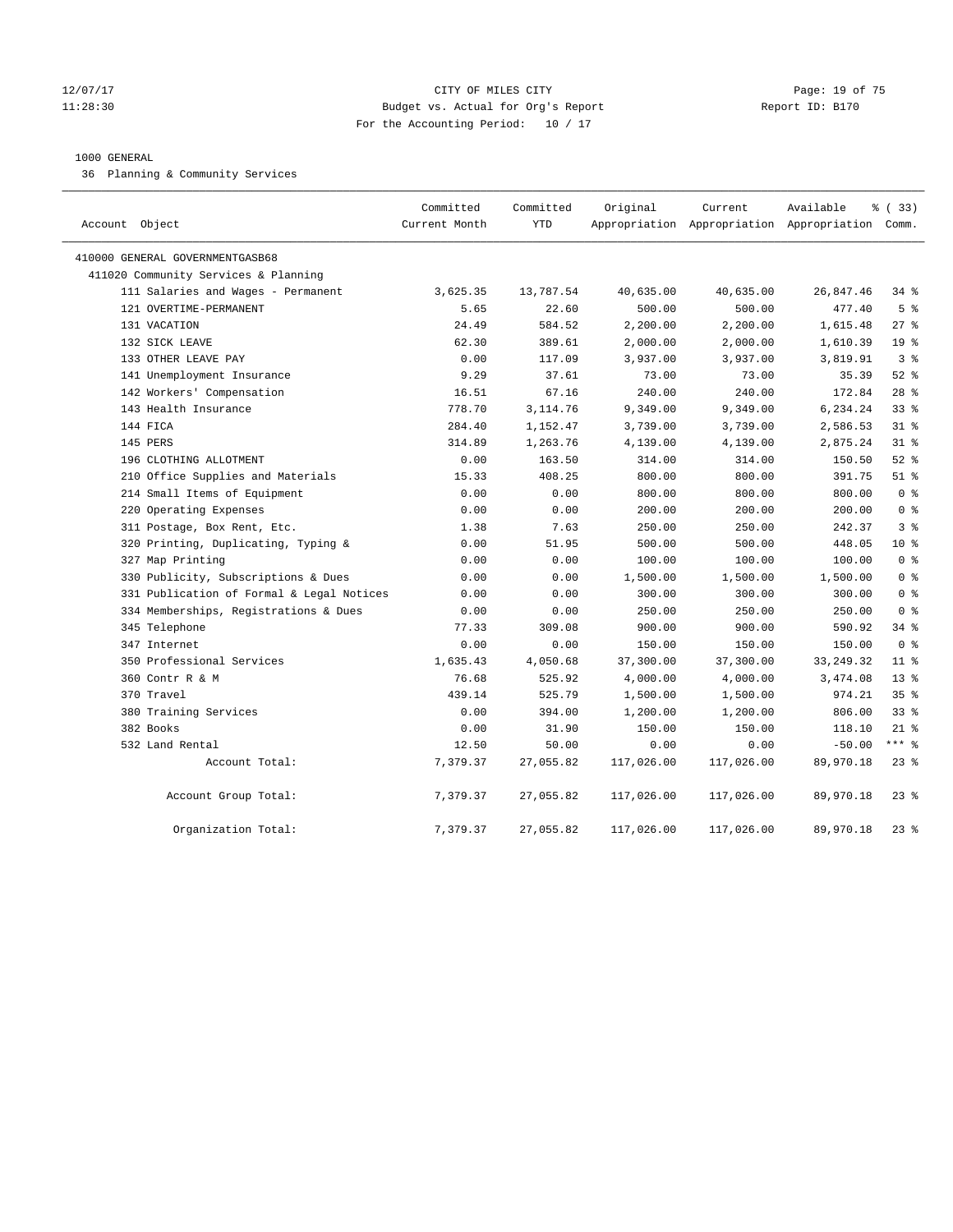#### 12/07/17 Page: 19 of 75 11:28:30 Budget vs. Actual for Org's Report Report ID: B170 For the Accounting Period: 10 / 17

#### 1000 GENERAL

36 Planning & Community Services

| Account Object                            | Committed<br>Current Month | Committed<br><b>YTD</b> | Original   | Current    | Available<br>Appropriation Appropriation Appropriation Comm. | 8 (33)          |
|-------------------------------------------|----------------------------|-------------------------|------------|------------|--------------------------------------------------------------|-----------------|
| 410000 GENERAL GOVERNMENTGASB68           |                            |                         |            |            |                                                              |                 |
| 411020 Community Services & Planning      |                            |                         |            |            |                                                              |                 |
| 111 Salaries and Wages - Permanent        | 3,625.35                   | 13,787.54               | 40,635.00  | 40,635.00  | 26,847.46                                                    | $34$ $%$        |
| 121 OVERTIME-PERMANENT                    | 5.65                       | 22.60                   | 500.00     | 500.00     | 477.40                                                       | 5 <sup>°</sup>  |
| 131 VACATION                              | 24.49                      | 584.52                  | 2,200.00   | 2,200.00   | 1,615.48                                                     | $27$ %          |
| 132 SICK LEAVE                            | 62.30                      | 389.61                  | 2,000.00   | 2,000.00   | 1,610.39                                                     | 19 <sup>°</sup> |
| 133 OTHER LEAVE PAY                       | 0.00                       | 117.09                  | 3,937.00   | 3,937.00   | 3,819.91                                                     | 3 <sup>8</sup>  |
| 141 Unemployment Insurance                | 9.29                       | 37.61                   | 73.00      | 73.00      | 35.39                                                        | $52$ $%$        |
| 142 Workers' Compensation                 | 16.51                      | 67.16                   | 240.00     | 240.00     | 172.84                                                       | $28$ %          |
| 143 Health Insurance                      | 778.70                     | 3, 114.76               | 9,349.00   | 9,349.00   | 6,234.24                                                     | 33 <sup>8</sup> |
| 144 FICA                                  | 284.40                     | 1,152.47                | 3,739.00   | 3,739.00   | 2,586.53                                                     | $31$ %          |
| 145 PERS                                  | 314.89                     | 1,263.76                | 4,139.00   | 4,139.00   | 2,875.24                                                     | $31$ %          |
| 196 CLOTHING ALLOTMENT                    | 0.00                       | 163.50                  | 314.00     | 314.00     | 150.50                                                       | $52$ $%$        |
| 210 Office Supplies and Materials         | 15.33                      | 408.25                  | 800.00     | 800.00     | 391.75                                                       | $51$ %          |
| 214 Small Items of Equipment              | 0.00                       | 0.00                    | 800.00     | 800.00     | 800.00                                                       | 0 <sup>8</sup>  |
| 220 Operating Expenses                    | 0.00                       | 0.00                    | 200.00     | 200.00     | 200.00                                                       | 0 <sup>8</sup>  |
| 311 Postage, Box Rent, Etc.               | 1.38                       | 7.63                    | 250.00     | 250.00     | 242.37                                                       | 3 <sup>8</sup>  |
| 320 Printing, Duplicating, Typing &       | 0.00                       | 51.95                   | 500.00     | 500.00     | 448.05                                                       | $10*$           |
| 327 Map Printing                          | 0.00                       | 0.00                    | 100.00     | 100.00     | 100.00                                                       | 0 <sup>8</sup>  |
| 330 Publicity, Subscriptions & Dues       | 0.00                       | 0.00                    | 1,500.00   | 1,500.00   | 1,500.00                                                     | 0 <sup>8</sup>  |
| 331 Publication of Formal & Legal Notices | 0.00                       | 0.00                    | 300.00     | 300.00     | 300.00                                                       | 0 <sup>8</sup>  |
| 334 Memberships, Registrations & Dues     | 0.00                       | 0.00                    | 250.00     | 250.00     | 250.00                                                       | 0 <sup>8</sup>  |
| 345 Telephone                             | 77.33                      | 309.08                  | 900.00     | 900.00     | 590.92                                                       | 34.8            |
| 347 Internet                              | 0.00                       | 0.00                    | 150.00     | 150.00     | 150.00                                                       | 0 <sup>8</sup>  |
| 350 Professional Services                 | 1,635.43                   | 4,050.68                | 37,300.00  | 37,300.00  | 33, 249. 32                                                  | 11 <sup>8</sup> |
| 360 Contr R & M                           | 76.68                      | 525.92                  | 4,000.00   | 4,000.00   | 3,474.08                                                     | $13*$           |
| 370 Travel                                | 439.14                     | 525.79                  | 1,500.00   | 1,500.00   | 974.21                                                       | 35%             |
| 380 Training Services                     | 0.00                       | 394.00                  | 1,200.00   | 1,200.00   | 806.00                                                       | 33%             |
| 382 Books                                 | 0.00                       | 31.90                   | 150.00     | 150.00     | 118.10                                                       | $21$ %          |
| 532 Land Rental                           | 12.50                      | 50.00                   | 0.00       | 0.00       | $-50.00$                                                     | $***$ $_{8}$    |
| Account Total:                            | 7,379.37                   | 27,055.82               | 117,026.00 | 117,026.00 | 89,970.18                                                    | $23$ $%$        |
| Account Group Total:                      | 7,379.37                   | 27,055.82               | 117,026.00 | 117,026.00 | 89,970.18                                                    | $23$ $%$        |
| Organization Total:                       | 7,379.37                   | 27,055.82               | 117,026.00 | 117,026.00 | 89,970.18                                                    | $23$ $%$        |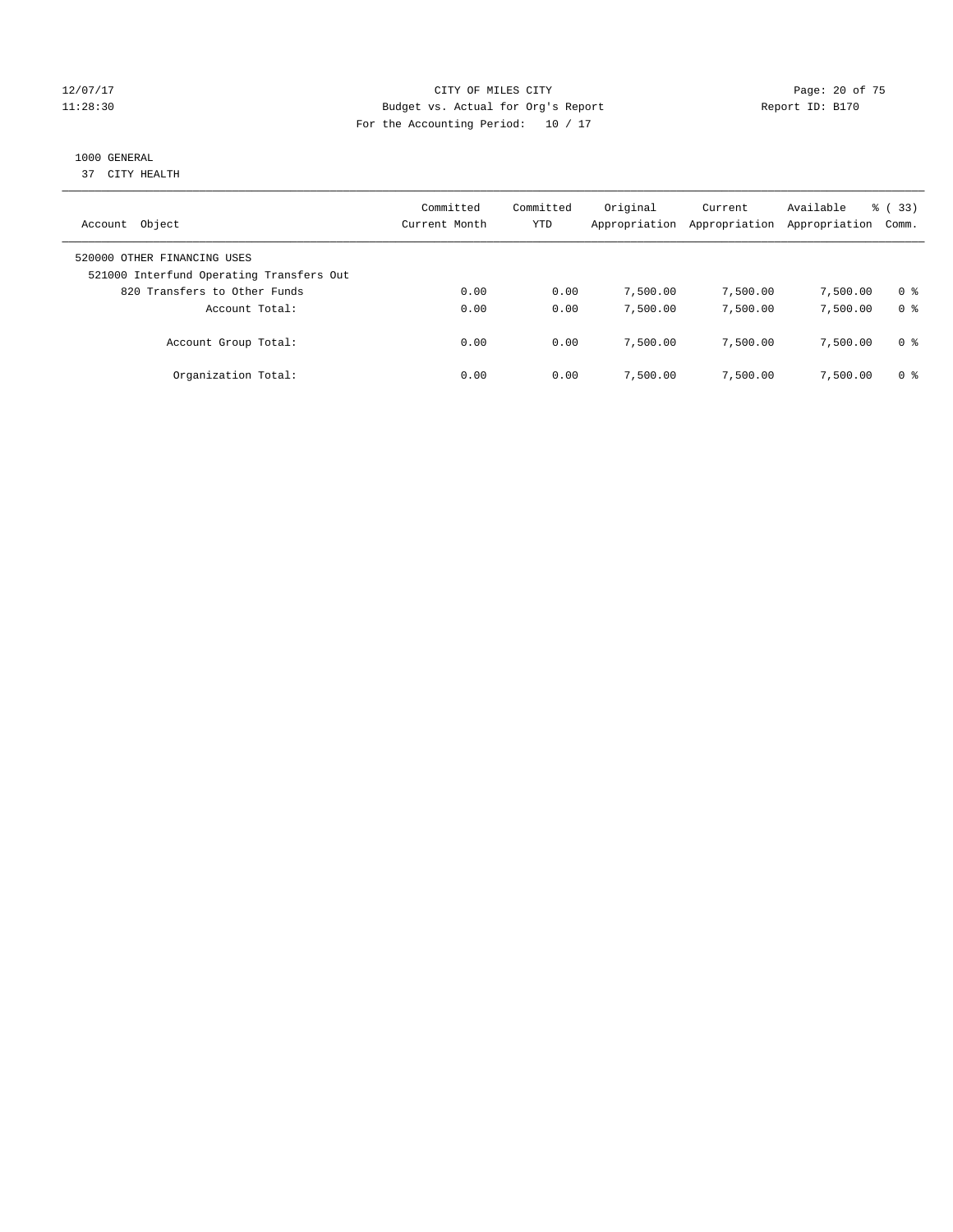#### 12/07/17 Page: 20 of 75 11:28:30 Budget vs. Actual for Org's Report Report ID: B170 For the Accounting Period: 10 / 17

## 1000 GENERAL

37 CITY HEALTH

| Object<br>Account                                                       | Committed<br>Current Month | Committed<br>YTD | Original<br>Appropriation | Current<br>Appropriation | Available<br>Appropriation | % (33)<br>Comm. |
|-------------------------------------------------------------------------|----------------------------|------------------|---------------------------|--------------------------|----------------------------|-----------------|
| 520000 OTHER FINANCING USES<br>521000 Interfund Operating Transfers Out |                            |                  |                           |                          |                            |                 |
| 820 Transfers to Other Funds                                            | 0.00                       | 0.00             | 7,500.00                  | 7,500.00                 | 7,500.00                   | 0 %             |
| Account Total:                                                          | 0.00                       | 0.00             | 7,500.00                  | 7,500.00                 | 7,500.00                   | 0 <sup>8</sup>  |
| Account Group Total:                                                    | 0.00                       | 0.00             | 7,500.00                  | 7,500.00                 | 7,500.00                   | 0 %             |
| Organization Total:                                                     | 0.00                       | 0.00             | 7,500.00                  | 7,500.00                 | 7,500.00                   | 0 %             |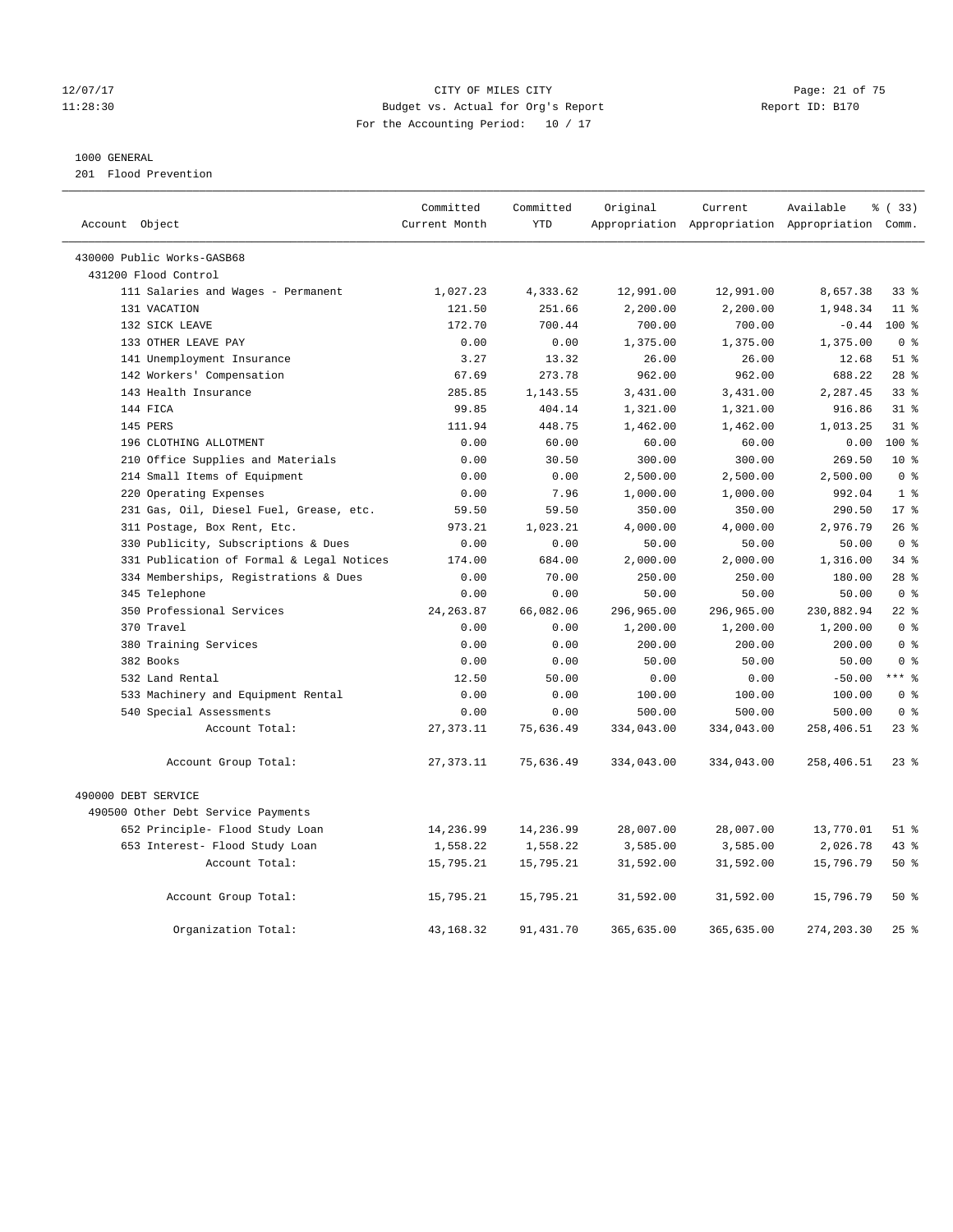#### 12/07/17 Page: 21 of 75 11:28:30 Budget vs. Actual for Org's Report Report ID: B170 For the Accounting Period: 10 / 17

#### 1000 GENERAL

201 Flood Prevention

|                            |                                           | Committed     | Committed  | Original   | Current    | Available                                       | 8 (33)          |
|----------------------------|-------------------------------------------|---------------|------------|------------|------------|-------------------------------------------------|-----------------|
| Account Object             |                                           | Current Month | <b>YTD</b> |            |            | Appropriation Appropriation Appropriation Comm. |                 |
| 430000 Public Works-GASB68 |                                           |               |            |            |            |                                                 |                 |
| 431200 Flood Control       |                                           |               |            |            |            |                                                 |                 |
|                            | 111 Salaries and Wages - Permanent        | 1,027.23      | 4,333.62   | 12,991.00  | 12,991.00  | 8,657.38                                        | 338             |
| 131 VACATION               |                                           | 121.50        | 251.66     | 2,200.00   | 2,200.00   | 1,948.34                                        | $11$ %          |
|                            | 132 SICK LEAVE                            | 172.70        | 700.44     | 700.00     | 700.00     | $-0.44$                                         | 100 %           |
|                            | 133 OTHER LEAVE PAY                       | 0.00          | 0.00       | 1,375.00   | 1,375.00   | 1,375.00                                        | 0 <sup>8</sup>  |
|                            | 141 Unemployment Insurance                | 3.27          | 13.32      | 26.00      | 26.00      | 12.68                                           | $51$ %          |
|                            | 142 Workers' Compensation                 | 67.69         | 273.78     | 962.00     | 962.00     | 688.22                                          | $28$ %          |
|                            | 143 Health Insurance                      | 285.85        | 1,143.55   | 3,431.00   | 3,431.00   | 2,287.45                                        | 33%             |
| 144 FICA                   |                                           | 99.85         | 404.14     | 1,321.00   | 1,321.00   | 916.86                                          | $31$ %          |
| 145 PERS                   |                                           | 111.94        | 448.75     | 1,462.00   | 1,462.00   | 1,013.25                                        | $31$ %          |
|                            | 196 CLOTHING ALLOTMENT                    | 0.00          | 60.00      | 60.00      | 60.00      | 0.00                                            | $100*$          |
|                            | 210 Office Supplies and Materials         | 0.00          | 30.50      | 300.00     | 300.00     | 269.50                                          | $10*$           |
|                            | 214 Small Items of Equipment              | 0.00          | 0.00       | 2,500.00   | 2,500.00   | 2,500.00                                        | 0 <sup>8</sup>  |
|                            | 220 Operating Expenses                    | 0.00          | 7.96       | 1,000.00   | 1,000.00   | 992.04                                          | 1 <sup>8</sup>  |
|                            | 231 Gas, Oil, Diesel Fuel, Grease, etc.   | 59.50         | 59.50      | 350.00     | 350.00     | 290.50                                          | 17 <sup>8</sup> |
|                            | 311 Postage, Box Rent, Etc.               | 973.21        | 1,023.21   | 4,000.00   | 4,000.00   | 2,976.79                                        | 26%             |
|                            | 330 Publicity, Subscriptions & Dues       | 0.00          | 0.00       | 50.00      | 50.00      | 50.00                                           | 0 <sup>8</sup>  |
|                            | 331 Publication of Formal & Legal Notices | 174.00        | 684.00     | 2,000.00   | 2,000.00   | 1,316.00                                        | 34%             |
|                            | 334 Memberships, Registrations & Dues     | 0.00          | 70.00      | 250.00     | 250.00     | 180.00                                          | $28$ %          |
| 345 Telephone              |                                           | 0.00          | 0.00       | 50.00      | 50.00      | 50.00                                           | 0 <sup>8</sup>  |
|                            | 350 Professional Services                 | 24, 263.87    | 66,082.06  | 296,965.00 | 296,965.00 | 230,882.94                                      | 22.8            |
| 370 Travel                 |                                           | 0.00          | 0.00       | 1,200.00   | 1,200.00   | 1,200.00                                        | 0 <sup>8</sup>  |
|                            | 380 Training Services                     | 0.00          | 0.00       | 200.00     | 200.00     | 200.00                                          | 0 <sup>8</sup>  |
| 382 Books                  |                                           | 0.00          | 0.00       | 50.00      | 50.00      | 50.00                                           | 0 <sup>8</sup>  |
|                            | 532 Land Rental                           | 12.50         | 50.00      | 0.00       | 0.00       | $-50.00$                                        | $***$ $-$       |
|                            | 533 Machinery and Equipment Rental        | 0.00          | 0.00       | 100.00     | 100.00     | 100.00                                          | 0 <sup>8</sup>  |
|                            | 540 Special Assessments                   | 0.00          | 0.00       | 500.00     | 500.00     | 500.00                                          | 0 <sup>8</sup>  |
|                            | Account Total:                            | 27, 373.11    | 75,636.49  | 334,043.00 | 334,043.00 | 258,406.51                                      | $23$ %          |
|                            | Account Group Total:                      | 27, 373.11    | 75,636.49  | 334,043.00 | 334,043.00 | 258,406.51                                      | $23$ %          |
| 490000 DEBT SERVICE        |                                           |               |            |            |            |                                                 |                 |
|                            | 490500 Other Debt Service Payments        |               |            |            |            |                                                 |                 |
|                            | 652 Principle- Flood Study Loan           | 14,236.99     | 14,236.99  | 28,007.00  | 28,007.00  | 13,770.01                                       | $51$ %          |
|                            | 653 Interest- Flood Study Loan            | 1,558.22      | 1,558.22   | 3,585.00   | 3,585.00   | 2,026.78                                        | 43 %            |
|                            | Account Total:                            | 15,795.21     | 15,795.21  | 31,592.00  | 31,592.00  | 15,796.79                                       | 50%             |
|                            |                                           |               |            |            |            |                                                 |                 |
|                            | Account Group Total:                      | 15,795.21     | 15,795.21  | 31,592.00  | 31,592.00  | 15,796.79                                       | 50%             |
|                            | Organization Total:                       | 43, 168. 32   | 91,431.70  | 365,635.00 | 365,635.00 | 274, 203.30                                     | 25%             |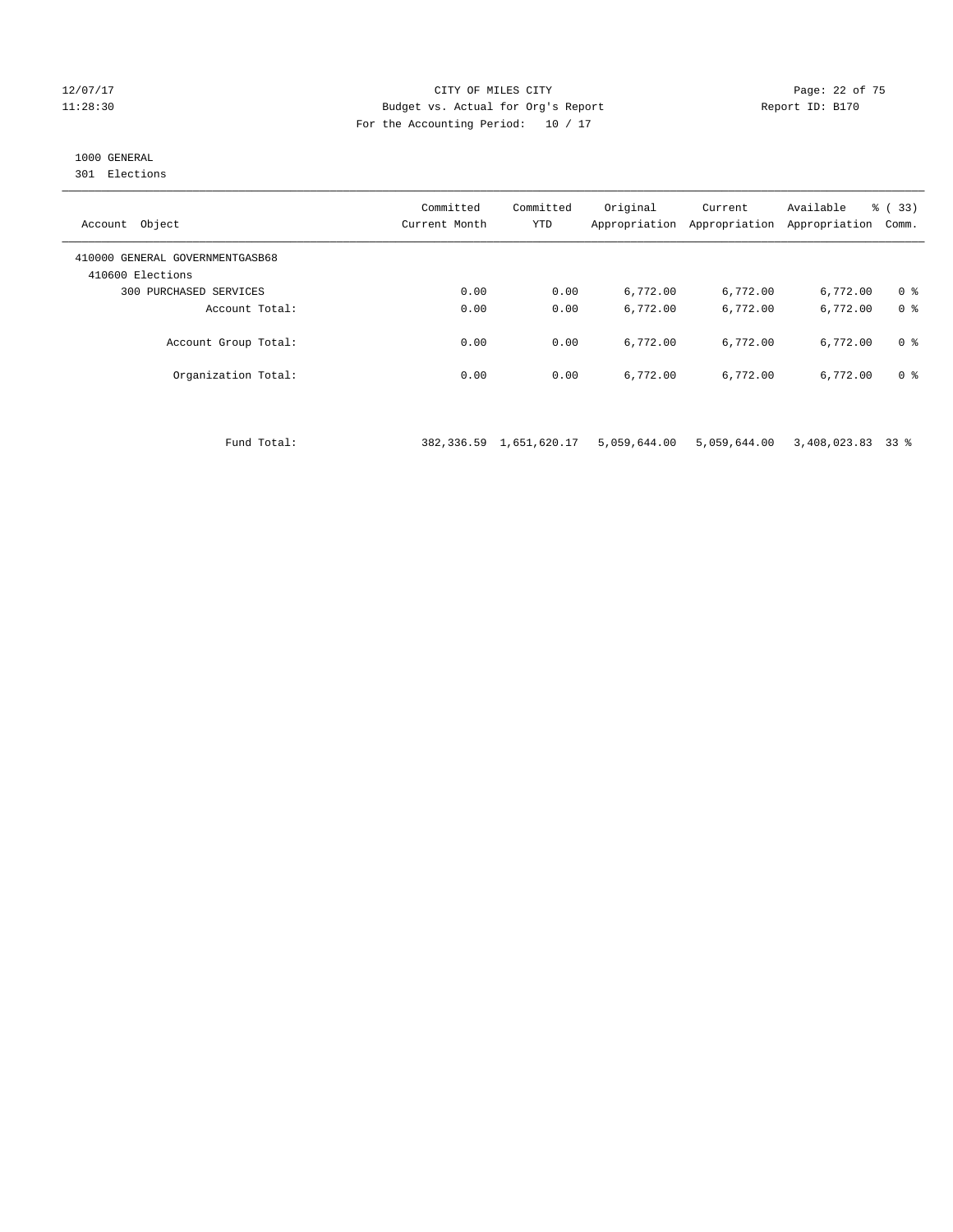#### 12/07/17 Page: 22 of 75 11:28:30 Budget vs. Actual for Org's Report Report ID: B170 For the Accounting Period: 10 / 17

## 1000 GENERAL

301 Elections

| Object<br>Account                                   | Committed<br>Current Month | Committed<br><b>YTD</b> | Original<br>Appropriation | Current<br>Appropriation | Available<br>Appropriation | % (33)<br>Comm. |
|-----------------------------------------------------|----------------------------|-------------------------|---------------------------|--------------------------|----------------------------|-----------------|
| 410000 GENERAL GOVERNMENTGASB68<br>410600 Elections |                            |                         |                           |                          |                            |                 |
| 300 PURCHASED SERVICES                              | 0.00                       | 0.00                    | 6,772.00                  | 6,772.00                 | 6,772.00                   | 0 <sup>8</sup>  |
| Account Total:                                      | 0.00                       | 0.00                    | 6,772.00                  | 6,772.00                 | 6,772.00                   | 0 <sup>8</sup>  |
| Account Group Total:                                | 0.00                       | 0.00                    | 6,772.00                  | 6,772.00                 | 6,772.00                   | 0 <sup>8</sup>  |
| Organization Total:                                 | 0.00                       | 0.00                    | 6,772.00                  | 6,772.00                 | 6,772.00                   | 0 <sup>8</sup>  |

Fund Total: 382,336.59 1,651,620.17 5,059,644.00 5,059,644.00 3,408,023.83 33 %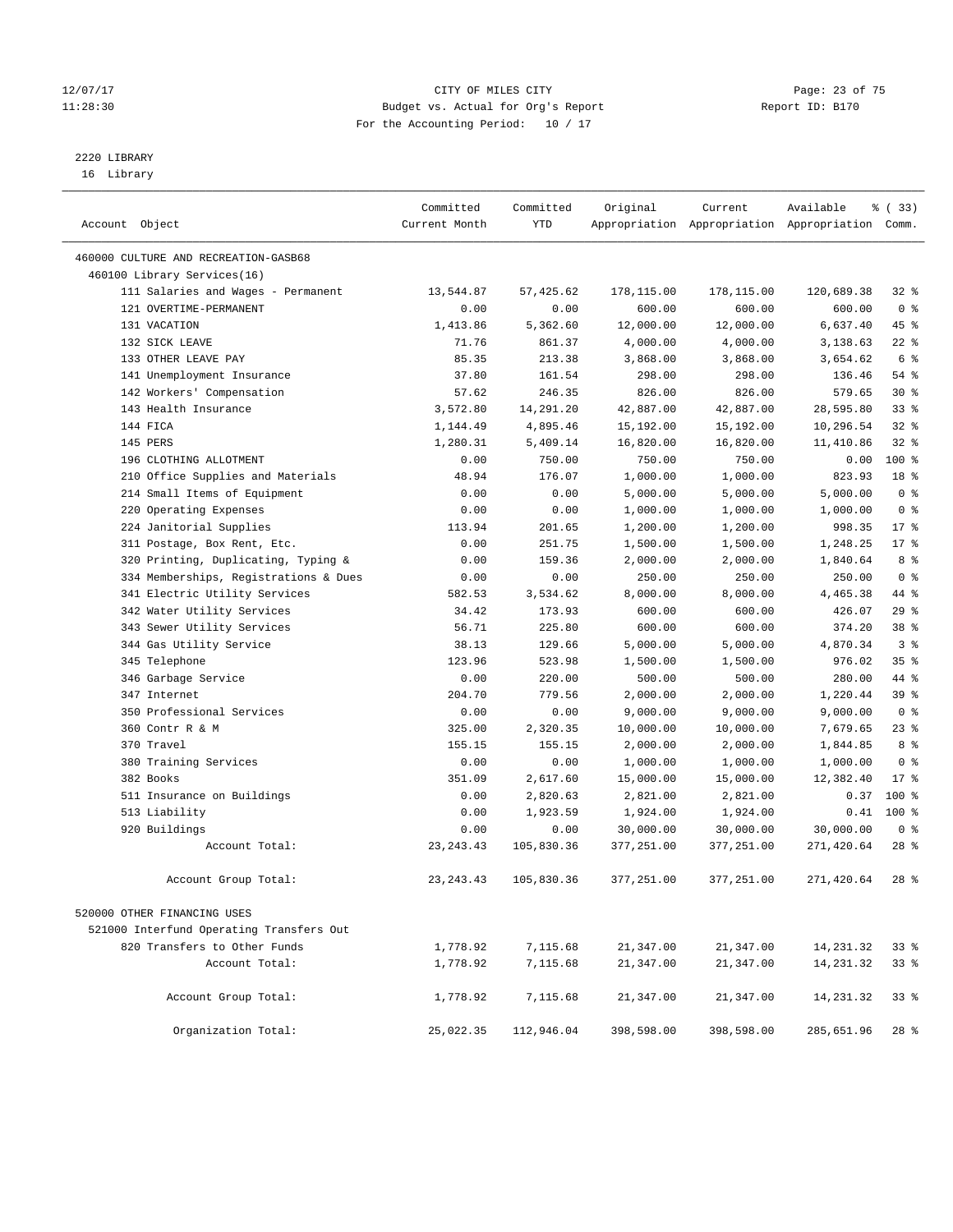#### 12/07/17 Page: 23 of 75 11:28:30 Budget vs. Actual for Org's Report Report ID: B170 For the Accounting Period: 10 / 17

————————————————————————————————————————————————————————————————————————————————————————————————————————————————————————————————————

## 2220 LIBRARY

16 Library

|                                          | Committed     | Committed  | Original   | Current    | Available                                       | % (33)          |
|------------------------------------------|---------------|------------|------------|------------|-------------------------------------------------|-----------------|
| Account Object                           | Current Month | YTD        |            |            | Appropriation Appropriation Appropriation Comm. |                 |
|                                          |               |            |            |            |                                                 |                 |
| 460000 CULTURE AND RECREATION-GASB68     |               |            |            |            |                                                 |                 |
| 460100 Library Services(16)              |               |            |            |            |                                                 |                 |
| 111 Salaries and Wages - Permanent       | 13,544.87     | 57, 425.62 | 178,115.00 | 178,115.00 | 120,689.38                                      | $32$ $%$        |
| 121 OVERTIME-PERMANENT                   | 0.00          | 0.00       | 600.00     | 600.00     | 600.00                                          | 0 <sup>8</sup>  |
| 131 VACATION                             | 1,413.86      | 5,362.60   | 12,000.00  | 12,000.00  | 6,637.40                                        | 45 %            |
| 132 SICK LEAVE                           | 71.76         | 861.37     | 4,000.00   | 4,000.00   | 3,138.63                                        | $22$ %          |
| 133 OTHER LEAVE PAY                      | 85.35         | 213.38     | 3,868.00   | 3,868.00   | 3,654.62                                        | 6 %             |
| 141 Unemployment Insurance               | 37.80         | 161.54     | 298.00     | 298.00     | 136.46                                          | 54 %            |
| 142 Workers' Compensation                | 57.62         | 246.35     | 826.00     | 826.00     | 579.65                                          | $30*$           |
| 143 Health Insurance                     | 3,572.80      | 14,291.20  | 42,887.00  | 42,887.00  | 28,595.80                                       | $33$ $%$        |
| 144 FICA                                 | 1,144.49      | 4,895.46   | 15,192.00  | 15,192.00  | 10,296.54                                       | 32%             |
| 145 PERS                                 | 1,280.31      | 5,409.14   | 16,820.00  | 16,820.00  | 11,410.86                                       | $32$ $%$        |
| 196 CLOTHING ALLOTMENT                   | 0.00          | 750.00     | 750.00     | 750.00     | 0.00                                            | 100 %           |
| 210 Office Supplies and Materials        | 48.94         | 176.07     | 1,000.00   | 1,000.00   | 823.93                                          | 18 <sup>°</sup> |
| 214 Small Items of Equipment             | 0.00          | 0.00       | 5,000.00   | 5,000.00   | 5,000.00                                        | 0 <sup>8</sup>  |
| 220 Operating Expenses                   | 0.00          | 0.00       | 1,000.00   | 1,000.00   | 1,000.00                                        | 0 <sup>8</sup>  |
| 224 Janitorial Supplies                  | 113.94        | 201.65     | 1,200.00   | 1,200.00   | 998.35                                          | $17*$           |
| 311 Postage, Box Rent, Etc.              | 0.00          | 251.75     | 1,500.00   | 1,500.00   | 1,248.25                                        | $17*$           |
| 320 Printing, Duplicating, Typing &      | 0.00          | 159.36     | 2,000.00   | 2,000.00   | 1,840.64                                        | 8 %             |
| 334 Memberships, Registrations & Dues    | 0.00          | 0.00       | 250.00     | 250.00     | 250.00                                          | 0 <sup>8</sup>  |
| 341 Electric Utility Services            | 582.53        | 3,534.62   | 8,000.00   | 8,000.00   | 4,465.38                                        | 44 %            |
| 342 Water Utility Services               | 34.42         | 173.93     | 600.00     | 600.00     | 426.07                                          | 29%             |
| 343 Sewer Utility Services               | 56.71         | 225.80     | 600.00     | 600.00     | 374.20                                          | 38 <sup>8</sup> |
| 344 Gas Utility Service                  | 38.13         | 129.66     | 5,000.00   | 5,000.00   | 4,870.34                                        | 3 <sup>8</sup>  |
| 345 Telephone                            | 123.96        | 523.98     | 1,500.00   | 1,500.00   | 976.02                                          | 35%             |
| 346 Garbage Service                      | 0.00          | 220.00     | 500.00     | 500.00     | 280.00                                          | 44 %            |
| 347 Internet                             | 204.70        | 779.56     | 2,000.00   | 2,000.00   | 1,220.44                                        | 39 %            |
| 350 Professional Services                | 0.00          | 0.00       | 9,000.00   | 9,000.00   | 9,000.00                                        | 0 <sup>8</sup>  |
| 360 Contr R & M                          | 325.00        | 2,320.35   | 10,000.00  | 10,000.00  | 7,679.65                                        | 23%             |
| 370 Travel                               | 155.15        | 155.15     | 2,000.00   | 2,000.00   | 1,844.85                                        | 8 %             |
| 380 Training Services                    | 0.00          | 0.00       | 1,000.00   | 1,000.00   | 1,000.00                                        | 0 <sup>8</sup>  |
| 382 Books                                | 351.09        | 2,617.60   | 15,000.00  | 15,000.00  | 12,382.40                                       | $17*$           |
| 511 Insurance on Buildings               | 0.00          | 2,820.63   | 2,821.00   | 2,821.00   | 0.37                                            | 100 %           |
| 513 Liability                            | 0.00          | 1,923.59   | 1,924.00   | 1,924.00   | 0.41                                            | $100*$          |
| 920 Buildings                            | 0.00          | 0.00       | 30,000.00  | 30,000.00  | 30,000.00                                       | 0 <sup>8</sup>  |
| Account Total:                           | 23, 243. 43   | 105,830.36 | 377,251.00 | 377,251.00 | 271,420.64                                      | $28$ %          |
| Account Group Total:                     | 23, 243. 43   | 105,830.36 | 377,251.00 | 377,251.00 | 271,420.64                                      | $28$ %          |
| 520000 OTHER FINANCING USES              |               |            |            |            |                                                 |                 |
| 521000 Interfund Operating Transfers Out |               |            |            |            |                                                 |                 |
| 820 Transfers to Other Funds             | 1,778.92      | 7,115.68   | 21,347.00  | 21,347.00  | 14,231.32                                       | $33$ $%$        |
| Account Total:                           | 1,778.92      | 7,115.68   | 21,347.00  | 21,347.00  | 14, 231.32                                      | 33%             |
|                                          |               |            |            |            |                                                 |                 |
| Account Group Total:                     | 1,778.92      | 7,115.68   | 21,347.00  | 21,347.00  | 14, 231.32                                      | 33%             |
| Organization Total:                      | 25,022.35     | 112,946.04 | 398,598.00 | 398,598.00 | 285,651.96                                      | $28$ %          |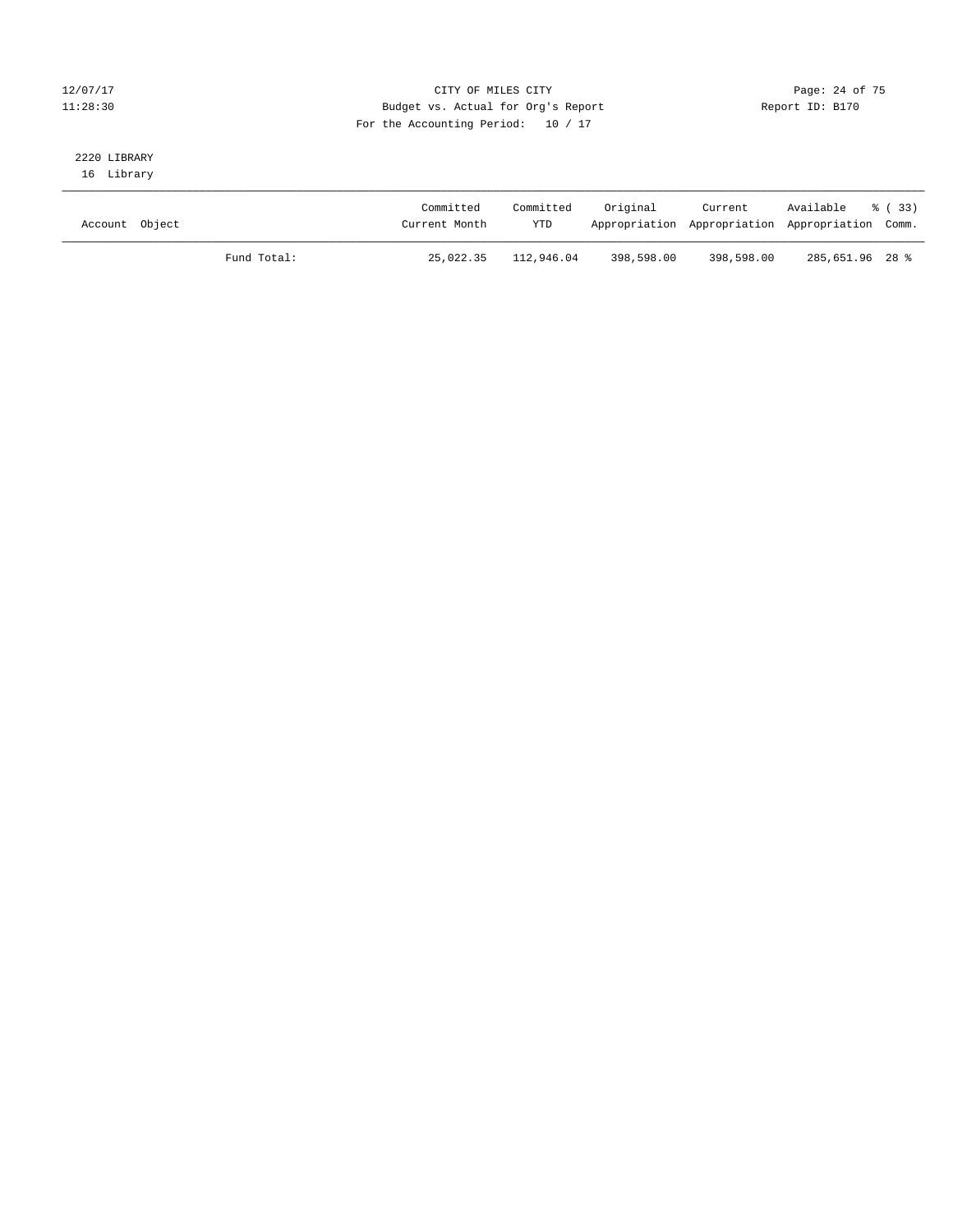#### 12/07/17 Page: 24 of 75 11:28:30 Budget vs. Actual for Org's Report Report ID: B170 For the Accounting Period: 10 / 17

# 2220 LIBRARY

16 Library

| Account Object |             | Committed<br>Current Month | Committed<br>YTD | Original   | Current<br>Appropriation Appropriation Appropriation Comm. | Available       | - 8 (33) |
|----------------|-------------|----------------------------|------------------|------------|------------------------------------------------------------|-----------------|----------|
|                | Fund Total: | 25,022.35                  | 112,946.04       | 398,598.00 | 398,598.00                                                 | 285,651.96 28 % |          |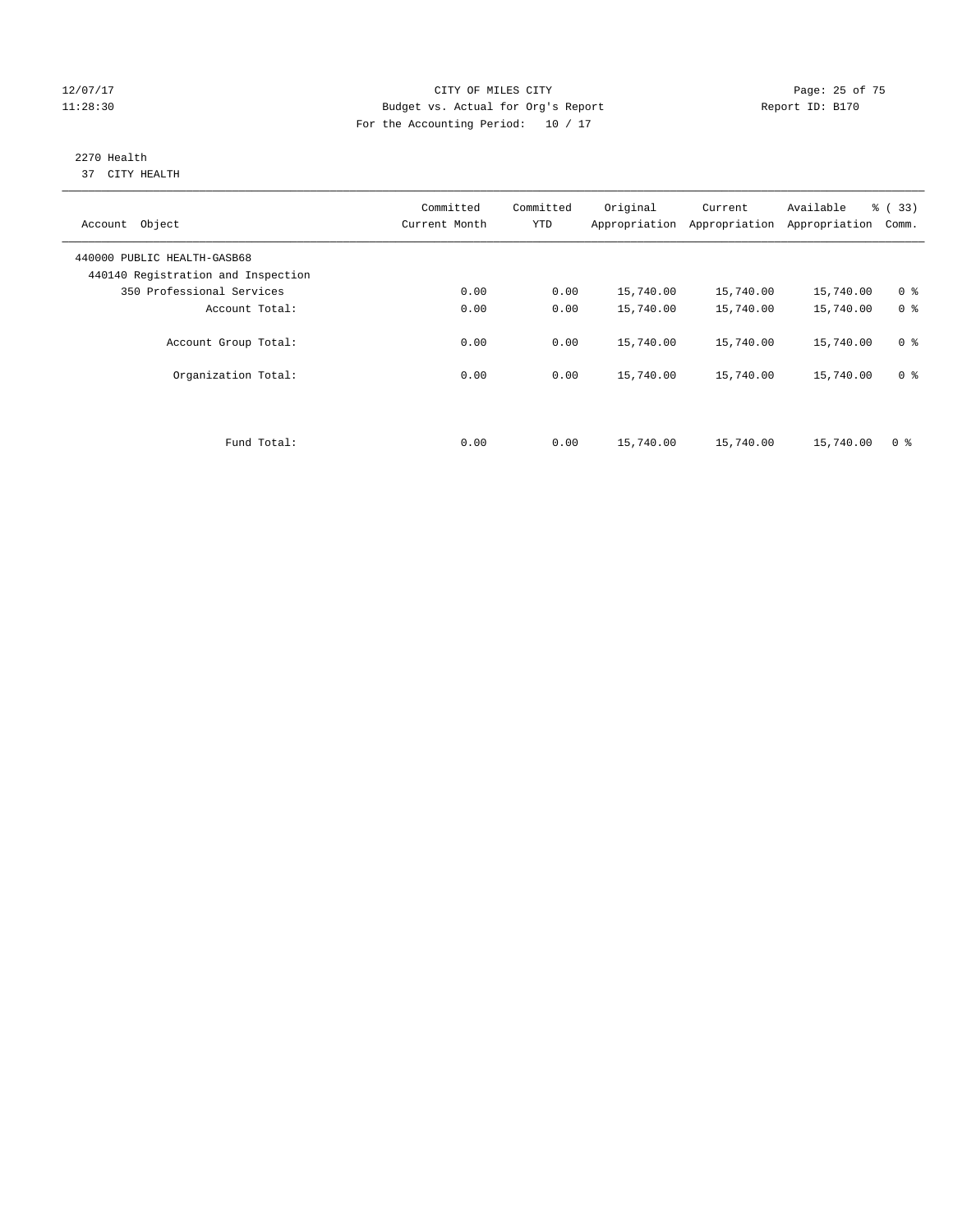#### 12/07/17 Page: 25 of 75 11:28:30 Budget vs. Actual for Org's Report Report ID: B170 For the Accounting Period: 10 / 17

#### 2270 Health 37 CITY HEALTH

| Account Object                                                    | Committed<br>Current Month | Committed<br><b>YTD</b> | Original  | Current<br>Appropriation Appropriation | Available<br>Appropriation | % (33)<br>Comm. |
|-------------------------------------------------------------------|----------------------------|-------------------------|-----------|----------------------------------------|----------------------------|-----------------|
| 440000 PUBLIC HEALTH-GASB68<br>440140 Registration and Inspection |                            |                         |           |                                        |                            |                 |
| 350 Professional Services                                         | 0.00                       | 0.00                    | 15,740.00 | 15,740.00                              | 15,740.00                  | 0 <sup>8</sup>  |
| Account Total:                                                    | 0.00                       | 0.00                    | 15,740.00 | 15,740.00                              | 15,740.00                  | 0 <sup>8</sup>  |
| Account Group Total:                                              | 0.00                       | 0.00                    | 15,740.00 | 15,740.00                              | 15,740.00                  | 0 <sup>8</sup>  |
| Organization Total:                                               | 0.00                       | 0.00                    | 15,740.00 | 15,740.00                              | 15,740.00                  | 0 <sup>8</sup>  |
|                                                                   |                            |                         |           |                                        |                            |                 |
| Fund Total:                                                       | 0.00                       | 0.00                    | 15,740.00 | 15,740.00                              | 15,740.00                  | 0 %             |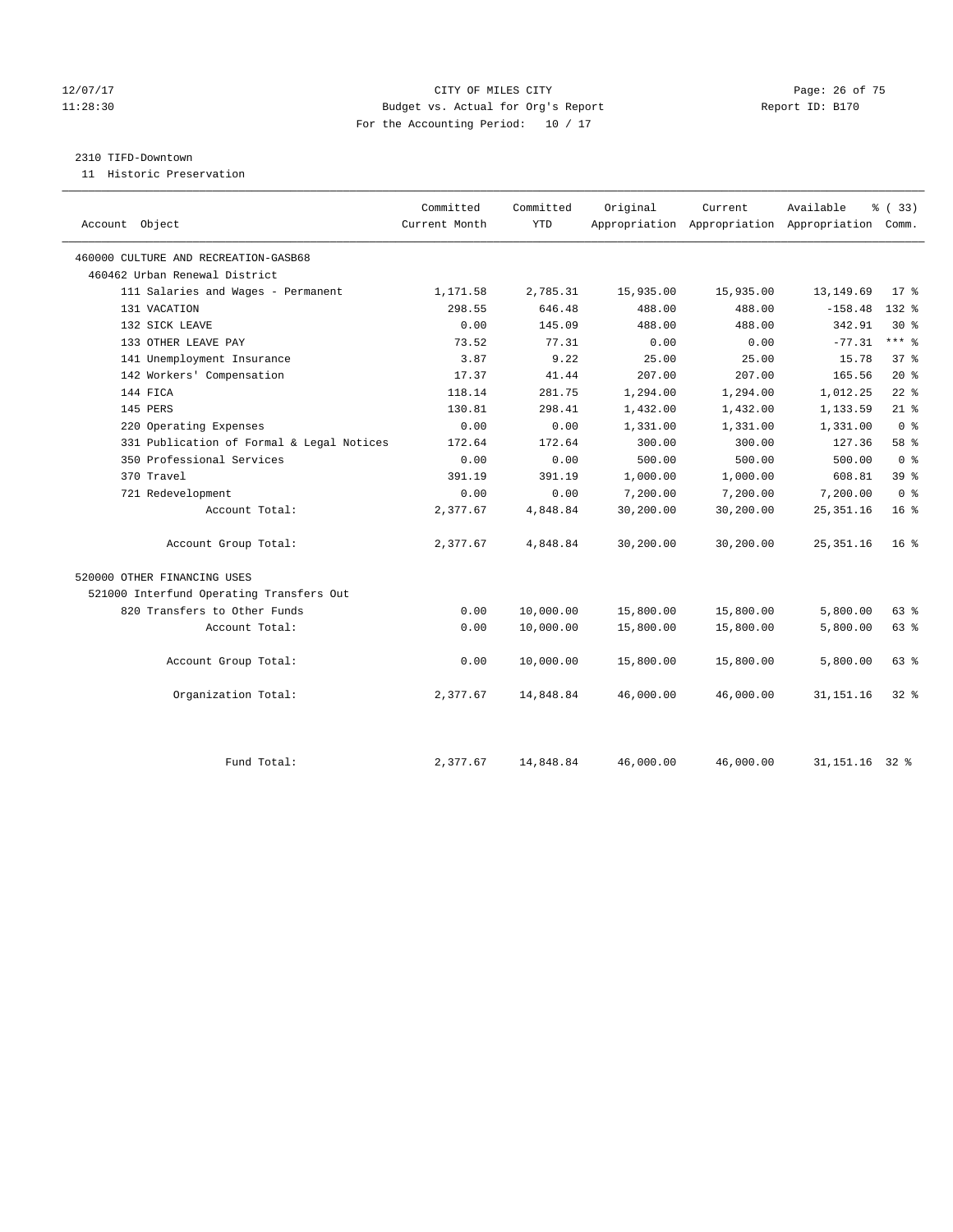#### 12/07/17 Page: 26 of 75 11:28:30 Budget vs. Actual for Org's Report Report ID: B170 For the Accounting Period: 10 / 17

#### 2310 TIFD-Downtown

11 Historic Preservation

| Account Object                            | Committed<br>Current Month | Committed<br><b>YTD</b> | Original  | Current   | Available<br>Appropriation Appropriation Appropriation Comm. | % (33)          |
|-------------------------------------------|----------------------------|-------------------------|-----------|-----------|--------------------------------------------------------------|-----------------|
| 460000 CULTURE AND RECREATION-GASB68      |                            |                         |           |           |                                                              |                 |
| 460462 Urban Renewal District             |                            |                         |           |           |                                                              |                 |
| 111 Salaries and Wages - Permanent        | 1,171.58                   | 2,785.31                | 15,935.00 | 15,935.00 | 13, 149.69                                                   | $17*$           |
| 131 VACATION                              | 298.55                     | 646.48                  | 488.00    | 488.00    | $-158.48$                                                    | $132*$          |
| 132 SICK LEAVE                            | 0.00                       | 145.09                  | 488.00    | 488.00    | 342.91                                                       | $30*$           |
| 133 OTHER LEAVE PAY                       | 73.52                      | 77.31                   | 0.00      | 0.00      | $-77.31$                                                     | $***$ $_{8}$    |
| 141 Unemployment Insurance                | 3.87                       | 9.22                    | 25.00     | 25.00     | 15.78                                                        | 37 <sup>8</sup> |
| 142 Workers' Compensation                 | 17.37                      | 41.44                   | 207.00    | 207.00    | 165.56                                                       | $20*$           |
| 144 FICA                                  | 118.14                     | 281.75                  | 1,294.00  | 1,294.00  | 1,012.25                                                     | $22$ %          |
| 145 PERS                                  | 130.81                     | 298.41                  | 1,432.00  | 1,432.00  | 1,133.59                                                     | $21$ %          |
| 220 Operating Expenses                    | 0.00                       | 0.00                    | 1,331.00  | 1,331.00  | 1,331.00                                                     | 0 <sup>8</sup>  |
| 331 Publication of Formal & Legal Notices | 172.64                     | 172.64                  | 300.00    | 300.00    | 127.36                                                       | 58 %            |
| 350 Professional Services                 | 0.00                       | 0.00                    | 500.00    | 500.00    | 500.00                                                       | 0 <sup>8</sup>  |
| 370 Travel                                | 391.19                     | 391.19                  | 1,000.00  | 1,000.00  | 608.81                                                       | 39 %            |
| 721 Redevelopment                         | 0.00                       | 0.00                    | 7,200.00  | 7,200.00  | 7,200.00                                                     | 0 <sup>8</sup>  |
| Account Total:                            | 2,377.67                   | 4,848.84                | 30,200.00 | 30,200.00 | 25, 351.16                                                   | 16 <sup>°</sup> |
| Account Group Total:                      | 2,377.67                   | 4,848.84                | 30,200.00 | 30,200.00 | 25, 351. 16                                                  | $16*$           |
| 520000 OTHER FINANCING USES               |                            |                         |           |           |                                                              |                 |
| 521000 Interfund Operating Transfers Out  |                            |                         |           |           |                                                              |                 |
| 820 Transfers to Other Funds              | 0.00                       | 10,000.00               | 15,800.00 | 15,800.00 | 5,800.00                                                     | 63 %            |
| Account Total:                            | 0.00                       | 10,000.00               | 15,800.00 | 15,800.00 | 5,800.00                                                     | 63 %            |
| Account Group Total:                      | 0.00                       | 10,000.00               | 15,800.00 | 15,800.00 | 5,800.00                                                     | 63 %            |
| Organization Total:                       | 2,377.67                   | 14,848.84               | 46,000.00 | 46,000.00 | 31, 151. 16                                                  | $32*$           |
|                                           |                            |                         |           |           |                                                              |                 |
| Fund Total:                               | 2,377.67                   | 14,848.84               | 46,000.00 | 46,000.00 | 31, 151. 16 32 %                                             |                 |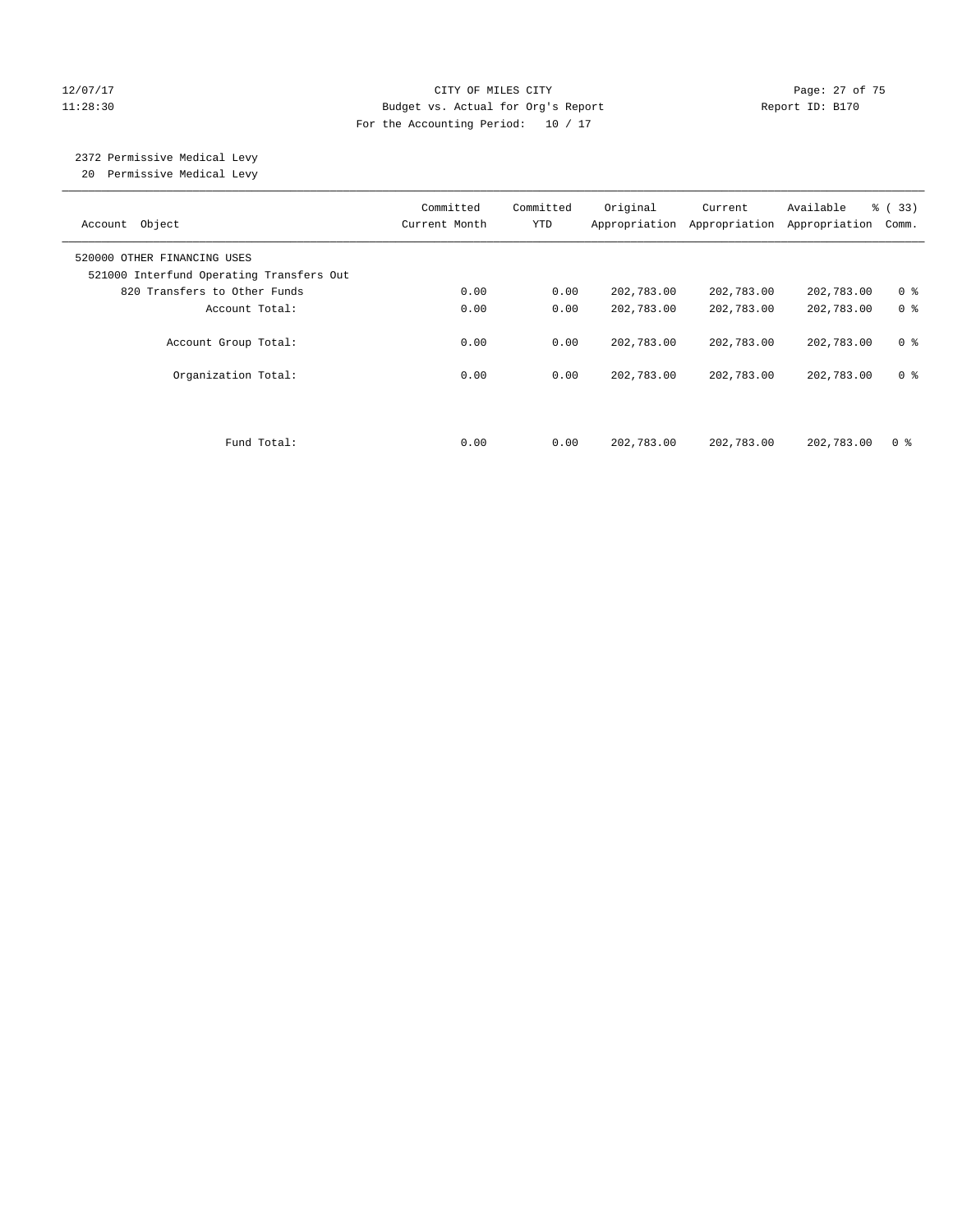#### 12/07/17 Page: 27 of 75 11:28:30 Budget vs. Actual for Org's Report Report ID: B170 For the Accounting Period: 10 / 17

# 2372 Permissive Medical Levy

20 Permissive Medical Levy

| Account Object                                                          | Committed<br>Current Month | Committed<br><b>YTD</b> | Original   | Current<br>Appropriation Appropriation | Available<br>Appropriation | % (33)<br>Comm. |
|-------------------------------------------------------------------------|----------------------------|-------------------------|------------|----------------------------------------|----------------------------|-----------------|
| 520000 OTHER FINANCING USES<br>521000 Interfund Operating Transfers Out |                            |                         |            |                                        |                            |                 |
| 820 Transfers to Other Funds                                            | 0.00                       | 0.00                    | 202,783.00 | 202,783.00                             | 202,783.00                 | 0 <sup>8</sup>  |
| Account Total:                                                          | 0.00                       | 0.00                    | 202,783.00 | 202,783.00                             | 202,783.00                 | 0 <sup>8</sup>  |
| Account Group Total:                                                    | 0.00                       | 0.00                    | 202,783.00 | 202,783.00                             | 202,783.00                 | 0 <sup>8</sup>  |
| Organization Total:                                                     | 0.00                       | 0.00                    | 202,783.00 | 202,783.00                             | 202,783.00                 | 0 <sup>8</sup>  |
|                                                                         |                            |                         |            |                                        |                            |                 |
| Fund Total:                                                             | 0.00                       | 0.00                    | 202,783.00 | 202,783.00                             | 202,783.00                 | 0 %             |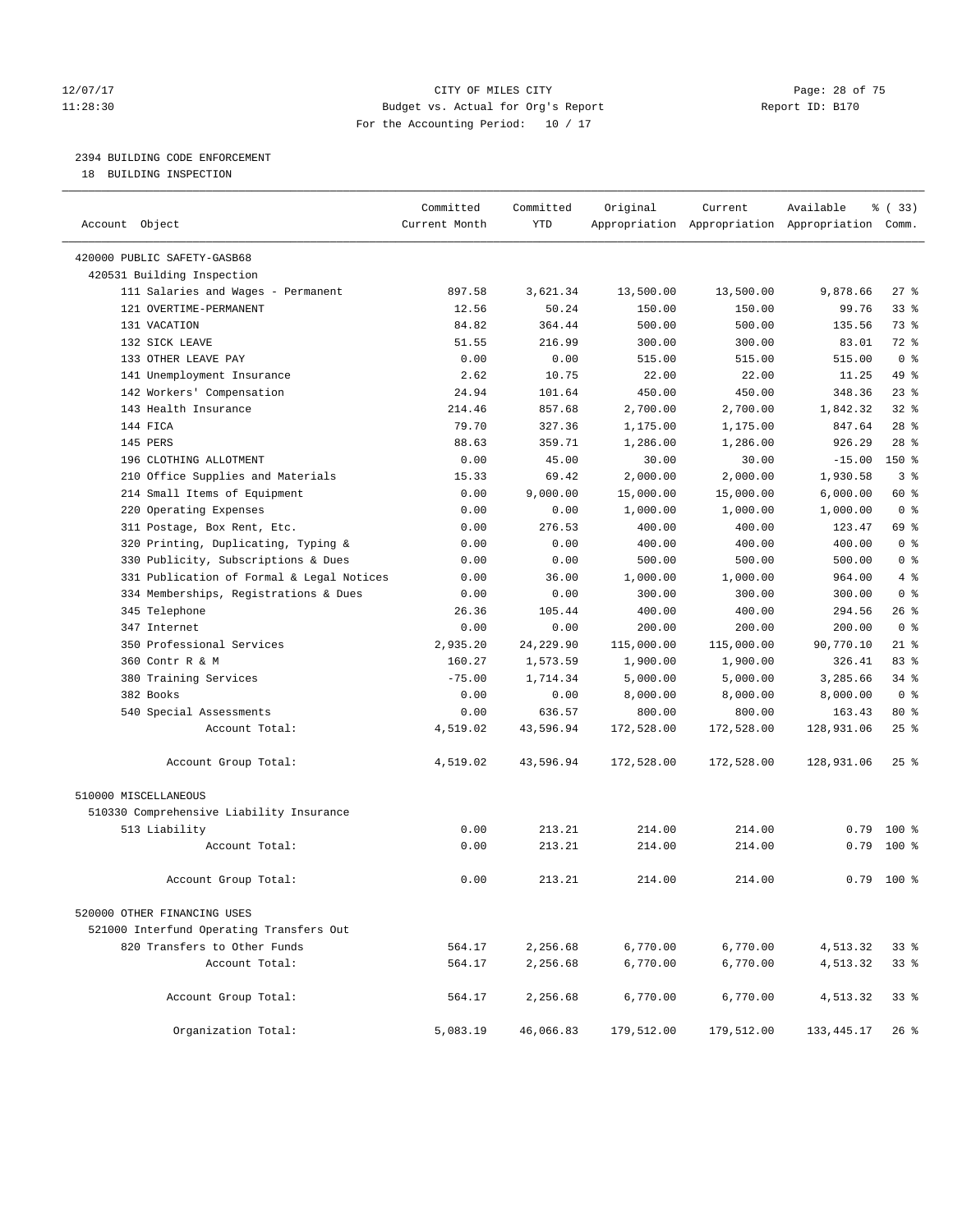#### 12/07/17 Page: 28 of 75 11:28:30 Budget vs. Actual for Org's Report Report ID: B170 For the Accounting Period: 10 / 17

————————————————————————————————————————————————————————————————————————————————————————————————————————————————————————————————————

### 2394 BUILDING CODE ENFORCEMENT

18 BUILDING INSPECTION

|                                           | Committed     | Committed | Original   | Current                                         | Available    | % (33)         |
|-------------------------------------------|---------------|-----------|------------|-------------------------------------------------|--------------|----------------|
| Account Object                            | Current Month | YTD       |            | Appropriation Appropriation Appropriation Comm. |              |                |
| 420000 PUBLIC SAFETY-GASB68               |               |           |            |                                                 |              |                |
| 420531 Building Inspection                |               |           |            |                                                 |              |                |
| 111 Salaries and Wages - Permanent        | 897.58        | 3,621.34  | 13,500.00  | 13,500.00                                       | 9,878.66     | $27$ %         |
| 121 OVERTIME-PERMANENT                    | 12.56         | 50.24     | 150.00     | 150.00                                          | 99.76        | $33$ $%$       |
| 131 VACATION                              | 84.82         | 364.44    | 500.00     | 500.00                                          | 135.56       | 73 %           |
| 132 SICK LEAVE                            | 51.55         | 216.99    | 300.00     | 300.00                                          | 83.01        | 72 %           |
| 133 OTHER LEAVE PAY                       | 0.00          | 0.00      | 515.00     | 515.00                                          | 515.00       | 0 <sup>8</sup> |
| 141 Unemployment Insurance                | 2.62          | 10.75     | 22.00      | 22.00                                           | 11.25        | 49 %           |
| 142 Workers' Compensation                 | 24.94         | 101.64    | 450.00     | 450.00                                          | 348.36       | 23%            |
| 143 Health Insurance                      | 214.46        | 857.68    | 2,700.00   | 2,700.00                                        | 1,842.32     | 32%            |
| 144 FICA                                  | 79.70         | 327.36    | 1,175.00   | 1,175.00                                        | 847.64       | $28$ %         |
| 145 PERS                                  | 88.63         | 359.71    | 1,286.00   | 1,286.00                                        | 926.29       | $28$ %         |
| 196 CLOTHING ALLOTMENT                    | 0.00          | 45.00     | 30.00      | 30.00                                           | $-15.00$     | 150 %          |
| 210 Office Supplies and Materials         | 15.33         | 69.42     | 2,000.00   | 2,000.00                                        | 1,930.58     | 3 <sup>°</sup> |
| 214 Small Items of Equipment              | 0.00          | 9,000.00  | 15,000.00  | 15,000.00                                       | 6,000.00     | 60 %           |
| 220 Operating Expenses                    | 0.00          | 0.00      | 1,000.00   | 1,000.00                                        | 1,000.00     | 0 <sup>8</sup> |
| 311 Postage, Box Rent, Etc.               | 0.00          | 276.53    | 400.00     | 400.00                                          | 123.47       | 69 %           |
| 320 Printing, Duplicating, Typing &       | 0.00          | 0.00      | 400.00     | 400.00                                          | 400.00       | 0 <sup>8</sup> |
| 330 Publicity, Subscriptions & Dues       | 0.00          | 0.00      | 500.00     | 500.00                                          | 500.00       | 0 <sup>8</sup> |
| 331 Publication of Formal & Legal Notices | 0.00          | 36.00     | 1,000.00   | 1,000.00                                        | 964.00       | 4%             |
| 334 Memberships, Registrations & Dues     | 0.00          | 0.00      | 300.00     | 300.00                                          | 300.00       | 0 <sup>8</sup> |
| 345 Telephone                             | 26.36         | 105.44    | 400.00     | 400.00                                          | 294.56       | 26 %           |
| 347 Internet                              | 0.00          | 0.00      | 200.00     | 200.00                                          | 200.00       | 0 <sup>8</sup> |
| 350 Professional Services                 | 2,935.20      | 24,229.90 | 115,000.00 | 115,000.00                                      | 90,770.10    | $21$ %         |
| 360 Contr R & M                           | 160.27        | 1,573.59  | 1,900.00   | 1,900.00                                        | 326.41       | 83 %           |
| 380 Training Services                     | $-75.00$      | 1,714.34  | 5,000.00   | 5,000.00                                        | 3,285.66     | 34%            |
| 382 Books                                 | 0.00          | 0.00      | 8,000.00   | 8,000.00                                        | 8,000.00     | 0 <sup>8</sup> |
| 540 Special Assessments                   | 0.00          | 636.57    | 800.00     | 800.00                                          | 163.43       | $80*$          |
| Account Total:                            | 4,519.02      | 43,596.94 | 172,528.00 | 172,528.00                                      | 128,931.06   | $25$ %         |
|                                           |               |           |            |                                                 |              |                |
| Account Group Total:                      | 4,519.02      | 43,596.94 | 172,528.00 | 172,528.00                                      | 128,931.06   | $25$ %         |
| 510000 MISCELLANEOUS                      |               |           |            |                                                 |              |                |
| 510330 Comprehensive Liability Insurance  |               |           |            |                                                 |              |                |
| 513 Liability                             | 0.00          | 213.21    | 214.00     | 214.00                                          |              | $0.79$ 100 %   |
| Account Total:                            | 0.00          | 213.21    | 214.00     | 214.00                                          |              | $0.79$ 100 %   |
|                                           |               |           |            |                                                 |              |                |
| Account Group Total:                      | 0.00          | 213.21    | 214.00     | 214.00                                          | 0.79         | $100*$         |
| 520000 OTHER FINANCING USES               |               |           |            |                                                 |              |                |
| 521000 Interfund Operating Transfers Out  |               |           |            |                                                 |              |                |
| 820 Transfers to Other Funds              | 564.17        | 2,256.68  | 6,770.00   | 6,770.00                                        | 4,513.32     | 33%            |
| Account Total:                            | 564.17        | 2,256.68  | 6,770.00   | 6,770.00                                        | 4,513.32     | 33%            |
|                                           |               |           |            |                                                 |              |                |
| Account Group Total:                      | 564.17        | 2,256.68  | 6,770.00   | 6,770.00                                        | 4,513.32     | 33%            |
| Organization Total:                       | 5,083.19      | 46,066.83 | 179,512.00 | 179,512.00                                      | 133, 445. 17 | $26$ %         |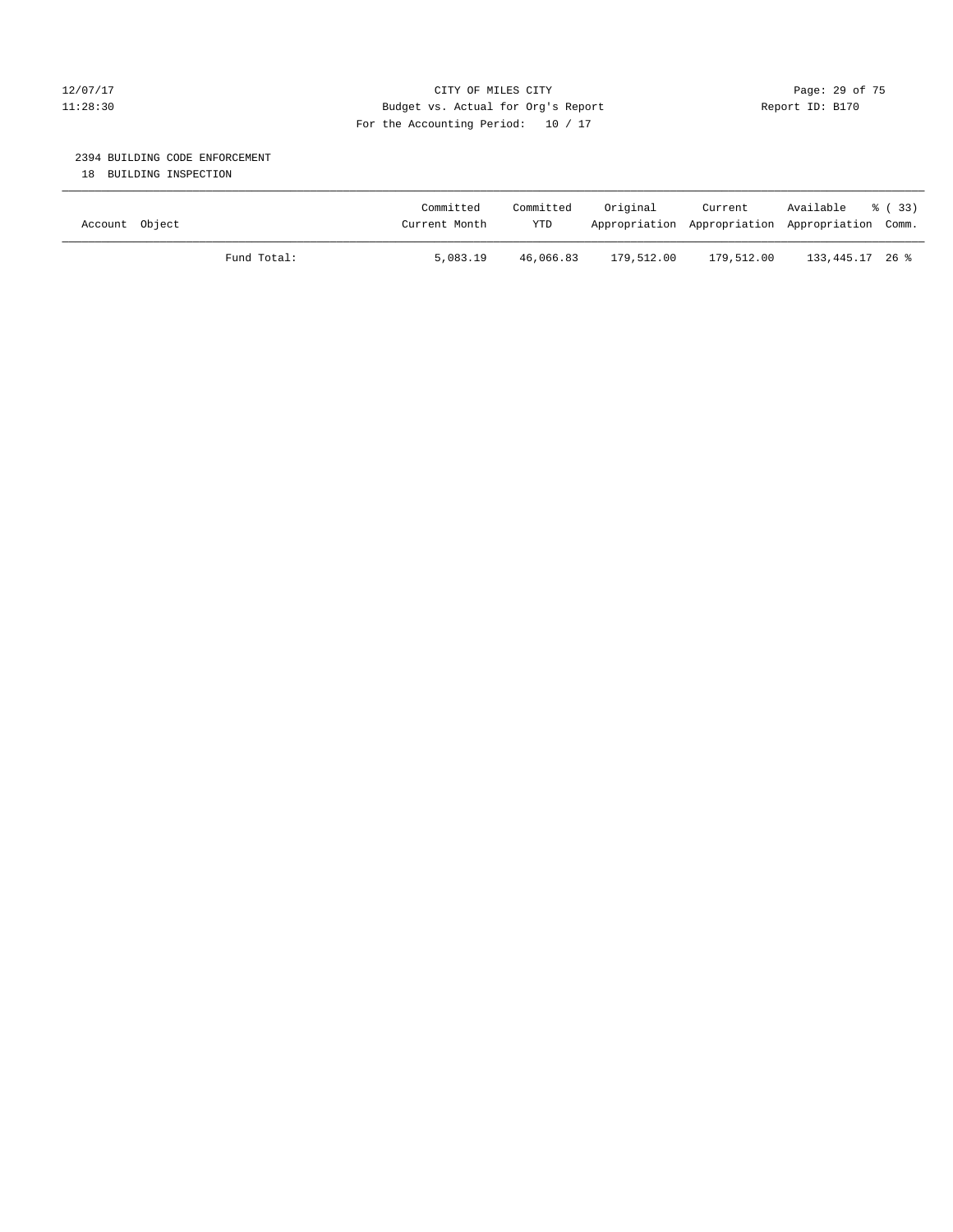#### 12/07/17 Page: 29 of 75 11:28:30 Budget vs. Actual for Org's Report Report ID: B170 For the Accounting Period: 10 / 17

#### 2394 BUILDING CODE ENFORCEMENT

18 BUILDING INSPECTION

| Account Object |             | Committed<br>Current Month | Committed<br><b>YTD</b> | Original   | Current    | Available<br>Appropriation Appropriation Appropriation Comm. | - 8 (33) |
|----------------|-------------|----------------------------|-------------------------|------------|------------|--------------------------------------------------------------|----------|
|                | Fund Total: | 5,083.19                   | 46,066.83               | 179,512.00 | 179,512.00 | 133,445.17 26 %                                              |          |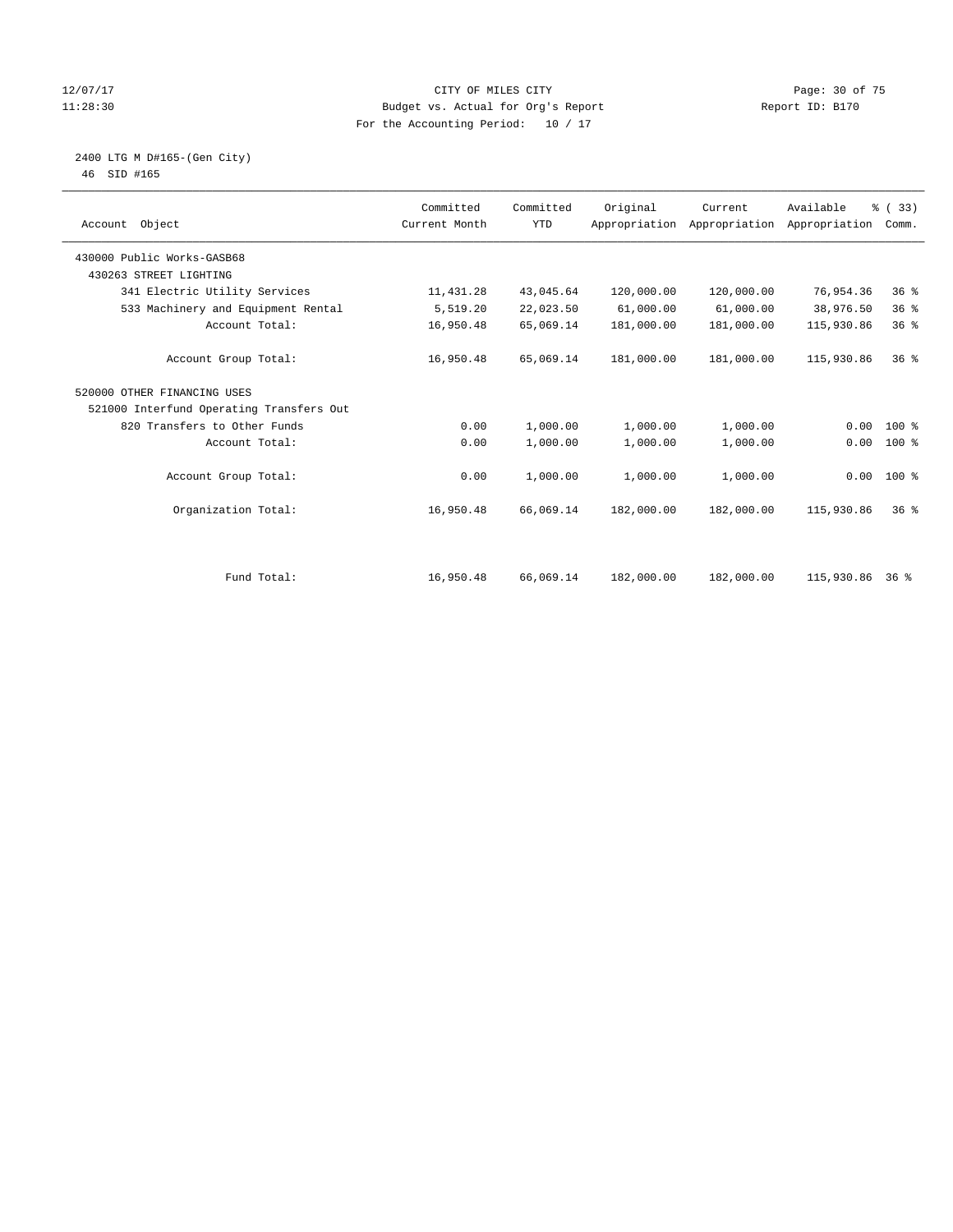#### 12/07/17 Page: 30 of 75 11:28:30 Budget vs. Actual for Org's Report Report ID: B170 For the Accounting Period: 10 / 17

#### 2400 LTG M D#165-(Gen City) 46 SID #165

| 46 | SID #165 |  |
|----|----------|--|
|    |          |  |

| Account Object                           | Committed<br>Current Month | Committed<br><b>YTD</b> | Original   | Current<br>Appropriation Appropriation | Available<br>Appropriation | % (33)<br>Comm. |  |
|------------------------------------------|----------------------------|-------------------------|------------|----------------------------------------|----------------------------|-----------------|--|
| 430000 Public Works-GASB68               |                            |                         |            |                                        |                            |                 |  |
| 430263 STREET LIGHTING                   |                            |                         |            |                                        |                            |                 |  |
| 341 Electric Utility Services            | 11, 431.28                 | 43,045.64               | 120,000.00 | 120,000.00                             | 76,954.36                  | 36%             |  |
| 533 Machinery and Equipment Rental       | 5,519.20                   | 22,023.50               | 61,000.00  | 61,000.00                              | 38,976.50                  | 36%             |  |
| Account Total:                           | 16,950.48                  | 65,069.14               | 181,000.00 | 181,000.00                             | 115,930.86                 | 36%             |  |
| Account Group Total:                     | 16,950.48                  | 65,069.14               | 181,000.00 | 181,000.00                             | 115,930.86                 | 36 <sup>8</sup> |  |
| 520000 OTHER FINANCING USES              |                            |                         |            |                                        |                            |                 |  |
| 521000 Interfund Operating Transfers Out |                            |                         |            |                                        |                            |                 |  |
| 820 Transfers to Other Funds             | 0.00                       | 1,000.00                | 1,000.00   | 1,000.00                               | 0.00                       | $100*$          |  |
| Account Total:                           | 0.00                       | 1,000.00                | 1,000.00   | 1,000.00                               | 0.00                       | 100 %           |  |
| Account Group Total:                     | 0.00                       | 1,000.00                | 1,000.00   | 1,000.00                               |                            | $0.00 100$ %    |  |
| Organization Total:                      | 16,950.48                  | 66,069.14               | 182,000.00 | 182,000.00                             | 115,930.86                 | 36 <sup>8</sup> |  |
|                                          |                            |                         |            |                                        |                            |                 |  |
| Fund Total:                              | 16,950.48                  | 66,069.14               | 182,000.00 | 182,000.00                             | 115,930.86 36 %            |                 |  |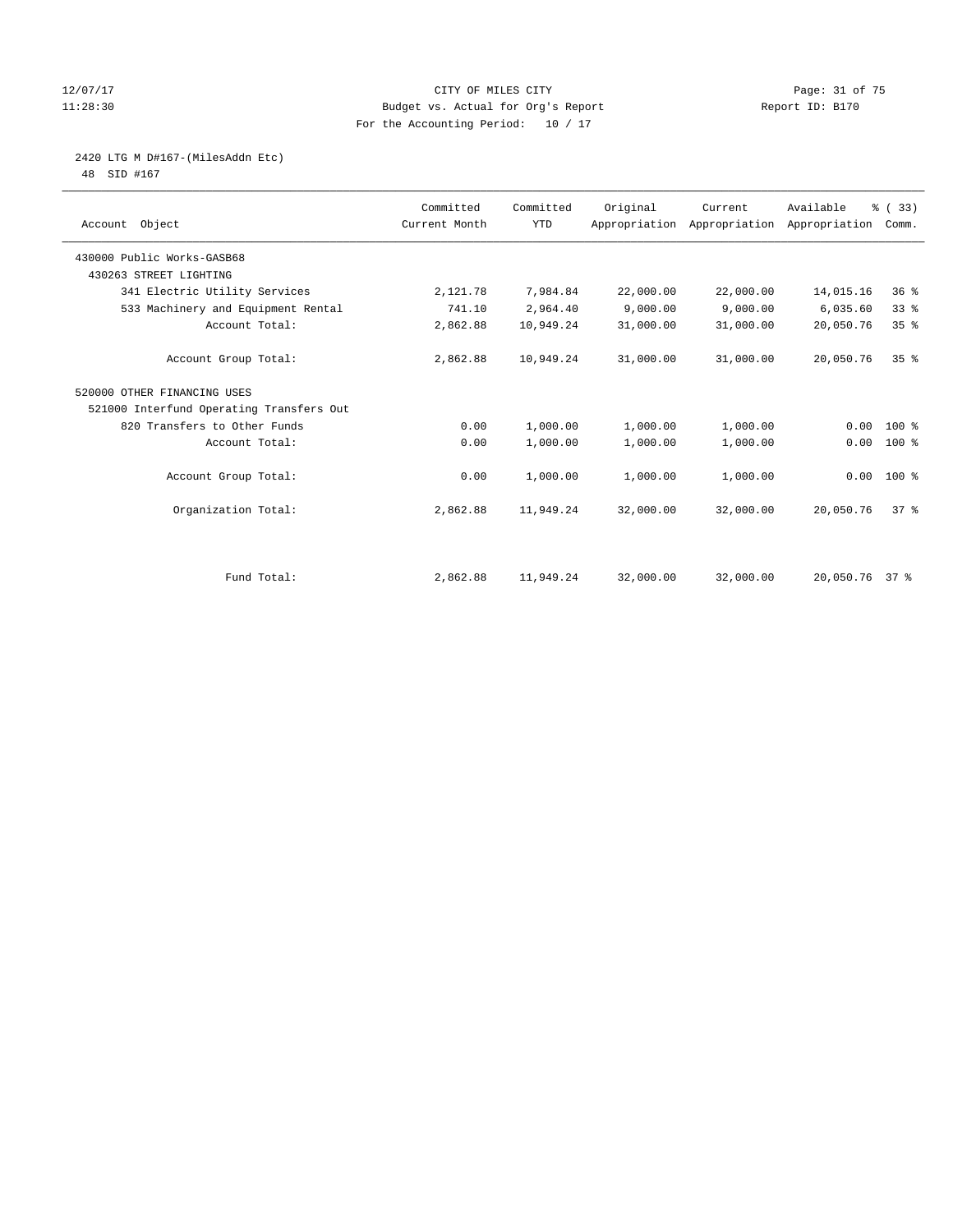#### 12/07/17 Page: 31 of 75 11:28:30 Budget vs. Actual for Org's Report Report ID: B170 For the Accounting Period: 10 / 17

2420 LTG M D#167-(MilesAddn Etc)

48 SID #167

| Account Object                           | Committed<br>Current Month | Committed<br><b>YTD</b> | Original  | Current<br>Appropriation Appropriation Appropriation | Available      | % (33)<br>Comm. |
|------------------------------------------|----------------------------|-------------------------|-----------|------------------------------------------------------|----------------|-----------------|
| 430000 Public Works-GASB68               |                            |                         |           |                                                      |                |                 |
| 430263 STREET LIGHTING                   |                            |                         |           |                                                      |                |                 |
| 341 Electric Utility Services            | 2,121.78                   | 7,984.84                | 22,000.00 | 22,000.00                                            | 14,015.16      | $36*$           |
| 533 Machinery and Equipment Rental       | 741.10                     | 2,964.40                | 9,000.00  | 9,000.00                                             | 6,035.60       | 33%             |
| Account Total:                           | 2,862.88                   | 10,949.24               | 31,000.00 | 31,000.00                                            | 20,050.76      | 35%             |
| Account Group Total:                     | 2,862.88                   | 10,949.24               | 31,000.00 | 31,000.00                                            | 20,050.76      | 35 <sup>8</sup> |
| 520000 OTHER FINANCING USES              |                            |                         |           |                                                      |                |                 |
| 521000 Interfund Operating Transfers Out |                            |                         |           |                                                      |                |                 |
| 820 Transfers to Other Funds             | 0.00                       | 1,000.00                | 1,000.00  | 1,000.00                                             | 0.00           | 100 %           |
| Account Total:                           | 0.00                       | 1,000.00                | 1,000.00  | 1,000.00                                             | 0.00           | 100 %           |
| Account Group Total:                     | 0.00                       | 1,000.00                | 1,000.00  | 1,000.00                                             |                | $0.00 100$ %    |
| Organization Total:                      | 2,862.88                   | 11,949.24               | 32,000.00 | 32,000.00                                            | 20,050.76      | 37 <sup>8</sup> |
|                                          |                            |                         |           |                                                      |                |                 |
| Fund Total:                              | 2,862.88                   | 11,949.24               | 32,000.00 | 32,000.00                                            | 20,050.76 37 % |                 |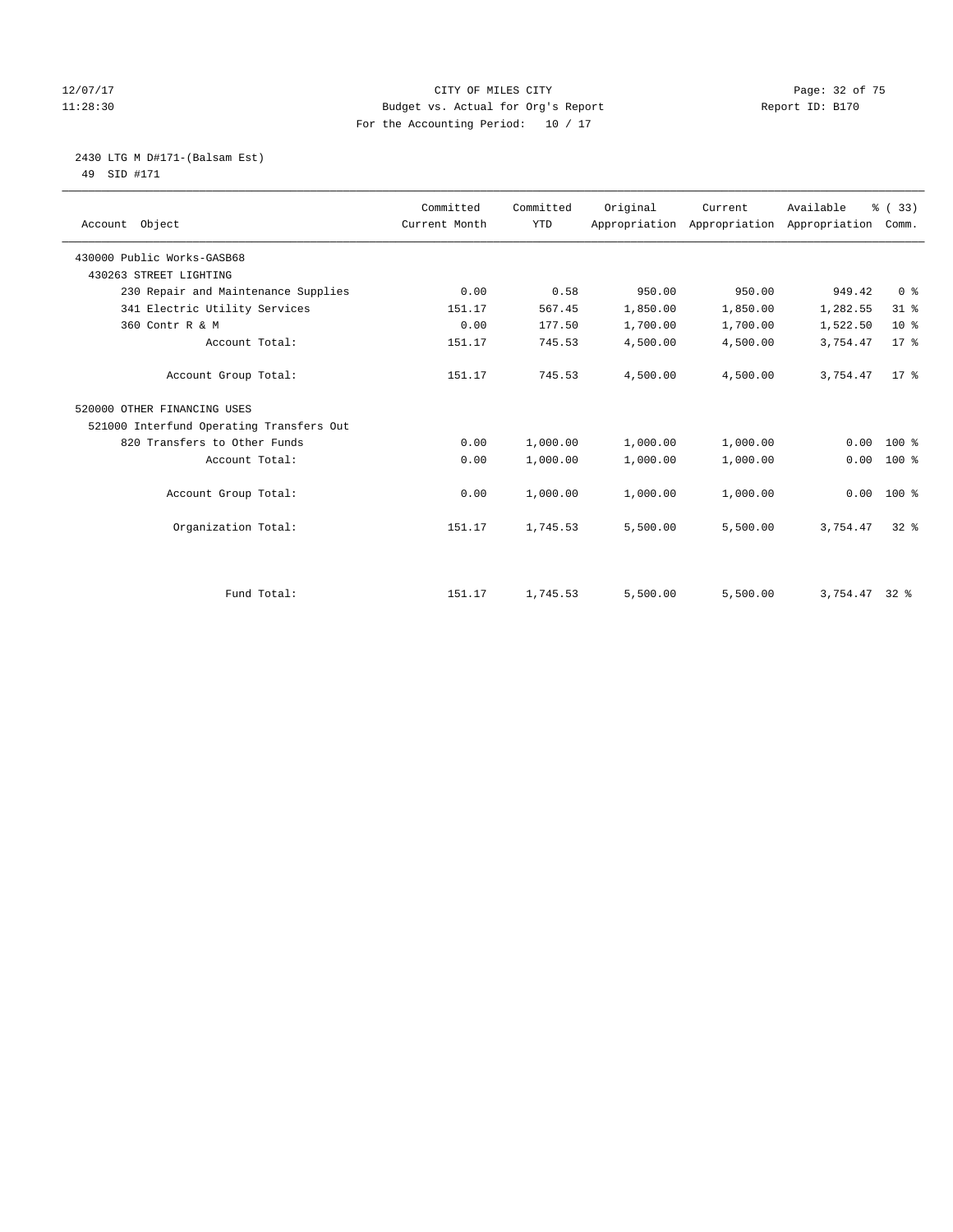#### 12/07/17 Page: 32 of 75 11:28:30 Budget vs. Actual for Org's Report Report ID: B170 For the Accounting Period: 10 / 17

 2430 LTG M D#171-(Balsam Est) 49 SID #171

| Account Object                           | Committed<br>Current Month | Committed<br><b>YTD</b> | Original | Current  | Available<br>Appropriation Appropriation Appropriation | % (33)<br>Comm. |
|------------------------------------------|----------------------------|-------------------------|----------|----------|--------------------------------------------------------|-----------------|
| 430000 Public Works-GASB68               |                            |                         |          |          |                                                        |                 |
| 430263 STREET LIGHTING                   |                            |                         |          |          |                                                        |                 |
| 230 Repair and Maintenance Supplies      | 0.00                       | 0.58                    | 950.00   | 950.00   | 949.42                                                 | 0 <sup>8</sup>  |
| 341 Electric Utility Services            | 151.17                     | 567.45                  | 1,850.00 | 1,850.00 | 1,282.55                                               | $31$ %          |
| 360 Contr R & M                          | 0.00                       | 177.50                  | 1,700.00 | 1,700.00 | 1,522.50                                               | 10 <sup>°</sup> |
| Account Total:                           | 151.17                     | 745.53                  | 4,500.00 | 4,500.00 | 3,754.47                                               | 17.8            |
| Account Group Total:                     | 151.17                     | 745.53                  | 4,500.00 | 4,500.00 | 3,754.47                                               | $17*$           |
| 520000 OTHER FINANCING USES              |                            |                         |          |          |                                                        |                 |
| 521000 Interfund Operating Transfers Out |                            |                         |          |          |                                                        |                 |
| 820 Transfers to Other Funds             | 0.00                       | 1,000.00                | 1,000.00 | 1,000.00 | 0.00                                                   | $100*$          |
| Account Total:                           | 0.00                       | 1,000.00                | 1,000.00 | 1,000.00 | 0.00                                                   | $100*$          |
| Account Group Total:                     | 0.00                       | 1,000.00                | 1,000.00 | 1,000.00 | 0.00                                                   | $100*$          |
| Organization Total:                      | 151.17                     | 1,745.53                | 5,500.00 | 5,500.00 | 3,754.47                                               | $32*$           |
|                                          |                            |                         |          |          |                                                        |                 |
| Fund Total:                              | 151.17                     | 1,745.53                | 5,500.00 | 5,500.00 | $3,754.47$ 32 %                                        |                 |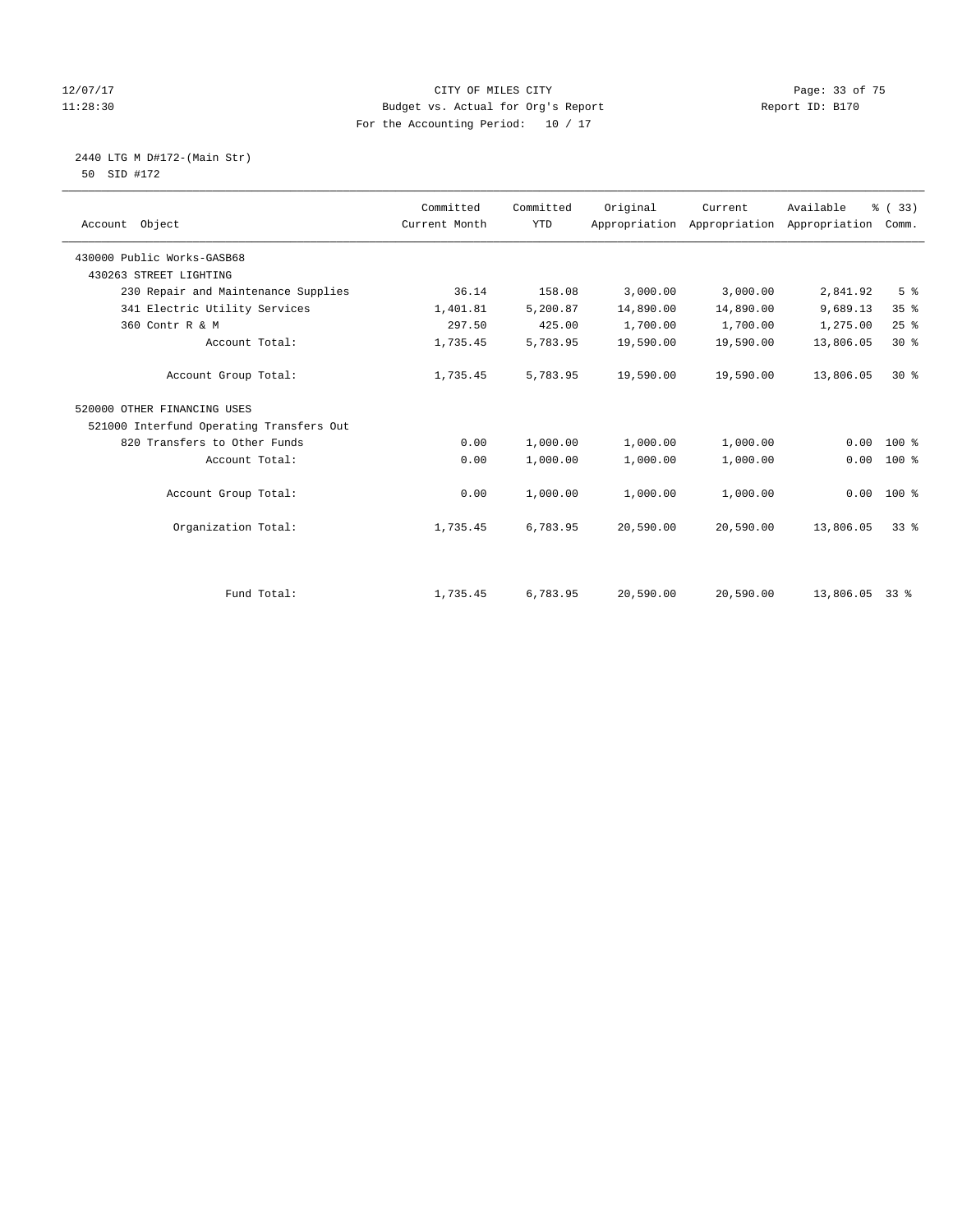#### 12/07/17 Page: 33 of 75 11:28:30 Budget vs. Actual for Org's Report Report ID: B170 For the Accounting Period: 10 / 17

 2440 LTG M D#172-(Main Str) 50 SID #172

| Account Object                           | Committed<br>Current Month | Committed<br><b>YTD</b> | Original  | Current<br>Appropriation Appropriation | Available<br>Appropriation | % (33)<br>Comm. |
|------------------------------------------|----------------------------|-------------------------|-----------|----------------------------------------|----------------------------|-----------------|
|                                          |                            |                         |           |                                        |                            |                 |
| 430000 Public Works-GASB68               |                            |                         |           |                                        |                            |                 |
| 430263 STREET LIGHTING                   |                            |                         |           |                                        |                            |                 |
| 230 Repair and Maintenance Supplies      | 36.14                      | 158.08                  | 3,000.00  | 3,000.00                               | 2,841.92                   | 5 <sup>°</sup>  |
| 341 Electric Utility Services            | 1,401.81                   | 5,200.87                | 14,890.00 | 14,890.00                              | 9,689.13                   | 35%             |
| 360 Contr R & M                          | 297.50                     | 425.00                  | 1,700.00  | 1,700.00                               | 1,275.00                   | 25%             |
| Account Total:                           | 1,735.45                   | 5,783.95                | 19,590.00 | 19,590.00                              | 13,806.05                  | $30*$           |
| Account Group Total:                     | 1,735.45                   | 5,783.95                | 19,590.00 | 19,590.00                              | 13,806.05                  | $30*$           |
| 520000 OTHER FINANCING USES              |                            |                         |           |                                        |                            |                 |
| 521000 Interfund Operating Transfers Out |                            |                         |           |                                        |                            |                 |
| 820 Transfers to Other Funds             | 0.00                       | 1,000.00                | 1,000.00  | 1,000.00                               | 0.00                       | 100 %           |
| Account Total:                           | 0.00                       | 1,000.00                | 1,000.00  | 1,000.00                               | 0.00                       | $100$ %         |
| Account Group Total:                     | 0.00                       | 1,000.00                | 1,000.00  | 1,000.00                               | 0.00                       | $100*$          |
| Organization Total:                      | 1,735.45                   | 6,783.95                | 20,590.00 | 20,590.00                              | 13,806.05                  | $33*$           |
|                                          |                            |                         |           |                                        |                            |                 |
| Fund Total:                              | 1,735.45                   | 6,783.95                | 20,590.00 | 20,590.00                              | 13,806.05                  | $33*$           |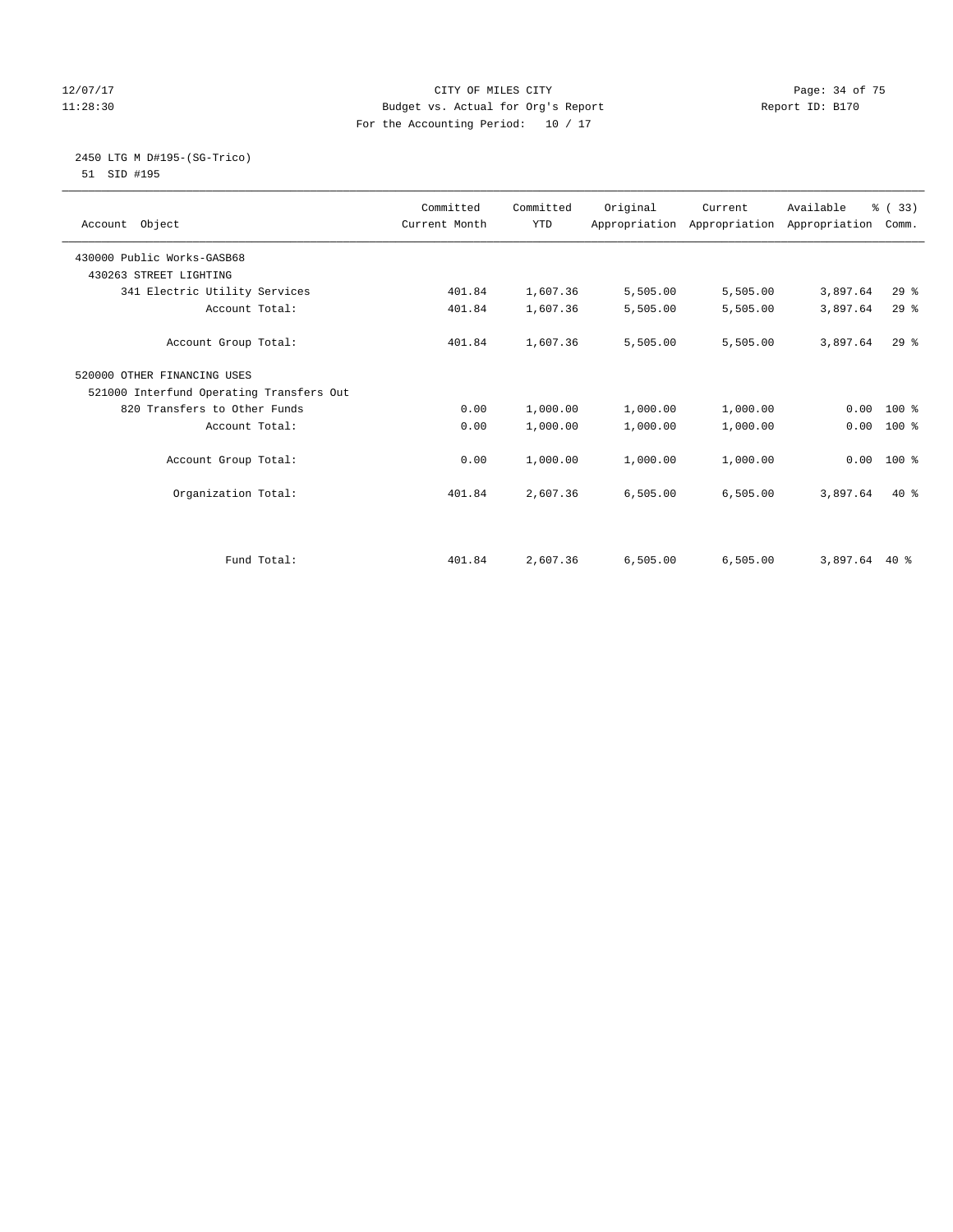#### 12/07/17 Page: 34 of 75 11:28:30 Budget vs. Actual for Org's Report Report ID: B170 For the Accounting Period: 10 / 17

#### 2450 LTG M D#195-(SG-Trico) 51 SID #195

|                                          | Committed     | Committed  | Original | Current                                   | Available     | % (33)   |  |
|------------------------------------------|---------------|------------|----------|-------------------------------------------|---------------|----------|--|
| Account Object                           | Current Month | <b>YTD</b> |          | Appropriation Appropriation Appropriation |               | Comm.    |  |
|                                          |               |            |          |                                           |               |          |  |
| 430000 Public Works-GASB68               |               |            |          |                                           |               |          |  |
| 430263 STREET LIGHTING                   |               |            |          |                                           |               |          |  |
| 341 Electric Utility Services            | 401.84        | 1,607.36   | 5,505.00 | 5,505.00                                  | 3,897.64      | 29%      |  |
| Account Total:                           | 401.84        | 1,607.36   | 5,505.00 | 5,505.00                                  | 3,897.64      | 29%      |  |
| Account Group Total:                     | 401.84        | 1,607.36   | 5,505.00 | 5,505.00                                  | 3,897.64      | $29$ $%$ |  |
| 520000 OTHER FINANCING USES              |               |            |          |                                           |               |          |  |
| 521000 Interfund Operating Transfers Out |               |            |          |                                           |               |          |  |
| 820 Transfers to Other Funds             | 0.00          | 1,000.00   | 1,000.00 | 1,000.00                                  | 0.00          | 100 %    |  |
| Account Total:                           | 0.00          | 1,000.00   | 1,000.00 | 1,000.00                                  | 0.00          | $100*$   |  |
| Account Group Total:                     | 0.00          | 1,000.00   | 1,000.00 | 1,000.00                                  | 0.00          | $100*$   |  |
| Organization Total:                      | 401.84        | 2,607.36   | 6,505.00 | 6,505.00                                  | 3,897.64      | $40*$    |  |
|                                          |               |            |          |                                           |               |          |  |
| Fund Total:                              | 401.84        | 2,607.36   | 6,505.00 | 6,505.00                                  | 3,897.64 40 % |          |  |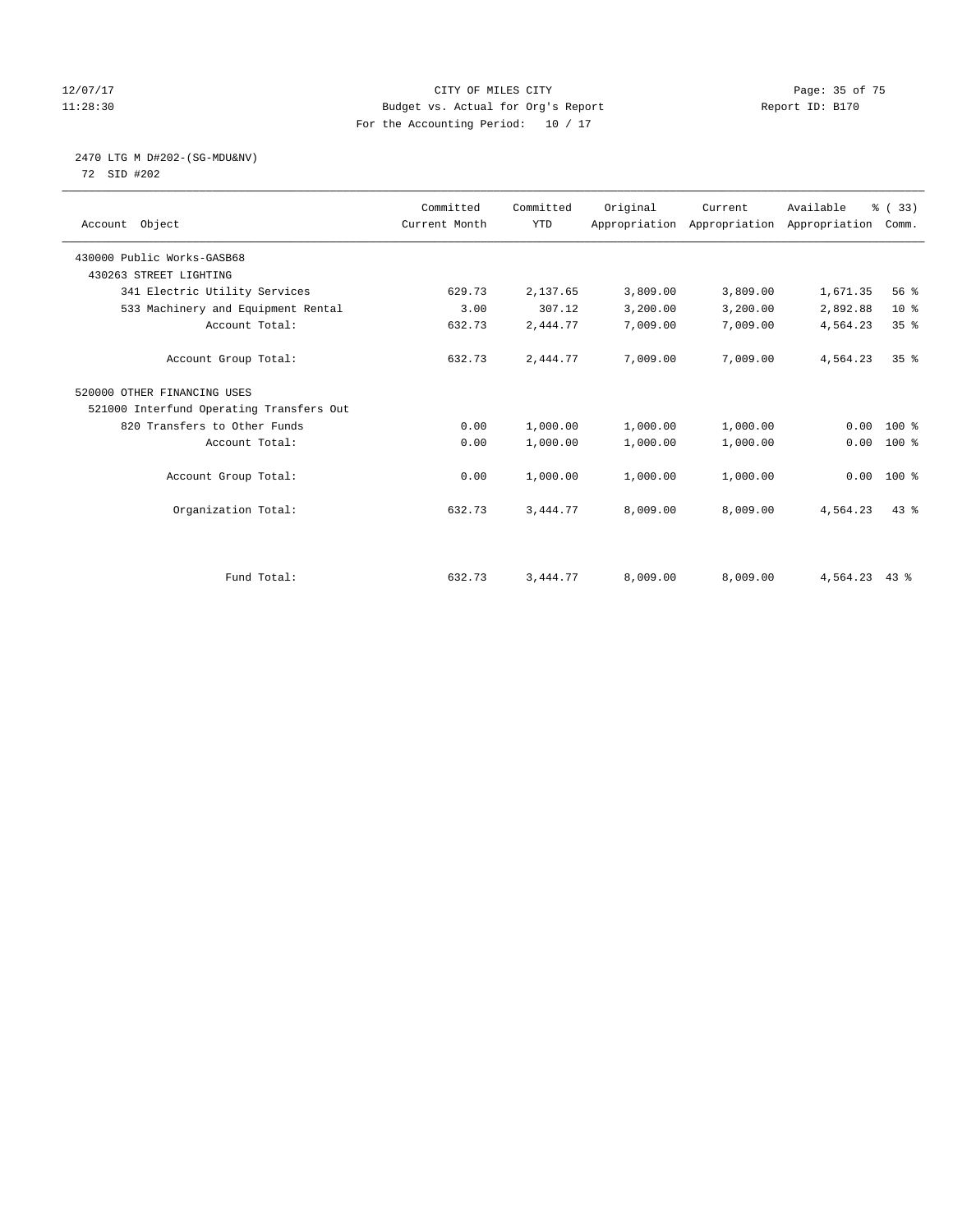#### 12/07/17 Page: 35 of 75 11:28:30 Budget vs. Actual for Org's Report Report ID: B170 For the Accounting Period: 10 / 17

2470 LTG M D#202-(SG-MDU&NV)

72 SID #202

| Account Object                           | Committed<br>Current Month | Committed<br><b>YTD</b> | Original | Current<br>Appropriation Appropriation Appropriation | Available     | % (33)<br>Comm. |
|------------------------------------------|----------------------------|-------------------------|----------|------------------------------------------------------|---------------|-----------------|
| 430000 Public Works-GASB68               |                            |                         |          |                                                      |               |                 |
| 430263 STREET LIGHTING                   |                            |                         |          |                                                      |               |                 |
| 341 Electric Utility Services            | 629.73                     | 2,137.65                | 3,809.00 | 3,809.00                                             | 1,671.35      | 56%             |
| 533 Machinery and Equipment Rental       | 3.00                       | 307.12                  | 3,200.00 | 3,200.00                                             | 2,892.88      | $10*$           |
| Account Total:                           | 632.73                     | 2,444.77                | 7,009.00 | 7,009.00                                             | 4,564.23      | 35%             |
| Account Group Total:                     | 632.73                     | 2,444.77                | 7,009.00 | 7,009.00                                             | 4,564.23      | 35 <sup>8</sup> |
| 520000 OTHER FINANCING USES              |                            |                         |          |                                                      |               |                 |
| 521000 Interfund Operating Transfers Out |                            |                         |          |                                                      |               |                 |
| 820 Transfers to Other Funds             | 0.00                       | 1,000.00                | 1,000.00 | 1,000.00                                             | 0.00          | $100*$          |
| Account Total:                           | 0.00                       | 1,000.00                | 1,000.00 | 1,000.00                                             | 0.00          | $100$ %         |
| Account Group Total:                     | 0.00                       | 1,000.00                | 1,000.00 | 1,000.00                                             |               | $0.00 100$ %    |
| Organization Total:                      | 632.73                     | 3,444.77                | 8,009.00 | 8,009.00                                             | 4,564.23      | $43*$           |
|                                          |                            |                         |          |                                                      |               |                 |
| Fund Total:                              | 632.73                     | 3,444.77                | 8,009.00 | 8,009.00                                             | 4,564.23 43 % |                 |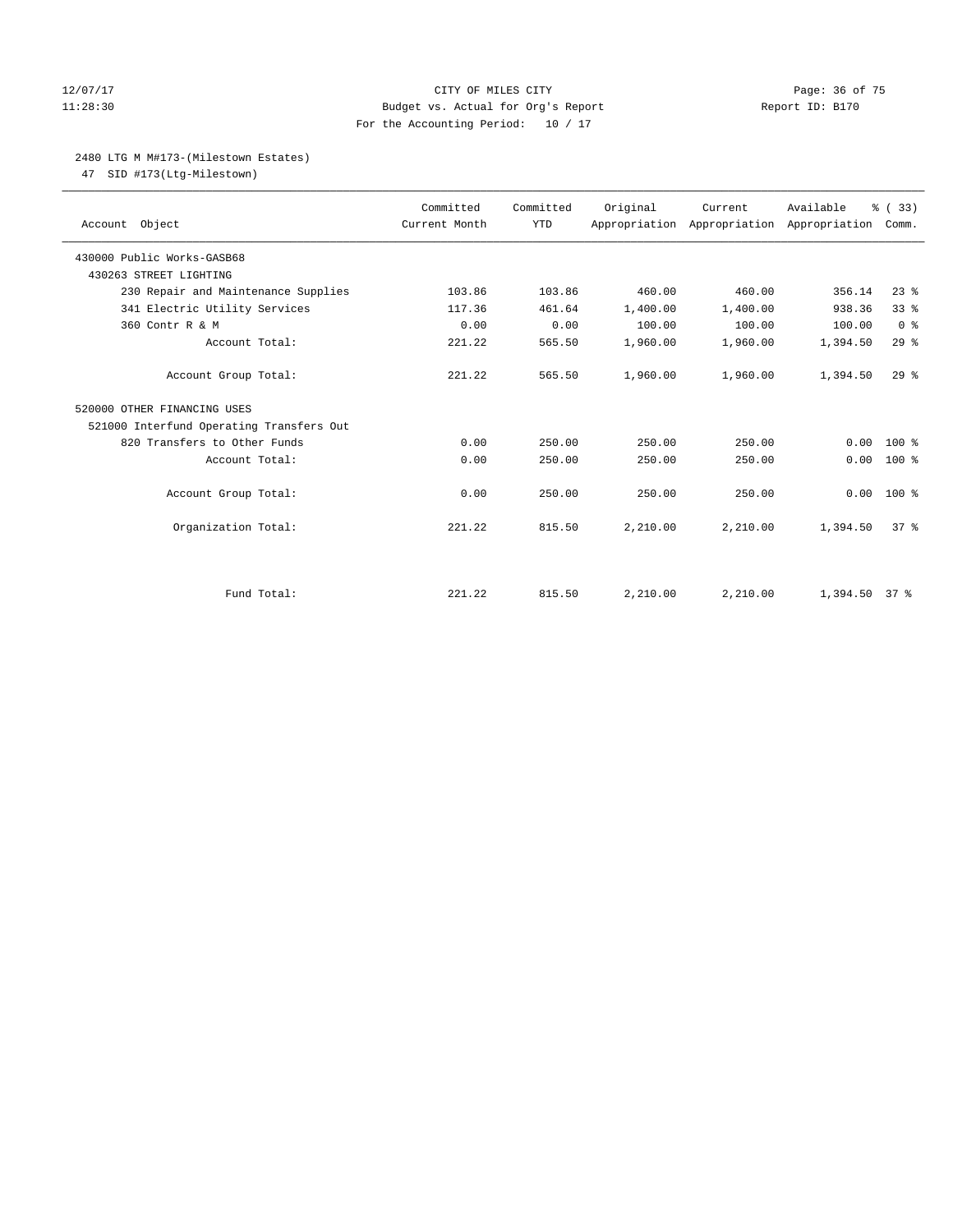#### 12/07/17 Page: 36 of 75 11:28:30 Budget vs. Actual for Org's Report Report ID: B170 For the Accounting Period: 10 / 17

## 2480 LTG M M#173-(Milestown Estates)

47 SID #173(Ltg-Milestown)

| Account Object                           | Committed<br>Current Month | Committed<br><b>YTD</b> | Original | Current<br>Appropriation Appropriation Appropriation | Available | % (33)<br>Comm. |
|------------------------------------------|----------------------------|-------------------------|----------|------------------------------------------------------|-----------|-----------------|
| 430000 Public Works-GASB68               |                            |                         |          |                                                      |           |                 |
| 430263 STREET LIGHTING                   |                            |                         |          |                                                      |           |                 |
| 230 Repair and Maintenance Supplies      | 103.86                     | 103.86                  | 460.00   | 460.00                                               | 356.14    | $23$ $%$        |
| 341 Electric Utility Services            | 117.36                     | 461.64                  | 1,400.00 | 1,400.00                                             | 938.36    | 33 <sup>8</sup> |
| 360 Contr R & M                          | 0.00                       | 0.00                    | 100.00   | 100.00                                               | 100.00    | 0 <sup>8</sup>  |
| Account Total:                           | 221.22                     | 565.50                  | 1,960.00 | 1,960.00                                             | 1,394.50  | 29%             |
| Account Group Total:                     | 221.22                     | 565.50                  | 1,960.00 | 1,960.00                                             | 1,394.50  | $29$ $%$        |
| 520000 OTHER FINANCING USES              |                            |                         |          |                                                      |           |                 |
| 521000 Interfund Operating Transfers Out |                            |                         |          |                                                      |           |                 |
| 820 Transfers to Other Funds             | 0.00                       | 250.00                  | 250.00   | 250.00                                               | 0.00      | $100*$          |
| Account Total:                           | 0.00                       | 250.00                  | 250.00   | 250.00                                               | 0.00      | $100*$          |
| Account Group Total:                     | 0.00                       | 250.00                  | 250.00   | 250.00                                               | 0.00      | $100*$          |
| Organization Total:                      | 221.22                     | 815.50                  | 2,210.00 | 2,210.00                                             | 1,394.50  | 37 <sup>8</sup> |
|                                          |                            |                         |          |                                                      |           |                 |
| Fund Total:                              | 221.22                     | 815.50                  | 2,210.00 | 2,210.00                                             | 1,394.50  | 37 <sup>8</sup> |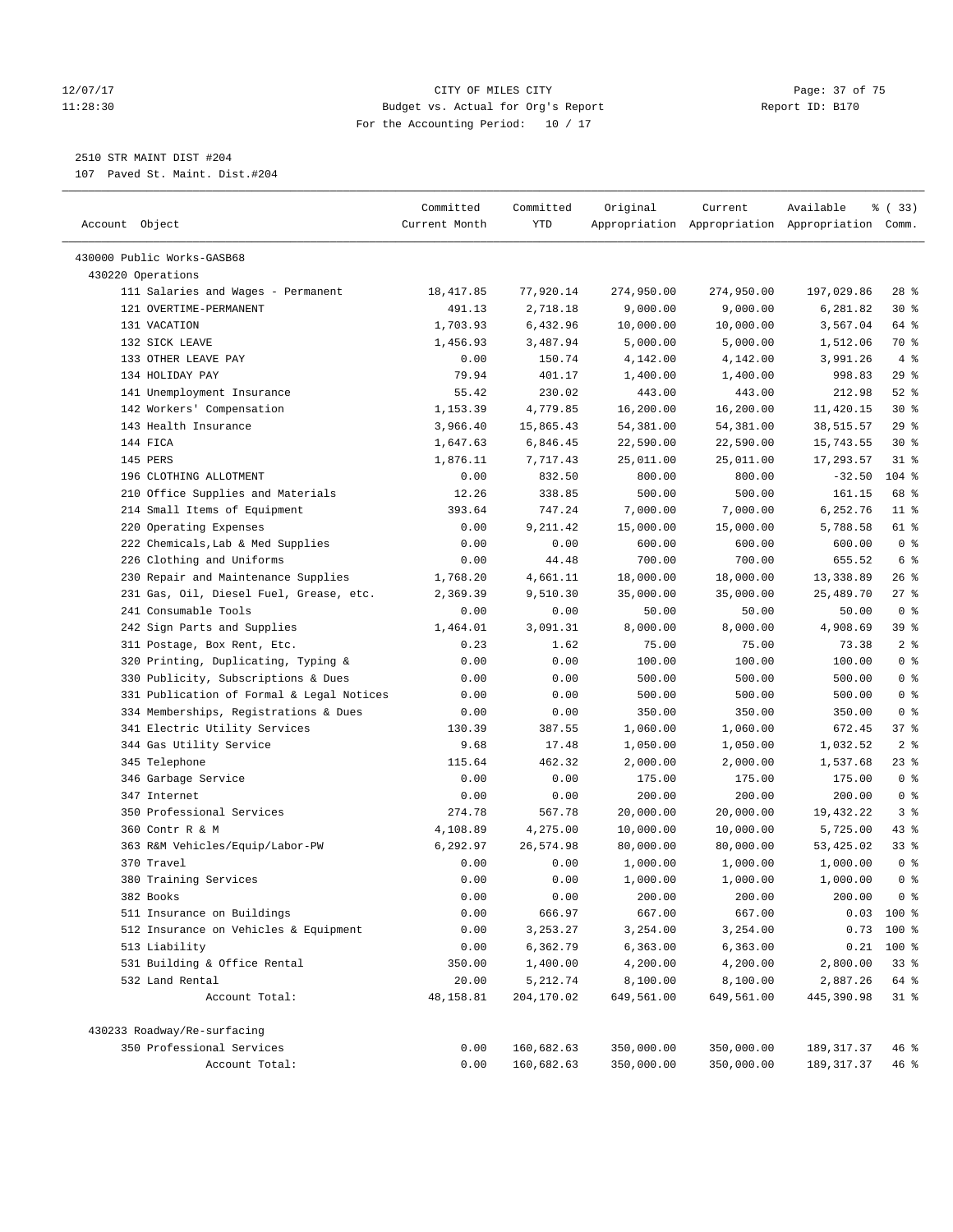#### 12/07/17 Page: 37 of 75 11:28:30 Budget vs. Actual for Org's Report Report ID: B170 For the Accounting Period: 10 / 17

————————————————————————————————————————————————————————————————————————————————————————————————————————————————————————————————————

# 2510 STR MAINT DIST #204

107 Paved St. Maint. Dist.#204

| Account Object<br><b>YTD</b><br>Appropriation Appropriation Appropriation Comm.<br>Current Month                                  |                  |
|-----------------------------------------------------------------------------------------------------------------------------------|------------------|
|                                                                                                                                   |                  |
|                                                                                                                                   |                  |
| 430000 Public Works-GASB68                                                                                                        |                  |
| 430220 Operations                                                                                                                 |                  |
| 111 Salaries and Wages - Permanent<br>18, 417.85<br>77,920.14<br>274,950.00<br>274,950.00<br>197,029.86<br>121 OVERTIME-PERMANENT | 28 %             |
| 491.13<br>2,718.18<br>9,000.00<br>9,000.00<br>6,281.82                                                                            | $30*$            |
| 131 VACATION<br>1,703.93<br>6,432.96<br>10,000.00<br>10,000.00<br>3,567.04<br>132 SICK LEAVE<br>3,487.94                          | 64 %<br>70 %     |
| 5,000.00<br>5,000.00<br>1,456.93<br>1,512.06                                                                                      | 4%               |
| 133 OTHER LEAVE PAY<br>150.74<br>4,142.00<br>4,142.00<br>3,991.26<br>0.00<br>134 HOLIDAY PAY                                      |                  |
| 79.94<br>401.17<br>998.83<br>1,400.00<br>1,400.00                                                                                 | $29$ %<br>$52$ % |
| 141 Unemployment Insurance<br>55.42<br>230.02<br>443.00<br>212.98<br>443.00<br>1,153.39                                           |                  |
| 142 Workers' Compensation<br>4,779.85<br>16,200.00<br>16,200.00<br>11,420.15                                                      | $30*$            |
| 143 Health Insurance<br>15,865.43<br>3,966.40<br>54,381.00<br>54,381.00<br>38,515.57                                              | 29%              |
| 6,846.45<br>144 FICA<br>1,647.63<br>22,590.00<br>22,590.00<br>15,743.55                                                           | $30*$            |
| 145 PERS<br>1,876.11<br>7,717.43<br>25,011.00<br>25,011.00<br>17,293.57                                                           | $31$ %           |
| 196 CLOTHING ALLOTMENT<br>0.00<br>832.50<br>800.00<br>800.00<br>$-32.50$                                                          | $104$ %          |
| 210 Office Supplies and Materials<br>12.26<br>338.85<br>500.00<br>500.00<br>161.15                                                | 68 %             |
| 214 Small Items of Equipment<br>393.64<br>747.24<br>7,000.00<br>6,252.76<br>7,000.00                                              | $11$ %           |
| 220 Operating Expenses<br>0.00<br>9,211.42<br>15,000.00<br>15,000.00<br>5,788.58                                                  | 61 %             |
| 222 Chemicals, Lab & Med Supplies<br>0.00<br>0.00<br>600.00<br>600.00<br>600.00                                                   | 0 <sup>8</sup>   |
| 226 Clothing and Uniforms<br>0.00<br>44.48<br>700.00<br>700.00<br>655.52                                                          | 6 <sup>°</sup>   |
| 230 Repair and Maintenance Supplies<br>18,000.00<br>18,000.00<br>13,338.89<br>1,768.20<br>4,661.11                                | 26%              |
| 231 Gas, Oil, Diesel Fuel, Grease, etc.<br>25,489.70<br>2,369.39<br>9,510.30<br>35,000.00<br>35,000.00                            | 27%              |
| 241 Consumable Tools<br>0.00<br>0.00<br>50.00<br>50.00<br>50.00                                                                   | 0 <sup>8</sup>   |
| 242 Sign Parts and Supplies<br>3,091.31<br>8,000.00<br>8,000.00<br>4,908.69<br>1,464.01                                           | 39 %             |
| 311 Postage, Box Rent, Etc.<br>75.00<br>0.23<br>1.62<br>75.00<br>73.38                                                            | 2 <sup>°</sup>   |
| 320 Printing, Duplicating, Typing &<br>0.00<br>0.00<br>100.00<br>100.00<br>100.00                                                 | 0 <sup>8</sup>   |
| 330 Publicity, Subscriptions & Dues<br>0.00<br>0.00<br>500.00<br>500.00<br>500.00                                                 | 0 <sup>8</sup>   |
| 331 Publication of Formal & Legal Notices<br>0.00<br>0.00<br>500.00<br>500.00<br>500.00                                           | 0 <sup>8</sup>   |
| 334 Memberships, Registrations & Dues<br>350.00<br>350.00<br>350.00<br>0.00<br>0.00                                               | 0 <sup>8</sup>   |
| 341 Electric Utility Services<br>130.39<br>387.55<br>1,060.00<br>1,060.00<br>672.45                                               | 37 %             |
| 344 Gas Utility Service<br>9.68<br>17.48<br>1,032.52<br>1,050.00<br>1,050.00                                                      | 2 <sup>°</sup>   |
| 345 Telephone<br>115.64<br>462.32<br>1,537.68<br>2,000.00<br>2,000.00                                                             | 23 %             |
| 346 Garbage Service<br>175.00<br>0.00<br>0.00<br>175.00<br>175.00                                                                 | 0 <sup>8</sup>   |
| 200.00<br>347 Internet<br>0.00<br>0.00<br>200.00<br>200.00                                                                        | 0 <sup>8</sup>   |
| 350 Professional Services<br>274.78<br>567.78<br>20,000.00<br>20,000.00<br>19,432.22                                              | 3%               |
| 360 Contr R & M<br>4,108.89<br>4,275.00<br>10,000.00<br>5,725.00<br>10,000.00                                                     | 43 %             |
| 6,292.97<br>26,574.98<br>53,425.02<br>363 R&M Vehicles/Equip/Labor-PW<br>80,000.00<br>80,000.00                                   | $33$ $%$         |
| 370 Travel<br>1,000.00<br>1,000.00<br>0.00<br>0.00<br>1,000.00                                                                    | 0 <sup>8</sup>   |
| 380 Training Services<br>0.00<br>0.00<br>1,000.00<br>1,000.00<br>1,000.00                                                         | 0 <sup>8</sup>   |
| 382 Books<br>0.00<br>0.00<br>200.00<br>200.00<br>200.00                                                                           | 0 <sup>8</sup>   |
| 511 Insurance on Buildings<br>0.00<br>666.97<br>667.00<br>667.00                                                                  | $0.03$ 100 %     |
| 512 Insurance on Vehicles & Equipment<br>0.00<br>3, 253. 27<br>3,254.00<br>3,254.00<br>0.73                                       | 100 %            |
| 513 Liability<br>6,362.79<br>6, 363.00<br>6,363.00<br>0.21<br>0.00                                                                | $100$ %          |
| 531 Building & Office Rental<br>4,200.00<br>2,800.00<br>350.00<br>1,400.00<br>4,200.00                                            | 33%              |
| 532 Land Rental<br>20.00<br>5,212.74<br>8,100.00<br>8,100.00<br>2,887.26                                                          | 64 %             |
| Account Total:<br>48,158.81<br>204,170.02<br>649,561.00<br>649,561.00<br>445,390.98                                               | $31$ %           |
| 430233 Roadway/Re-surfacing                                                                                                       |                  |
| 350 Professional Services<br>160,682.63<br>0.00<br>350,000.00<br>350,000.00<br>189,317.37                                         | 46 %             |
| Account Total:<br>0.00<br>160,682.63<br>350,000.00<br>350,000.00<br>189, 317.37                                                   | 46 %             |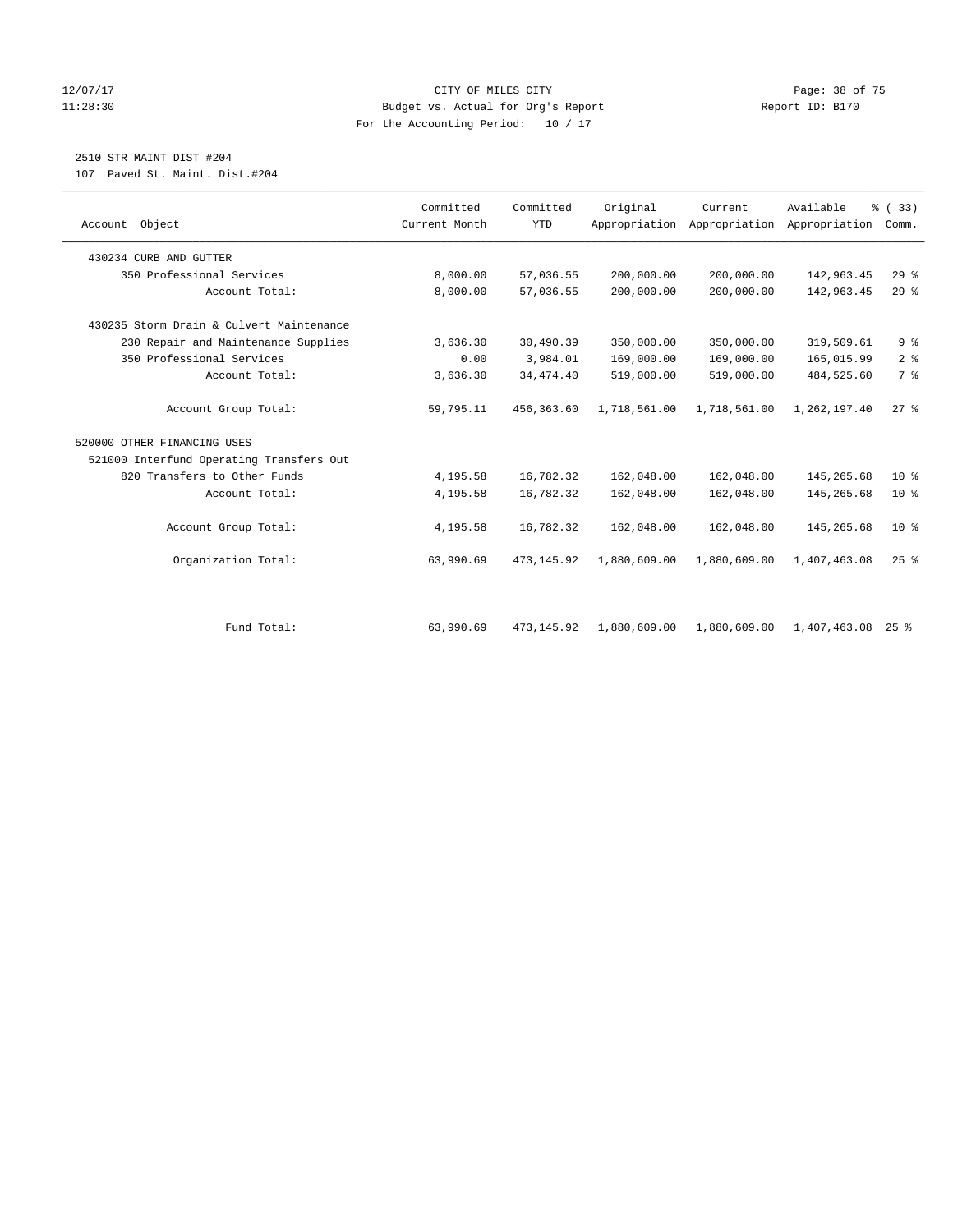# 12/07/17 Page: 38 of 75 11:28:30 Budget vs. Actual for Org's Report Report ID: B170 For the Accounting Period: 10 / 17

# 2510 STR MAINT DIST #204

107 Paved St. Maint. Dist.#204

| Account Object                           | Committed<br>Current Month | Committed<br><b>YTD</b> | Original     | Current<br>Appropriation Appropriation | Available<br>Appropriation | % (33)<br>Comm. |
|------------------------------------------|----------------------------|-------------------------|--------------|----------------------------------------|----------------------------|-----------------|
|                                          |                            |                         |              |                                        |                            |                 |
| 430234 CURB AND GUTTER                   |                            |                         |              |                                        |                            |                 |
| 350 Professional Services                | 8,000.00                   | 57,036.55               | 200,000.00   | 200,000.00                             | 142,963.45                 | 29%             |
| Account Total:                           | 8,000.00                   | 57,036.55               | 200,000.00   | 200,000.00                             | 142,963.45                 | $29$ $%$        |
| 430235 Storm Drain & Culvert Maintenance |                            |                         |              |                                        |                            |                 |
| 230 Repair and Maintenance Supplies      | 3,636.30                   | 30,490.39               | 350,000.00   | 350,000.00                             | 319,509.61                 | 9 <sup>°</sup>  |
| 350 Professional Services                | 0.00                       | 3,984.01                | 169,000.00   | 169,000.00                             | 165,015.99                 | 2 <sup>°</sup>  |
| Account Total:                           | 3,636.30                   | 34, 474. 40             | 519,000.00   | 519,000.00                             | 484,525.60                 | 7 <sup>°</sup>  |
| Account Group Total:                     | 59,795.11                  | 456,363.60              | 1,718,561.00 | 1,718,561.00                           | 1,262,197.40               | $27$ $%$        |
| 520000 OTHER FINANCING USES              |                            |                         |              |                                        |                            |                 |
| 521000 Interfund Operating Transfers Out |                            |                         |              |                                        |                            |                 |
| 820 Transfers to Other Funds             | 4,195.58                   | 16,782.32               | 162,048.00   | 162,048.00                             | 145,265.68                 | $10*$           |
| Account Total:                           | 4,195.58                   | 16,782.32               | 162,048.00   | 162,048.00                             | 145,265.68                 | $10*$           |
| Account Group Total:                     | 4,195.58                   | 16,782.32               | 162,048.00   | 162,048.00                             | 145,265.68                 | 10 <sup>8</sup> |
| Organization Total:                      | 63,990.69                  | 473, 145.92             | 1,880,609.00 | 1,880,609.00                           | 1,407,463.08               | $25$ $%$        |
|                                          |                            |                         |              |                                        |                            |                 |
| Fund Total:                              | 63,990.69                  | 473, 145.92             | 1,880,609.00 | 1,880,609.00                           | $1,407,463.08$ 25 %        |                 |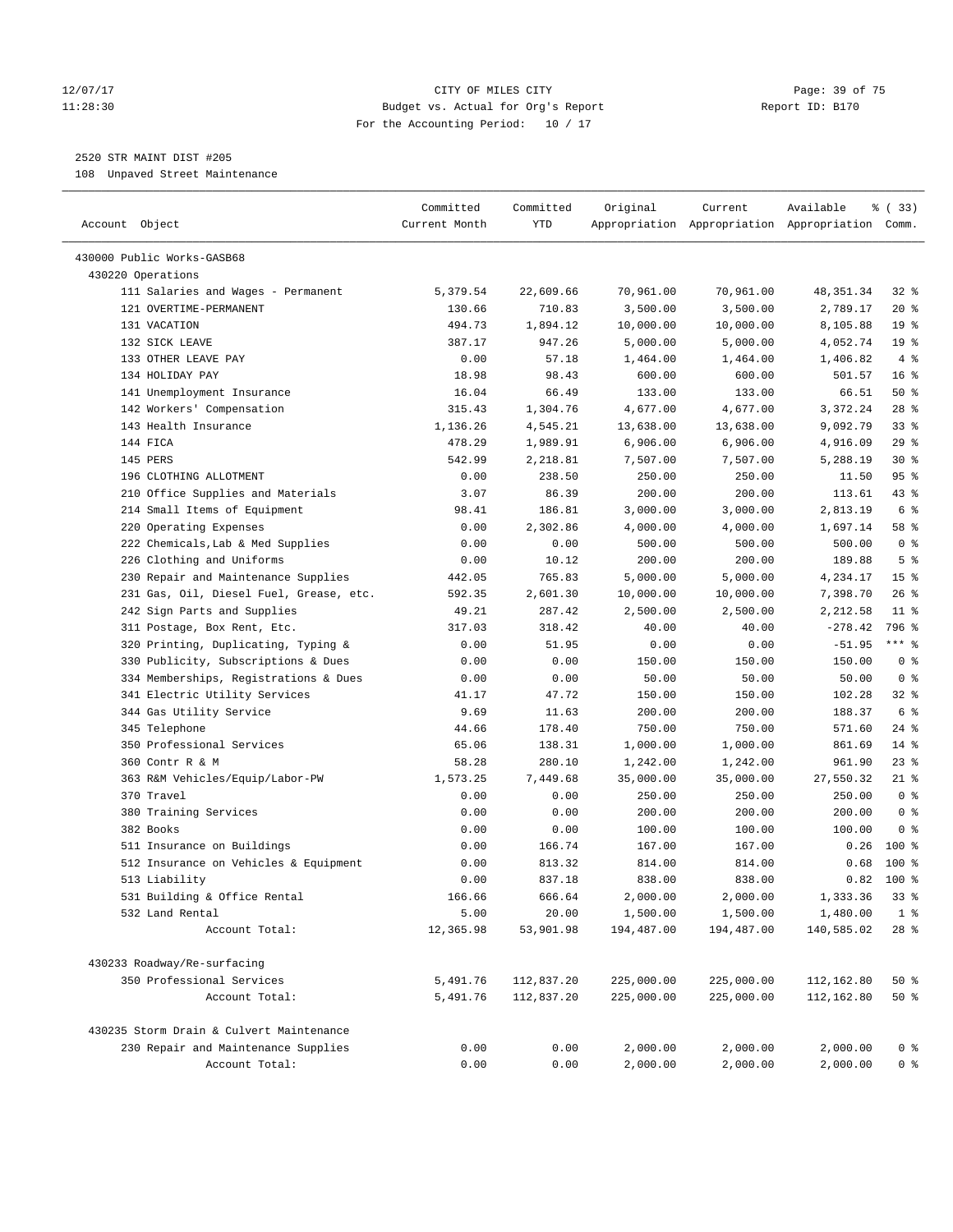# 12/07/17 Page: 39 of 75 11:28:30 Budget vs. Actual for Org's Report Report ID: B170 For the Accounting Period: 10 / 17

————————————————————————————————————————————————————————————————————————————————————————————————————————————————————————————————————

# 2520 STR MAINT DIST #205

108 Unpaved Street Maintenance

|                                          | Committed     | Committed  | Original           | Current    | Available                                       | % ( 33)         |
|------------------------------------------|---------------|------------|--------------------|------------|-------------------------------------------------|-----------------|
| Account Object                           | Current Month | YTD        |                    |            | Appropriation Appropriation Appropriation Comm. |                 |
| 430000 Public Works-GASB68               |               |            |                    |            |                                                 |                 |
| 430220 Operations                        |               |            |                    |            |                                                 |                 |
| 111 Salaries and Wages - Permanent       | 5,379.54      | 22,609.66  | 70,961.00          | 70,961.00  | 48,351.34                                       | $32$ $%$        |
| 121 OVERTIME-PERMANENT                   | 130.66        | 710.83     | 3,500.00           | 3,500.00   | 2,789.17                                        | $20*$           |
| 131 VACATION                             | 494.73        | 1,894.12   | 10,000.00          | 10,000.00  | 8,105.88                                        | 19 <sup>°</sup> |
| 132 SICK LEAVE                           | 387.17        | 947.26     | 5,000.00           | 5,000.00   | 4,052.74                                        | 19 <sup>°</sup> |
| 133 OTHER LEAVE PAY                      | 0.00          | 57.18      | 1,464.00           | 1,464.00   | 1,406.82                                        | 4%              |
| 134 HOLIDAY PAY                          | 18.98         | 98.43      | 600.00             | 600.00     | 501.57                                          | 16 <sup>°</sup> |
| 141 Unemployment Insurance               | 16.04         | 66.49      | 133.00             | 133.00     | 66.51                                           | 50%             |
| 142 Workers' Compensation                | 315.43        | 1,304.76   | 4,677.00           | 4,677.00   | 3,372.24                                        | $28$ %          |
| 143 Health Insurance                     | 1,136.26      | 4,545.21   | 13,638.00          | 13,638.00  | 9,092.79                                        | 33%             |
| 144 FICA                                 | 478.29        | 1,989.91   | 6,906.00           | 6,906.00   | 4,916.09                                        | 29%             |
| 145 PERS                                 | 542.99        | 2,218.81   | 7,507.00           | 7,507.00   | 5,288.19                                        | $30*$           |
| 196 CLOTHING ALLOTMENT                   | 0.00          | 238.50     | 250.00             | 250.00     | 11.50                                           | 95%             |
| 210 Office Supplies and Materials        | 3.07          | 86.39      | 200.00             | 200.00     | 113.61                                          | $43$ %          |
| 214 Small Items of Equipment             | 98.41         | 186.81     | 3,000.00           | 3,000.00   | 2,813.19                                        | 6 %             |
| 220 Operating Expenses                   | 0.00          | 2,302.86   | 4,000.00           | 4,000.00   | 1,697.14                                        | 58 %            |
| 222 Chemicals, Lab & Med Supplies        | 0.00          | 0.00       | 500.00             | 500.00     | 500.00                                          | 0 <sup>8</sup>  |
|                                          |               |            |                    |            |                                                 | 5 <sup>°</sup>  |
| 226 Clothing and Uniforms                | 0.00          | 10.12      | 200.00<br>5,000.00 | 200.00     | 189.88                                          |                 |
| 230 Repair and Maintenance Supplies      | 442.05        | 765.83     |                    | 5,000.00   | 4,234.17                                        | 15 <sup>°</sup> |
| 231 Gas, Oil, Diesel Fuel, Grease, etc.  | 592.35        | 2,601.30   | 10,000.00          | 10,000.00  | 7,398.70                                        | $26$ %          |
| 242 Sign Parts and Supplies              | 49.21         | 287.42     | 2,500.00           | 2,500.00   | 2,212.58                                        | $11$ %          |
| 311 Postage, Box Rent, Etc.              | 317.03        | 318.42     | 40.00              | 40.00      | $-278.42$                                       | 796 %           |
| 320 Printing, Duplicating, Typing &      | 0.00          | 51.95      | 0.00               | 0.00       | $-51.95$                                        | $***$ $%$       |
| 330 Publicity, Subscriptions & Dues      | 0.00          | 0.00       | 150.00             | 150.00     | 150.00                                          | 0 <sup>8</sup>  |
| 334 Memberships, Registrations & Dues    | 0.00          | 0.00       | 50.00              | 50.00      | 50.00                                           | 0 <sup>8</sup>  |
| 341 Electric Utility Services            | 41.17         | 47.72      | 150.00             | 150.00     | 102.28                                          | 32%             |
| 344 Gas Utility Service                  | 9.69          | 11.63      | 200.00             | 200.00     | 188.37                                          | 6 %             |
| 345 Telephone                            | 44.66         | 178.40     | 750.00             | 750.00     | 571.60                                          | $24$ %          |
| 350 Professional Services                | 65.06         | 138.31     | 1,000.00           | 1,000.00   | 861.69                                          | $14*$           |
| 360 Contr R & M                          | 58.28         | 280.10     | 1,242.00           | 1,242.00   | 961.90                                          | 23%             |
| 363 R&M Vehicles/Equip/Labor-PW          | 1,573.25      | 7,449.68   | 35,000.00          | 35,000.00  | 27,550.32                                       | $21$ %          |
| 370 Travel                               | 0.00          | 0.00       | 250.00             | 250.00     | 250.00                                          | 0 <sup>8</sup>  |
| 380 Training Services                    | 0.00          | 0.00       | 200.00             | 200.00     | 200.00                                          | 0 <sup>8</sup>  |
| 382 Books                                | 0.00          | 0.00       | 100.00             | 100.00     | 100.00                                          | 0 <sup>8</sup>  |
| 511 Insurance on Buildings               | 0.00          | 166.74     | 167.00             | 167.00     | 0.26                                            | $100*$          |
| 512 Insurance on Vehicles & Equipment    | 0.00          | 813.32     | 814.00             | 814.00     | 0.68                                            | $100*$          |
| 513 Liability                            | 0.00          | 837.18     | 838.00             | 838.00     | 0.82                                            | $100$ %         |
| 531 Building & Office Rental             | 166.66        | 666.64     | 2,000.00           | 2,000.00   | 1,333.36                                        | 33%             |
| 532 Land Rental                          | 5.00          | 20.00      | 1,500.00           | 1,500.00   | 1,480.00                                        | 1 <sup>8</sup>  |
| Account Total:                           | 12,365.98     | 53,901.98  | 194,487.00         | 194,487.00 | 140,585.02                                      | $28$ %          |
| 430233 Roadway/Re-surfacing              |               |            |                    |            |                                                 |                 |
| 350 Professional Services                | 5,491.76      | 112,837.20 | 225,000.00         | 225,000.00 | 112,162.80                                      | 50%             |
| Account Total:                           | 5,491.76      | 112,837.20 | 225,000.00         | 225,000.00 | 112,162.80                                      | 50%             |
| 430235 Storm Drain & Culvert Maintenance |               |            |                    |            |                                                 |                 |
| 230 Repair and Maintenance Supplies      | 0.00          | 0.00       | 2,000.00           | 2,000.00   | 2,000.00                                        | 0 <sup>8</sup>  |
| Account Total:                           | 0.00          | 0.00       | 2,000.00           | 2,000.00   | 2,000.00                                        | 0 <sup>8</sup>  |
|                                          |               |            |                    |            |                                                 |                 |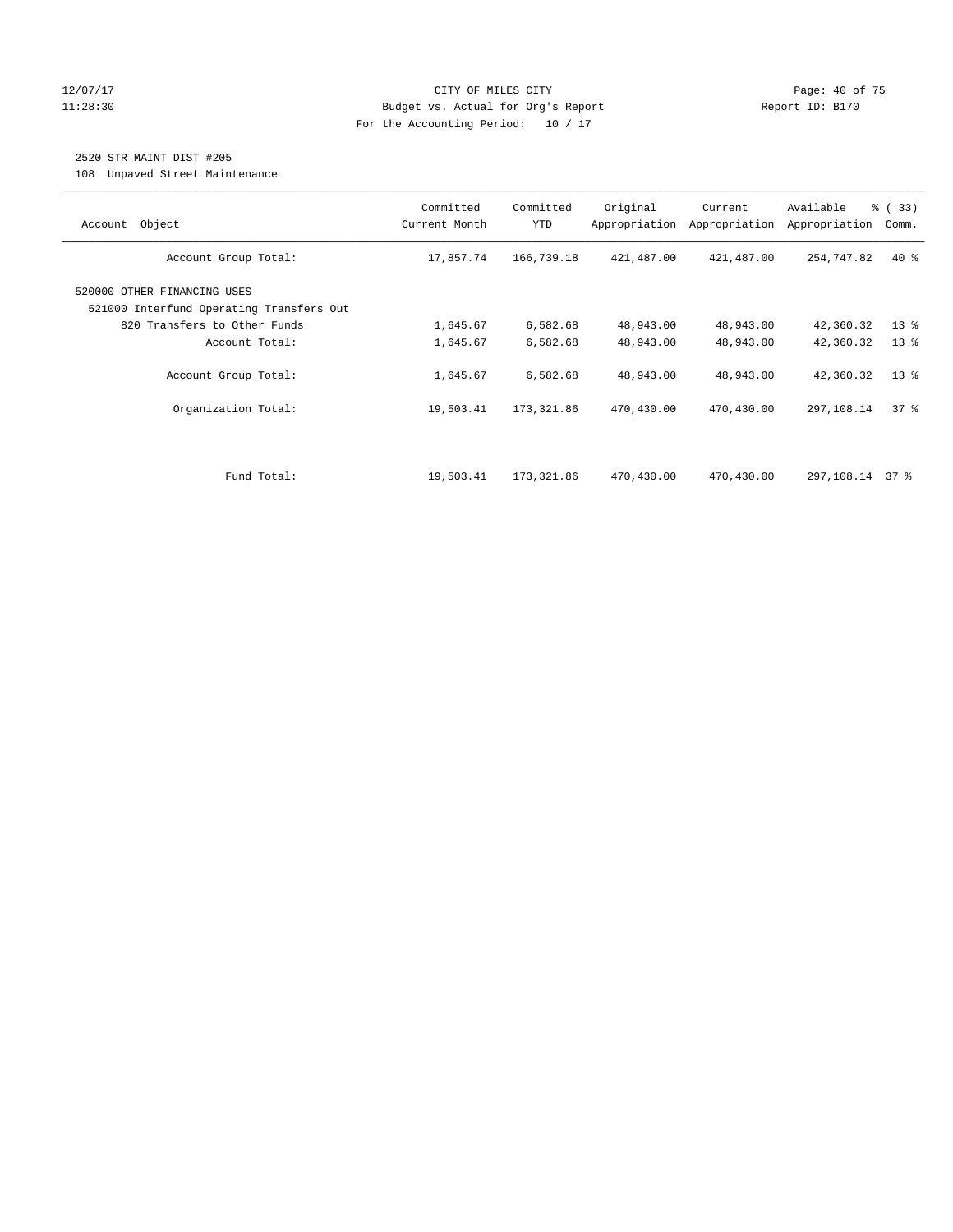# 12/07/17 Page: 40 of 75 11:28:30 Budget vs. Actual for Org's Report Report ID: B170 For the Accounting Period: 10 / 17

# 2520 STR MAINT DIST #205

108 Unpaved Street Maintenance

| Object<br>Account                                                       | Committed<br>Current Month | Committed<br><b>YTD</b> | Original<br>Appropriation | Current<br>Appropriation | Available<br>Appropriation | % (33)<br>Comm. |
|-------------------------------------------------------------------------|----------------------------|-------------------------|---------------------------|--------------------------|----------------------------|-----------------|
| Account Group Total:                                                    | 17,857.74                  | 166,739.18              | 421,487.00                | 421,487.00               | 254,747.82                 | $40*$           |
| 520000 OTHER FINANCING USES<br>521000 Interfund Operating Transfers Out |                            |                         |                           |                          |                            |                 |
| 820 Transfers to Other Funds                                            | 1,645.67                   | 6,582.68                | 48,943.00                 | 48,943.00                | 42,360.32                  | $13*$           |
| Account Total:                                                          | 1,645.67                   | 6,582.68                | 48,943.00                 | 48,943.00                | 42,360.32                  | $13*$           |
| Account Group Total:                                                    | 1,645.67                   | 6,582.68                | 48,943.00                 | 48,943.00                | 42,360.32                  | $13*$           |
| Organization Total:                                                     | 19,503.41                  | 173,321.86              | 470,430.00                | 470,430.00               | 297,108.14                 | 37%             |
|                                                                         |                            |                         |                           |                          |                            |                 |
| Fund Total:                                                             | 19,503.41                  | 173,321.86              | 470,430.00                | 470,430.00               | 297,108.14 37 %            |                 |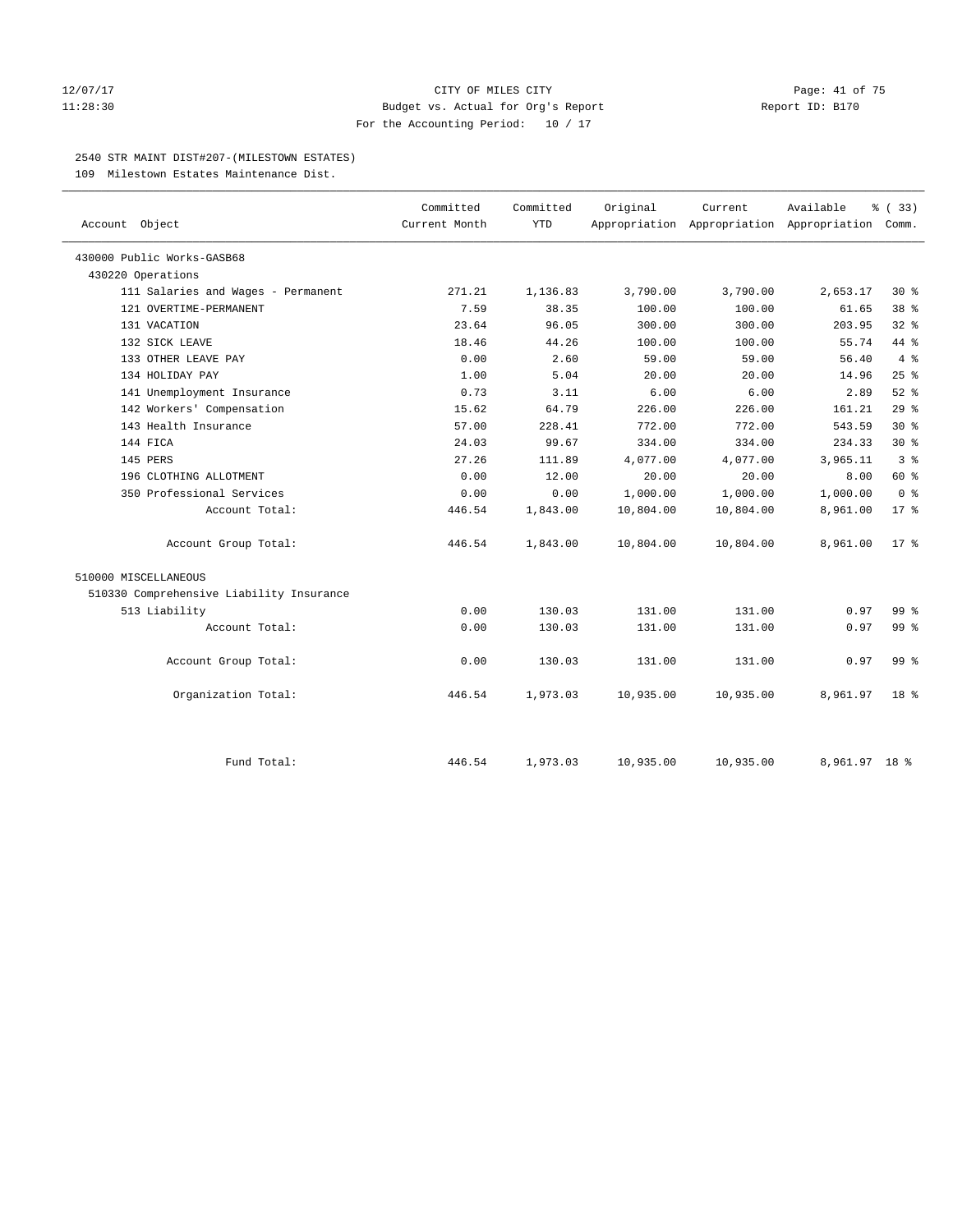### 12/07/17 Page: 41 of 75 11:28:30 Budget vs. Actual for Org's Report Report ID: B170 For the Accounting Period: 10 / 17

# 2540 STR MAINT DIST#207-(MILESTOWN ESTATES)

109 Milestown Estates Maintenance Dist.

| Account Object                           | Committed<br>Current Month | Committed<br><b>YTD</b> | Original  | Current   | Available<br>Appropriation Appropriation Appropriation Comm. | % (33)          |
|------------------------------------------|----------------------------|-------------------------|-----------|-----------|--------------------------------------------------------------|-----------------|
| 430000 Public Works-GASB68               |                            |                         |           |           |                                                              |                 |
| 430220 Operations                        |                            |                         |           |           |                                                              |                 |
| 111 Salaries and Wages - Permanent       | 271.21                     | 1,136.83                | 3,790.00  | 3,790.00  | 2,653.17                                                     | $30*$           |
| 121 OVERTIME-PERMANENT                   | 7.59                       | 38.35                   | 100.00    | 100.00    | 61.65                                                        | 38 <sup>8</sup> |
| 131 VACATION                             | 23.64                      | 96.05                   | 300.00    | 300.00    | 203.95                                                       | $32$ $%$        |
| 132 SICK LEAVE                           | 18.46                      | 44.26                   | 100.00    | 100.00    | 55.74                                                        | 44 %            |
| 133 OTHER LEAVE PAY                      | 0.00                       | 2.60                    | 59.00     | 59.00     | 56.40                                                        | $4\degree$      |
| 134 HOLIDAY PAY                          | 1.00                       | 5.04                    | 20.00     | 20.00     | 14.96                                                        | 25%             |
| 141 Unemployment Insurance               | 0.73                       | 3.11                    | 6.00      | 6.00      | 2.89                                                         | $52$ $%$        |
| 142 Workers' Compensation                | 15.62                      | 64.79                   | 226.00    | 226.00    | 161.21                                                       | 29%             |
| 143 Health Insurance                     | 57.00                      | 228.41                  | 772.00    | 772.00    | 543.59                                                       | $30*$           |
| 144 FICA                                 | 24.03                      | 99.67                   | 334.00    | 334.00    | 234.33                                                       | $30*$           |
| 145 PERS                                 | 27.26                      | 111.89                  | 4,077.00  | 4,077.00  | 3,965.11                                                     | 3 <sup>8</sup>  |
| 196 CLOTHING ALLOTMENT                   | 0.00                       | 12.00                   | 20.00     | 20.00     | 8.00                                                         | 60 %            |
| 350 Professional Services                | 0.00                       | 0.00                    | 1,000.00  | 1,000.00  | 1,000.00                                                     | 0 <sup>8</sup>  |
| Account Total:                           | 446.54                     | 1,843.00                | 10,804.00 | 10,804.00 | 8,961.00                                                     | $17*$           |
| Account Group Total:                     | 446.54                     | 1,843.00                | 10,804.00 | 10,804.00 | 8,961.00                                                     | $17*$           |
| 510000 MISCELLANEOUS                     |                            |                         |           |           |                                                              |                 |
| 510330 Comprehensive Liability Insurance |                            |                         |           |           |                                                              |                 |
| 513 Liability                            | 0.00                       | 130.03                  | 131.00    | 131.00    | 0.97                                                         | 99 <sub>8</sub> |
| Account Total:                           | 0.00                       | 130.03                  | 131.00    | 131.00    | 0.97                                                         | 99 <sup>°</sup> |
| Account Group Total:                     | 0.00                       | 130.03                  | 131.00    | 131.00    | 0.97                                                         | 99 <sup>8</sup> |
| Organization Total:                      | 446.54                     | 1,973.03                | 10,935.00 | 10,935.00 | 8,961.97                                                     | 18 %            |
| Fund Total:                              | 446.54                     | 1,973.03                | 10,935.00 | 10,935.00 | 8,961.97 18 %                                                |                 |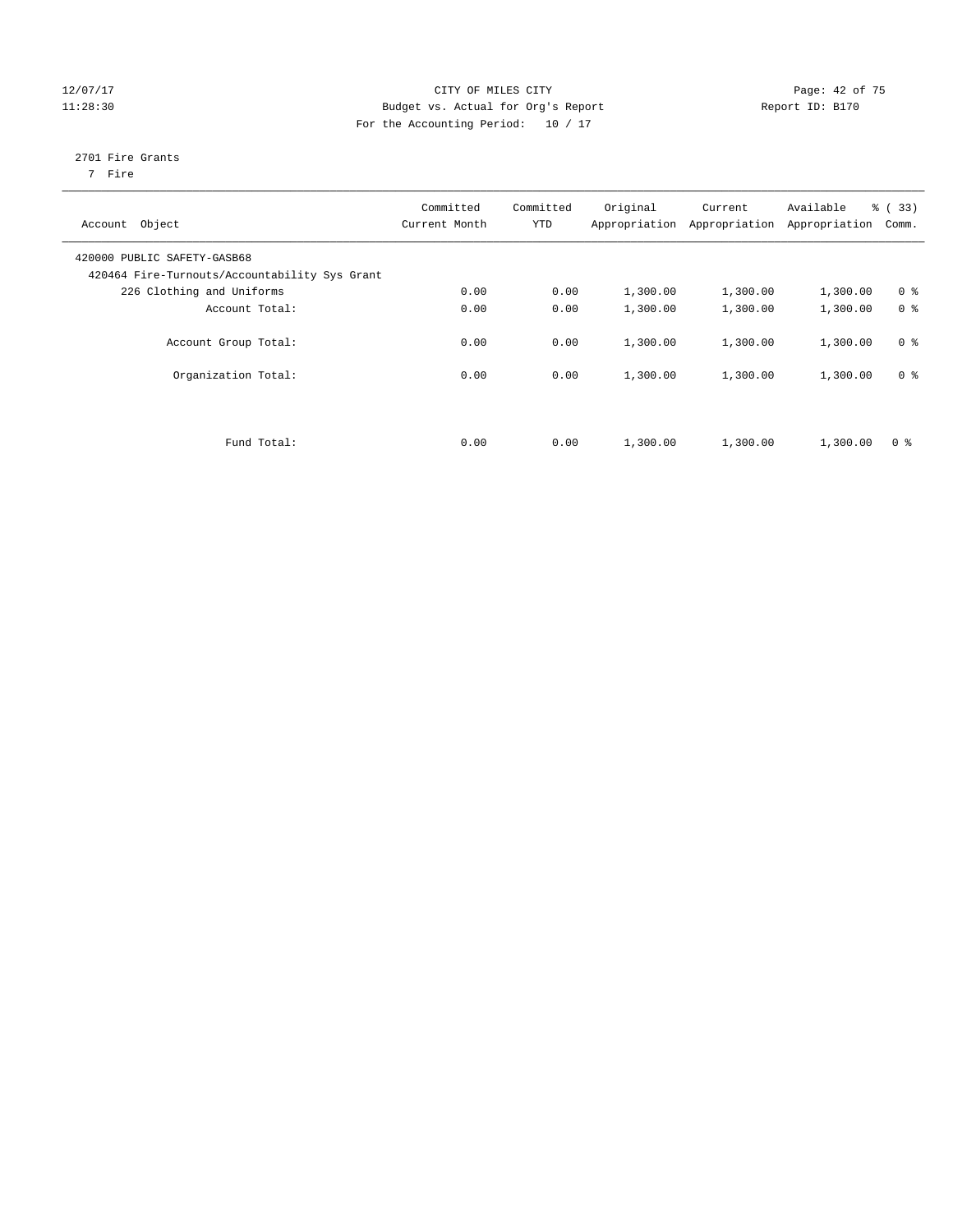# 12/07/17 Page: 42 of 75 11:28:30 Budget vs. Actual for Org's Report Report ID: B170 For the Accounting Period: 10 / 17

# 2701 Fire Grants

7 Fire

| Account Object                                                               | Committed<br>Current Month | Committed<br><b>YTD</b> | Original | Current<br>Appropriation Appropriation | Available<br>Appropriation | % (33)<br>Comm. |
|------------------------------------------------------------------------------|----------------------------|-------------------------|----------|----------------------------------------|----------------------------|-----------------|
| 420000 PUBLIC SAFETY-GASB68<br>420464 Fire-Turnouts/Accountability Sys Grant |                            |                         |          |                                        |                            |                 |
| 226 Clothing and Uniforms                                                    | 0.00                       | 0.00                    | 1,300.00 | 1,300.00                               | 1,300.00                   | 0 <sup>8</sup>  |
| Account Total:                                                               | 0.00                       | 0.00                    | 1,300.00 | 1,300.00                               | 1,300.00                   | 0 <sup>8</sup>  |
| Account Group Total:                                                         | 0.00                       | 0.00                    | 1,300.00 | 1,300.00                               | 1,300.00                   | 0 <sup>8</sup>  |
| Organization Total:                                                          | 0.00                       | 0.00                    | 1,300.00 | 1,300.00                               | 1,300.00                   | 0 <sup>8</sup>  |
|                                                                              |                            |                         |          |                                        |                            |                 |
| Fund Total:                                                                  | 0.00                       | 0.00                    | 1,300.00 | 1,300.00                               | 1,300.00                   | 0 <sup>8</sup>  |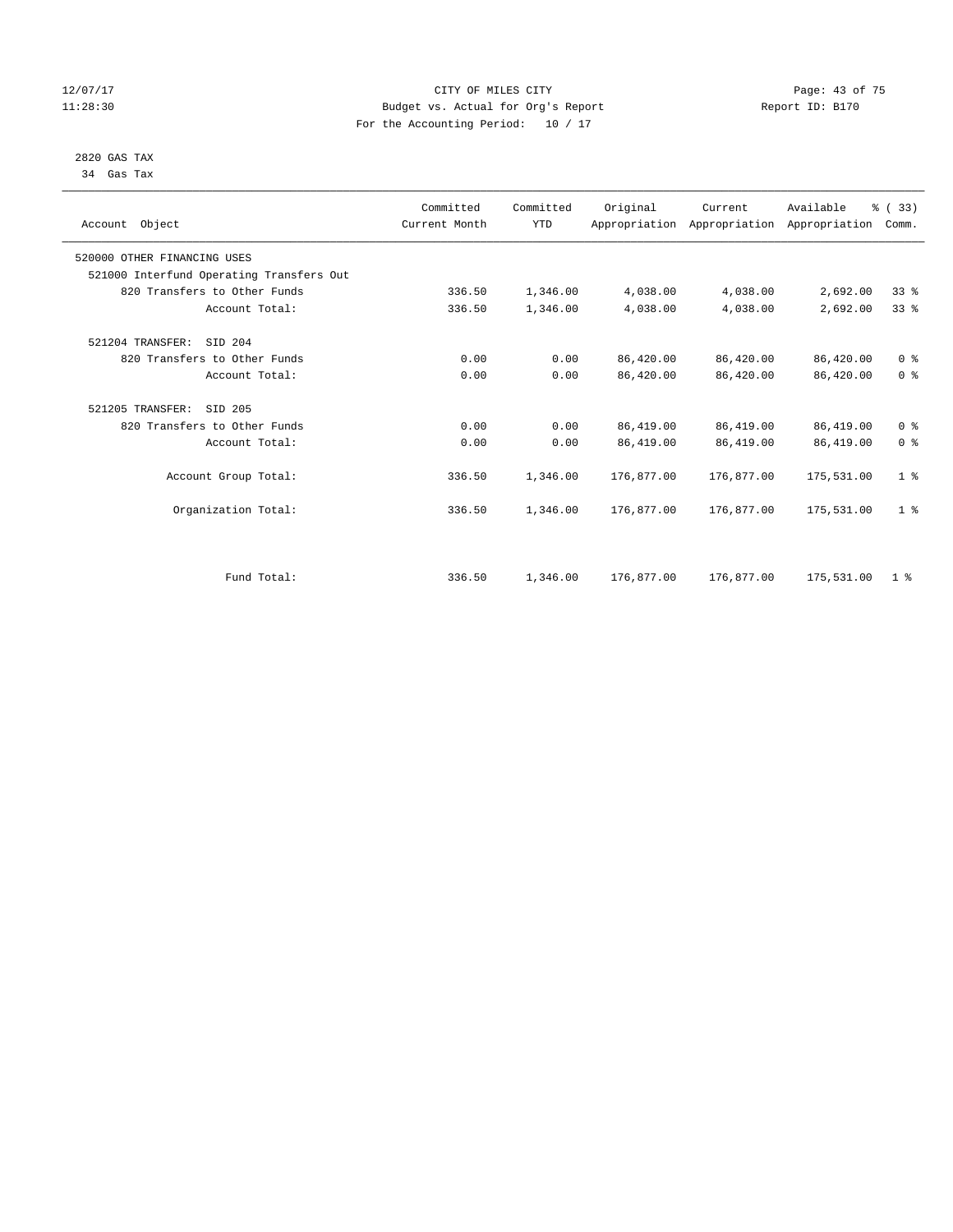# 12/07/17 Page: 43 of 75 11:28:30 Budget vs. Actual for Org's Report Report ID: B170 For the Accounting Period: 10 / 17

#### 2820 GAS TAX 34 Gas Tax

| Account Object                           | Committed<br>Current Month | Committed<br><b>YTD</b> | Original   | Current    | Available<br>Appropriation Appropriation Appropriation | % (33)<br>Comm. |
|------------------------------------------|----------------------------|-------------------------|------------|------------|--------------------------------------------------------|-----------------|
| 520000 OTHER FINANCING USES              |                            |                         |            |            |                                                        |                 |
| 521000 Interfund Operating Transfers Out |                            |                         |            |            |                                                        |                 |
| 820 Transfers to Other Funds             | 336.50                     | 1,346.00                | 4,038.00   | 4,038.00   | 2,692.00                                               | $33*$           |
| Account Total:                           | 336.50                     | 1,346.00                | 4,038.00   | 4,038.00   | 2,692.00                                               | 33%             |
| 521204 TRANSFER:<br>SID 204              |                            |                         |            |            |                                                        |                 |
| 820 Transfers to Other Funds             | 0.00                       | 0.00                    | 86,420.00  | 86,420.00  | 86,420.00                                              | 0 <sup>8</sup>  |
| Account Total:                           | 0.00                       | 0.00                    | 86,420.00  | 86,420.00  | 86,420.00                                              | 0 <sup>8</sup>  |
| 521205 TRANSFER:<br>SID 205              |                            |                         |            |            |                                                        |                 |
| 820 Transfers to Other Funds             | 0.00                       | 0.00                    | 86,419.00  | 86,419.00  | 86,419.00                                              | 0 <sup>8</sup>  |
| Account Total:                           | 0.00                       | 0.00                    | 86,419.00  | 86,419.00  | 86, 419.00                                             | 0 <sup>8</sup>  |
| Account Group Total:                     | 336.50                     | 1,346.00                | 176,877.00 | 176,877.00 | 175,531.00                                             | 1 <sup>8</sup>  |
| Organization Total:                      | 336.50                     | 1,346.00                | 176,877.00 | 176,877.00 | 175,531.00                                             | 1 <sup>8</sup>  |
|                                          |                            |                         |            |            |                                                        |                 |
| Fund Total:                              | 336.50                     | 1,346.00                | 176,877.00 | 176,877.00 | 175,531.00                                             | 1 <sup>8</sup>  |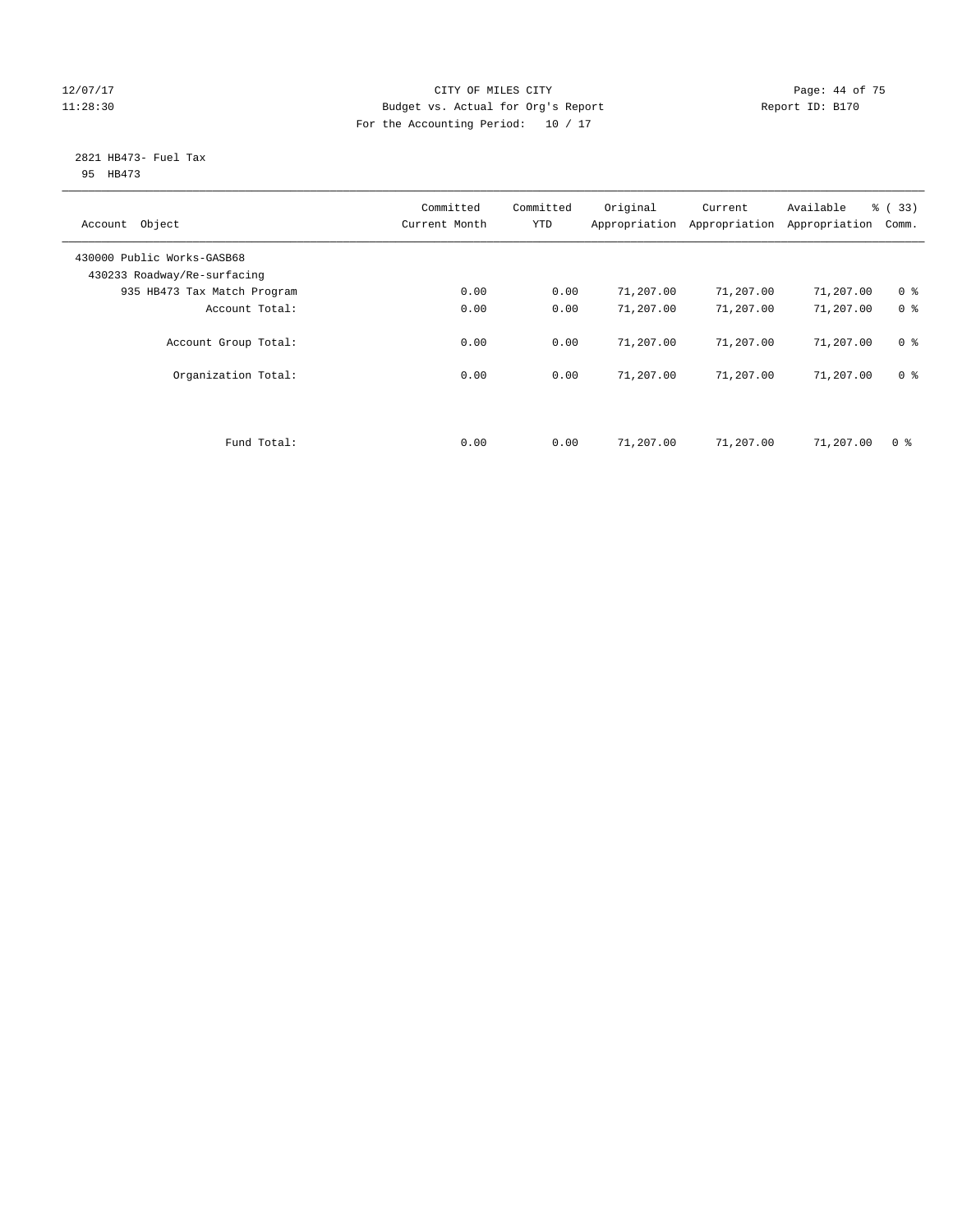# 12/07/17 Page: 44 of 75 11:28:30 Budget vs. Actual for Org's Report Report ID: B170 For the Accounting Period: 10 / 17

#### 2821 HB473- Fuel Tax 95 HB473

| Account Object                                            | Committed<br>Current Month | Committed<br><b>YTD</b> | Original  | Current<br>Appropriation Appropriation | Available<br>Appropriation | % (33)<br>Comm. |
|-----------------------------------------------------------|----------------------------|-------------------------|-----------|----------------------------------------|----------------------------|-----------------|
| 430000 Public Works-GASB68<br>430233 Roadway/Re-surfacing |                            |                         |           |                                        |                            |                 |
| 935 HB473 Tax Match Program                               | 0.00                       | 0.00                    | 71,207.00 | 71,207.00                              | 71,207.00                  | 0 <sup>8</sup>  |
| Account Total:                                            | 0.00                       | 0.00                    | 71,207.00 | 71,207.00                              | 71,207.00                  | 0 <sup>8</sup>  |
| Account Group Total:                                      | 0.00                       | 0.00                    | 71,207.00 | 71,207.00                              | 71,207.00                  | 0 <sup>8</sup>  |
| Organization Total:                                       | 0.00                       | 0.00                    | 71,207.00 | 71,207.00                              | 71,207.00                  | 0 <sup>8</sup>  |
|                                                           |                            |                         |           |                                        |                            |                 |
| Fund Total:                                               | 0.00                       | 0.00                    | 71,207.00 | 71,207.00                              | 71,207.00                  | 0 <sup>8</sup>  |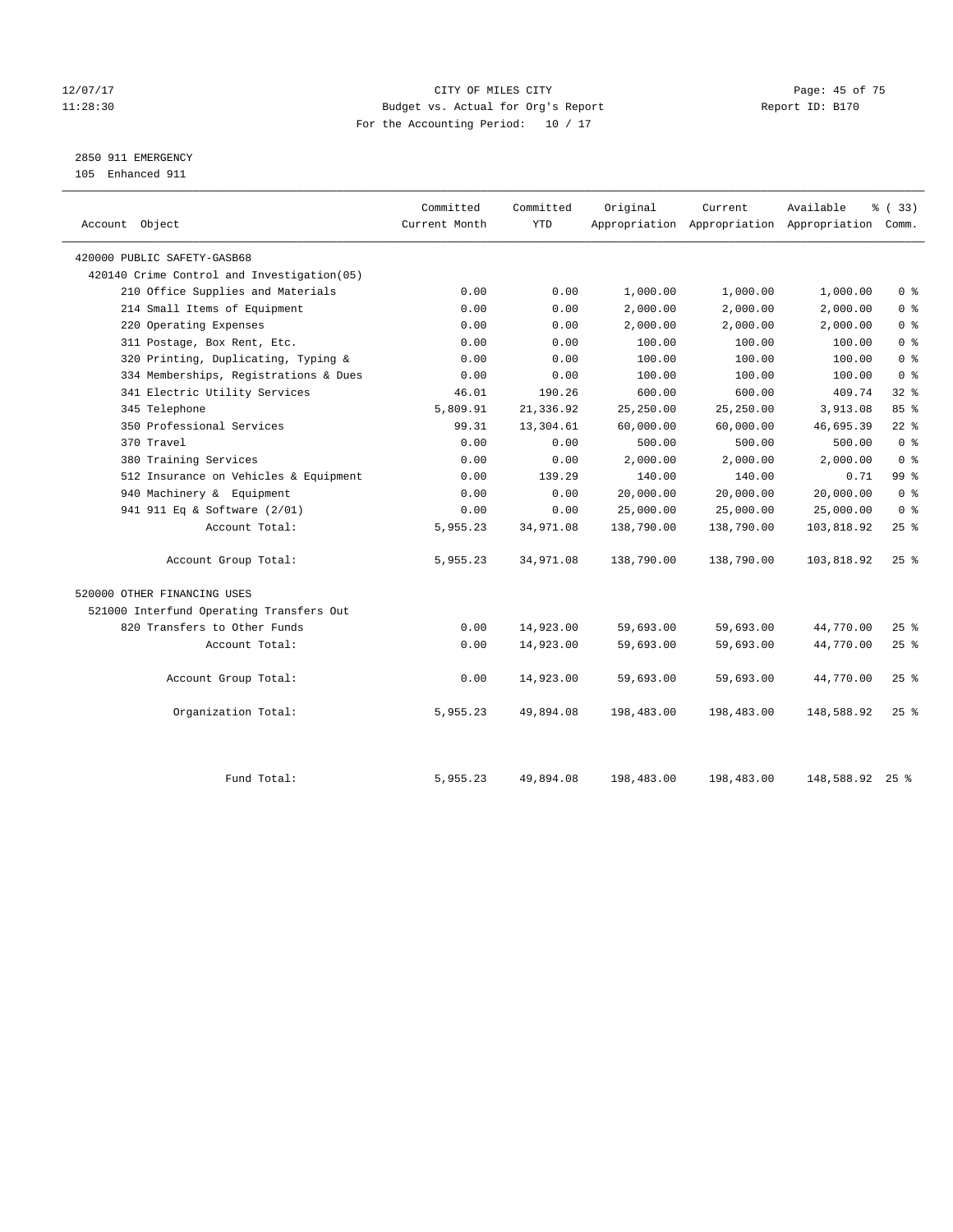# 12/07/17 Page: 45 of 75 11:28:30 Budget vs. Actual for Org's Report Report ID: B170 For the Accounting Period: 10 / 17

2850 911 EMERGENCY

105 Enhanced 911

| Account Object                              | Committed<br>Current Month | Committed<br><b>YTD</b> | Original   | Current    | Available<br>Appropriation Appropriation Appropriation Comm. | % (33)          |
|---------------------------------------------|----------------------------|-------------------------|------------|------------|--------------------------------------------------------------|-----------------|
| 420000 PUBLIC SAFETY-GASB68                 |                            |                         |            |            |                                                              |                 |
| 420140 Crime Control and Investigation (05) |                            |                         |            |            |                                                              |                 |
| 210 Office Supplies and Materials           | 0.00                       | 0.00                    | 1,000.00   | 1,000.00   | 1,000.00                                                     | 0 <sup>8</sup>  |
| 214 Small Items of Equipment                | 0.00                       | 0.00                    | 2,000.00   | 2,000.00   | 2,000.00                                                     | 0 <sup>8</sup>  |
| 220 Operating Expenses                      | 0.00                       | 0.00                    | 2,000.00   | 2,000.00   | 2,000.00                                                     | 0 <sup>8</sup>  |
| 311 Postage, Box Rent, Etc.                 | 0.00                       | 0.00                    | 100.00     | 100.00     | 100.00                                                       | 0 <sup>8</sup>  |
| 320 Printing, Duplicating, Typing &         | 0.00                       | 0.00                    | 100.00     | 100.00     | 100.00                                                       | 0 <sup>8</sup>  |
| 334 Memberships, Registrations & Dues       | 0.00                       | 0.00                    | 100.00     | 100.00     | 100.00                                                       | 0 <sup>8</sup>  |
| 341 Electric Utility Services               | 46.01                      | 190.26                  | 600.00     | 600.00     | 409.74                                                       | $32$ $%$        |
| 345 Telephone                               | 5,809.91                   | 21,336.92               | 25,250.00  | 25,250.00  | 3,913.08                                                     | 85%             |
| 350 Professional Services                   | 99.31                      | 13,304.61               | 60,000.00  | 60,000.00  | 46,695.39                                                    | $22$ %          |
| 370 Travel                                  | 0.00                       | 0.00                    | 500.00     | 500.00     | 500.00                                                       | 0 <sup>8</sup>  |
| 380 Training Services                       | 0.00                       | 0.00                    | 2,000.00   | 2,000.00   | 2,000.00                                                     | 0 <sup>8</sup>  |
| 512 Insurance on Vehicles & Equipment       | 0.00                       | 139.29                  | 140.00     | 140.00     | 0.71                                                         | 99 <sub>8</sub> |
| 940 Machinery & Equipment                   | 0.00                       | 0.00                    | 20,000.00  | 20,000.00  | 20,000.00                                                    | 0 <sup>8</sup>  |
| 941 911 Eq & Software (2/01)                | 0.00                       | 0.00                    | 25,000.00  | 25,000.00  | 25,000.00                                                    | 0 <sup>8</sup>  |
| Account Total:                              | 5,955.23                   | 34,971.08               | 138,790.00 | 138,790.00 | 103,818.92                                                   | 25%             |
| Account Group Total:                        | 5,955.23                   | 34,971.08               | 138,790.00 | 138,790.00 | 103,818.92                                                   | 25%             |
| 520000 OTHER FINANCING USES                 |                            |                         |            |            |                                                              |                 |
| 521000 Interfund Operating Transfers Out    |                            |                         |            |            |                                                              |                 |
| 820 Transfers to Other Funds                | 0.00                       | 14,923.00               | 59,693.00  | 59,693.00  | 44,770.00                                                    | $25$ %          |
| Account Total:                              | 0.00                       | 14,923.00               | 59,693.00  | 59,693.00  | 44,770.00                                                    | 25%             |
| Account Group Total:                        | 0.00                       | 14,923.00               | 59,693.00  | 59,693.00  | 44,770.00                                                    | 25%             |
| Organization Total:                         | 5,955.23                   | 49,894.08               | 198,483.00 | 198,483.00 | 148,588.92                                                   | $25$ %          |
|                                             |                            |                         |            |            |                                                              |                 |
| Fund Total:                                 | 5,955.23                   | 49,894.08               | 198,483.00 | 198,483.00 | 148,588.92 25 %                                              |                 |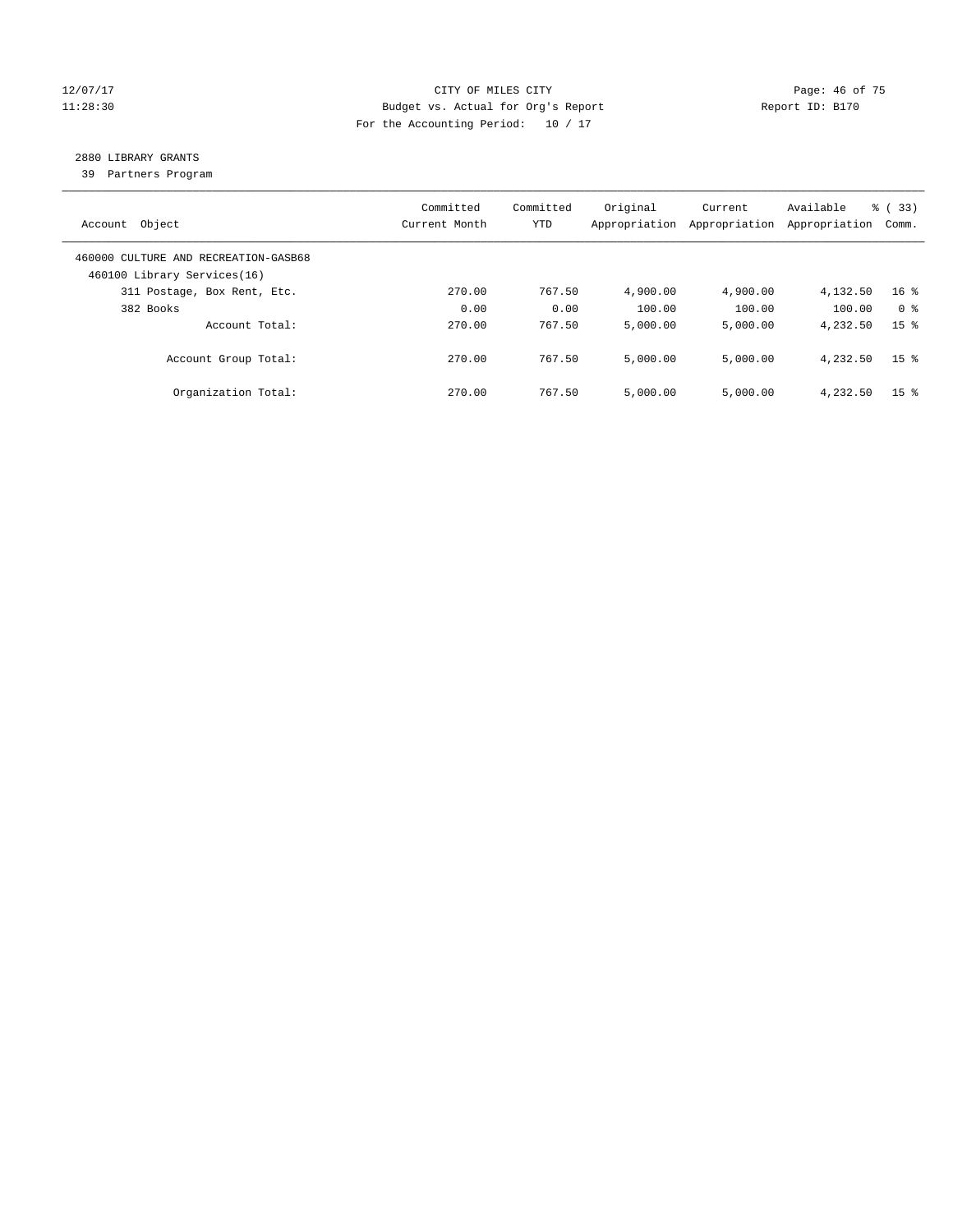# 12/07/17 Page: 46 of 75 11:28:30 Budget vs. Actual for Org's Report Report ID: B170 For the Accounting Period: 10 / 17

# 2880 LIBRARY GRANTS

39 Partners Program

| Account Object                                                      | Committed<br>Current Month | Committed<br><b>YTD</b> | Original<br>Appropriation | Current<br>Appropriation | Available<br>Appropriation | % (33)<br>Comm. |
|---------------------------------------------------------------------|----------------------------|-------------------------|---------------------------|--------------------------|----------------------------|-----------------|
| 460000 CULTURE AND RECREATION-GASB68<br>460100 Library Services(16) |                            |                         |                           |                          |                            |                 |
| 311 Postage, Box Rent, Etc.                                         | 270.00                     | 767.50                  | 4,900.00                  | 4,900.00                 | 4,132.50                   | 16 <sup>8</sup> |
| 382 Books                                                           | 0.00                       | 0.00                    | 100.00                    | 100.00                   | 100.00                     | 0 <sup>8</sup>  |
| Account Total:                                                      | 270.00                     | 767.50                  | 5,000.00                  | 5,000.00                 | 4,232.50                   | 15 <sup>8</sup> |
| Account Group Total:                                                | 270.00                     | 767.50                  | 5.000.00                  | 5.000.00                 | 4,232.50                   | 15 <sup>8</sup> |
| Organization Total:                                                 | 270.00                     | 767.50                  | 5.000.00                  | 5,000.00                 | 4,232.50                   | 15 <sup>8</sup> |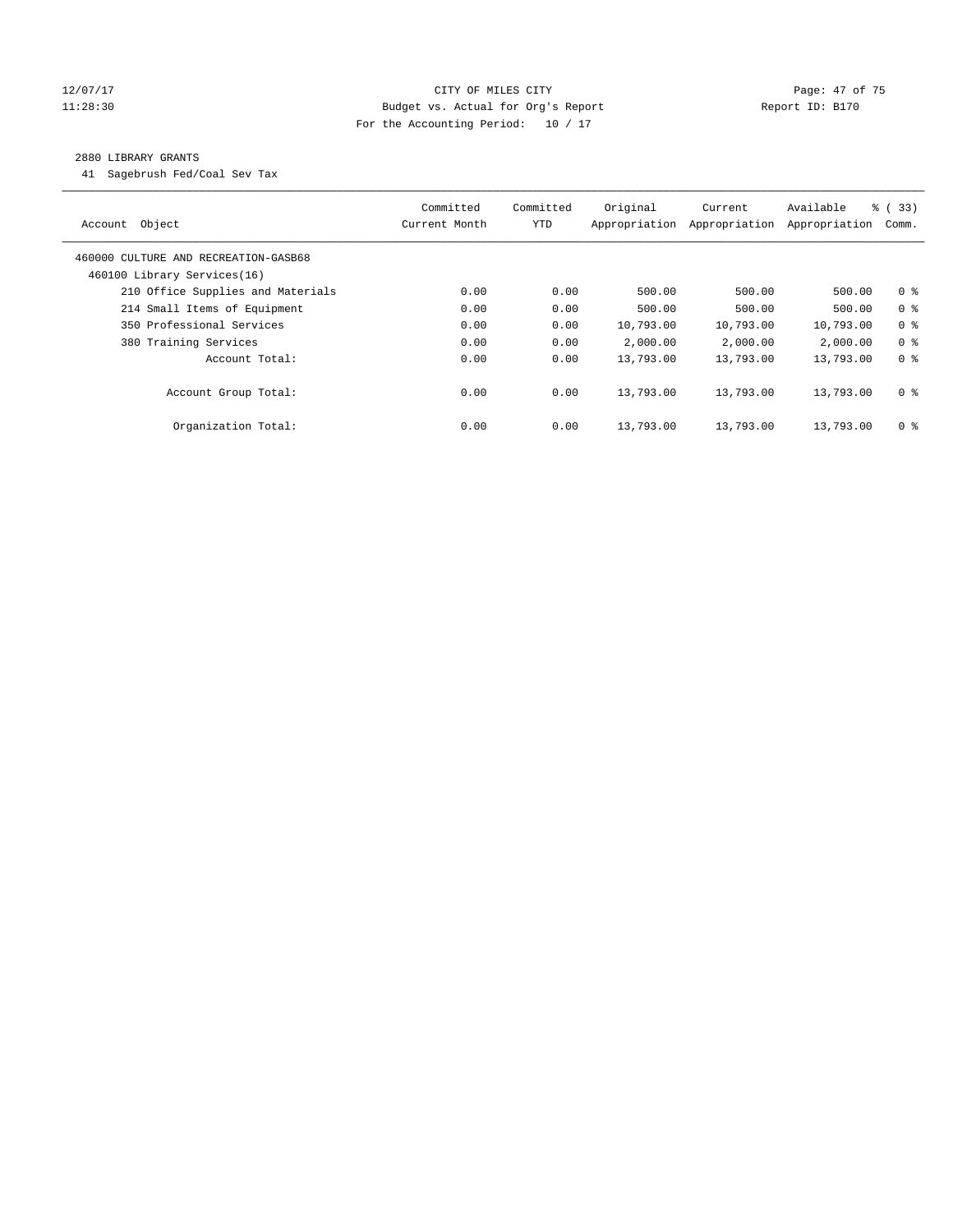# 12/07/17 Page: 47 of 75 11:28:30 Budget vs. Actual for Org's Report Changer Report ID: B170 For the Accounting Period: 10 / 17

# 2880 LIBRARY GRANTS

41 Sagebrush Fed/Coal Sev Tax

| Account Object                                                      | Committed<br>Current Month | Committed<br><b>YTD</b> | Original<br>Appropriation | Current<br>Appropriation | Available<br>Appropriation | 8 ( 33)<br>Comm. |
|---------------------------------------------------------------------|----------------------------|-------------------------|---------------------------|--------------------------|----------------------------|------------------|
| 460000 CULTURE AND RECREATION-GASB68<br>460100 Library Services(16) |                            |                         |                           |                          |                            |                  |
| 210 Office Supplies and Materials                                   | 0.00                       | 0.00                    | 500.00                    | 500.00                   | 500.00                     | 0 <sup>8</sup>   |
| 214 Small Items of Equipment                                        | 0.00                       | 0.00                    | 500.00                    | 500.00                   | 500.00                     | 0 <sup>8</sup>   |
| 350 Professional Services                                           | 0.00                       | 0.00                    | 10,793.00                 | 10,793.00                | 10,793.00                  | 0 <sup>8</sup>   |
| 380 Training Services                                               | 0.00                       | 0.00                    | 2,000.00                  | 2,000.00                 | 2,000.00                   | 0 <sup>8</sup>   |
| Account Total:                                                      | 0.00                       | 0.00                    | 13,793.00                 | 13,793.00                | 13,793.00                  | 0 <sup>8</sup>   |
| Account Group Total:                                                | 0.00                       | 0.00                    | 13,793.00                 | 13,793.00                | 13,793.00                  | 0 <sup>8</sup>   |
| Organization Total:                                                 | 0.00                       | 0.00                    | 13,793.00                 | 13,793.00                | 13,793.00                  | 0 <sup>8</sup>   |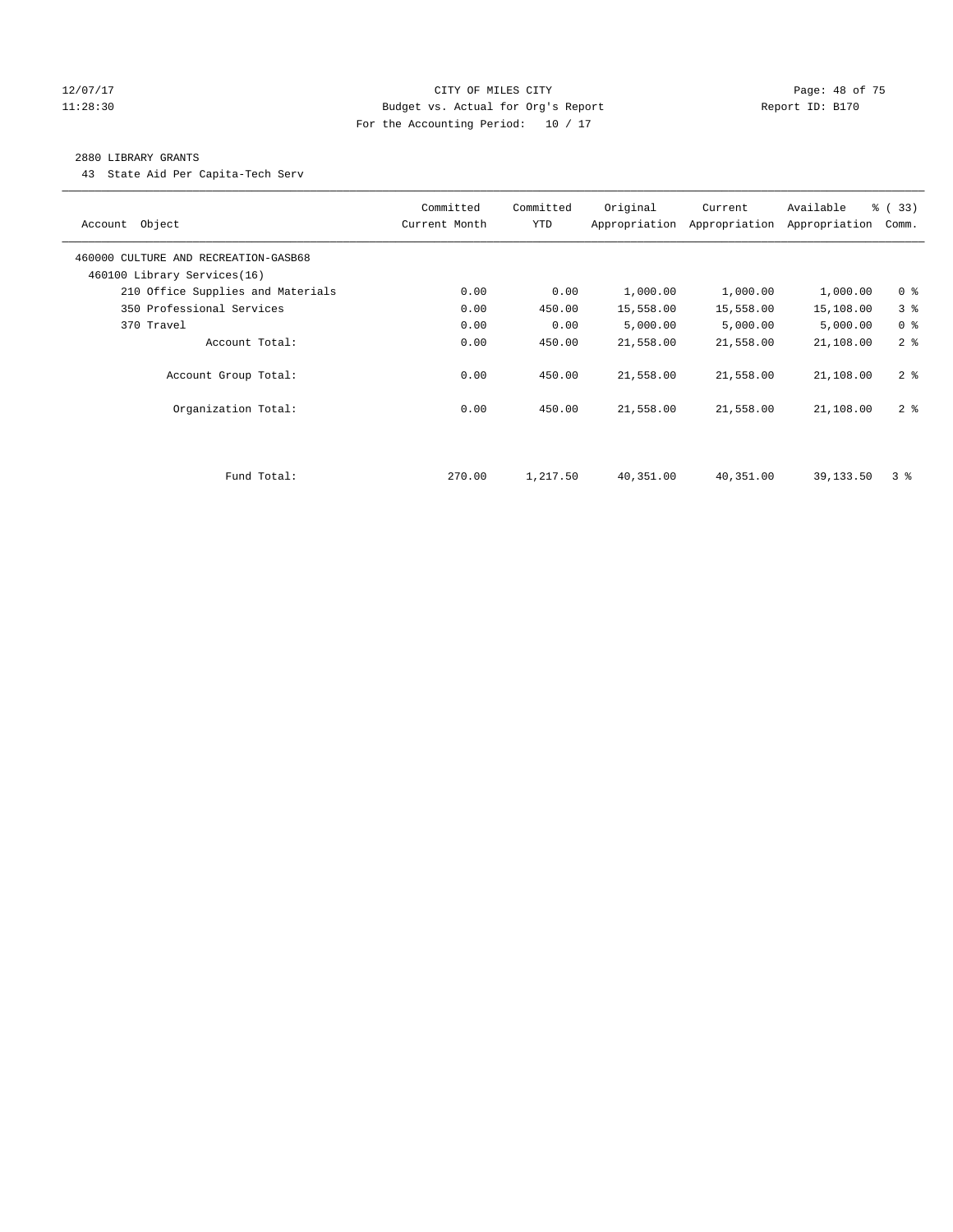# 12/07/17 Page: 48 of 75 11:28:30 Budget vs. Actual for Org's Report Changer Report ID: B170 For the Accounting Period: 10 / 17

# 2880 LIBRARY GRANTS

43 State Aid Per Capita-Tech Serv

| Object<br>Account                                                   | Committed<br>Current Month | Committed<br><b>YTD</b> | Original  | Current<br>Appropriation Appropriation | Available<br>Appropriation | % (33)<br>Comm. |
|---------------------------------------------------------------------|----------------------------|-------------------------|-----------|----------------------------------------|----------------------------|-----------------|
| 460000 CULTURE AND RECREATION-GASB68<br>460100 Library Services(16) |                            |                         |           |                                        |                            |                 |
| 210 Office Supplies and Materials                                   | 0.00                       | 0.00                    | 1,000.00  | 1,000.00                               | 1,000.00                   | 0 <sup>8</sup>  |
| 350 Professional Services                                           | 0.00                       | 450.00                  | 15,558.00 | 15,558.00                              | 15,108.00                  | 3%              |
| 370 Travel                                                          | 0.00                       | 0.00                    | 5,000.00  | 5,000.00                               | 5,000.00                   | 0 <sup>8</sup>  |
| Account Total:                                                      | 0.00                       | 450.00                  | 21,558.00 | 21,558.00                              | 21,108.00                  | 2 <sup>8</sup>  |
| Account Group Total:                                                | 0.00                       | 450.00                  | 21,558.00 | 21,558.00                              | 21,108.00                  | 2 <sub>8</sub>  |
| Organization Total:                                                 | 0.00                       | 450.00                  | 21,558.00 | 21,558.00                              | 21,108.00                  | 2 <sub>8</sub>  |
|                                                                     |                            |                         |           |                                        |                            |                 |
| Fund Total:                                                         | 270.00                     | 1,217.50                | 40,351.00 | 40,351.00                              | 39,133.50                  | 38              |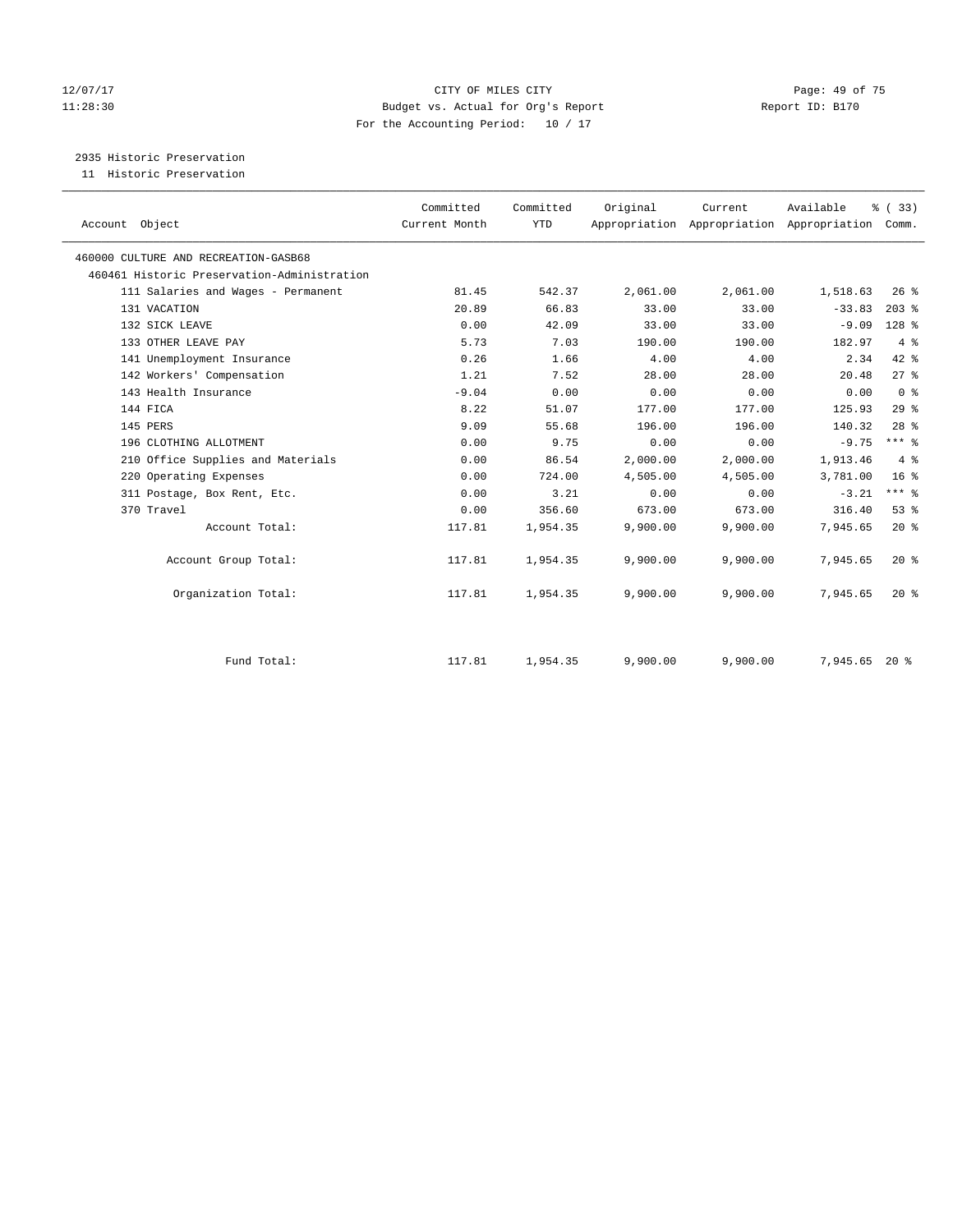# 12/07/17 Page: 49 of 75 11:28:30 Budget vs. Actual for Org's Report Report ID: B170 For the Accounting Period: 10 / 17

# 2935 Historic Preservation

11 Historic Preservation

| Account Object                              | Committed<br>Current Month | Committed<br><b>YTD</b> | Original | Current<br>Appropriation Appropriation Appropriation | Available | % (33)<br>Comm. |  |
|---------------------------------------------|----------------------------|-------------------------|----------|------------------------------------------------------|-----------|-----------------|--|
|                                             |                            |                         |          |                                                      |           |                 |  |
| 460000 CULTURE AND RECREATION-GASB68        |                            |                         |          |                                                      |           |                 |  |
| 460461 Historic Preservation-Administration |                            |                         |          |                                                      |           |                 |  |
| 111 Salaries and Wages - Permanent          | 81.45                      | 542.37                  | 2,061.00 | 2,061.00                                             | 1,518.63  | $26$ %          |  |
| 131 VACATION                                | 20.89                      | 66.83                   | 33.00    | 33.00                                                | $-33.83$  | $203$ %         |  |
| 132 SICK LEAVE                              | 0.00                       | 42.09                   | 33.00    | 33.00                                                | $-9.09$   | 128 %           |  |
| 133 OTHER LEAVE PAY                         | 5.73                       | 7.03                    | 190.00   | 190.00                                               | 182.97    | 4%              |  |
| 141 Unemployment Insurance                  | 0.26                       | 1.66                    | 4.00     | 4.00                                                 | 2.34      | $42$ $%$        |  |
| 142 Workers' Compensation                   | 1.21                       | 7.52                    | 28.00    | 28.00                                                | 20.48     | 27%             |  |
| 143 Health Insurance                        | $-9.04$                    | 0.00                    | 0.00     | 0.00                                                 | 0.00      | 0 <sup>8</sup>  |  |
| 144 FICA                                    | 8.22                       | 51.07                   | 177.00   | 177.00                                               | 125.93    | 29%             |  |
| 145 PERS                                    | 9.09                       | 55.68                   | 196.00   | 196.00                                               | 140.32    | $28$ %          |  |
| 196 CLOTHING ALLOTMENT                      | 0.00                       | 9.75                    | 0.00     | 0.00                                                 | $-9.75$   | $***$ $%$       |  |
| 210 Office Supplies and Materials           | 0.00                       | 86.54                   | 2,000.00 | 2,000.00                                             | 1,913.46  | 4%              |  |
| 220 Operating Expenses                      | 0.00                       | 724.00                  | 4,505.00 | 4,505.00                                             | 3,781.00  | 16 <sup>°</sup> |  |
| 311 Postage, Box Rent, Etc.                 | 0.00                       | 3.21                    | 0.00     | 0.00                                                 | $-3.21$   | $***$ $-$       |  |
| 370 Travel                                  | 0.00                       | 356.60                  | 673.00   | 673.00                                               | 316.40    | 53%             |  |
| Account Total:                              | 117.81                     | 1,954.35                | 9,900.00 | 9,900.00                                             | 7,945.65  | $20*$           |  |
| Account Group Total:                        | 117.81                     | 1,954.35                | 9,900.00 | 9,900.00                                             | 7,945.65  | 20%             |  |
| Organization Total:                         | 117.81                     | 1,954.35                | 9,900.00 | 9,900.00                                             | 7,945.65  | 20%             |  |
|                                             |                            |                         |          |                                                      |           |                 |  |
| Fund Total:                                 | 117.81                     | 1,954.35                | 9,900.00 | 9,900.00                                             | 7,945.65  | $20*$           |  |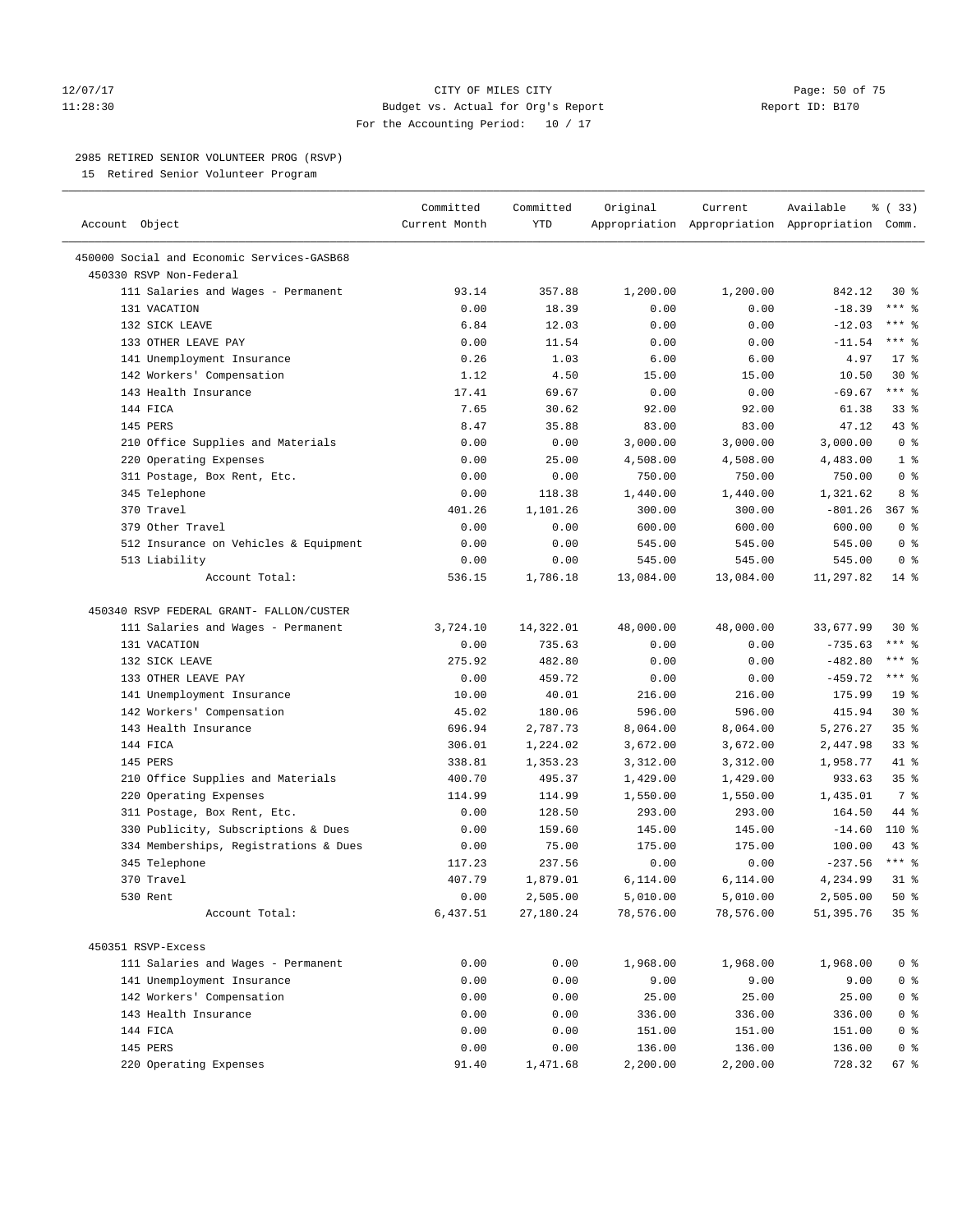#### 12/07/17 Page: 50 of 75 11:28:30 Budget vs. Actual for Org's Report Report ID: B170 For the Accounting Period: 10 / 17

————————————————————————————————————————————————————————————————————————————————————————————————————————————————————————————————————

# 2985 RETIRED SENIOR VOLUNTEER PROG (RSVP)

15 Retired Senior Volunteer Program

| Account Object                             | Committed<br>Current Month | Committed<br>YTD | Original  | Current   | Available<br>Appropriation Appropriation Appropriation Comm. | १ (33)          |
|--------------------------------------------|----------------------------|------------------|-----------|-----------|--------------------------------------------------------------|-----------------|
|                                            |                            |                  |           |           |                                                              |                 |
| 450000 Social and Economic Services-GASB68 |                            |                  |           |           |                                                              |                 |
| 450330 RSVP Non-Federal                    |                            |                  |           |           |                                                              |                 |
| 111 Salaries and Wages - Permanent         | 93.14                      | 357.88           | 1,200.00  | 1,200.00  | 842.12                                                       | $30*$           |
| 131 VACATION                               | 0.00                       | 18.39            | 0.00      | 0.00      | $-18.39$                                                     | $***$ 2         |
| 132 SICK LEAVE                             | 6.84                       | 12.03            | 0.00      | 0.00      | $-12.03$                                                     | $***$ $%$       |
| 133 OTHER LEAVE PAY                        | 0.00                       | 11.54            | 0.00      | 0.00      | $-11.54$                                                     | $***$ $%$       |
| 141 Unemployment Insurance                 | 0.26                       | 1.03             | 6.00      | 6.00      | 4.97                                                         | $17*$           |
| 142 Workers' Compensation                  | 1.12                       | 4.50             | 15.00     | 15.00     | 10.50                                                        | $30*$           |
| 143 Health Insurance                       | 17.41                      | 69.67            | 0.00      | 0.00      | $-69.67$                                                     | $***$ $-$       |
| 144 FICA                                   | 7.65                       | 30.62            | 92.00     | 92.00     | 61.38                                                        | $33$ $%$        |
| 145 PERS                                   | 8.47                       | 35.88            | 83.00     | 83.00     | 47.12                                                        | 43 %            |
| 210 Office Supplies and Materials          | 0.00                       | 0.00             | 3,000.00  | 3,000.00  | 3,000.00                                                     | 0 <sup>8</sup>  |
| 220 Operating Expenses                     | 0.00                       | 25.00            | 4,508.00  | 4,508.00  | 4,483.00                                                     | 1 <sup>8</sup>  |
| 311 Postage, Box Rent, Etc.                | 0.00                       | 0.00             | 750.00    | 750.00    | 750.00                                                       | 0 <sup>8</sup>  |
| 345 Telephone                              | 0.00                       | 118.38           | 1,440.00  | 1,440.00  | 1,321.62                                                     | 8 %             |
| 370 Travel                                 | 401.26                     | 1,101.26         | 300.00    | 300.00    | $-801.26$                                                    | $367$ $%$       |
| 379 Other Travel                           | 0.00                       | 0.00             | 600.00    | 600.00    | 600.00                                                       | 0 <sup>8</sup>  |
| 512 Insurance on Vehicles & Equipment      | 0.00                       | 0.00             | 545.00    | 545.00    | 545.00                                                       | 0 <sup>8</sup>  |
| 513 Liability                              | 0.00                       | 0.00             | 545.00    | 545.00    | 545.00                                                       | 0 <sup>8</sup>  |
| Account Total:                             | 536.15                     | 1,786.18         | 13,084.00 | 13,084.00 | 11,297.82                                                    | $14*$           |
| 450340 RSVP FEDERAL GRANT- FALLON/CUSTER   |                            |                  |           |           |                                                              |                 |
| 111 Salaries and Wages - Permanent         | 3,724.10                   | 14,322.01        | 48,000.00 | 48,000.00 | 33,677.99                                                    | $30*$           |
| 131 VACATION                               | 0.00                       | 735.63           | 0.00      | 0.00      | $-735.63$                                                    | $***$ $%$       |
| 132 SICK LEAVE                             | 275.92                     | 482.80           | 0.00      | 0.00      | $-482.80$                                                    | $***$ $-$       |
| 133 OTHER LEAVE PAY                        | 0.00                       | 459.72           | 0.00      | 0.00      | $-459.72$                                                    | $***$ $-$       |
| 141 Unemployment Insurance                 | 10.00                      | 40.01            | 216.00    | 216.00    | 175.99                                                       | 19 <sup>°</sup> |
| 142 Workers' Compensation                  | 45.02                      | 180.06           | 596.00    | 596.00    | 415.94                                                       | $30*$           |
| 143 Health Insurance                       | 696.94                     | 2,787.73         | 8,064.00  | 8,064.00  | 5,276.27                                                     | 35%             |
| 144 FICA                                   | 306.01                     | 1,224.02         | 3,672.00  | 3,672.00  | 2,447.98                                                     | $33$ $%$        |
| 145 PERS                                   | 338.81                     | 1,353.23         | 3,312.00  | 3,312.00  | 1,958.77                                                     | 41 %            |
| 210 Office Supplies and Materials          | 400.70                     | 495.37           | 1,429.00  | 1,429.00  | 933.63                                                       | 35 <sup>8</sup> |
| 220 Operating Expenses                     | 114.99                     | 114.99           | 1,550.00  | 1,550.00  | 1,435.01                                                     | 7 %             |
| 311 Postage, Box Rent, Etc.                | 0.00                       | 128.50           | 293.00    | 293.00    | 164.50                                                       | 44 %            |
| 330 Publicity, Subscriptions & Dues        | 0.00                       | 159.60           | 145.00    | 145.00    | $-14.60$                                                     | 110 %           |
| 334 Memberships, Registrations & Dues      | 0.00                       | 75.00            | 175.00    | 175.00    | 100.00                                                       | $43$ %          |
| 345 Telephone                              | 117.23                     | 237.56           | 0.00      | 0.00      | $-237.56$                                                    | $***$ $-$       |
| 370 Travel                                 | 407.79                     | 1,879.01         | 6,114.00  | 6,114.00  | 4,234.99                                                     | $31$ %          |
| 530 Rent                                   | 0.00                       | 2,505.00         | 5,010.00  | 5,010.00  | 2,505.00                                                     | 50%             |
| Account Total:                             | 6,437.51                   | 27,180.24        | 78,576.00 | 78,576.00 | 51,395.76                                                    | 35%             |
| 450351 RSVP-Excess                         |                            |                  |           |           |                                                              |                 |
| 111 Salaries and Wages - Permanent         | 0.00                       | 0.00             | 1,968.00  | 1,968.00  | 1,968.00                                                     | 0 <sup>8</sup>  |
| 141 Unemployment Insurance                 | 0.00                       | 0.00             | 9.00      | 9.00      | 9.00                                                         | 0 <sup>8</sup>  |
| 142 Workers' Compensation                  | 0.00                       | 0.00             | 25.00     | 25.00     | 25.00                                                        | 0 <sup>8</sup>  |
| 143 Health Insurance                       | 0.00                       | 0.00             | 336.00    | 336.00    | 336.00                                                       | 0 <sup>8</sup>  |
| 144 FICA                                   | 0.00                       | 0.00             | 151.00    | 151.00    | 151.00                                                       | 0 <sup>8</sup>  |
| 145 PERS                                   | 0.00                       | 0.00             | 136.00    | 136.00    | 136.00                                                       | 0 <sup>8</sup>  |
| 220 Operating Expenses                     | 91.40                      | 1,471.68         | 2,200.00  | 2,200.00  | 728.32                                                       | 67 %            |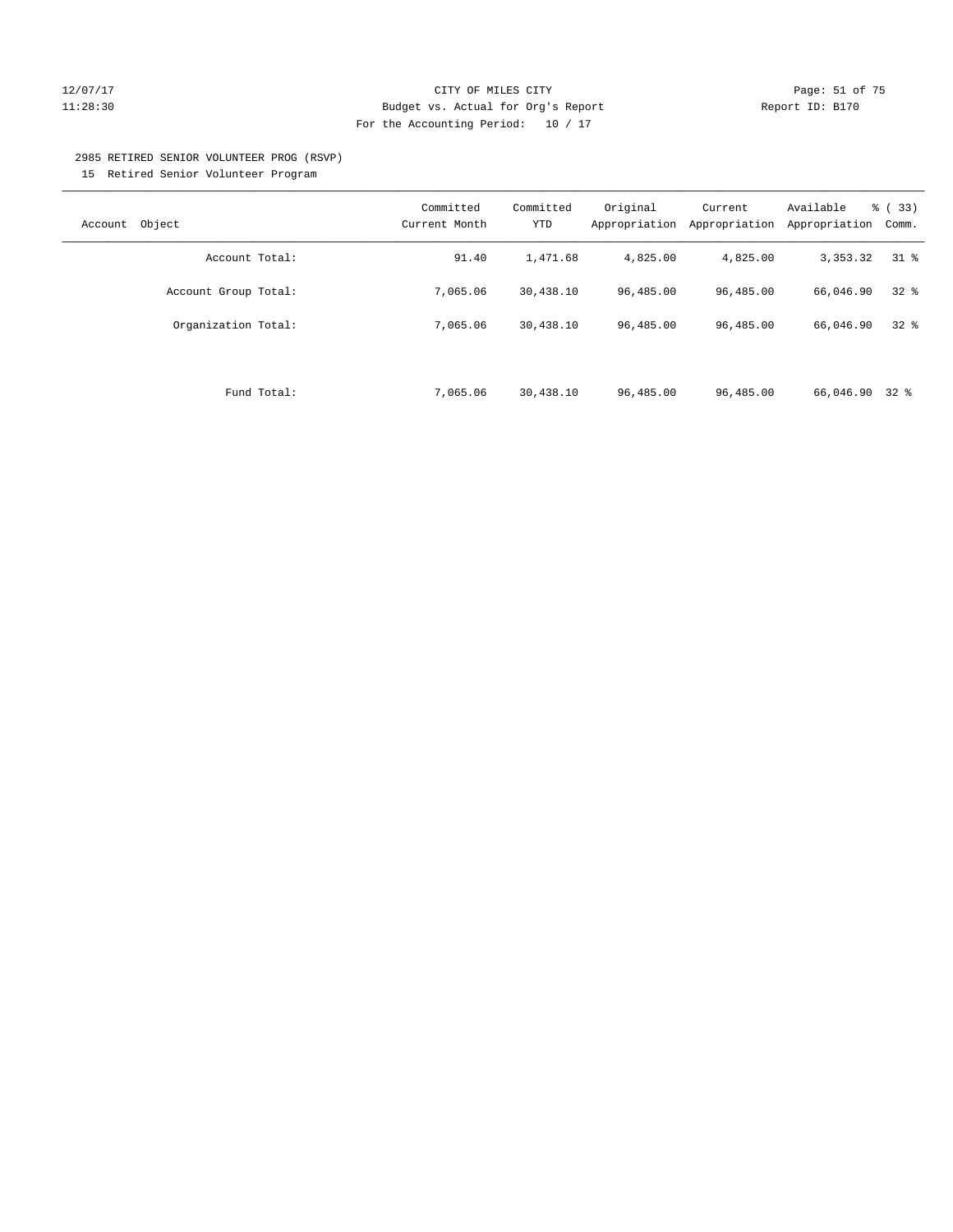# 12/07/17 Page: 51 of 75 11:28:30 Budget vs. Actual for Org's Report Report ID: B170 For the Accounting Period: 10 / 17

#### 2985 RETIRED SENIOR VOLUNTEER PROG (RSVP)

15 Retired Senior Volunteer Program

| Object<br>Account    | Committed<br>Current Month | Committed<br>YTD | Original<br>Appropriation | Current<br>Appropriation | Available<br>Appropriation | % (33)<br>Comm. |
|----------------------|----------------------------|------------------|---------------------------|--------------------------|----------------------------|-----------------|
| Account Total:       | 91.40                      | 1,471.68         | 4,825.00                  | 4,825.00                 | 3,353.32                   | 318             |
| Account Group Total: | 7,065.06                   | 30,438.10        | 96,485.00                 | 96,485.00                | 66,046.90                  | $32$ $%$        |
| Organization Total:  | 7,065.06                   | 30,438.10        | 96,485.00                 | 96,485.00                | 66,046.90                  | 328             |
|                      |                            |                  |                           |                          |                            |                 |
| Fund Total:          | 7,065.06                   | 30,438.10        | 96,485.00                 | 96,485.00                | 66,046.90                  | $32*$           |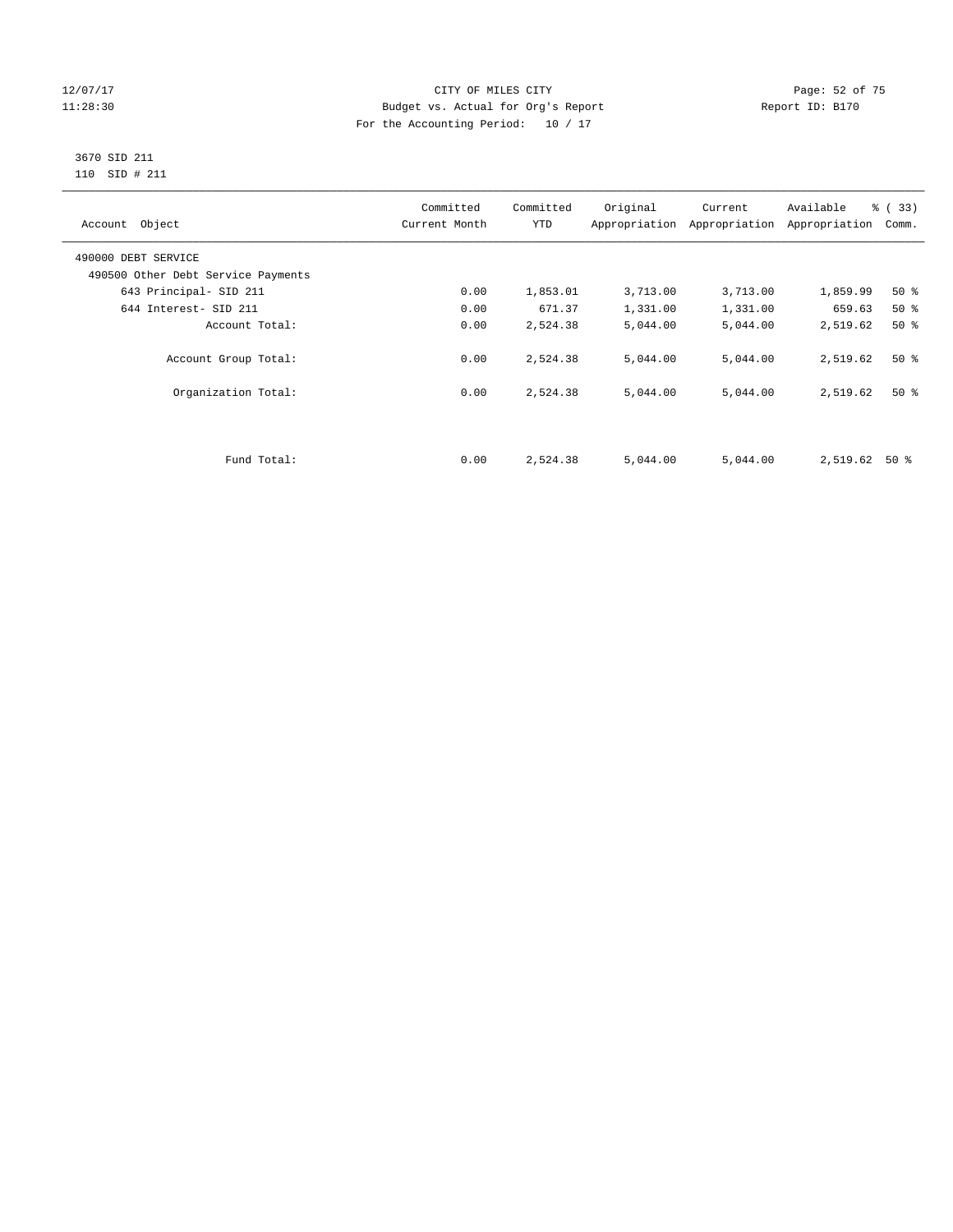# 12/07/17 Page: 52 of 75 11:28:30 Budget vs. Actual for Org's Report Report ID: B170 For the Accounting Period: 10 / 17

# 3670 SID 211 110 SID # 211

| Account Object                     | Committed<br>Current Month | Committed<br><b>YTD</b> | Original | Current<br>Appropriation Appropriation | Available<br>Appropriation | % (33)<br>Comm. |
|------------------------------------|----------------------------|-------------------------|----------|----------------------------------------|----------------------------|-----------------|
| 490000 DEBT SERVICE                |                            |                         |          |                                        |                            |                 |
| 490500 Other Debt Service Payments |                            |                         |          |                                        |                            |                 |
| 643 Principal- SID 211             | 0.00                       | 1,853.01                | 3,713.00 | 3,713.00                               | 1,859.99                   | $50*$           |
| 644 Interest- SID 211              | 0.00                       | 671.37                  | 1,331.00 | 1,331.00                               | 659.63                     | $50*$           |
| Account Total:                     | 0.00                       | 2,524.38                | 5,044.00 | 5,044.00                               | 2,519.62                   | $50*$           |
| Account Group Total:               | 0.00                       | 2,524.38                | 5,044.00 | 5,044.00                               | 2,519.62                   | $50*$           |
| Organization Total:                | 0.00                       | 2,524.38                | 5,044.00 | 5,044.00                               | 2,519.62                   | $50*$           |
|                                    |                            |                         |          |                                        |                            |                 |
| Fund Total:                        | 0.00                       | 2,524.38                | 5,044.00 | 5,044.00                               | 2,519.62                   | $50*$           |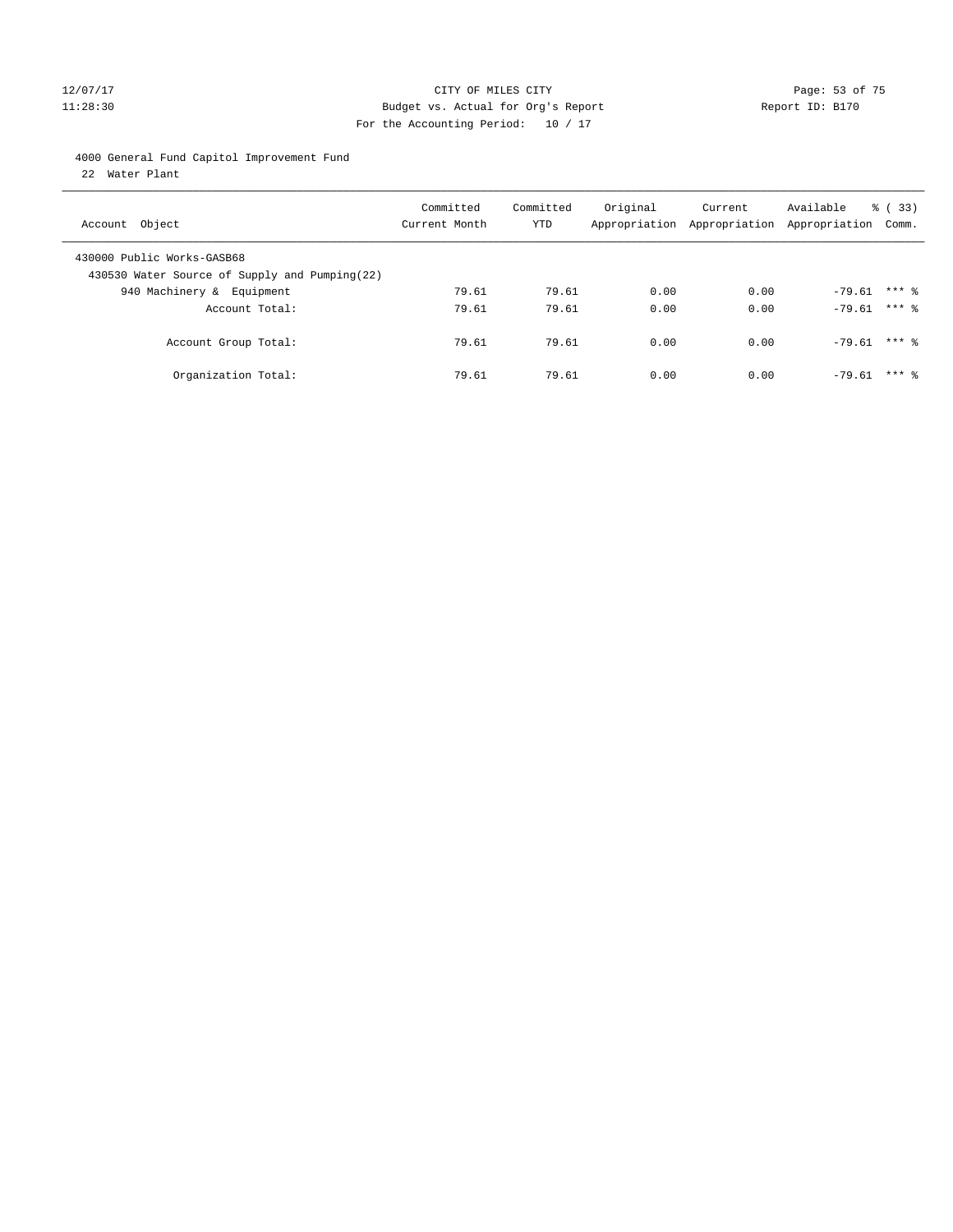# 12/07/17 Page: 53 of 75 11:28:30 Budget vs. Actual for Org's Report Report ID: B170 For the Accounting Period: 10 / 17

4000 General Fund Capitol Improvement Fund

22 Water Plant

| Account Object                                                              | Committed<br>Current Month | Committed<br>YTD | Original | Current<br>Appropriation Appropriation Appropriation Comm. | Available        | $\frac{8}{6}$ (33) |
|-----------------------------------------------------------------------------|----------------------------|------------------|----------|------------------------------------------------------------|------------------|--------------------|
| 430000 Public Works-GASB68<br>430530 Water Source of Supply and Pumping(22) |                            |                  |          |                                                            |                  |                    |
| 940 Machinery & Equipment                                                   | 79.61                      | 79.61            | 0.00     | 0.00                                                       | $-79.61$ *** 8   |                    |
| Account Total:                                                              | 79.61                      | 79.61            | 0.00     | 0.00                                                       | $-79.61$ *** $%$ |                    |
| Account Group Total:                                                        | 79.61                      | 79.61            | 0.00     | 0.00                                                       | $-79.61$ *** $%$ |                    |
| Organization Total:                                                         | 79.61                      | 79.61            | 0.00     | 0.00                                                       | $-79.61$         | $***$ 8            |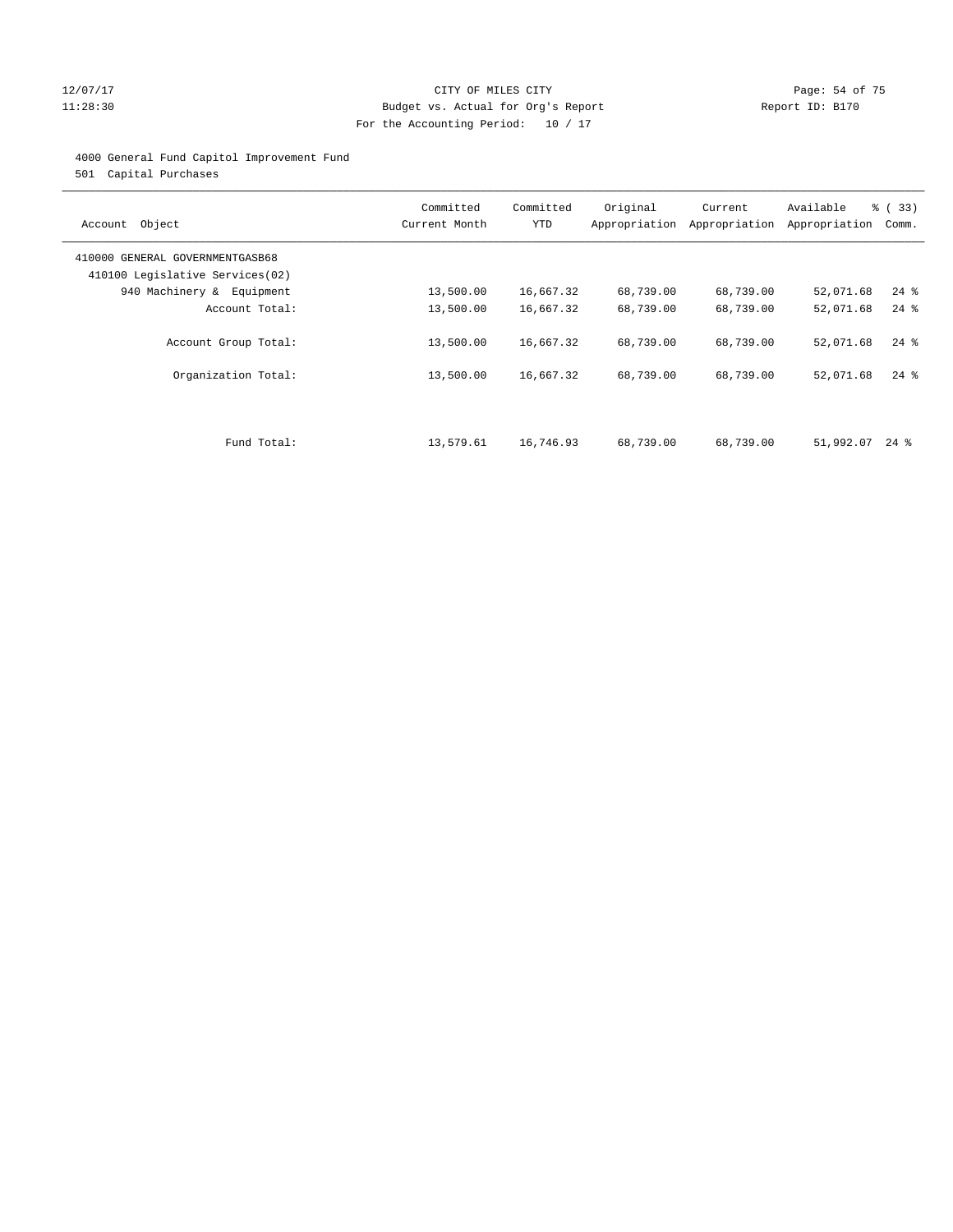# 12/07/17 Page: 54 of 75 11:28:30 Budget vs. Actual for Org's Report Report ID: B170 For the Accounting Period: 10 / 17

# 4000 General Fund Capitol Improvement Fund

501 Capital Purchases

| Account Object                                                     | Committed<br>Current Month | Committed<br><b>YTD</b> | Original  | Current<br>Appropriation Appropriation | Available<br>Appropriation | % (33)<br>Comm. |
|--------------------------------------------------------------------|----------------------------|-------------------------|-----------|----------------------------------------|----------------------------|-----------------|
| 410000 GENERAL GOVERNMENTGASB68<br>410100 Legislative Services(02) |                            |                         |           |                                        |                            |                 |
| 940 Machinery & Equipment                                          | 13,500.00                  | 16,667.32               | 68,739.00 | 68,739.00                              | 52,071.68                  | $24$ %          |
| Account Total:                                                     | 13,500.00                  | 16,667.32               | 68,739.00 | 68,739.00                              | 52,071.68                  | $24$ %          |
| Account Group Total:                                               | 13,500.00                  | 16,667.32               | 68,739.00 | 68,739.00                              | 52,071.68                  | $24$ %          |
| Organization Total:                                                | 13,500.00                  | 16,667.32               | 68,739.00 | 68,739.00                              | 52,071.68                  | $24$ %          |
|                                                                    |                            |                         |           |                                        |                            |                 |
| Fund Total:                                                        | 13,579.61                  | 16,746.93               | 68,739.00 | 68,739.00                              | 51,992.07                  | $24$ %          |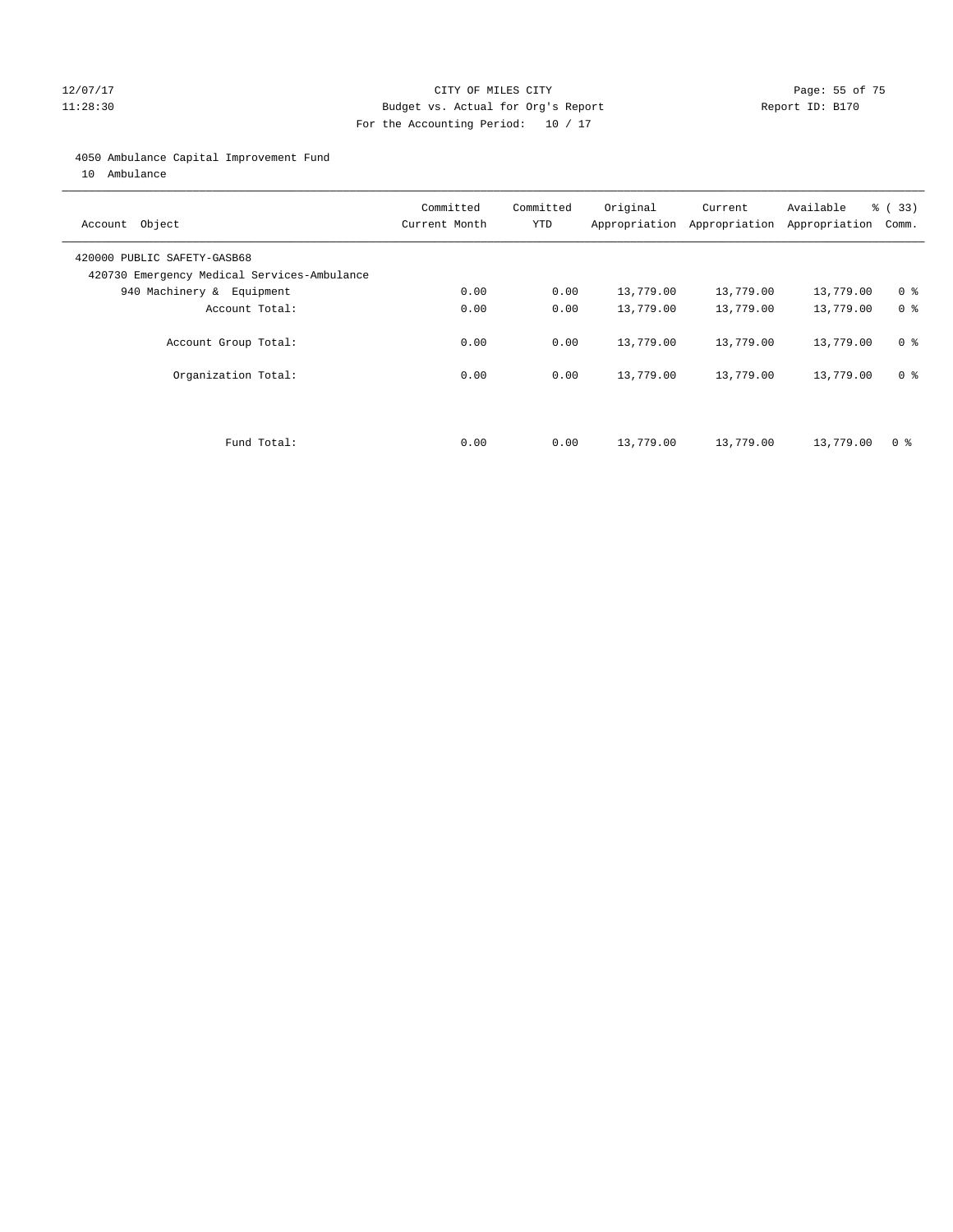# 12/07/17 Page: 55 of 75 11:28:30 Budget vs. Actual for Org's Report Report ID: B170 For the Accounting Period: 10 / 17

# 4050 Ambulance Capital Improvement Fund

10 Ambulance

| Account Object                                                             | Committed<br>Current Month | Committed<br><b>YTD</b> | Original  | Current<br>Appropriation Appropriation | Available<br>Appropriation | % (33)<br>Comm. |
|----------------------------------------------------------------------------|----------------------------|-------------------------|-----------|----------------------------------------|----------------------------|-----------------|
| 420000 PUBLIC SAFETY-GASB68<br>420730 Emergency Medical Services-Ambulance |                            |                         |           |                                        |                            |                 |
| 940 Machinery & Equipment                                                  | 0.00                       | 0.00                    | 13,779.00 | 13,779.00                              | 13,779.00                  | 0 <sup>8</sup>  |
| Account Total:                                                             | 0.00                       | 0.00                    | 13,779.00 | 13,779.00                              | 13,779.00                  | 0 <sup>8</sup>  |
| Account Group Total:                                                       | 0.00                       | 0.00                    | 13,779.00 | 13,779.00                              | 13,779.00                  | 0 <sup>8</sup>  |
| Organization Total:                                                        | 0.00                       | 0.00                    | 13,779.00 | 13,779.00                              | 13,779.00                  | 0 <sup>8</sup>  |
|                                                                            |                            |                         |           |                                        |                            |                 |
| Fund Total:                                                                | 0.00                       | 0.00                    | 13,779.00 | 13,779.00                              | 13,779.00                  | 0 %             |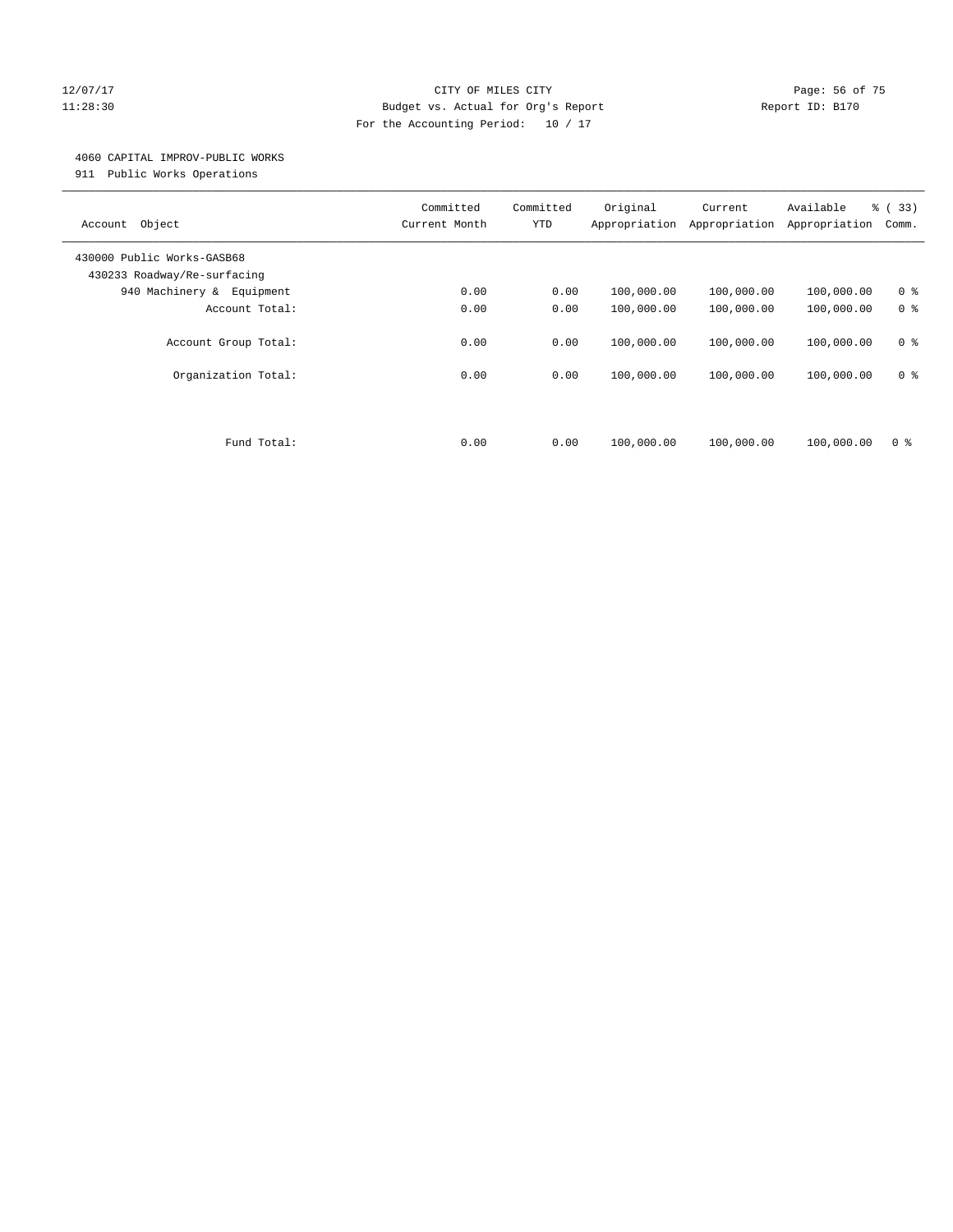# 12/07/17 Page: 56 of 75 11:28:30 Budget vs. Actual for Org's Report Report ID: B170 For the Accounting Period: 10 / 17

### 4060 CAPITAL IMPROV-PUBLIC WORKS

911 Public Works Operations

| Object<br>Account                                         | Committed<br>Current Month | Committed<br><b>YTD</b> | Original<br>Appropriation | Current<br>Appropriation | Available<br>Appropriation | % (33)<br>Comm.                  |
|-----------------------------------------------------------|----------------------------|-------------------------|---------------------------|--------------------------|----------------------------|----------------------------------|
| 430000 Public Works-GASB68<br>430233 Roadway/Re-surfacing |                            |                         |                           |                          |                            |                                  |
| 940 Machinery & Equipment                                 | 0.00                       | 0.00                    | 100,000.00                | 100,000.00               | 100,000.00                 | 0 <sup>8</sup>                   |
| Account Total:                                            | 0.00                       | 0.00                    | 100,000.00                | 100,000.00               | 100,000.00                 | 0 <sup>8</sup>                   |
| Account Group Total:<br>Organization Total:               | 0.00<br>0.00               | 0.00<br>0.00            | 100,000.00<br>100,000.00  | 100,000.00<br>100,000.00 | 100,000.00<br>100,000.00   | 0 <sup>8</sup><br>0 <sup>8</sup> |
|                                                           |                            |                         |                           |                          |                            |                                  |
| Fund Total:                                               | 0.00                       | 0.00                    | 100,000.00                | 100,000.00               | 100,000.00                 | 0 %                              |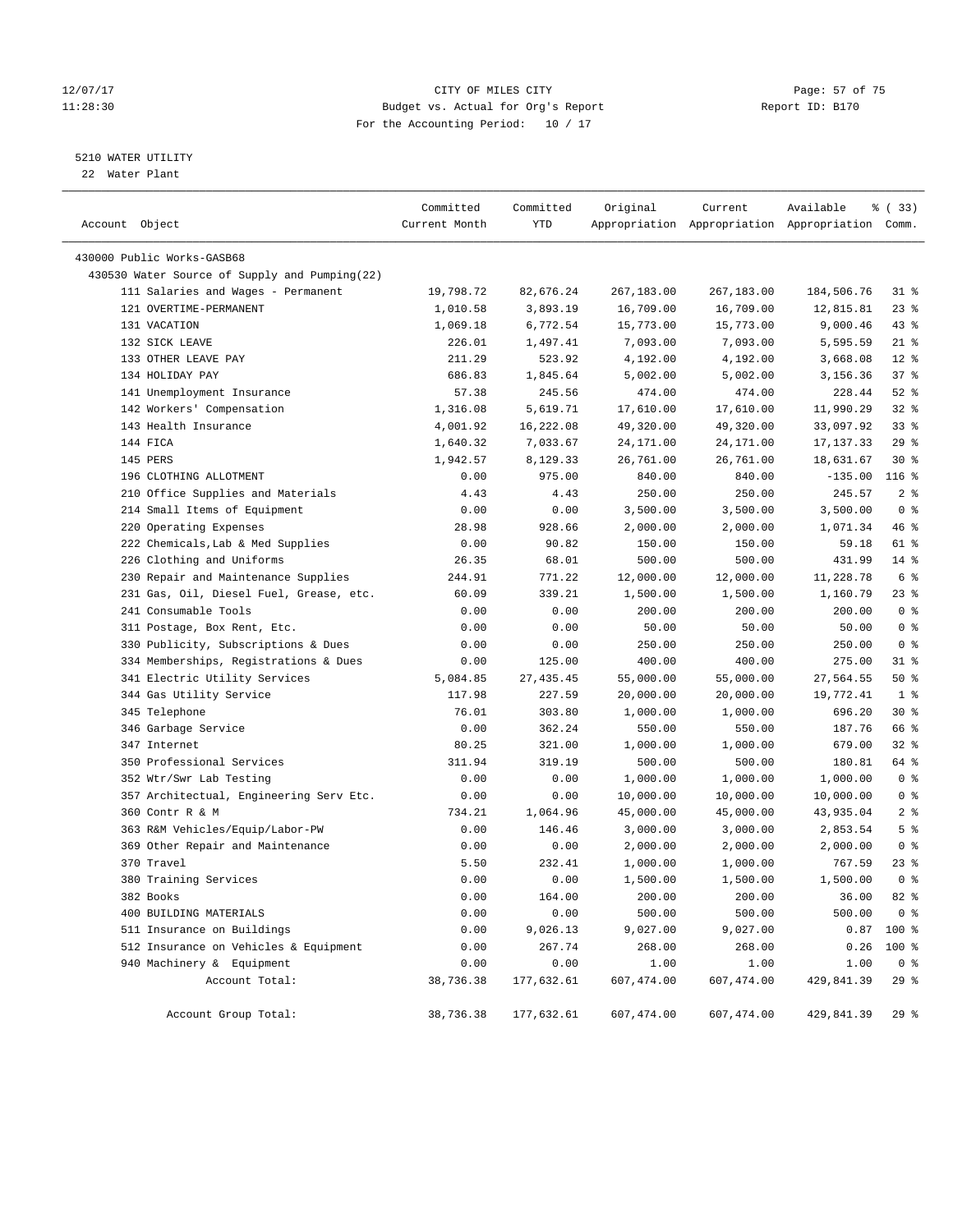# 12/07/17 Page: 57 of 75 11:28:30 Budget vs. Actual for Org's Report Report ID: B170 For the Accounting Period: 10 / 17

————————————————————————————————————————————————————————————————————————————————————————————————————————————————————————————————————

# 5210 WATER UTILITY

22 Water Plant

|                                               | Committed     | Committed  | Original   | Current    | Available                                       | 8 (33)         |
|-----------------------------------------------|---------------|------------|------------|------------|-------------------------------------------------|----------------|
| Account Object                                | Current Month | YTD        |            |            | Appropriation Appropriation Appropriation Comm. |                |
| 430000 Public Works-GASB68                    |               |            |            |            |                                                 |                |
| 430530 Water Source of Supply and Pumping(22) |               |            |            |            |                                                 |                |
| 111 Salaries and Wages - Permanent            | 19,798.72     | 82,676.24  | 267,183.00 | 267,183.00 | 184,506.76                                      | $31$ %         |
| 121 OVERTIME-PERMANENT                        | 1,010.58      | 3,893.19   | 16,709.00  | 16,709.00  | 12,815.81                                       | $23$ %         |
| 131 VACATION                                  | 1,069.18      | 6,772.54   | 15,773.00  | 15,773.00  | 9,000.46                                        | $43$ %         |
| 132 SICK LEAVE                                | 226.01        | 1,497.41   | 7,093.00   | 7,093.00   | 5,595.59                                        | $21$ %         |
| 133 OTHER LEAVE PAY                           | 211.29        | 523.92     | 4,192.00   | 4,192.00   | 3,668.08                                        | $12*$          |
| 134 HOLIDAY PAY                               | 686.83        | 1,845.64   | 5,002.00   | 5,002.00   | 3,156.36                                        | 37%            |
| 141 Unemployment Insurance                    | 57.38         | 245.56     | 474.00     | 474.00     | 228.44                                          | $52$ $%$       |
| 142 Workers' Compensation                     | 1,316.08      | 5,619.71   | 17,610.00  | 17,610.00  | 11,990.29                                       | $32$ $%$       |
| 143 Health Insurance                          | 4,001.92      | 16,222.08  | 49,320.00  | 49,320.00  | 33,097.92                                       | $33$ $%$       |
| 144 FICA                                      | 1,640.32      | 7,033.67   | 24,171.00  | 24,171.00  | 17, 137.33                                      | 29%            |
| 145 PERS                                      | 1,942.57      | 8,129.33   | 26,761.00  | 26,761.00  | 18,631.67                                       | $30*$          |
| 196 CLOTHING ALLOTMENT                        | 0.00          | 975.00     | 840.00     | 840.00     | $-135.00$                                       | $116$ %        |
| 210 Office Supplies and Materials             | 4.43          | 4.43       | 250.00     | 250.00     | 245.57                                          | 2 <sup>8</sup> |
| 214 Small Items of Equipment                  | 0.00          | 0.00       | 3,500.00   | 3,500.00   | 3,500.00                                        | 0 <sup>8</sup> |
| 220 Operating Expenses                        | 28.98         | 928.66     | 2,000.00   | 2,000.00   | 1,071.34                                        | 46 %           |
| 222 Chemicals, Lab & Med Supplies             | 0.00          | 90.82      | 150.00     | 150.00     | 59.18                                           | 61 %           |
| 226 Clothing and Uniforms                     | 26.35         | 68.01      | 500.00     | 500.00     | 431.99                                          | $14*$          |
| 230 Repair and Maintenance Supplies           | 244.91        | 771.22     | 12,000.00  | 12,000.00  | 11,228.78                                       | 6 %            |
| 231 Gas, Oil, Diesel Fuel, Grease, etc.       | 60.09         | 339.21     | 1,500.00   | 1,500.00   | 1,160.79                                        | 23 %           |
| 241 Consumable Tools                          | 0.00          | 0.00       | 200.00     | 200.00     | 200.00                                          | 0 <sup>8</sup> |
| 311 Postage, Box Rent, Etc.                   | 0.00          | 0.00       | 50.00      | 50.00      | 50.00                                           | 0 <sup>8</sup> |
| 330 Publicity, Subscriptions & Dues           | 0.00          | 0.00       | 250.00     | 250.00     | 250.00                                          | 0 <sup>8</sup> |
| 334 Memberships, Registrations & Dues         | 0.00          | 125.00     | 400.00     | 400.00     | 275.00                                          | $31$ %         |
| 341 Electric Utility Services                 | 5,084.85      | 27, 435.45 | 55,000.00  | 55,000.00  | 27,564.55                                       | 50%            |
| 344 Gas Utility Service                       | 117.98        | 227.59     | 20,000.00  | 20,000.00  | 19,772.41                                       | 1 <sub>8</sub> |
| 345 Telephone                                 | 76.01         | 303.80     | 1,000.00   | 1,000.00   | 696.20                                          | $30*$          |
| 346 Garbage Service                           | 0.00          | 362.24     | 550.00     | 550.00     | 187.76                                          | 66 %           |
| 347 Internet                                  | 80.25         | 321.00     | 1,000.00   | 1,000.00   | 679.00                                          | $32$ $%$       |
| 350 Professional Services                     | 311.94        | 319.19     | 500.00     | 500.00     | 180.81                                          | 64 %           |
| 352 Wtr/Swr Lab Testing                       | 0.00          | 0.00       | 1,000.00   | 1,000.00   | 1,000.00                                        | 0 <sup>8</sup> |
| 357 Architectual, Engineering Serv Etc.       | 0.00          | 0.00       | 10,000.00  | 10,000.00  | 10,000.00                                       | 0 <sup>8</sup> |
| 360 Contr R & M                               | 734.21        | 1,064.96   | 45,000.00  | 45,000.00  | 43,935.04                                       | 2 <sup>8</sup> |
| 363 R&M Vehicles/Equip/Labor-PW               | 0.00          | 146.46     | 3,000.00   | 3,000.00   | 2,853.54                                        | 5 <sup>8</sup> |
| 369 Other Repair and Maintenance              | 0.00          | 0.00       | 2,000.00   | 2,000.00   | 2,000.00                                        | 0 <sup>8</sup> |
| 370 Travel                                    | 5.50          | 232.41     | 1,000.00   | 1,000.00   | 767.59                                          | 23 %           |
| 380 Training Services                         | 0.00          | 0.00       | 1,500.00   | 1,500.00   | 1,500.00                                        | 0 <sup>8</sup> |
| 382 Books                                     | 0.00          | 164.00     | 200.00     | 200.00     | 36.00                                           | $82$ $%$       |
| 400 BUILDING MATERIALS                        | 0.00          | 0.00       | 500.00     | 500.00     | 500.00                                          | 0 %            |
| 511 Insurance on Buildings                    | 0.00          | 9,026.13   | 9,027.00   | 9,027.00   |                                                 | $0.87$ 100 %   |
| 512 Insurance on Vehicles & Equipment         | 0.00          | 267.74     | 268.00     | 268.00     | 0.26                                            | 100 %          |
| 940 Machinery & Equipment                     | 0.00          | 0.00       | 1.00       | 1.00       | 1.00                                            | 0 <sup>8</sup> |
| Account Total:                                | 38,736.38     | 177,632.61 | 607,474.00 | 607,474.00 | 429,841.39                                      | 29%            |
| Account Group Total:                          | 38,736.38     | 177,632.61 | 607,474.00 | 607,474.00 | 429,841.39                                      | 29 %           |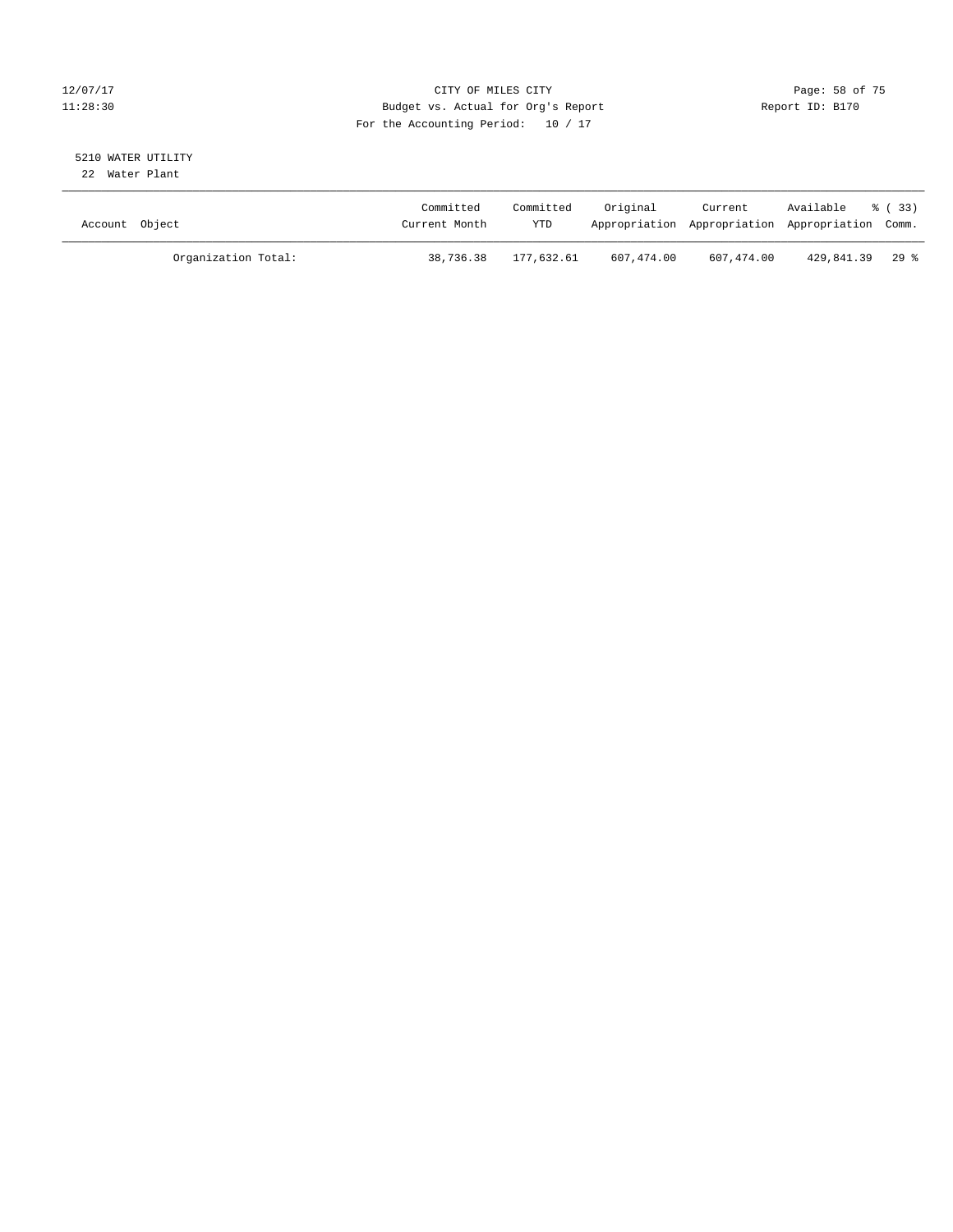# 12/07/17 Page: 58 of 75 11:28:30 Budget vs. Actual for Org's Report Report ID: B170 For the Accounting Period: 10 / 17

#### 5210 WATER UTILITY 22 Water Plant

| Account Object |                     | Committed<br>Current Month | Committed<br><b>YTD</b> | Original   | Current    | Available<br>Appropriation Appropriation Appropriation Comm. | 8 (33) |
|----------------|---------------------|----------------------------|-------------------------|------------|------------|--------------------------------------------------------------|--------|
|                | Organization Total: | 38,736.38                  | 177.632.61              | 607,474.00 | 607,474.00 | 429,841.39 29 %                                              |        |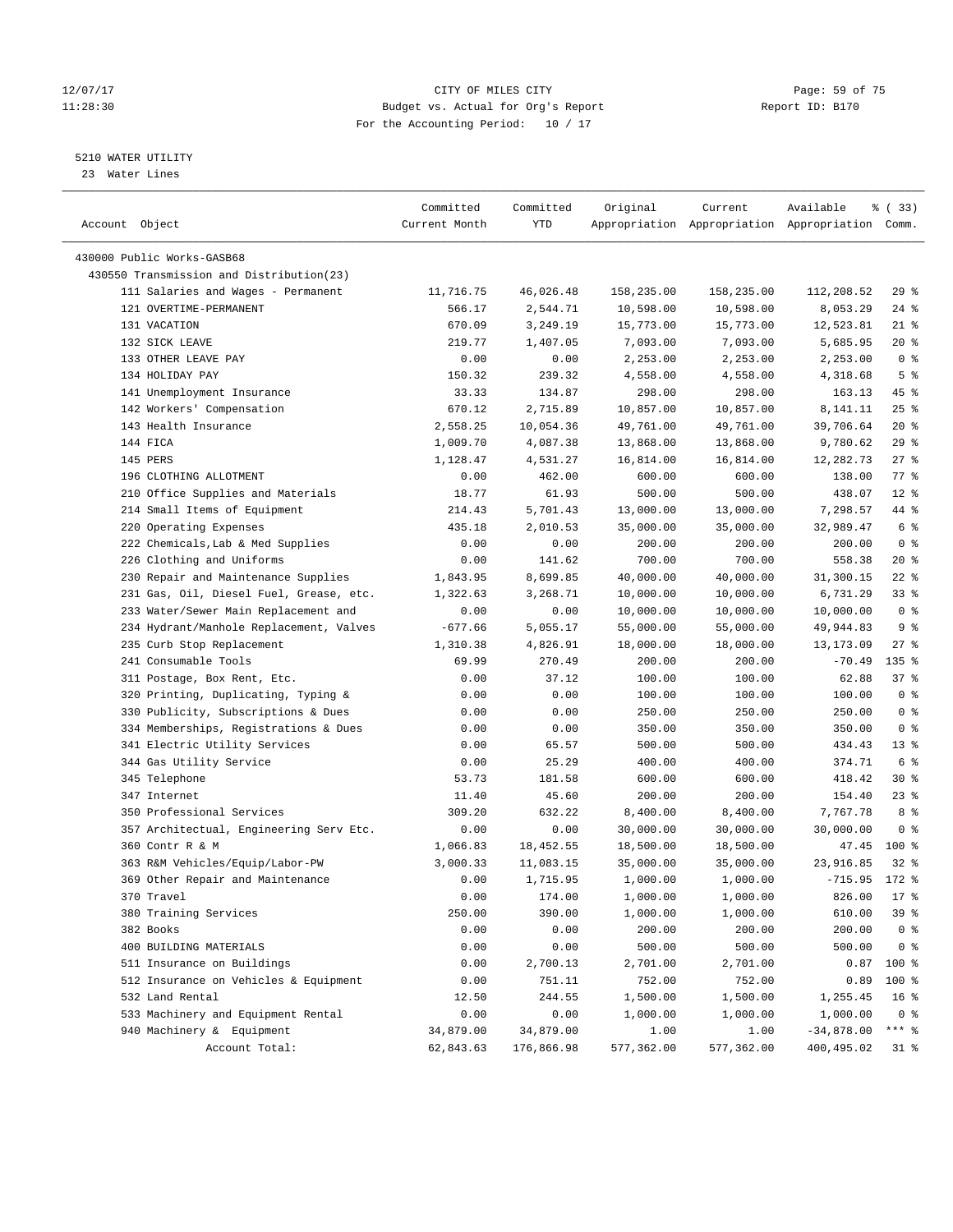# 12/07/17 Page: 59 of 75 11:28:30 Budget vs. Actual for Org's Report Report ID: B170 For the Accounting Period: 10 / 17

————————————————————————————————————————————————————————————————————————————————————————————————————————————————————————————————————

# 5210 WATER UTILITY

23 Water Lines

|                                          | Committed     | Committed  | Original   | Current    | Available                                       | % (33)          |  |
|------------------------------------------|---------------|------------|------------|------------|-------------------------------------------------|-----------------|--|
| Account Object                           | Current Month | YTD        |            |            | Appropriation Appropriation Appropriation Comm. |                 |  |
|                                          |               |            |            |            |                                                 |                 |  |
| 430000 Public Works-GASB68               |               |            |            |            |                                                 |                 |  |
| 430550 Transmission and Distribution(23) |               |            |            |            |                                                 |                 |  |
| 111 Salaries and Wages - Permanent       | 11,716.75     | 46,026.48  | 158,235.00 | 158,235.00 | 112,208.52                                      | 29%             |  |
| 121 OVERTIME-PERMANENT                   | 566.17        | 2,544.71   | 10,598.00  | 10,598.00  | 8,053.29                                        | $24$ %          |  |
| 131 VACATION                             | 670.09        | 3,249.19   | 15,773.00  | 15,773.00  | 12,523.81                                       | $21$ %          |  |
| 132 SICK LEAVE                           | 219.77        | 1,407.05   | 7,093.00   | 7,093.00   | 5,685.95                                        | $20*$           |  |
| 133 OTHER LEAVE PAY                      | 0.00          | 0.00       | 2,253.00   | 2,253.00   | 2,253.00                                        | 0 <sup>8</sup>  |  |
| 134 HOLIDAY PAY                          | 150.32        | 239.32     | 4,558.00   | 4,558.00   | 4,318.68                                        | 5 <sup>°</sup>  |  |
| 141 Unemployment Insurance               | 33.33         | 134.87     | 298.00     | 298.00     | 163.13                                          | 45 %            |  |
| 142 Workers' Compensation                | 670.12        | 2,715.89   | 10,857.00  | 10,857.00  | 8,141.11                                        | $25$ %          |  |
| 143 Health Insurance                     | 2,558.25      | 10,054.36  | 49,761.00  | 49,761.00  | 39,706.64                                       | $20*$           |  |
| 144 FICA                                 | 1,009.70      | 4,087.38   | 13,868.00  | 13,868.00  | 9,780.62                                        | 29%             |  |
| 145 PERS                                 | 1,128.47      | 4,531.27   | 16,814.00  | 16,814.00  | 12,282.73                                       | $27$ %          |  |
| 196 CLOTHING ALLOTMENT                   | 0.00          | 462.00     | 600.00     | 600.00     | 138.00                                          | 77.8            |  |
| 210 Office Supplies and Materials        | 18.77         | 61.93      | 500.00     | 500.00     | 438.07                                          | $12*$           |  |
| 214 Small Items of Equipment             | 214.43        | 5,701.43   | 13,000.00  | 13,000.00  | 7,298.57                                        | 44 %            |  |
| 220 Operating Expenses                   | 435.18        | 2,010.53   | 35,000.00  | 35,000.00  | 32,989.47                                       | 6 <sup>°</sup>  |  |
| 222 Chemicals, Lab & Med Supplies        | 0.00          | 0.00       | 200.00     | 200.00     | 200.00                                          | 0 <sup>8</sup>  |  |
| 226 Clothing and Uniforms                | 0.00          | 141.62     | 700.00     | 700.00     | 558.38                                          | $20*$           |  |
| 230 Repair and Maintenance Supplies      | 1,843.95      | 8,699.85   | 40,000.00  | 40,000.00  | 31,300.15                                       | $22$ %          |  |
| 231 Gas, Oil, Diesel Fuel, Grease, etc.  | 1,322.63      | 3,268.71   | 10,000.00  | 10,000.00  | 6,731.29                                        | 33%             |  |
| 233 Water/Sewer Main Replacement and     | 0.00          | 0.00       | 10,000.00  | 10,000.00  | 10,000.00                                       | 0 <sup>8</sup>  |  |
| 234 Hydrant/Manhole Replacement, Valves  | $-677.66$     | 5,055.17   | 55,000.00  | 55,000.00  | 49,944.83                                       | 9%              |  |
| 235 Curb Stop Replacement                | 1,310.38      | 4,826.91   | 18,000.00  | 18,000.00  | 13,173.09                                       | $27$ %          |  |
| 241 Consumable Tools                     | 69.99         | 270.49     | 200.00     | 200.00     | $-70.49$                                        | $135$ %         |  |
| 311 Postage, Box Rent, Etc.              | 0.00          | 37.12      | 100.00     | 100.00     | 62.88                                           | 37%             |  |
| 320 Printing, Duplicating, Typing &      | 0.00          | 0.00       | 100.00     | 100.00     | 100.00                                          | 0 <sup>8</sup>  |  |
| 330 Publicity, Subscriptions & Dues      | 0.00          | 0.00       | 250.00     | 250.00     | 250.00                                          | 0 <sup>8</sup>  |  |
| 334 Memberships, Registrations & Dues    | 0.00          | 0.00       | 350.00     | 350.00     | 350.00                                          | 0 <sup>8</sup>  |  |
| 341 Electric Utility Services            | 0.00          | 65.57      | 500.00     | 500.00     | 434.43                                          | $13*$           |  |
| 344 Gas Utility Service                  | 0.00          | 25.29      | 400.00     | 400.00     | 374.71                                          | 6 <sup>°</sup>  |  |
| 345 Telephone                            | 53.73         | 181.58     | 600.00     | 600.00     | 418.42                                          | $30*$           |  |
| 347 Internet                             | 11.40         | 45.60      | 200.00     | 200.00     | 154.40                                          | $23$ $%$        |  |
| 350 Professional Services                | 309.20        | 632.22     | 8,400.00   | 8,400.00   | 7,767.78                                        | 8 %             |  |
| 357 Architectual, Engineering Serv Etc.  | 0.00          | 0.00       | 30,000.00  | 30,000.00  | 30,000.00                                       | 0 <sup>8</sup>  |  |
| 360 Contr R & M                          | 1,066.83      | 18,452.55  | 18,500.00  | 18,500.00  | 47.45                                           | $100*$          |  |
| 363 R&M Vehicles/Equip/Labor-PW          | 3,000.33      | 11,083.15  | 35,000.00  | 35,000.00  | 23,916.85                                       | $32$ $%$        |  |
| 369 Other Repair and Maintenance         | 0.00          | 1,715.95   | 1,000.00   | 1,000.00   | $-715.95$ 172 %                                 |                 |  |
| 370 Travel                               | 0.00          | 174.00     | 1,000.00   | 1,000.00   | 826.00                                          | $17*$           |  |
| 380 Training Services                    | 250.00        | 390.00     | 1,000.00   | 1,000.00   | 610.00                                          | 39%             |  |
| 382 Books                                | 0.00          | 0.00       | 200.00     | 200.00     | 200.00                                          | 0 <sup>8</sup>  |  |
| 400 BUILDING MATERIALS                   | 0.00          | 0.00       | 500.00     | 500.00     | 500.00                                          | 0 <sup>8</sup>  |  |
| 511 Insurance on Buildings               | 0.00          | 2,700.13   | 2,701.00   | 2,701.00   | 0.87                                            | 100 %           |  |
| 512 Insurance on Vehicles & Equipment    | 0.00          | 751.11     | 752.00     | 752.00     | 0.89                                            | 100 %           |  |
| 532 Land Rental                          | 12.50         | 244.55     | 1,500.00   | 1,500.00   | 1,255.45                                        | 16 <sup>8</sup> |  |
| 533 Machinery and Equipment Rental       | 0.00          | 0.00       | 1,000.00   | 1,000.00   | 1,000.00                                        | 0 <sup>8</sup>  |  |
| 940 Machinery & Equipment                | 34,879.00     | 34,879.00  | 1.00       | 1.00       | $-34,878.00$                                    | $***$ $_{8}$    |  |
| Account Total:                           | 62,843.63     | 176,866.98 | 577,362.00 | 577,362.00 | 400,495.02                                      | 31 %            |  |
|                                          |               |            |            |            |                                                 |                 |  |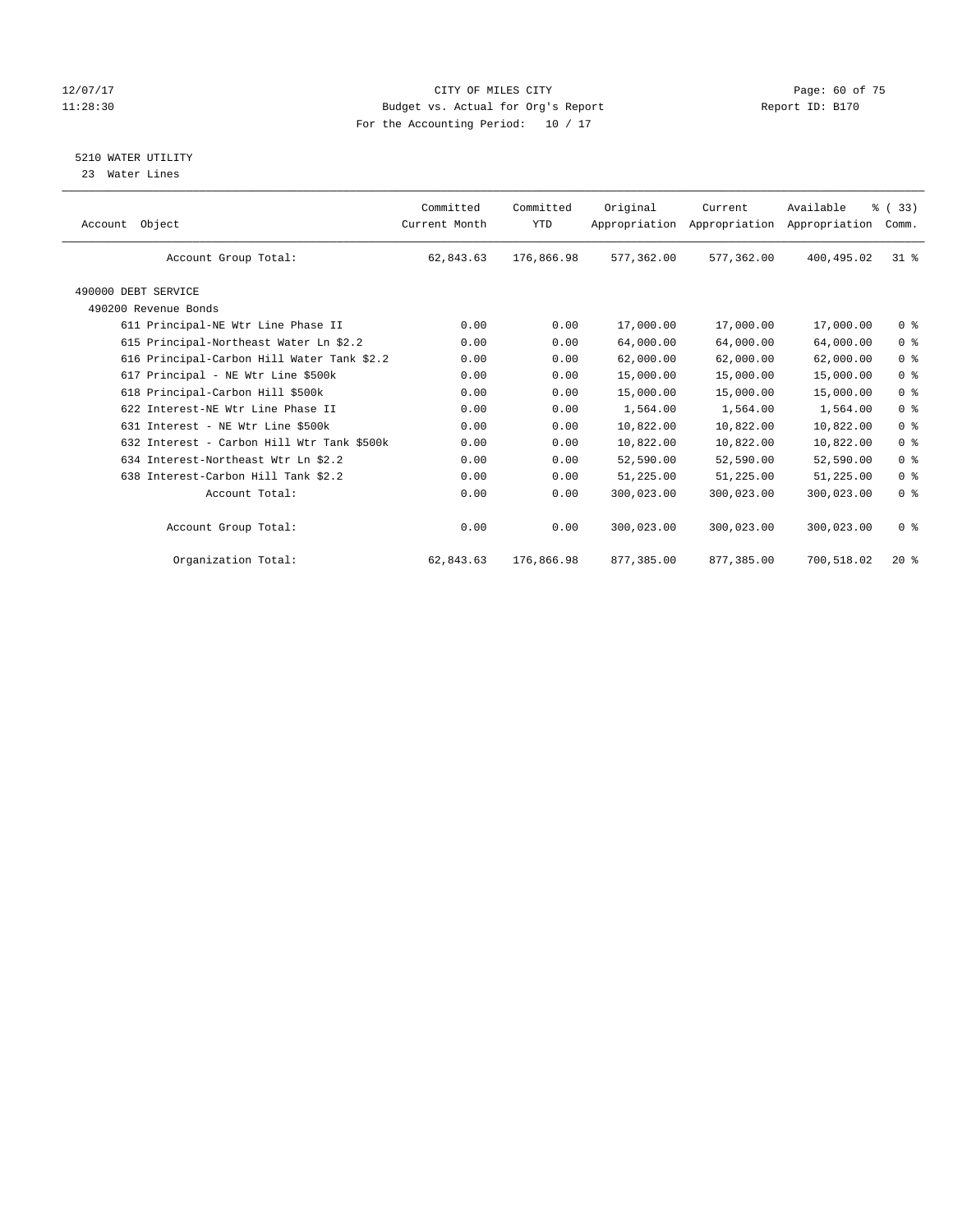# 12/07/17 Page: 60 of 75 11:28:30 Budget vs. Actual for Org's Report Changer Report ID: B170 For the Accounting Period: 10 / 17

5210 WATER UTILITY

23 Water Lines

| Object<br>Account                           | Committed<br>Current Month | Committed<br><b>YTD</b> | Original   | Current<br>Appropriation Appropriation | Available<br>Appropriation | % (33)<br>Comm. |
|---------------------------------------------|----------------------------|-------------------------|------------|----------------------------------------|----------------------------|-----------------|
| Account Group Total:                        | 62,843.63                  | 176,866.98              | 577,362.00 | 577,362.00                             | 400,495.02                 | $31*$           |
| 490000 DEBT SERVICE<br>490200 Revenue Bonds |                            |                         |            |                                        |                            |                 |
| 611 Principal-NE Wtr Line Phase II          | 0.00                       | 0.00                    | 17,000.00  | 17,000.00                              | 17,000.00                  | 0 <sup>8</sup>  |
| 615 Principal-Northeast Water Ln \$2.2      | 0.00                       | 0.00                    | 64,000.00  | 64,000.00                              | 64,000.00                  | 0 <sup>8</sup>  |
| 616 Principal-Carbon Hill Water Tank \$2.2  | 0.00                       | 0.00                    | 62,000.00  | 62,000.00                              | 62,000.00                  | 0 <sup>8</sup>  |
| 617 Principal - NE Wtr Line \$500k          | 0.00                       | 0.00                    | 15,000.00  | 15,000.00                              | 15,000.00                  | 0 <sup>8</sup>  |
| 618 Principal-Carbon Hill \$500k            | 0.00                       | 0.00                    | 15,000.00  | 15,000.00                              | 15,000.00                  | 0 <sup>8</sup>  |
| 622 Interest-NE Wtr Line Phase II           | 0.00                       | 0.00                    | 1,564.00   | 1,564.00                               | 1,564.00                   | 0 <sup>8</sup>  |
| 631 Interest - NE Wtr Line \$500k           | 0.00                       | 0.00                    | 10,822.00  | 10,822.00                              | 10,822.00                  | 0 <sup>8</sup>  |
| 632 Interest - Carbon Hill Wtr Tank \$500k  | 0.00                       | 0.00                    | 10,822.00  | 10,822.00                              | 10,822.00                  | 0 <sup>8</sup>  |
| 634 Interest-Northeast Wtr Ln \$2.2         | 0.00                       | 0.00                    | 52,590.00  | 52,590.00                              | 52,590.00                  | 0 <sup>8</sup>  |
| 638 Interest-Carbon Hill Tank \$2.2         | 0.00                       | 0.00                    | 51,225.00  | 51,225.00                              | 51,225.00                  | 0 <sup>8</sup>  |
| Account Total:                              | 0.00                       | 0.00                    | 300,023.00 | 300,023.00                             | 300,023.00                 | 0 <sup>8</sup>  |
| Account Group Total:                        | 0.00                       | 0.00                    | 300,023.00 | 300,023.00                             | 300,023.00                 | 0 <sup>8</sup>  |
| Organization Total:                         | 62,843.63                  | 176,866.98              | 877,385.00 | 877,385.00                             | 700,518.02                 | $20*$           |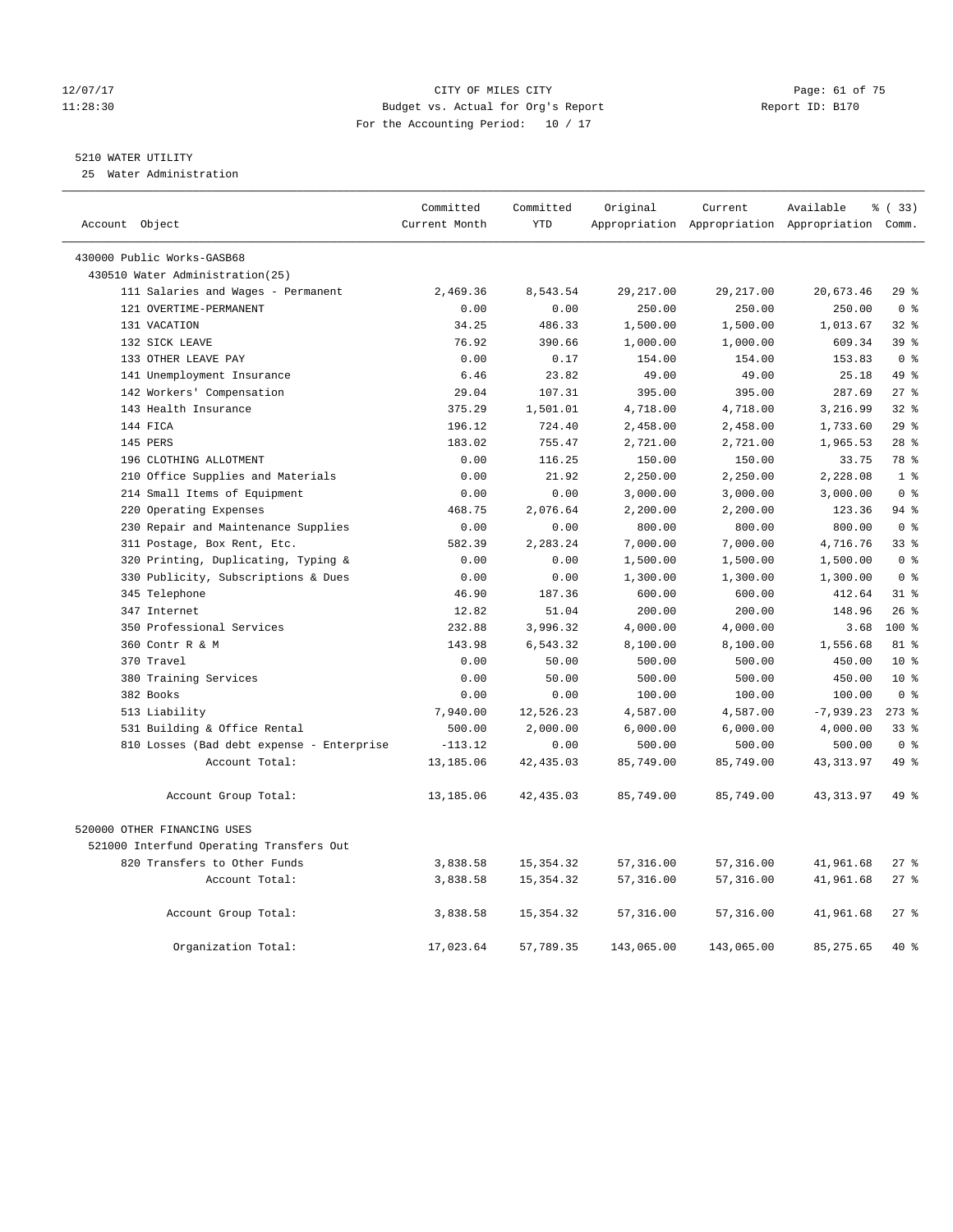#### 12/07/17 Page: 61 of 75 11:28:30 Budget vs. Actual for Org's Report Report ID: B170 For the Accounting Period: 10 / 17

# 5210 WATER UTILITY

25 Water Administration

| Account Object |                                           | Committed<br>Current Month | Committed<br><b>YTD</b> | Original   | Current    | Available<br>Appropriation Appropriation Appropriation Comm. | % ( 33 )        |
|----------------|-------------------------------------------|----------------------------|-------------------------|------------|------------|--------------------------------------------------------------|-----------------|
|                |                                           |                            |                         |            |            |                                                              |                 |
|                | 430000 Public Works-GASB68                |                            |                         |            |            |                                                              |                 |
|                | 430510 Water Administration(25)           |                            |                         |            |            |                                                              |                 |
|                | 111 Salaries and Wages - Permanent        | 2,469.36                   | 8,543.54                | 29, 217.00 | 29, 217.00 | 20,673.46                                                    | 29%             |
|                | 121 OVERTIME-PERMANENT                    | 0.00                       | 0.00                    | 250.00     | 250.00     | 250.00                                                       | 0 <sup>8</sup>  |
|                | 131 VACATION                              | 34.25                      | 486.33                  | 1,500.00   | 1,500.00   | 1,013.67                                                     | 32%             |
|                | 132 SICK LEAVE                            | 76.92                      | 390.66                  | 1,000.00   | 1,000.00   | 609.34                                                       | 39 <sup>8</sup> |
|                | 133 OTHER LEAVE PAY                       | 0.00                       | 0.17                    | 154.00     | 154.00     | 153.83                                                       | 0 <sup>8</sup>  |
|                | 141 Unemployment Insurance                | 6.46                       | 23.82                   | 49.00      | 49.00      | 25.18                                                        | 49 %            |
|                | 142 Workers' Compensation                 | 29.04                      | 107.31                  | 395.00     | 395.00     | 287.69                                                       | 27%             |
|                | 143 Health Insurance                      | 375.29                     | 1,501.01                | 4,718.00   | 4,718.00   | 3,216.99                                                     | 32%             |
|                | 144 FICA                                  | 196.12                     | 724.40                  | 2,458.00   | 2,458.00   | 1,733.60                                                     | 29%             |
|                | 145 PERS                                  | 183.02                     | 755.47                  | 2,721.00   | 2,721.00   | 1,965.53                                                     | $28$ %          |
|                | 196 CLOTHING ALLOTMENT                    | 0.00                       | 116.25                  | 150.00     | 150.00     | 33.75                                                        | 78 %            |
|                | 210 Office Supplies and Materials         | 0.00                       | 21.92                   | 2,250.00   | 2,250.00   | 2,228.08                                                     | 1 <sup>°</sup>  |
|                | 214 Small Items of Equipment              | 0.00                       | 0.00                    | 3,000.00   | 3,000.00   | 3,000.00                                                     | 0 <sup>8</sup>  |
|                | 220 Operating Expenses                    | 468.75                     | 2,076.64                | 2,200.00   | 2,200.00   | 123.36                                                       | $94$ %          |
|                | 230 Repair and Maintenance Supplies       | 0.00                       | 0.00                    | 800.00     | 800.00     | 800.00                                                       | 0 <sup>8</sup>  |
|                | 311 Postage, Box Rent, Etc.               | 582.39                     | 2,283.24                | 7,000.00   | 7,000.00   | 4,716.76                                                     | 33 <sup>8</sup> |
|                | 320 Printing, Duplicating, Typing &       | 0.00                       | 0.00                    | 1,500.00   | 1,500.00   | 1,500.00                                                     | 0 <sup>8</sup>  |
|                | 330 Publicity, Subscriptions & Dues       | 0.00                       | 0.00                    | 1,300.00   | 1,300.00   | 1,300.00                                                     | 0 <sup>8</sup>  |
|                | 345 Telephone                             | 46.90                      | 187.36                  | 600.00     | 600.00     | 412.64                                                       | 31.8            |
|                | 347 Internet                              | 12.82                      | 51.04                   | 200.00     | 200.00     | 148.96                                                       | 26%             |
|                | 350 Professional Services                 | 232.88                     | 3,996.32                | 4,000.00   | 4,000.00   | 3.68                                                         | $100*$          |
|                | 360 Contr R & M                           | 143.98                     | 6,543.32                | 8,100.00   | 8,100.00   | 1,556.68                                                     | 81 %            |
|                | 370 Travel                                | 0.00                       | 50.00                   | 500.00     | 500.00     | 450.00                                                       | $10*$           |
|                | 380 Training Services                     | 0.00                       | 50.00                   | 500.00     | 500.00     | 450.00                                                       | $10*$           |
|                | 382 Books                                 | 0.00                       | 0.00                    | 100.00     | 100.00     | 100.00                                                       | 0 <sup>8</sup>  |
|                | 513 Liability                             | 7,940.00                   | 12,526.23               | 4,587.00   | 4,587.00   | $-7,939.23$                                                  | $273$ $%$       |
|                | 531 Building & Office Rental              | 500.00                     | 2,000.00                | 6,000.00   | 6,000.00   | 4,000.00                                                     | 33%             |
|                | 810 Losses (Bad debt expense - Enterprise | $-113.12$                  | 0.00                    | 500.00     | 500.00     | 500.00                                                       | 0 <sup>8</sup>  |
|                | Account Total:                            | 13,185.06                  | 42, 435.03              | 85,749.00  | 85,749.00  | 43, 313.97                                                   | 49 %            |
|                | Account Group Total:                      | 13,185.06                  | 42,435.03               | 85,749.00  | 85,749.00  | 43, 313.97                                                   | 49 %            |
|                | 520000 OTHER FINANCING USES               |                            |                         |            |            |                                                              |                 |
|                | 521000 Interfund Operating Transfers Out  |                            |                         |            |            |                                                              |                 |
|                | 820 Transfers to Other Funds              | 3,838.58                   | 15, 354. 32             | 57,316.00  | 57,316.00  | 41,961.68                                                    | $27$ %          |
|                | Account Total:                            | 3,838.58                   | 15, 354. 32             | 57,316.00  | 57,316.00  | 41,961.68                                                    | $27$ %          |
|                | Account Group Total:                      | 3,838.58                   | 15, 354.32              | 57,316.00  | 57,316.00  | 41,961.68                                                    | 27%             |
|                | Organization Total:                       | 17,023.64                  | 57,789.35               | 143,065.00 | 143,065.00 | 85, 275.65                                                   | 40 %            |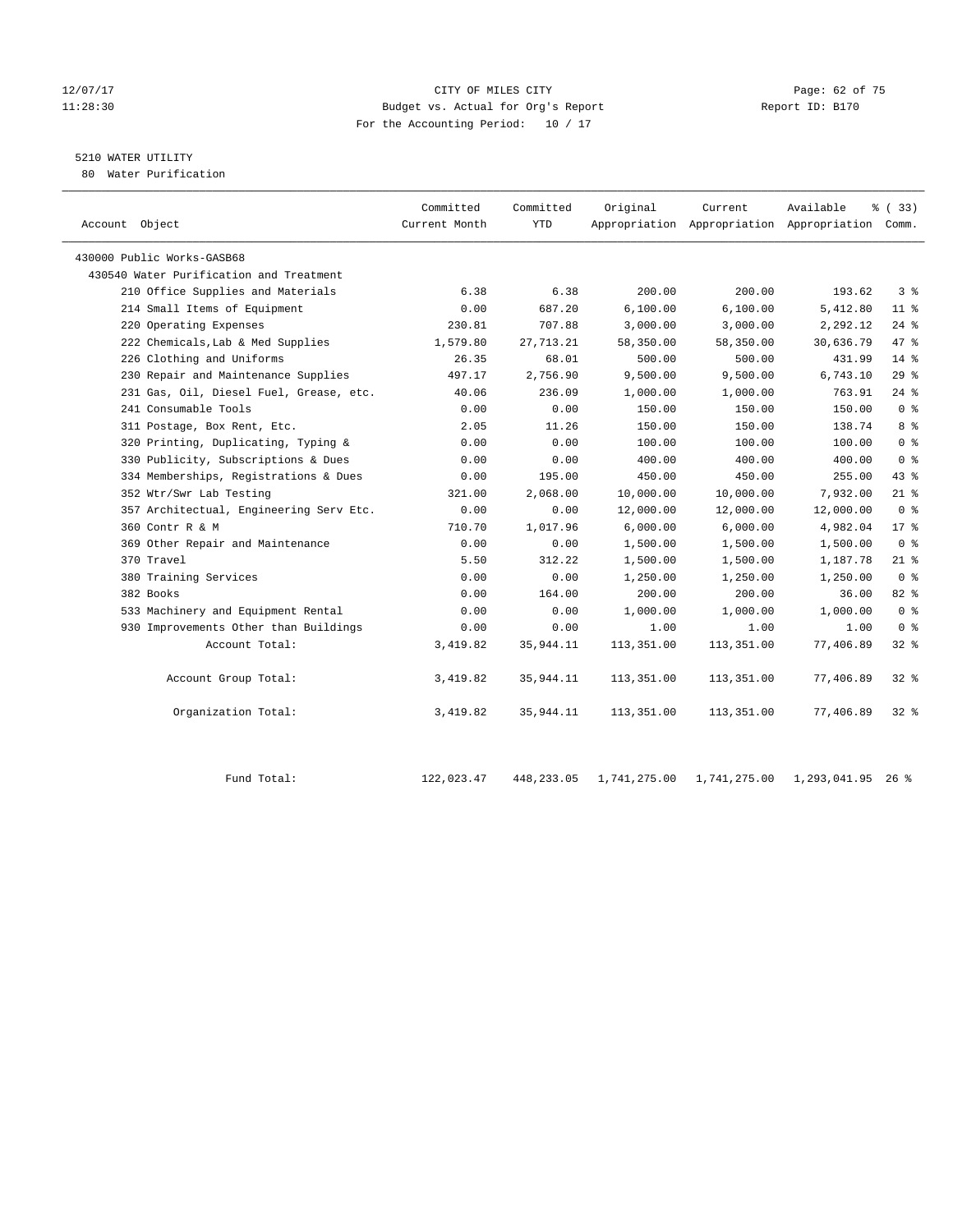# 12/07/17 Page: 62 of 75 11:28:30 Budget vs. Actual for Org's Report Report ID: B170 For the Accounting Period: 10 / 17

# 5210 WATER UTILITY

80 Water Purification

| Account Object                          | Committed<br>Current Month | Committed<br><b>YTD</b> | Original   | Current    | Available<br>Appropriation Appropriation Appropriation Comm. | % (33)             |
|-----------------------------------------|----------------------------|-------------------------|------------|------------|--------------------------------------------------------------|--------------------|
| 430000 Public Works-GASB68              |                            |                         |            |            |                                                              |                    |
| 430540 Water Purification and Treatment |                            |                         |            |            |                                                              |                    |
| 210 Office Supplies and Materials       | 6.38                       | 6.38                    | 200.00     | 200.00     | 193.62                                                       | 3%                 |
| 214 Small Items of Equipment            | 0.00                       | 687.20                  | 6,100.00   | 6,100.00   | 5,412.80                                                     | $11$ %             |
| 220 Operating Expenses                  | 230.81                     | 707.88                  | 3,000.00   | 3,000.00   | 2,292.12                                                     | 24%                |
| 222 Chemicals, Lab & Med Supplies       | 1,579.80                   | 27, 713. 21             | 58,350.00  | 58,350.00  | 30,636.79                                                    | 47.8               |
| 226 Clothing and Uniforms               | 26.35                      | 68.01                   | 500.00     | 500.00     | 431.99                                                       | $14*$              |
| 230 Repair and Maintenance Supplies     | 497.17                     | 2,756.90                | 9,500.00   | 9,500.00   | 6,743.10                                                     | 298                |
| 231 Gas, Oil, Diesel Fuel, Grease, etc. | 40.06                      | 236.09                  | 1,000.00   | 1,000.00   | 763.91                                                       | $24$ $\frac{6}{5}$ |
| 241 Consumable Tools                    | 0.00                       | 0.00                    | 150.00     | 150.00     | 150.00                                                       | 0 <sup>8</sup>     |
| 311 Postage, Box Rent, Etc.             | 2.05                       | 11.26                   | 150.00     | 150.00     | 138.74                                                       | 8 <sup>°</sup>     |
| 320 Printing, Duplicating, Typing &     | 0.00                       | 0.00                    | 100.00     | 100.00     | 100.00                                                       | 0 <sup>8</sup>     |
| 330 Publicity, Subscriptions & Dues     | 0.00                       | 0.00                    | 400.00     | 400.00     | 400.00                                                       | 0 <sup>8</sup>     |
| 334 Memberships, Registrations & Dues   | 0.00                       | 195.00                  | 450.00     | 450.00     | 255.00                                                       | 43 %               |
| 352 Wtr/Swr Lab Testing                 | 321.00                     | 2,068.00                | 10,000.00  | 10,000.00  | 7,932.00                                                     | $21$ %             |
| 357 Architectual, Engineering Serv Etc. | 0.00                       | 0.00                    | 12,000.00  | 12,000.00  | 12,000.00                                                    | 0 <sup>8</sup>     |
| 360 Contr R & M                         | 710.70                     | 1,017.96                | 6,000.00   | 6,000.00   | 4,982.04                                                     | $17*$              |
| 369 Other Repair and Maintenance        | 0.00                       | 0.00                    | 1,500.00   | 1,500.00   | 1,500.00                                                     | 0 <sup>8</sup>     |
| 370 Travel                              | 5.50                       | 312.22                  | 1,500.00   | 1,500.00   | 1,187.78                                                     | $21$ %             |
| 380 Training Services                   | 0.00                       | 0.00                    | 1,250.00   | 1,250.00   | 1,250.00                                                     | 0 <sup>8</sup>     |
| 382 Books                               | 0.00                       | 164.00                  | 200.00     | 200.00     | 36.00                                                        | 82 %               |
| 533 Machinery and Equipment Rental      | 0.00                       | 0.00                    | 1,000.00   | 1,000.00   | 1,000.00                                                     | 0 <sup>8</sup>     |
| 930 Improvements Other than Buildings   | 0.00                       | 0.00                    | 1.00       | 1.00       | 1.00                                                         | 0 <sup>8</sup>     |
| Account Total:                          | 3,419.82                   | 35,944.11               | 113,351.00 | 113,351.00 | 77,406.89                                                    | $32*$              |
| Account Group Total:                    | 3,419.82                   | 35,944.11               | 113,351.00 | 113,351.00 | 77,406.89                                                    | $32$ $%$           |
| Organization Total:                     | 3,419.82                   | 35,944.11               | 113,351.00 | 113,351.00 | 77,406.89                                                    | $32$ $%$           |
|                                         |                            |                         |            |            |                                                              |                    |

| Fund Total: | 122,023.47 |  | 448,233.05  1,741,275.00  1,741,275.00  1,293,041.95  26  % |  |
|-------------|------------|--|-------------------------------------------------------------|--|
|             |            |  |                                                             |  |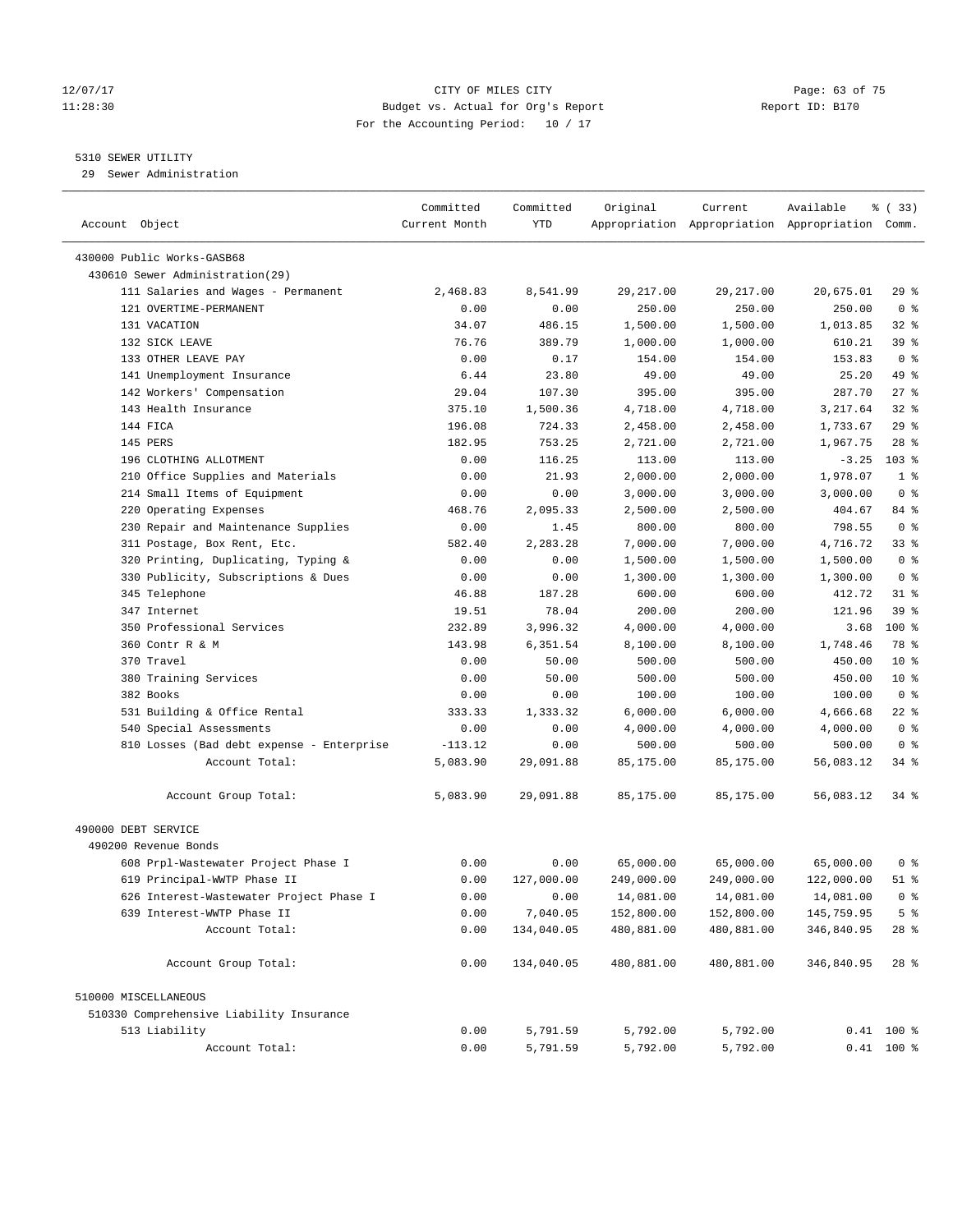#### 12/07/17 Page: 63 of 75 11:28:30 Budget vs. Actual for Org's Report Report ID: B170 For the Accounting Period: 10 / 17

————————————————————————————————————————————————————————————————————————————————————————————————————————————————————————————————————

# 5310 SEWER UTILITY

29 Sewer Administration

|                                                                    | Committed      | Committed        | Original             | Current            | Available                                       | % (33)         |
|--------------------------------------------------------------------|----------------|------------------|----------------------|--------------------|-------------------------------------------------|----------------|
| Account Object                                                     | Current Month  | YTD              |                      |                    | Appropriation Appropriation Appropriation Comm. |                |
|                                                                    |                |                  |                      |                    |                                                 |                |
| 430000 Public Works-GASB68<br>430610 Sewer Administration(29)      |                |                  |                      |                    |                                                 |                |
| 111 Salaries and Wages - Permanent                                 | 2,468.83       | 8,541.99         | 29, 217.00           | 29, 217.00         | 20,675.01                                       | 29%            |
| 121 OVERTIME-PERMANENT                                             | 0.00           | 0.00             | 250.00               | 250.00             | 250.00                                          | 0 <sup>8</sup> |
| 131 VACATION                                                       | 34.07          | 486.15           |                      | 1,500.00           |                                                 | $32$ $%$       |
| 132 SICK LEAVE                                                     | 76.76          | 389.79           | 1,500.00<br>1,000.00 | 1,000.00           | 1,013.85<br>610.21                              | 39 %           |
| 133 OTHER LEAVE PAY                                                | 0.00           | 0.17             | 154.00               | 154.00             | 153.83                                          | 0 <sup>8</sup> |
| 141 Unemployment Insurance                                         | 6.44           | 23.80            | 49.00                | 49.00              | 25.20                                           | 49 %           |
| 142 Workers' Compensation                                          | 29.04          | 107.30           | 395.00               | 395.00             | 287.70                                          | $27$ %         |
| 143 Health Insurance                                               | 375.10         | 1,500.36         | 4,718.00             | 4,718.00           | 3,217.64                                        | $32$ $%$       |
| 144 FICA                                                           | 196.08         | 724.33           | 2,458.00             | 2,458.00           | 1,733.67                                        | 29%            |
| 145 PERS                                                           | 182.95         | 753.25           | 2,721.00             | 2,721.00           | 1,967.75                                        | $28$ %         |
| 196 CLOTHING ALLOTMENT                                             | 0.00           | 116.25           | 113.00               | 113.00             | $-3.25$                                         | $103$ %        |
| 210 Office Supplies and Materials                                  | 0.00           | 21.93            | 2,000.00             | 2,000.00           | 1,978.07                                        | 1 <sup>°</sup> |
|                                                                    |                |                  |                      |                    |                                                 | 0 <sup>8</sup> |
| 214 Small Items of Equipment                                       | 0.00<br>468.76 | 0.00<br>2,095.33 | 3,000.00             | 3,000.00           | 3,000.00<br>404.67                              | 84 %           |
| 220 Operating Expenses<br>230 Repair and Maintenance Supplies      |                |                  | 2,500.00             | 2,500.00           |                                                 | 0 <sup>8</sup> |
|                                                                    | 0.00           | 1.45             | 800.00<br>7,000.00   | 800.00<br>7,000.00 | 798.55<br>4,716.72                              | $33$ $%$       |
| 311 Postage, Box Rent, Etc.<br>320 Printing, Duplicating, Typing & | 582.40         | 2,283.28         |                      |                    |                                                 | 0 <sup>8</sup> |
|                                                                    | 0.00           | 0.00             | 1,500.00             | 1,500.00           | 1,500.00                                        |                |
| 330 Publicity, Subscriptions & Dues                                | 0.00           | 0.00             | 1,300.00             | 1,300.00           | 1,300.00                                        | 0 <sup>8</sup> |
| 345 Telephone                                                      | 46.88          | 187.28           | 600.00               | 600.00             | 412.72                                          | $31$ %         |
| 347 Internet                                                       | 19.51          | 78.04            | 200.00               | 200.00             | 121.96                                          | 39%            |
| 350 Professional Services                                          | 232.89         | 3,996.32         | 4,000.00             | 4,000.00           | 3.68                                            | $100*$         |
| 360 Contr R & M                                                    | 143.98         | 6,351.54         | 8,100.00             | 8,100.00           | 1,748.46                                        | 78 %           |
| 370 Travel                                                         | 0.00           | 50.00            | 500.00               | 500.00             | 450.00                                          | $10*$          |
| 380 Training Services                                              | 0.00           | 50.00            | 500.00               | 500.00             | 450.00                                          | $10*$          |
| 382 Books                                                          | 0.00           | 0.00             | 100.00               | 100.00             | 100.00                                          | 0 <sup>8</sup> |
| 531 Building & Office Rental                                       | 333.33         | 1,333.32         | 6,000.00             | 6,000.00           | 4,666.68                                        | $22$ %         |
| 540 Special Assessments                                            | 0.00           | 0.00             | 4,000.00             | 4,000.00           | 4,000.00                                        | 0 <sup>8</sup> |
| 810 Losses (Bad debt expense - Enterprise                          | $-113.12$      | 0.00             | 500.00               | 500.00             | 500.00                                          | 0 <sup>8</sup> |
| Account Total:                                                     | 5,083.90       | 29,091.88        | 85,175.00            | 85,175.00          | 56,083.12                                       | $34$ $%$       |
| Account Group Total:                                               | 5,083.90       | 29,091.88        | 85,175.00            | 85,175.00          | 56,083.12                                       | 34 %           |
| 490000 DEBT SERVICE                                                |                |                  |                      |                    |                                                 |                |
| 490200 Revenue Bonds                                               |                |                  |                      |                    |                                                 |                |
| 608 Prpl-Wastewater Project Phase I                                | 0.00           | 0.00             | 65,000.00            | 65,000.00          | 65,000.00                                       | 0 <sup>8</sup> |
| 619 Principal-WWTP Phase II                                        | 0.00           | 127,000.00       | 249,000.00           | 249,000.00         | 122,000.00                                      | 51 %           |
| 626 Interest-Wastewater Project Phase I                            | 0.00           | 0.00             | 14,081.00            | 14,081.00          | 14,081.00                                       | $0$ %          |
| 639 Interest-WWTP Phase II                                         | 0.00           | 7,040.05         | 152,800.00           | 152,800.00         | 145,759.95                                      | 5 <sup>°</sup> |
| Account Total:                                                     | 0.00           | 134,040.05       | 480,881.00           | 480,881.00         | 346,840.95                                      | 28 %           |
|                                                                    |                |                  |                      |                    |                                                 |                |
| Account Group Total:                                               | 0.00           | 134,040.05       | 480,881.00           | 480,881.00         | 346,840.95                                      | $28$ %         |
| 510000 MISCELLANEOUS                                               |                |                  |                      |                    |                                                 |                |
| 510330 Comprehensive Liability Insurance                           |                |                  |                      |                    |                                                 |                |
| 513 Liability                                                      | 0.00           | 5,791.59         | 5,792.00             | 5,792.00           |                                                 | $0.41$ 100 %   |
| Account Total:                                                     | 0.00           | 5,791.59         | 5,792.00             | 5,792.00           |                                                 | $0.41$ 100 %   |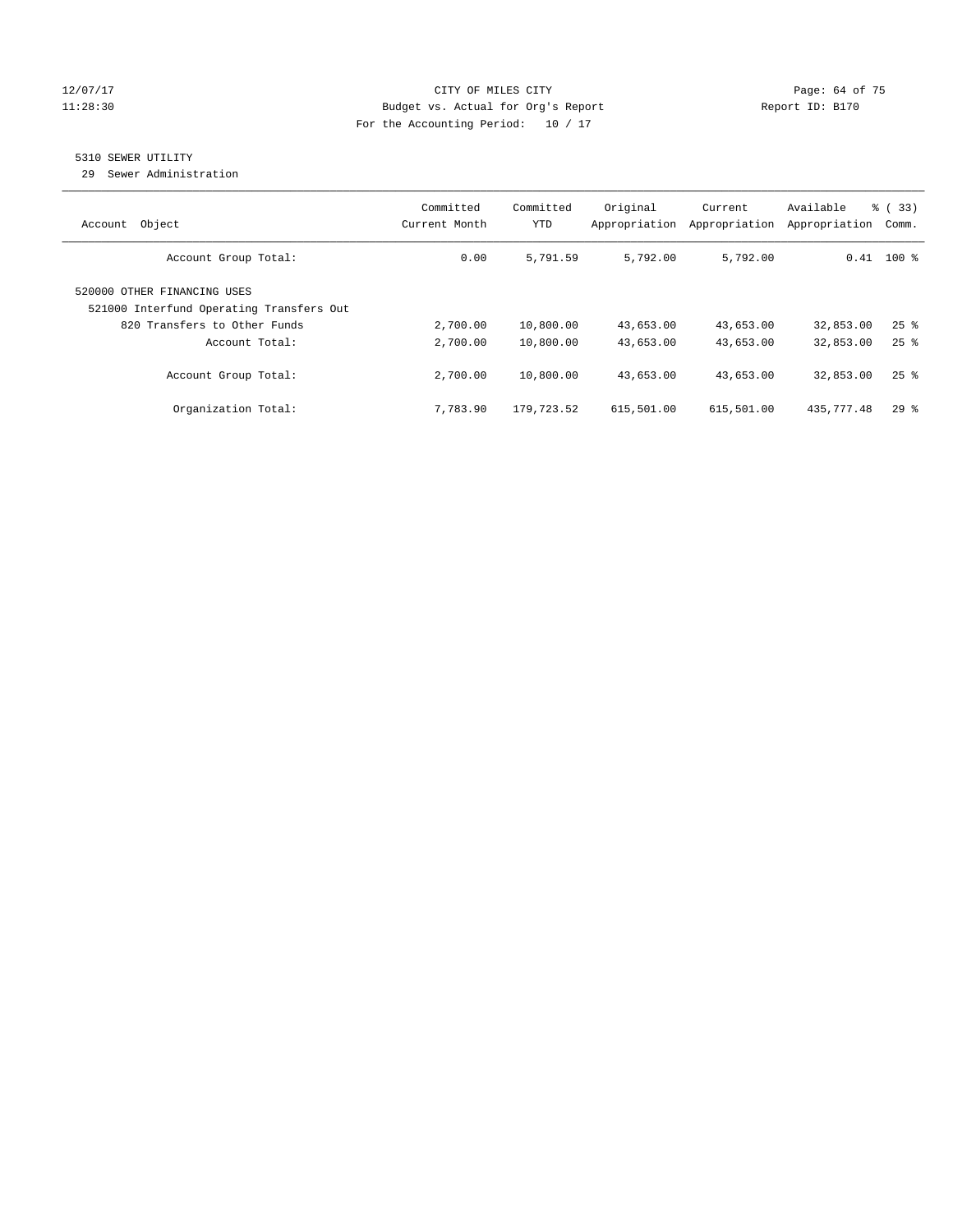# 12/07/17 Page: 64 of 75 11:28:30 Budget vs. Actual for Org's Report Report ID: B170 For the Accounting Period: 10 / 17

# 5310 SEWER UTILITY

29 Sewer Administration

| Object<br>Account                                                       | Committed<br>Current Month | Committed<br><b>YTD</b> | Original<br>Appropriation | Current<br>Appropriation | Available<br>Appropriation | % (33)<br>Comm.      |
|-------------------------------------------------------------------------|----------------------------|-------------------------|---------------------------|--------------------------|----------------------------|----------------------|
| Account Group Total:                                                    | 0.00                       | 5,791.59                | 5,792.00                  | 5,792.00                 |                            | $0.41$ 100 %         |
| 520000 OTHER FINANCING USES<br>521000 Interfund Operating Transfers Out |                            |                         |                           |                          |                            |                      |
| 820 Transfers to Other Funds<br>Account Total:                          | 2,700.00<br>2,700.00       | 10,800.00<br>10,800.00  | 43,653.00<br>43,653.00    | 43,653.00<br>43,653.00   | 32,853.00<br>32,853.00     | $25$ $%$<br>$25$ $%$ |
| Account Group Total:                                                    | 2,700.00                   | 10,800.00               | 43,653.00                 | 43,653.00                | 32,853.00                  | $25$ $%$             |
| Organization Total:                                                     | 7,783.90                   | 179,723.52              | 615,501.00                | 615,501.00               | 435,777.48                 | $29$ $%$             |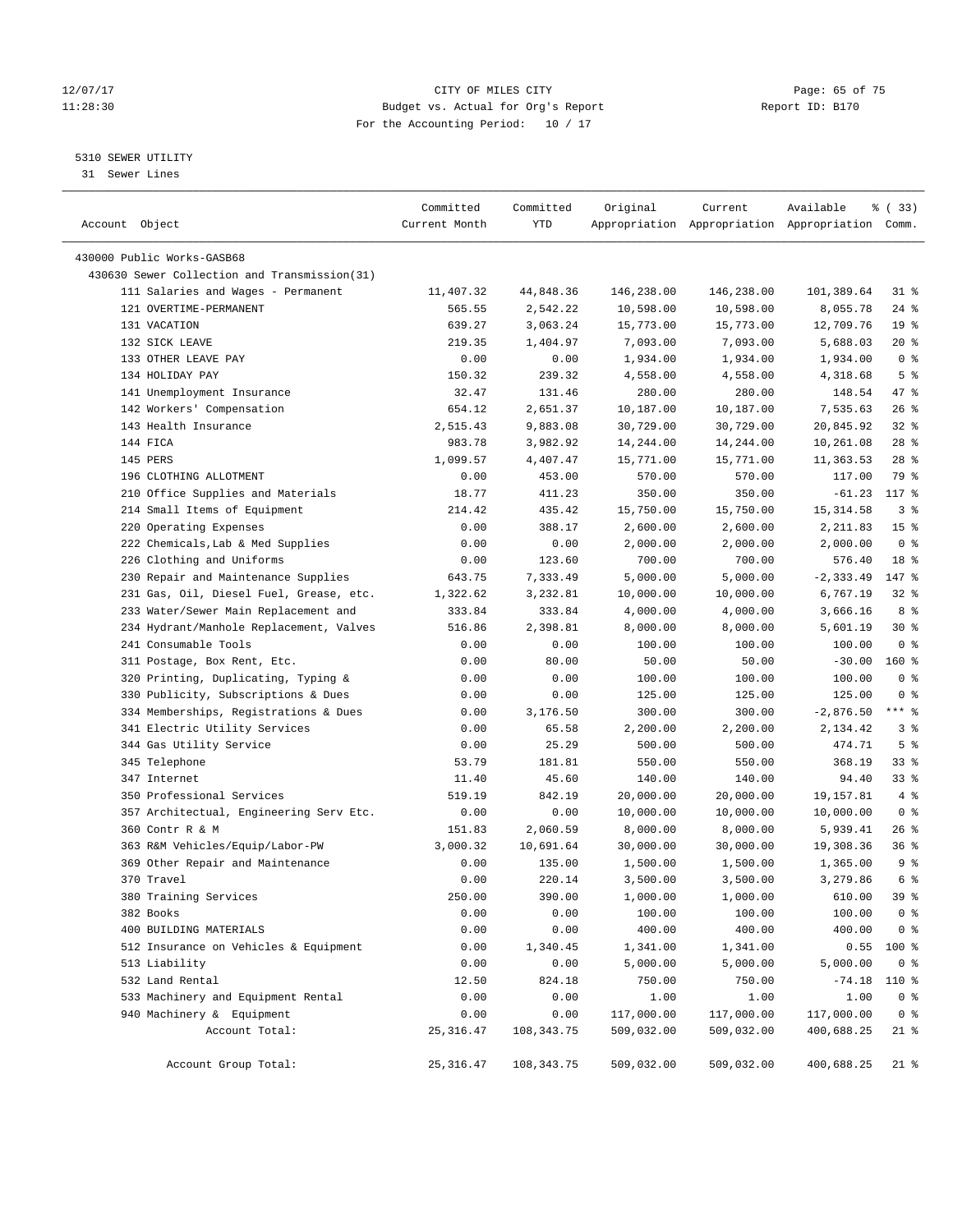# 12/07/17 Page: 65 of 75 11:28:30 Budget vs. Actual for Org's Report Changer Report ID: B170 For the Accounting Period: 10 / 17

————————————————————————————————————————————————————————————————————————————————————————————————————————————————————————————————————

# 5310 SEWER UTILITY

31 Sewer Lines

| Account Object                               | Committed<br>Current Month | Committed<br>YTD | Original   | Current    | Available<br>Appropriation Appropriation Appropriation Comm. | % (33)          |  |
|----------------------------------------------|----------------------------|------------------|------------|------------|--------------------------------------------------------------|-----------------|--|
|                                              |                            |                  |            |            |                                                              |                 |  |
| 430000 Public Works-GASB68                   |                            |                  |            |            |                                                              |                 |  |
| 430630 Sewer Collection and Transmission(31) |                            |                  |            |            |                                                              |                 |  |
| 111 Salaries and Wages - Permanent           | 11,407.32                  | 44,848.36        | 146,238.00 | 146,238.00 | 101,389.64                                                   | 31 %            |  |
| 121 OVERTIME-PERMANENT                       | 565.55                     | 2,542.22         | 10,598.00  | 10,598.00  | 8,055.78                                                     | $24$ %          |  |
| 131 VACATION                                 | 639.27                     | 3,063.24         | 15,773.00  | 15,773.00  | 12,709.76                                                    | 19 <sup>°</sup> |  |
| 132 SICK LEAVE                               | 219.35                     | 1,404.97         | 7,093.00   | 7,093.00   | 5,688.03                                                     | $20*$           |  |
| 133 OTHER LEAVE PAY                          | 0.00                       | 0.00             | 1,934.00   | 1,934.00   | 1,934.00                                                     | 0 <sup>8</sup>  |  |
| 134 HOLIDAY PAY                              | 150.32                     | 239.32           | 4,558.00   | 4,558.00   | 4,318.68                                                     | 5 <sup>°</sup>  |  |
| 141 Unemployment Insurance                   | 32.47                      | 131.46           | 280.00     | 280.00     | 148.54                                                       | 47 %            |  |
| 142 Workers' Compensation                    | 654.12                     | 2,651.37         | 10,187.00  | 10,187.00  | 7,535.63                                                     | $26$ %          |  |
| 143 Health Insurance                         | 2,515.43                   | 9,883.08         | 30,729.00  | 30,729.00  | 20,845.92                                                    | $32$ $%$        |  |
| 144 FICA                                     | 983.78                     | 3,982.92         | 14,244.00  | 14,244.00  | 10,261.08                                                    | $28$ %          |  |
| 145 PERS                                     | 1,099.57                   | 4,407.47         | 15,771.00  | 15,771.00  | 11,363.53                                                    | $28$ %          |  |
| 196 CLOTHING ALLOTMENT                       | 0.00                       | 453.00           | 570.00     | 570.00     | 117.00                                                       | 79 %            |  |
| 210 Office Supplies and Materials            | 18.77                      | 411.23           | 350.00     | 350.00     | $-61.23$                                                     | 117 %           |  |
| 214 Small Items of Equipment                 | 214.42                     | 435.42           | 15,750.00  | 15,750.00  | 15, 314.58                                                   | 3 <sup>8</sup>  |  |
| 220 Operating Expenses                       | 0.00                       | 388.17           | 2,600.00   | 2,600.00   | 2,211.83                                                     | 15 <sup>8</sup> |  |
| 222 Chemicals, Lab & Med Supplies            | 0.00                       | 0.00             | 2,000.00   | 2,000.00   | 2,000.00                                                     | 0 <sup>8</sup>  |  |
| 226 Clothing and Uniforms                    | 0.00                       | 123.60           | 700.00     | 700.00     | 576.40                                                       | 18 %            |  |
| 230 Repair and Maintenance Supplies          | 643.75                     | 7,333.49         | 5,000.00   | 5,000.00   | $-2, 333.49$                                                 | 147 %           |  |
| 231 Gas, Oil, Diesel Fuel, Grease, etc.      | 1,322.62                   | 3,232.81         | 10,000.00  | 10,000.00  | 6,767.19                                                     | $32$ $%$        |  |
| 233 Water/Sewer Main Replacement and         | 333.84                     | 333.84           | 4,000.00   | 4,000.00   | 3,666.16                                                     | 8 %             |  |
| 234 Hydrant/Manhole Replacement, Valves      | 516.86                     | 2,398.81         | 8,000.00   | 8,000.00   | 5,601.19                                                     | $30*$           |  |
| 241 Consumable Tools                         | 0.00                       | 0.00             | 100.00     | 100.00     | 100.00                                                       | 0 <sup>8</sup>  |  |
| 311 Postage, Box Rent, Etc.                  | 0.00                       | 80.00            | 50.00      | 50.00      | $-30.00$                                                     | $160*$          |  |
| 320 Printing, Duplicating, Typing &          | 0.00                       | 0.00             | 100.00     | 100.00     | 100.00                                                       | 0 <sup>8</sup>  |  |
| 330 Publicity, Subscriptions & Dues          | 0.00                       | 0.00             | 125.00     | 125.00     | 125.00                                                       | 0 <sup>8</sup>  |  |
| 334 Memberships, Registrations & Dues        | 0.00                       | 3,176.50         | 300.00     | 300.00     | $-2,876.50$                                                  | $***$ $-$       |  |
| 341 Electric Utility Services                | 0.00                       | 65.58            | 2,200.00   | 2,200.00   | 2,134.42                                                     | 3%              |  |
| 344 Gas Utility Service                      | 0.00                       | 25.29            | 500.00     | 500.00     | 474.71                                                       | 5 <sup>°</sup>  |  |
| 345 Telephone                                | 53.79                      | 181.81           | 550.00     | 550.00     | 368.19                                                       | $33$ $%$        |  |
| 347 Internet                                 | 11.40                      | 45.60            | 140.00     | 140.00     | 94.40                                                        | 33%             |  |
| 350 Professional Services                    | 519.19                     | 842.19           | 20,000.00  | 20,000.00  | 19,157.81                                                    | 4%              |  |
| 357 Architectual, Engineering Serv Etc.      | 0.00                       | 0.00             | 10,000.00  | 10,000.00  | 10,000.00                                                    | 0 <sup>8</sup>  |  |
| 360 Contr R & M                              | 151.83                     | 2,060.59         | 8,000.00   | 8,000.00   | 5,939.41                                                     | $26$ %          |  |
| 363 R&M Vehicles/Equip/Labor-PW              | 3,000.32                   | 10,691.64        | 30,000.00  | 30,000.00  | 19,308.36                                                    | 36%             |  |
| 369 Other Repair and Maintenance             | 0.00                       | 135.00           | 1,500.00   | 1,500.00   | 1,365.00                                                     | 9 <sup>°</sup>  |  |
| 370 Travel                                   | 0.00                       | 220.14           | 3,500.00   | 3,500.00   | 3,279.86                                                     | 6 <sup>°</sup>  |  |
| 380 Training Services                        | 250.00                     | 390.00           | 1,000.00   | 1,000.00   | 610.00                                                       | 39 %            |  |
| 382 Books                                    | 0.00                       | 0.00             | 100.00     | 100.00     | 100.00                                                       | 0 <sup>8</sup>  |  |
| 400 BUILDING MATERIALS                       | 0.00                       | 0.00             | 400.00     | 400.00     | 400.00                                                       | 0 <sup>8</sup>  |  |
| 512 Insurance on Vehicles & Equipment        | 0.00                       | 1,340.45         | 1,341.00   | 1,341.00   | 0.55                                                         | 100 %           |  |
| 513 Liability                                | 0.00                       | 0.00             | 5,000.00   | 5,000.00   | 5,000.00                                                     | 0 <sup>8</sup>  |  |
| 532 Land Rental                              | 12.50                      | 824.18           | 750.00     | 750.00     | $-74.18$                                                     | 110 %           |  |
| 533 Machinery and Equipment Rental           | 0.00                       | 0.00             | 1.00       | 1.00       | 1.00                                                         | 0 <sup>8</sup>  |  |
| 940 Machinery & Equipment                    | 0.00                       | 0.00             | 117,000.00 | 117,000.00 | 117,000.00                                                   | 0 <sup>8</sup>  |  |
| Account Total:                               | 25, 316.47                 | 108, 343. 75     | 509,032.00 | 509,032.00 | 400,688.25                                                   | $21$ %          |  |
| Account Group Total:                         | 25, 316.47                 | 108,343.75       | 509,032.00 | 509,032.00 | 400,688.25                                                   | $21$ %          |  |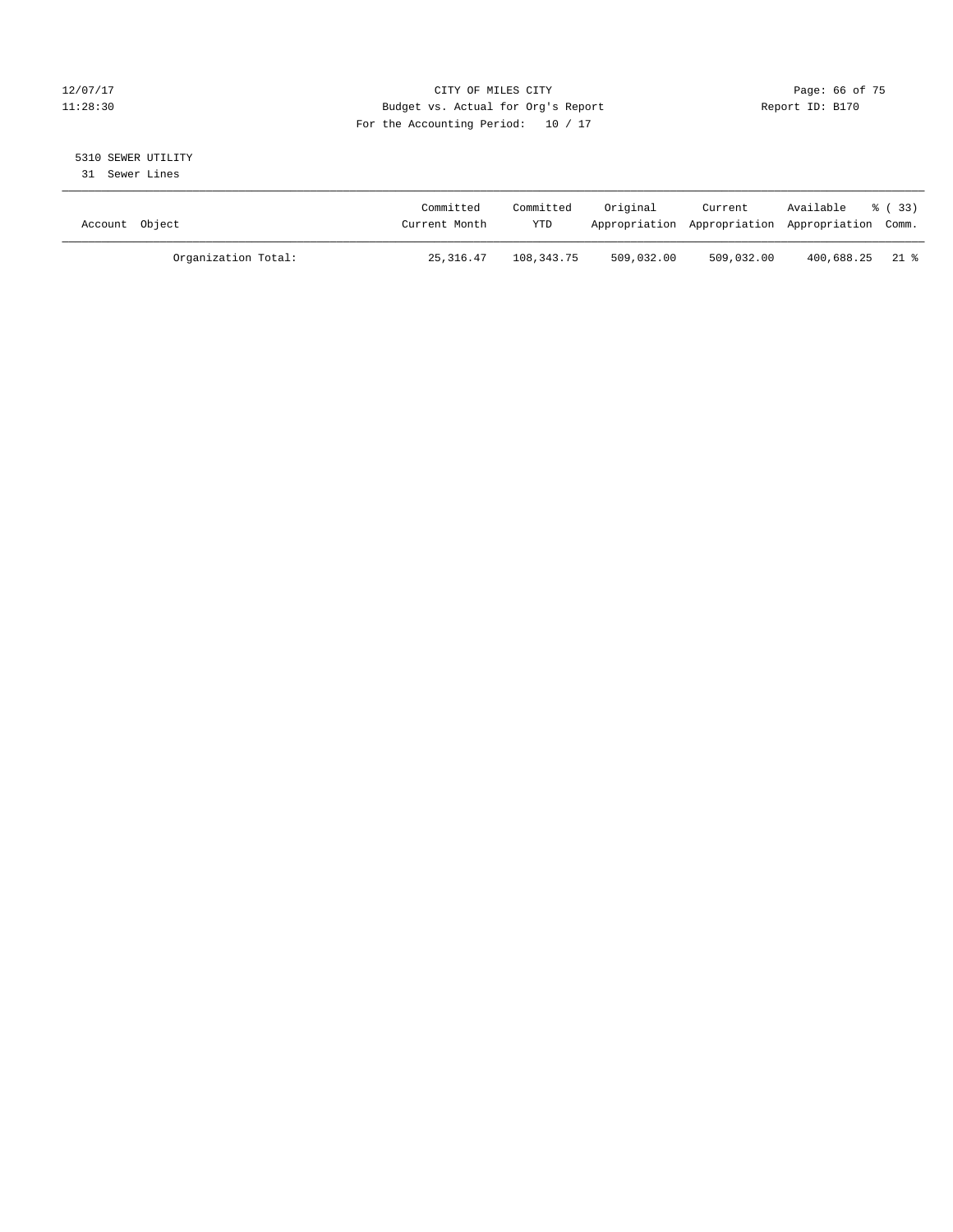# 12/07/17 Page: 66 of 75 11:28:30 Budget vs. Actual for Org's Report Report ID: B170 For the Accounting Period: 10 / 17

# 5310 SEWER UTILITY

31 Sewer Lines

| Account Object |                     | Committed<br>Current Month | Committed<br><b>YTD</b> | Original   | Current    | Available<br>Appropriation Appropriation Appropriation Comm. | - 8 (33) |
|----------------|---------------------|----------------------------|-------------------------|------------|------------|--------------------------------------------------------------|----------|
|                | Organization Total: | 25,316.47                  | 108,343.75              | 509,032.00 | 509,032.00 | 400,688.25 21 %                                              |          |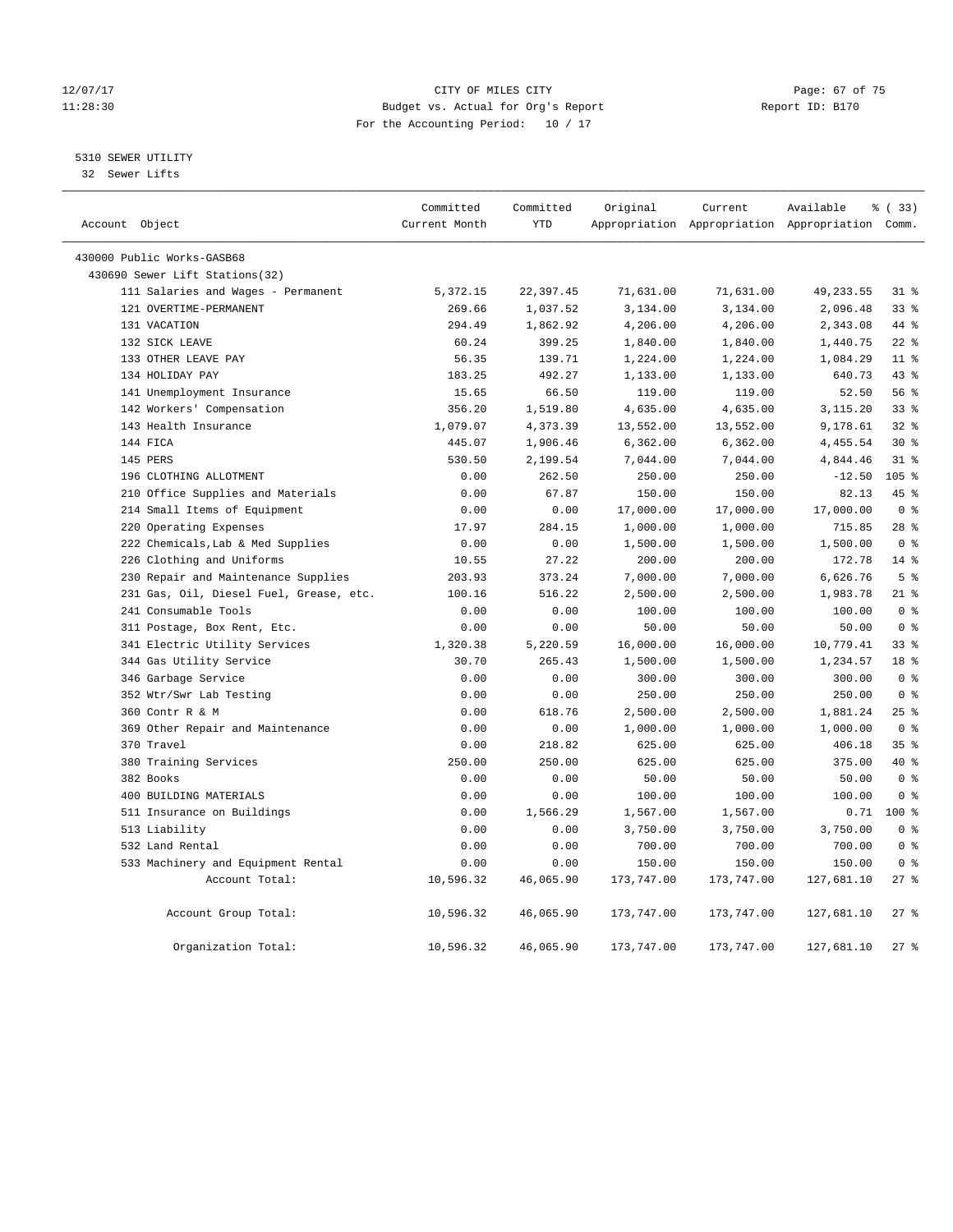# 12/07/17 Page: 67 of 75 11:28:30 Budget vs. Actual for Org's Report Changer Report ID: B170 For the Accounting Period: 10 / 17

# 5310 SEWER UTILITY

32 Sewer Lifts

| Account Object |                                         | Committed<br>Current Month | Committed<br><b>YTD</b> | Original   | Current    | Available<br>Appropriation Appropriation Appropriation Comm. | % ( 33 )        |
|----------------|-----------------------------------------|----------------------------|-------------------------|------------|------------|--------------------------------------------------------------|-----------------|
|                |                                         |                            |                         |            |            |                                                              |                 |
|                | 430000 Public Works-GASB68              |                            |                         |            |            |                                                              |                 |
|                | 430690 Sewer Lift Stations(32)          |                            |                         |            |            |                                                              |                 |
|                | 111 Salaries and Wages - Permanent      | 5,372.15                   | 22,397.45               | 71,631.00  | 71,631.00  | 49, 233.55                                                   | 31.8            |
|                | 121 OVERTIME-PERMANENT                  | 269.66                     | 1,037.52                | 3,134.00   | 3,134.00   | 2,096.48                                                     | 33%             |
|                | 131 VACATION                            | 294.49                     | 1,862.92                | 4,206.00   | 4,206.00   | 2,343.08                                                     | 44 %            |
|                | 132 SICK LEAVE                          | 60.24                      | 399.25                  | 1,840.00   | 1,840.00   | 1,440.75                                                     | $22$ %          |
|                | 133 OTHER LEAVE PAY                     | 56.35                      | 139.71                  | 1,224.00   | 1,224.00   | 1,084.29                                                     | $11$ %          |
|                | 134 HOLIDAY PAY                         | 183.25                     | 492.27                  | 1,133.00   | 1,133.00   | 640.73                                                       | 43%             |
|                | 141 Unemployment Insurance              | 15.65                      | 66.50                   | 119.00     | 119.00     | 52.50                                                        | 56 %            |
|                | 142 Workers' Compensation               | 356.20                     | 1,519.80                | 4,635.00   | 4,635.00   | 3,115.20                                                     | 33%             |
|                | 143 Health Insurance                    | 1,079.07                   | 4,373.39                | 13,552.00  | 13,552.00  | 9,178.61                                                     | 328             |
|                | 144 FICA                                | 445.07                     | 1,906.46                | 6, 362.00  | 6, 362.00  | 4,455.54                                                     | $30*$           |
|                | 145 PERS                                | 530.50                     | 2,199.54                | 7,044.00   | 7,044.00   | 4,844.46                                                     | 318             |
|                | 196 CLOTHING ALLOTMENT                  | 0.00                       | 262.50                  | 250.00     | 250.00     | $-12.50$                                                     | $105$ %         |
|                | 210 Office Supplies and Materials       | 0.00                       | 67.87                   | 150.00     | 150.00     | 82.13                                                        | 45 %            |
|                | 214 Small Items of Equipment            | 0.00                       | 0.00                    | 17,000.00  | 17,000.00  | 17,000.00                                                    | 0 <sup>8</sup>  |
|                | 220 Operating Expenses                  | 17.97                      | 284.15                  | 1,000.00   | 1,000.00   | 715.85                                                       | $28$ %          |
|                | 222 Chemicals, Lab & Med Supplies       | 0.00                       | 0.00                    | 1,500.00   | 1,500.00   | 1,500.00                                                     | 0 <sup>8</sup>  |
|                | 226 Clothing and Uniforms               | 10.55                      | 27.22                   | 200.00     | 200.00     | 172.78                                                       | $14*$           |
|                | 230 Repair and Maintenance Supplies     | 203.93                     | 373.24                  | 7,000.00   | 7,000.00   | 6,626.76                                                     | 5 <sup>°</sup>  |
|                | 231 Gas, Oil, Diesel Fuel, Grease, etc. | 100.16                     | 516.22                  | 2,500.00   | 2,500.00   | 1,983.78                                                     | $21$ %          |
|                | 241 Consumable Tools                    | 0.00                       | 0.00                    | 100.00     | 100.00     | 100.00                                                       | 0 <sup>8</sup>  |
|                | 311 Postage, Box Rent, Etc.             | 0.00                       | 0.00                    | 50.00      | 50.00      | 50.00                                                        | 0 <sup>8</sup>  |
|                | 341 Electric Utility Services           | 1,320.38                   | 5,220.59                | 16,000.00  | 16,000.00  | 10,779.41                                                    | $33$ $%$        |
|                | 344 Gas Utility Service                 | 30.70                      | 265.43                  | 1,500.00   | 1,500.00   | 1,234.57                                                     | 18 %            |
|                | 346 Garbage Service                     | 0.00                       | 0.00                    | 300.00     | 300.00     | 300.00                                                       | 0 <sup>8</sup>  |
|                | 352 Wtr/Swr Lab Testing                 | 0.00                       | 0.00                    | 250.00     | 250.00     | 250.00                                                       | 0 <sup>8</sup>  |
|                | 360 Contr R & M                         | 0.00                       | 618.76                  | 2,500.00   | 2,500.00   | 1,881.24                                                     | 25%             |
|                | 369 Other Repair and Maintenance        | 0.00                       | 0.00                    | 1,000.00   | 1,000.00   | 1,000.00                                                     | 0 <sup>8</sup>  |
|                | 370 Travel                              | 0.00                       | 218.82                  | 625.00     | 625.00     | 406.18                                                       | 35 <sup>8</sup> |
|                | 380 Training Services                   | 250.00                     | 250.00                  | 625.00     | 625.00     | 375.00                                                       | $40*$           |
|                | 382 Books                               | 0.00                       | 0.00                    | 50.00      | 50.00      | 50.00                                                        | 0 <sup>8</sup>  |
|                | 400 BUILDING MATERIALS                  | 0.00                       | 0.00                    | 100.00     | 100.00     | 100.00                                                       | 0 <sup>8</sup>  |
|                | 511 Insurance on Buildings              | 0.00                       | 1,566.29                | 1,567.00   | 1,567.00   |                                                              | $0.71$ 100 %    |
|                | 513 Liability                           | 0.00                       | 0.00                    | 3,750.00   | 3,750.00   | 3,750.00                                                     | 0 <sup>8</sup>  |
|                | 532 Land Rental                         | 0.00                       | 0.00                    | 700.00     | 700.00     | 700.00                                                       | 0 <sup>8</sup>  |
|                | 533 Machinery and Equipment Rental      | 0.00                       | 0.00                    | 150.00     | 150.00     | 150.00                                                       | 0 <sup>8</sup>  |
|                | Account Total:                          | 10,596.32                  | 46,065.90               | 173,747.00 | 173,747.00 | 127,681.10                                                   | $27$ %          |
|                | Account Group Total:                    | 10,596.32                  | 46,065.90               | 173,747.00 | 173,747.00 | 127,681.10                                                   | 27%             |
|                | Organization Total:                     | 10,596.32                  | 46,065.90               | 173,747.00 | 173,747.00 | 127,681.10                                                   | $27$ %          |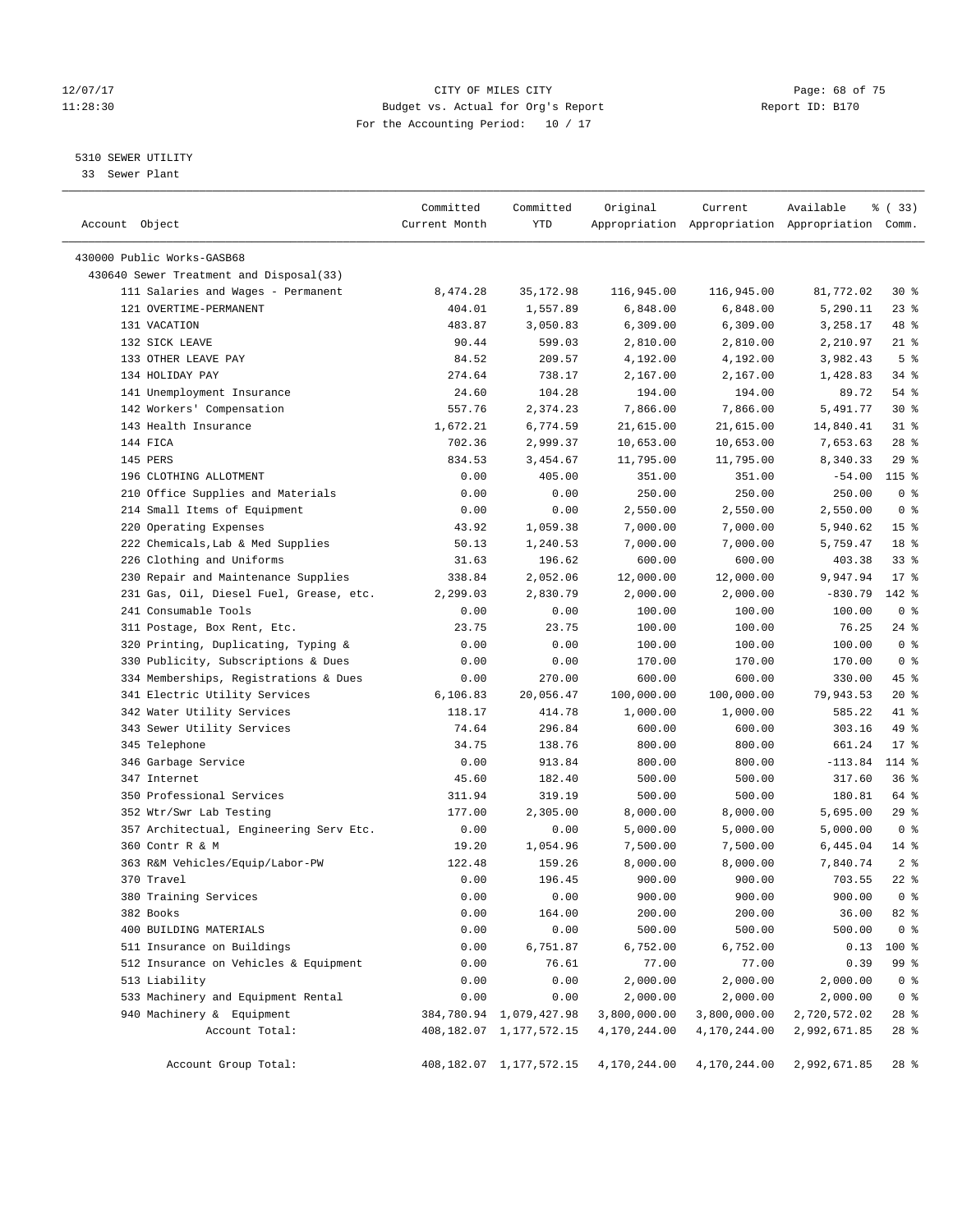# 12/07/17 Page: 68 of 75 11:28:30 Budget vs. Actual for Org's Report Changer Report ID: B170 For the Accounting Period: 10 / 17

————————————————————————————————————————————————————————————————————————————————————————————————————————————————————————————————————

# 5310 SEWER UTILITY

33 Sewer Plant

|                                                                     | Committed     | Committed                       | Original          | Current           | Available                                       | % (33)          |
|---------------------------------------------------------------------|---------------|---------------------------------|-------------------|-------------------|-------------------------------------------------|-----------------|
| Account Object                                                      | Current Month | YTD                             |                   |                   | Appropriation Appropriation Appropriation Comm. |                 |
| 430000 Public Works-GASB68                                          |               |                                 |                   |                   |                                                 |                 |
| 430640 Sewer Treatment and Disposal(33)                             |               |                                 |                   |                   |                                                 |                 |
| 111 Salaries and Wages - Permanent                                  | 8,474.28      | 35,172.98                       | 116,945.00        | 116,945.00        | 81,772.02                                       | $30*$           |
| 121 OVERTIME-PERMANENT                                              | 404.01        | 1,557.89                        | 6,848.00          | 6,848.00          | 5,290.11                                        | $23$ %          |
| 131 VACATION                                                        | 483.87        | 3,050.83                        | 6,309.00          | 6,309.00          | 3,258.17                                        | 48 %            |
| 132 SICK LEAVE                                                      | 90.44         | 599.03                          | 2,810.00          | 2,810.00          | 2,210.97                                        | $21$ %          |
| 133 OTHER LEAVE PAY                                                 | 84.52         | 209.57                          | 4,192.00          | 4,192.00          | 3,982.43                                        | 5 <sup>°</sup>  |
| 134 HOLIDAY PAY                                                     | 274.64        | 738.17                          | 2,167.00          | 2,167.00          | 1,428.83                                        | $34$ $%$        |
| 141 Unemployment Insurance                                          | 24.60         | 104.28                          | 194.00            | 194.00            | 89.72                                           | 54 %            |
| 142 Workers' Compensation                                           | 557.76        | 2,374.23                        | 7,866.00          | 7,866.00          | 5,491.77                                        | $30*$           |
| 143 Health Insurance                                                | 1,672.21      | 6,774.59                        | 21,615.00         | 21,615.00         | 14,840.41                                       | $31$ %          |
| 144 FICA                                                            | 702.36        | 2,999.37                        | 10,653.00         | 10,653.00         | 7,653.63                                        | $28$ %          |
| 145 PERS                                                            | 834.53        | 3,454.67                        | 11,795.00         | 11,795.00         | 8,340.33                                        | 29%             |
| 196 CLOTHING ALLOTMENT                                              | 0.00          | 405.00                          | 351.00            | 351.00            | $-54.00$                                        | $115$ %         |
| 210 Office Supplies and Materials                                   | 0.00          | 0.00                            | 250.00            | 250.00            | 250.00                                          | 0 <sup>8</sup>  |
| 214 Small Items of Equipment                                        | 0.00          | 0.00                            | 2,550.00          | 2,550.00          | 2,550.00                                        | 0 <sup>8</sup>  |
| 220 Operating Expenses                                              | 43.92         | 1,059.38                        | 7,000.00          | 7,000.00          | 5,940.62                                        | 15 <sup>°</sup> |
| 222 Chemicals, Lab & Med Supplies                                   | 50.13         | 1,240.53                        | 7,000.00          | 7,000.00          | 5,759.47                                        | 18 %            |
| 226 Clothing and Uniforms                                           | 31.63         | 196.62                          | 600.00            | 600.00            | 403.38                                          | $33$ $%$        |
| 230 Repair and Maintenance Supplies                                 | 338.84        | 2,052.06                        | 12,000.00         | 12,000.00         | 9,947.94                                        | $17*$           |
| 231 Gas, Oil, Diesel Fuel, Grease, etc.                             | 2,299.03      | 2,830.79                        | 2,000.00          | 2,000.00          | $-830.79$                                       | 142 %           |
| 241 Consumable Tools                                                | 0.00          | 0.00                            | 100.00            | 100.00            | 100.00                                          | 0 <sup>8</sup>  |
| 311 Postage, Box Rent, Etc.                                         | 23.75         | 23.75                           | 100.00            | 100.00            | 76.25                                           | $24$ %          |
| 320 Printing, Duplicating, Typing &                                 | 0.00          | 0.00                            | 100.00            | 100.00            | 100.00                                          | 0 <sup>8</sup>  |
| 330 Publicity, Subscriptions & Dues                                 | 0.00          | 0.00                            | 170.00            | 170.00            | 170.00                                          | 0 <sup>8</sup>  |
| 334 Memberships, Registrations & Dues                               | 0.00          | 270.00                          | 600.00            | 600.00            | 330.00                                          | 45 %            |
| 341 Electric Utility Services                                       | 6,106.83      | 20,056.47                       | 100,000.00        | 100,000.00        | 79,943.53                                       | $20*$           |
| 342 Water Utility Services                                          | 118.17        | 414.78                          | 1,000.00          | 1,000.00          | 585.22                                          | 41 %            |
| 343 Sewer Utility Services                                          | 74.64         | 296.84                          | 600.00            | 600.00            | 303.16                                          | 49 %            |
| 345 Telephone                                                       | 34.75         | 138.76                          | 800.00            | 800.00            | 661.24                                          | $17*$           |
| 346 Garbage Service                                                 | 0.00          | 913.84                          | 800.00            | 800.00            | $-113.84$                                       | 114 %           |
| 347 Internet                                                        | 45.60         | 182.40                          | 500.00            | 500.00            | 317.60                                          | 36%             |
| 350 Professional Services                                           | 311.94        | 319.19                          | 500.00            | 500.00            | 180.81                                          | 64 %            |
| 352 Wtr/Swr Lab Testing                                             | 177.00        | 2,305.00                        | 8,000.00          | 8,000.00          | 5,695.00                                        | $29$ %          |
| 357 Architectual, Engineering Serv Etc.                             | 0.00          | 0.00                            | 5,000.00          | 5,000.00          | 5,000.00                                        | 0 <sup>8</sup>  |
| 360 Contr R & M                                                     | 19.20         | 1,054.96                        | 7,500.00          | 7,500.00          | 6,445.04                                        | $14*$           |
| 363 R&M Vehicles/Equip/Labor-PW                                     | 122.48        | 159.26                          | 8,000.00          | 8,000.00          | 7,840.74                                        | 2 <sup>°</sup>  |
| 370 Travel                                                          | 0.00          | 196.45                          | 900.00            | 900.00            | 703.55                                          | $22$ %          |
| 380 Training Services                                               | 0.00          | 0.00                            | 900.00            | 900.00            | 900.00                                          | 0 <sub>8</sub>  |
| 382 Books                                                           | 0.00          | 164.00                          | 200.00            | 200.00            | 36.00                                           | 82 %            |
| 400 BUILDING MATERIALS                                              | 0.00          | 0.00                            | 500.00            | 500.00            | 500.00                                          | 0 <sup>8</sup>  |
|                                                                     |               | 6,751.87                        |                   |                   |                                                 |                 |
| 511 Insurance on Buildings<br>512 Insurance on Vehicles & Equipment | 0.00<br>0.00  | 76.61                           | 6,752.00<br>77.00 | 6,752.00<br>77.00 | 0.13<br>0.39                                    | 100 %<br>99 %   |
| 513 Liability                                                       | 0.00          | 0.00                            | 2,000.00          | 2,000.00          | 2,000.00                                        | 0 <sup>8</sup>  |
| 533 Machinery and Equipment Rental                                  |               |                                 |                   | 2,000.00          | 2,000.00                                        | 0 <sup>8</sup>  |
| 940 Machinery & Equipment                                           | 0.00          | 0.00<br>384,780.94 1,079,427.98 | 2,000.00          | 3,800,000.00      |                                                 | 28 %            |
| Account Total:                                                      |               |                                 | 3,800,000.00      | 4,170,244.00      | 2,720,572.02                                    | 28 %            |
|                                                                     |               | 408, 182.07 1, 177, 572.15      | 4,170,244.00      |                   | 2,992,671.85                                    |                 |
| Account Group Total:                                                |               | 408, 182.07 1, 177, 572.15      | 4,170,244.00      | 4,170,244.00      | 2,992,671.85                                    | $28$ %          |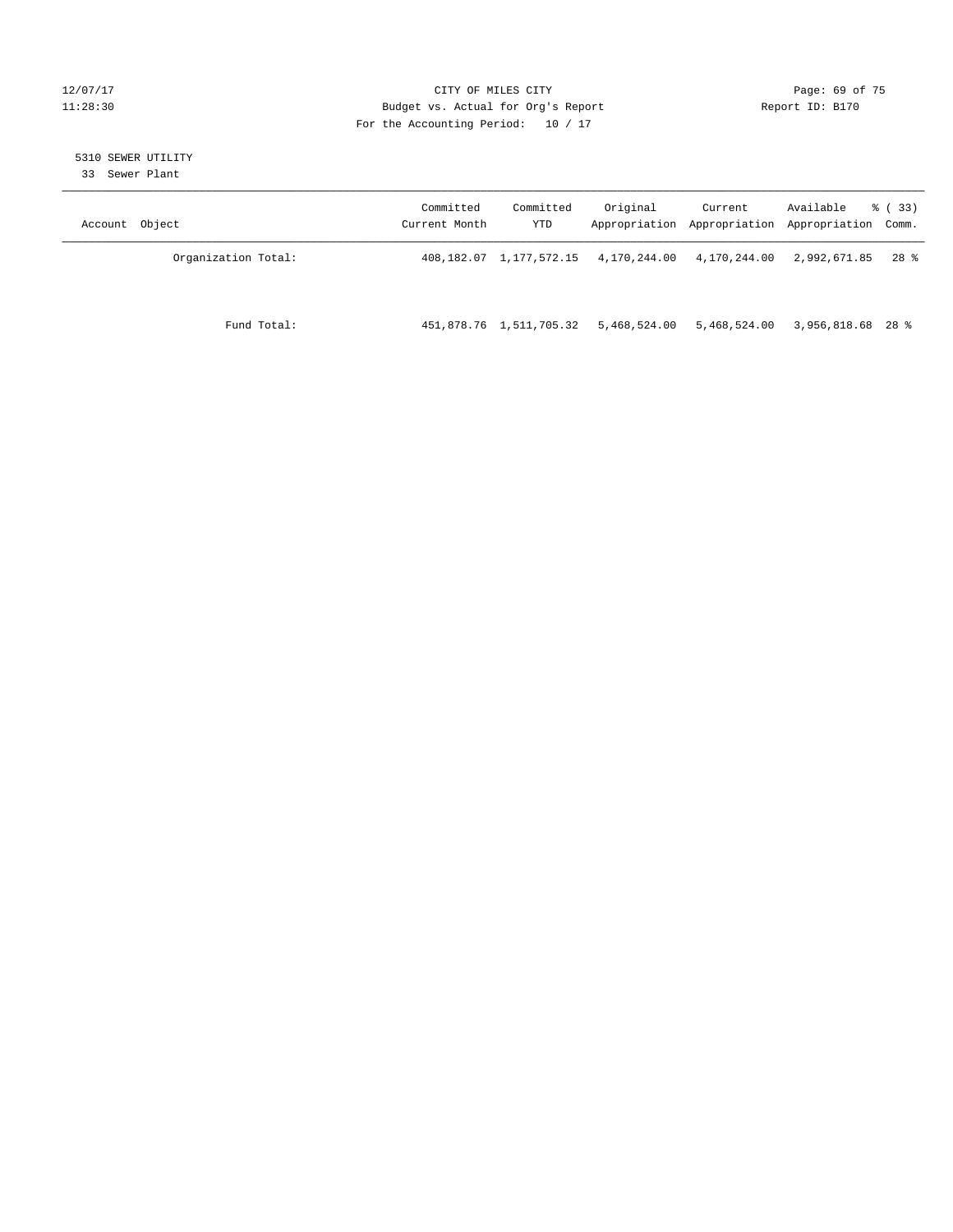# 12/07/17 Page: 69 of 75 11:28:30 Budget vs. Actual for Org's Report Report ID: B170 For the Accounting Period: 10 / 17

# 5310 SEWER UTILITY

33 Sewer Plant

| Account Object |                     | Committed<br>Current Month | Committed<br>YTD        | Original                                          | Current<br>Appropriation Appropriation Appropriation Comm. | Available         | % ( 33 ) |
|----------------|---------------------|----------------------------|-------------------------|---------------------------------------------------|------------------------------------------------------------|-------------------|----------|
|                | Organization Total: |                            |                         | 408,182.07 1,177,572.15 4,170,244.00 4,170,244.00 |                                                            | 2,992,671.85      | 28 %     |
|                | Fund Total:         |                            | 451,878.76 1,511,705.32 | 5,468,524.00                                      | 5,468,524.00                                               | 3,956,818.68 28 % |          |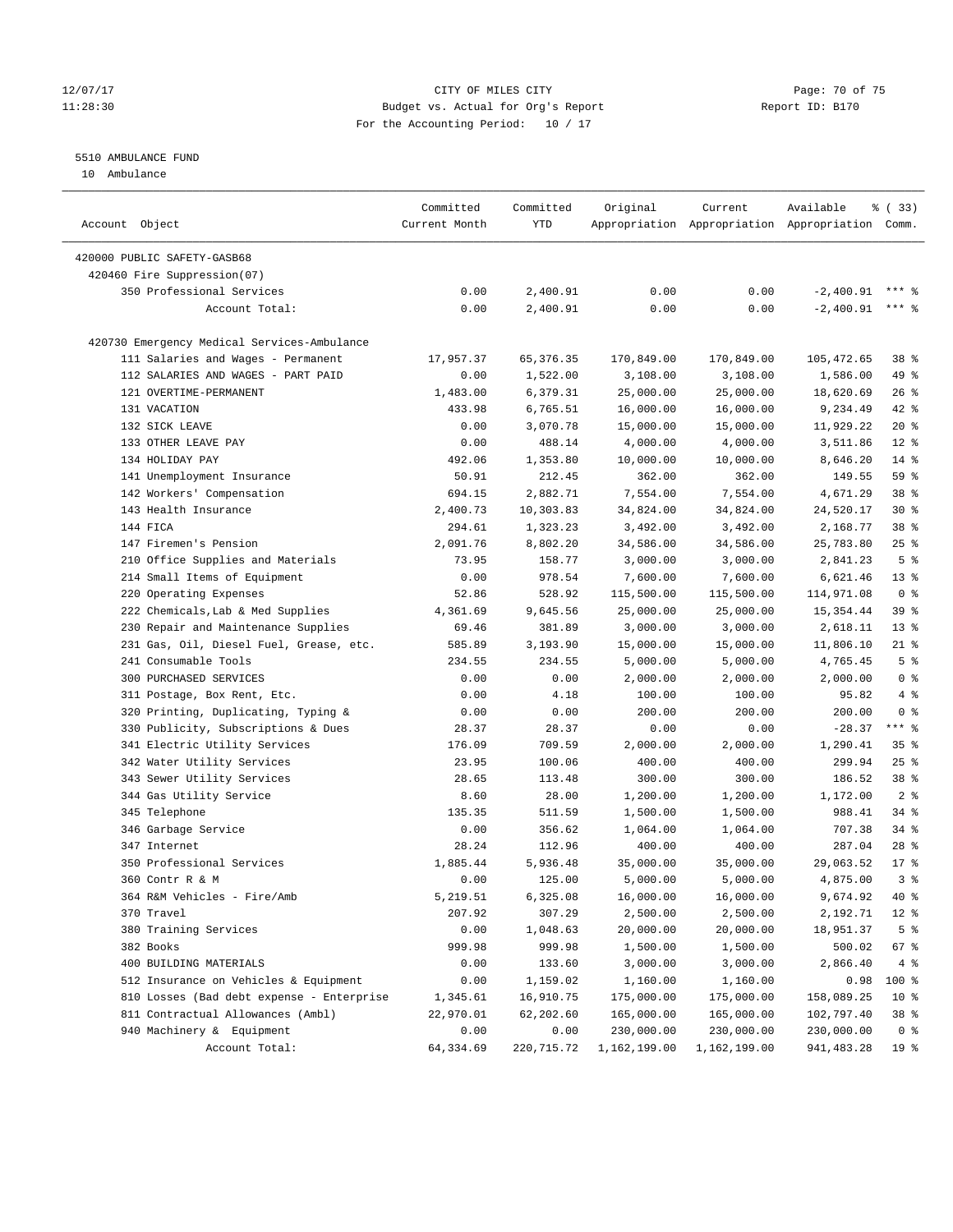# 12/07/17 Page: 70 of 75 11:28:30 Budget vs. Actual for Org's Report Report ID: B170 For the Accounting Period: 10 / 17

# 5510 AMBULANCE FUND

10 Ambulance

| Account Object                              | Committed<br>Current Month | Committed<br>YTD | Original     | Current      | Available<br>Appropriation Appropriation Appropriation Comm. | % (33)          |
|---------------------------------------------|----------------------------|------------------|--------------|--------------|--------------------------------------------------------------|-----------------|
|                                             |                            |                  |              |              |                                                              |                 |
| 420000 PUBLIC SAFETY-GASB68                 |                            |                  |              |              |                                                              |                 |
| 420460 Fire Suppression(07)                 |                            |                  |              |              |                                                              |                 |
| 350 Professional Services                   | 0.00                       | 2,400.91         | 0.00         | 0.00         | $-2,400.91$                                                  | $***$ 2         |
| Account Total:                              | 0.00                       | 2,400.91         | 0.00         | 0.00         | $-2,400.91$                                                  | $***$ $%$       |
| 420730 Emergency Medical Services-Ambulance |                            |                  |              |              |                                                              |                 |
| 111 Salaries and Wages - Permanent          | 17,957.37                  | 65, 376.35       | 170,849.00   | 170,849.00   | 105,472.65                                                   | 38 <sup>8</sup> |
| 112 SALARIES AND WAGES - PART PAID          | 0.00                       | 1,522.00         | 3,108.00     | 3,108.00     | 1,586.00                                                     | 49 %            |
| 121 OVERTIME-PERMANENT                      | 1,483.00                   | 6,379.31         | 25,000.00    | 25,000.00    | 18,620.69                                                    | 26%             |
| 131 VACATION                                | 433.98                     | 6,765.51         | 16,000.00    | 16,000.00    | 9,234.49                                                     | 42 %            |
| 132 SICK LEAVE                              | 0.00                       | 3,070.78         | 15,000.00    | 15,000.00    | 11,929.22                                                    | $20*$           |
| 133 OTHER LEAVE PAY                         | 0.00                       | 488.14           | 4,000.00     | 4,000.00     | 3,511.86                                                     | $12*$           |
| 134 HOLIDAY PAY                             | 492.06                     | 1,353.80         | 10,000.00    | 10,000.00    | 8,646.20                                                     | $14*$           |
| 141 Unemployment Insurance                  | 50.91                      | 212.45           | 362.00       | 362.00       | 149.55                                                       | 59 %            |
| 142 Workers' Compensation                   | 694.15                     | 2,882.71         | 7,554.00     | 7,554.00     | 4,671.29                                                     | 38 %            |
| 143 Health Insurance                        | 2,400.73                   | 10,303.83        | 34,824.00    | 34,824.00    | 24,520.17                                                    | $30*$           |
| 144 FICA                                    | 294.61                     | 1,323.23         | 3,492.00     | 3,492.00     | 2,168.77                                                     | 38 %            |
| 147 Firemen's Pension                       | 2,091.76                   | 8,802.20         | 34,586.00    | 34,586.00    | 25,783.80                                                    | $25$ %          |
| 210 Office Supplies and Materials           | 73.95                      | 158.77           | 3,000.00     | 3,000.00     | 2,841.23                                                     | 5 <sup>°</sup>  |
| 214 Small Items of Equipment                | 0.00                       | 978.54           | 7,600.00     | 7,600.00     | 6,621.46                                                     | $13*$           |
| 220 Operating Expenses                      | 52.86                      | 528.92           | 115,500.00   | 115,500.00   | 114,971.08                                                   | 0 <sup>8</sup>  |
| 222 Chemicals, Lab & Med Supplies           | 4,361.69                   | 9,645.56         | 25,000.00    | 25,000.00    | 15, 354.44                                                   | 39 %            |
| 230 Repair and Maintenance Supplies         | 69.46                      | 381.89           | 3,000.00     | 3,000.00     | 2,618.11                                                     | $13*$           |
| 231 Gas, Oil, Diesel Fuel, Grease, etc.     | 585.89                     | 3,193.90         | 15,000.00    | 15,000.00    | 11,806.10                                                    | $21$ %          |
| 241 Consumable Tools                        | 234.55                     | 234.55           | 5,000.00     | 5,000.00     | 4,765.45                                                     | 5 <sup>°</sup>  |
| 300 PURCHASED SERVICES                      | 0.00                       | 0.00             | 2,000.00     | 2,000.00     | 2,000.00                                                     | 0 <sup>8</sup>  |
| 311 Postage, Box Rent, Etc.                 | 0.00                       | 4.18             | 100.00       | 100.00       | 95.82                                                        | 4%              |
| 320 Printing, Duplicating, Typing &         | 0.00                       | 0.00             | 200.00       | 200.00       | 200.00                                                       | 0 <sup>8</sup>  |
| 330 Publicity, Subscriptions & Dues         | 28.37                      | 28.37            | 0.00         | 0.00         | $-28.37$                                                     | $***$ $-$       |
| 341 Electric Utility Services               | 176.09                     | 709.59           | 2,000.00     | 2,000.00     | 1,290.41                                                     | 35%             |
| 342 Water Utility Services                  | 23.95                      | 100.06           | 400.00       | 400.00       | 299.94                                                       | 25%             |
| 343 Sewer Utility Services                  | 28.65                      | 113.48           | 300.00       | 300.00       | 186.52                                                       | 38 %            |
| 344 Gas Utility Service                     | 8.60                       | 28.00            | 1,200.00     | 1,200.00     | 1,172.00                                                     | 2 <sup>°</sup>  |
| 345 Telephone                               | 135.35                     | 511.59           | 1,500.00     | 1,500.00     | 988.41                                                       | 34%             |
| 346 Garbage Service                         | 0.00                       | 356.62           | 1,064.00     | 1,064.00     | 707.38                                                       | 34%             |
| 347 Internet                                | 28.24                      | 112.96           | 400.00       | 400.00       | 287.04                                                       | $28$ %          |
| 350 Professional Services                   | 1,885.44                   | 5,936.48         | 35,000.00    | 35,000.00    | 29,063.52                                                    | $17*$           |
| 360 Contr R & M                             | 0.00                       | 125.00           | 5,000.00     | 5,000.00     | 4,875.00                                                     | 3 <sup>8</sup>  |
| 364 R&M Vehicles - Fire/Amb                 |                            | 6,325.08         | 16,000.00    | 16,000.00    |                                                              |                 |
|                                             | 5,219.51                   |                  |              |              | 9,674.92                                                     | 40 %            |
| 370 Travel                                  | 207.92                     | 307.29           | 2,500.00     | 2,500.00     | 2,192.71                                                     | $12$ %          |
| 380 Training Services                       | 0.00                       | 1,048.63         | 20,000.00    | 20,000.00    | 18,951.37                                                    | 5 <sup>°</sup>  |
| 382 Books                                   | 999.98                     | 999.98           | 1,500.00     | 1,500.00     | 500.02                                                       | 67 %            |
| 400 BUILDING MATERIALS                      | 0.00                       | 133.60           | 3,000.00     | 3,000.00     | 2,866.40                                                     | 4%              |
| 512 Insurance on Vehicles & Equipment       | 0.00                       | 1,159.02         | 1,160.00     | 1,160.00     | 0.98                                                         | 100 %           |
| 810 Losses (Bad debt expense - Enterprise   | 1,345.61                   | 16,910.75        | 175,000.00   | 175,000.00   | 158,089.25                                                   | 10 <sup>°</sup> |
| 811 Contractual Allowances (Ambl)           | 22,970.01                  | 62,202.60        | 165,000.00   | 165,000.00   | 102,797.40                                                   | 38 %            |
| 940 Machinery & Equipment                   | 0.00                       | 0.00             | 230,000.00   | 230,000.00   | 230,000.00                                                   | 0 <sup>8</sup>  |
| Account Total:                              | 64,334.69                  | 220,715.72       | 1,162,199.00 | 1,162,199.00 | 941,483.28                                                   | 19 %            |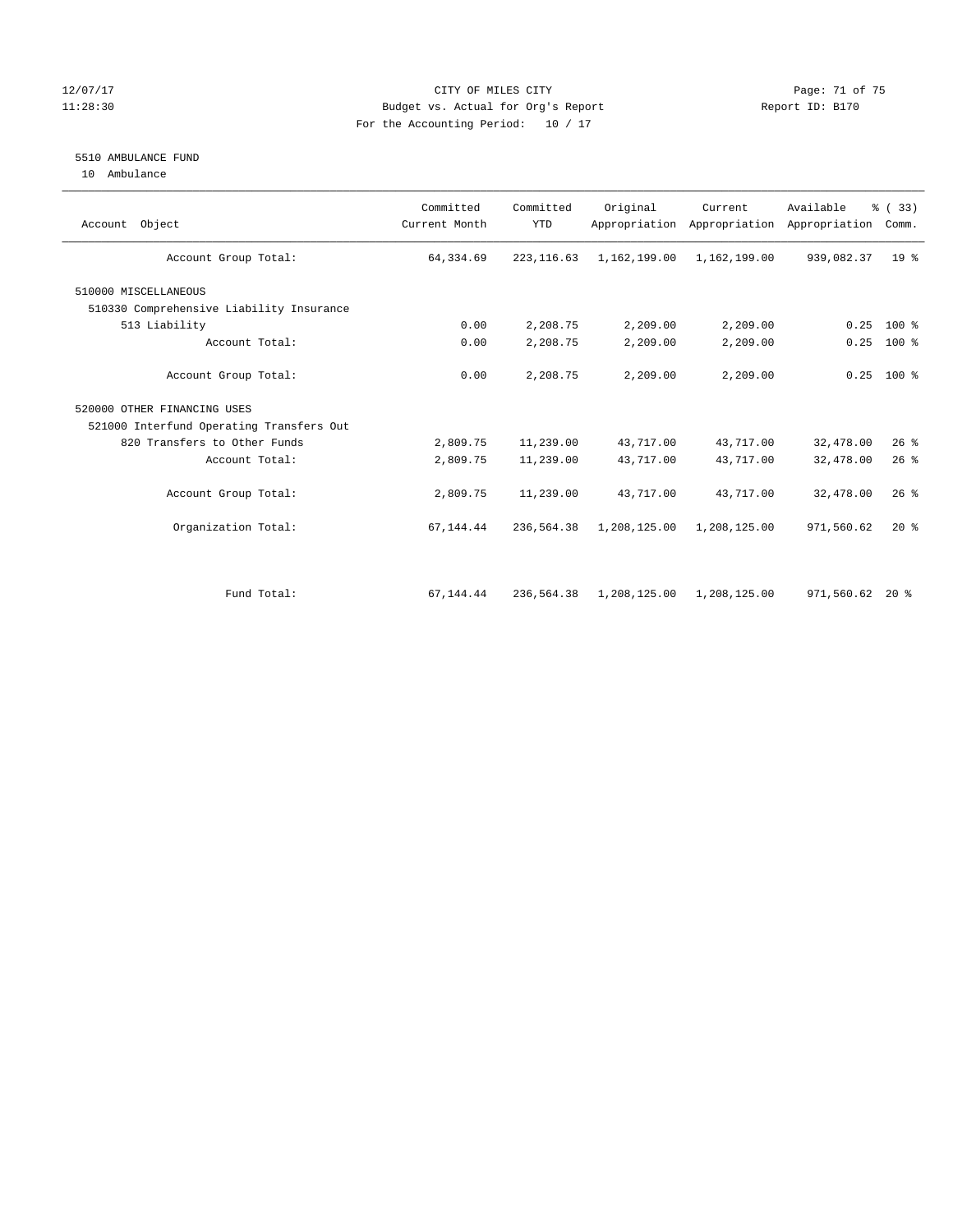# 12/07/17 Page: 71 of 75 11:28:30 Budget vs. Actual for Org's Report Changer Report ID: B170 For the Accounting Period: 10 / 17

# 5510 AMBULANCE FUND

10 Ambulance

| Account Object                           | Committed<br>Current Month | Committed<br><b>YTD</b> | Original     | Current<br>Appropriation Appropriation | Available<br>Appropriation | % (33)<br>Comm. |
|------------------------------------------|----------------------------|-------------------------|--------------|----------------------------------------|----------------------------|-----------------|
| Account Group Total:                     | 64,334.69                  | 223, 116.63             | 1,162,199.00 | 1,162,199.00                           | 939,082.37                 | 19 <sup>8</sup> |
| 510000 MISCELLANEOUS                     |                            |                         |              |                                        |                            |                 |
| 510330 Comprehensive Liability Insurance |                            |                         |              |                                        |                            |                 |
| 513 Liability                            | 0.00                       | 2,208.75                | 2,209.00     | 2,209.00                               | 0.25                       | $100*$          |
| Account Total:                           | 0.00                       | 2,208.75                | 2,209.00     | 2,209.00                               | 0.25                       | $100$ %         |
| Account Group Total:                     | 0.00                       | 2,208.75                | 2,209.00     | 2,209.00                               |                            | $0.25$ 100 %    |
| 520000 OTHER FINANCING USES              |                            |                         |              |                                        |                            |                 |
| 521000 Interfund Operating Transfers Out |                            |                         |              |                                        |                            |                 |
| 820 Transfers to Other Funds             | 2,809.75                   | 11,239.00               | 43,717.00    | 43,717.00                              | 32,478.00                  | 26%             |
| Account Total:                           | 2,809.75                   | 11,239.00               | 43,717.00    | 43,717.00                              | 32,478.00                  | $26$ %          |
| Account Group Total:                     | 2,809.75                   | 11,239.00               | 43,717.00    | 43,717.00                              | 32,478.00                  | $26$ %          |
| Organization Total:                      | 67,144.44                  | 236,564.38              | 1,208,125.00 | 1,208,125.00                           | 971,560.62                 | $20*$           |
|                                          |                            |                         |              |                                        |                            |                 |
| Fund Total:                              | 67,144.44                  | 236,564.38              | 1,208,125.00 | 1,208,125.00                           | 971,560.62 20 %            |                 |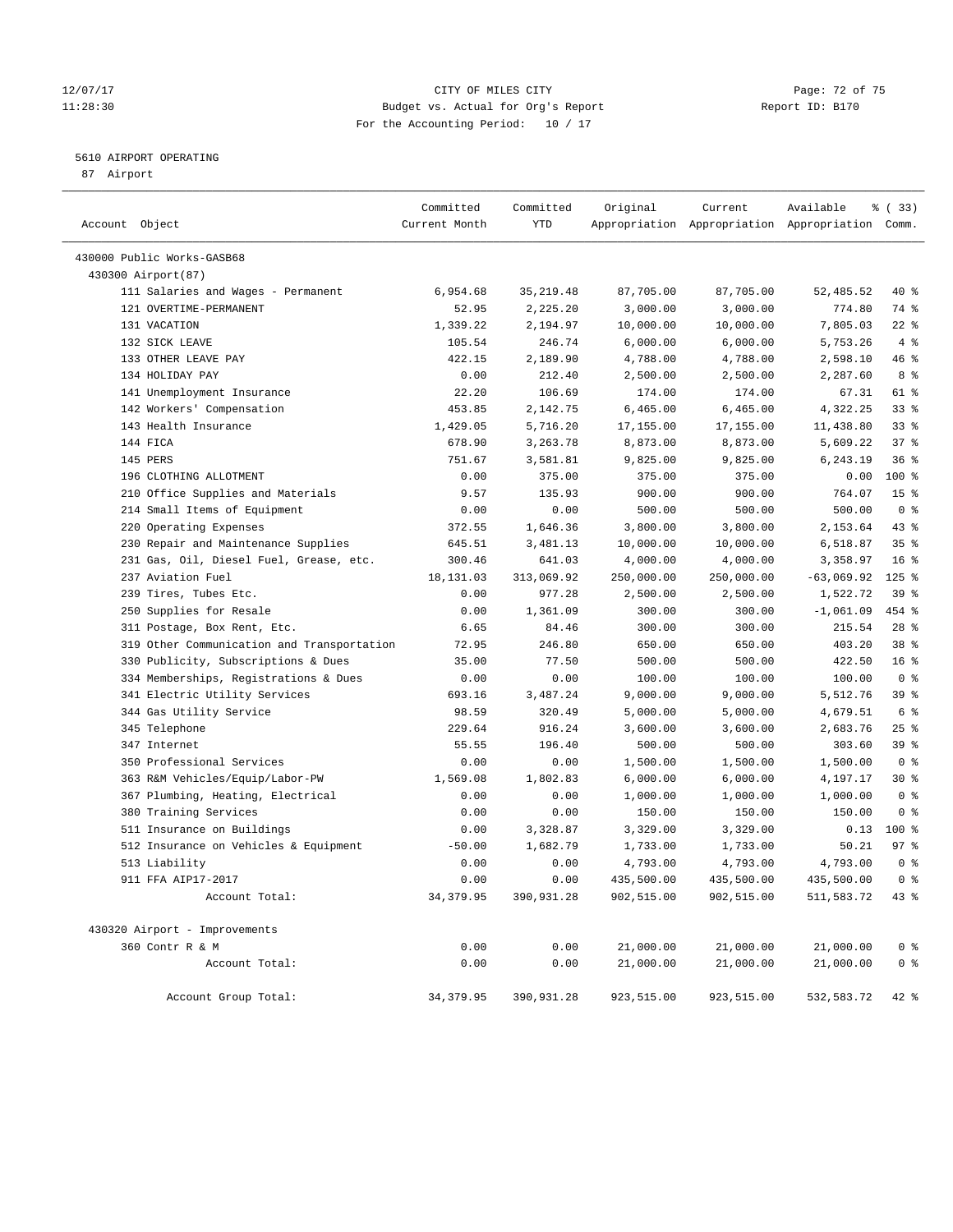# 12/07/17 Page: 72 of 75 11:28:30 Budget vs. Actual for Org's Report Report ID: B170 For the Accounting Period: 10 / 17

# 5610 AIRPORT OPERATING

87 Airport

| Account Object                             | Committed<br>Current Month | Committed<br>YTD | Original   | Current    | Available<br>Appropriation Appropriation Appropriation Comm. | % (33)          |
|--------------------------------------------|----------------------------|------------------|------------|------------|--------------------------------------------------------------|-----------------|
| 430000 Public Works-GASB68                 |                            |                  |            |            |                                                              |                 |
| 430300 Airport (87)                        |                            |                  |            |            |                                                              |                 |
| 111 Salaries and Wages - Permanent         | 6,954.68                   | 35, 219.48       | 87,705.00  | 87,705.00  | 52,485.52                                                    | 40 %            |
| 121 OVERTIME-PERMANENT                     | 52.95                      | 2,225.20         | 3,000.00   | 3,000.00   | 774.80                                                       | 74 %            |
| 131 VACATION                               | 1,339.22                   | 2,194.97         | 10,000.00  | 10,000.00  | 7,805.03                                                     | $22$ %          |
| 132 SICK LEAVE                             | 105.54                     | 246.74           | 6,000.00   | 6,000.00   | 5,753.26                                                     | 4%              |
| 133 OTHER LEAVE PAY                        | 422.15                     | 2,189.90         | 4,788.00   | 4,788.00   | 2,598.10                                                     | 46 %            |
| 134 HOLIDAY PAY                            | 0.00                       | 212.40           | 2,500.00   | 2,500.00   | 2,287.60                                                     | 8 %             |
| 141 Unemployment Insurance                 | 22.20                      | 106.69           | 174.00     | 174.00     | 67.31                                                        | 61 %            |
| 142 Workers' Compensation                  | 453.85                     | 2,142.75         | 6,465.00   | 6,465.00   | 4,322.25                                                     | 33%             |
| 143 Health Insurance                       | 1,429.05                   | 5,716.20         | 17,155.00  | 17,155.00  | 11,438.80                                                    | $33$ $%$        |
| 144 FICA                                   | 678.90                     | 3,263.78         | 8,873.00   | 8,873.00   | 5,609.22                                                     | 37%             |
| 145 PERS                                   | 751.67                     | 3,581.81         | 9,825.00   | 9,825.00   | 6,243.19                                                     | 36%             |
| 196 CLOTHING ALLOTMENT                     | 0.00                       | 375.00           | 375.00     | 375.00     | 0.00                                                         | 100%            |
| 210 Office Supplies and Materials          | 9.57                       | 135.93           | 900.00     | 900.00     | 764.07                                                       | 15 <sup>°</sup> |
| 214 Small Items of Equipment               | 0.00                       | 0.00             | 500.00     | 500.00     | 500.00                                                       | 0 <sup>8</sup>  |
| 220 Operating Expenses                     | 372.55                     | 1,646.36         | 3,800.00   | 3,800.00   | 2,153.64                                                     | 43 %            |
| 230 Repair and Maintenance Supplies        | 645.51                     | 3,481.13         | 10,000.00  | 10,000.00  | 6,518.87                                                     | 35%             |
| 231 Gas, Oil, Diesel Fuel, Grease, etc.    | 300.46                     | 641.03           | 4,000.00   | 4,000.00   | 3,358.97                                                     | 16 <sup>°</sup> |
| 237 Aviation Fuel                          | 18, 131.03                 | 313,069.92       | 250,000.00 | 250,000.00 | $-63,069.92$                                                 | $125$ %         |
| 239 Tires, Tubes Etc.                      | 0.00                       | 977.28           | 2,500.00   | 2,500.00   | 1,522.72                                                     | 39%             |
| 250 Supplies for Resale                    | 0.00                       | 1,361.09         | 300.00     | 300.00     | $-1,061.09$                                                  | 454 %           |
| 311 Postage, Box Rent, Etc.                | 6.65                       | 84.46            | 300.00     | 300.00     | 215.54                                                       | $28$ %          |
| 319 Other Communication and Transportation | 72.95                      | 246.80           | 650.00     | 650.00     | 403.20                                                       | 38 <sup>8</sup> |
| 330 Publicity, Subscriptions & Dues        | 35.00                      | 77.50            | 500.00     | 500.00     | 422.50                                                       | 16 <sup>°</sup> |
| 334 Memberships, Registrations & Dues      | 0.00                       | 0.00             | 100.00     | 100.00     | 100.00                                                       | 0 <sup>8</sup>  |
| 341 Electric Utility Services              | 693.16                     | 3,487.24         | 9,000.00   | 9,000.00   | 5,512.76                                                     | 39 %            |
| 344 Gas Utility Service                    | 98.59                      | 320.49           | 5,000.00   | 5,000.00   | 4,679.51                                                     | 6 %             |
| 345 Telephone                              | 229.64                     | 916.24           | 3,600.00   | 3,600.00   | 2,683.76                                                     | 25%             |
| 347 Internet                               | 55.55                      | 196.40           | 500.00     | 500.00     | 303.60                                                       | 39 %            |
| 350 Professional Services                  | 0.00                       | 0.00             | 1,500.00   | 1,500.00   | 1,500.00                                                     | 0 <sup>8</sup>  |
| 363 R&M Vehicles/Equip/Labor-PW            | 1,569.08                   | 1,802.83         | 6,000.00   | 6,000.00   | 4,197.17                                                     | $30*$           |
| 367 Plumbing, Heating, Electrical          | 0.00                       | 0.00             | 1,000.00   | 1,000.00   | 1,000.00                                                     | 0 <sup>8</sup>  |
| 380 Training Services                      | 0.00                       | 0.00             | 150.00     | 150.00     | 150.00                                                       | 0 <sup>8</sup>  |
| 511 Insurance on Buildings                 | 0.00                       | 3,328.87         | 3,329.00   | 3,329.00   | 0.13                                                         | 100%            |
| 512 Insurance on Vehicles & Equipment      | $-50.00$                   | 1,682.79         | 1,733.00   | 1,733.00   | 50.21                                                        | 97%             |
| 513 Liability                              | 0.00                       | 0.00             | 4,793.00   | 4,793.00   | 4,793.00                                                     | 0 <sup>8</sup>  |
| 911 FFA AIP17-2017                         | 0.00                       | 0.00             | 435,500.00 | 435,500.00 | 435,500.00                                                   | 0 <sup>8</sup>  |
| Account Total:                             | 34, 379.95                 | 390,931.28       | 902,515.00 | 902,515.00 | 511, 583.72                                                  | $43$ %          |
| 430320 Airport - Improvements              |                            |                  |            |            |                                                              |                 |
| 360 Contr R & M                            | 0.00                       | 0.00             | 21,000.00  | 21,000.00  | 21,000.00                                                    | 0 <sup>°</sup>  |
| Account Total:                             | 0.00                       | 0.00             | 21,000.00  | 21,000.00  | 21,000.00                                                    | 0 <sup>8</sup>  |
| Account Group Total:                       | 34, 379.95                 | 390,931.28       | 923,515.00 | 923,515.00 | 532,583.72                                                   | $42$ %          |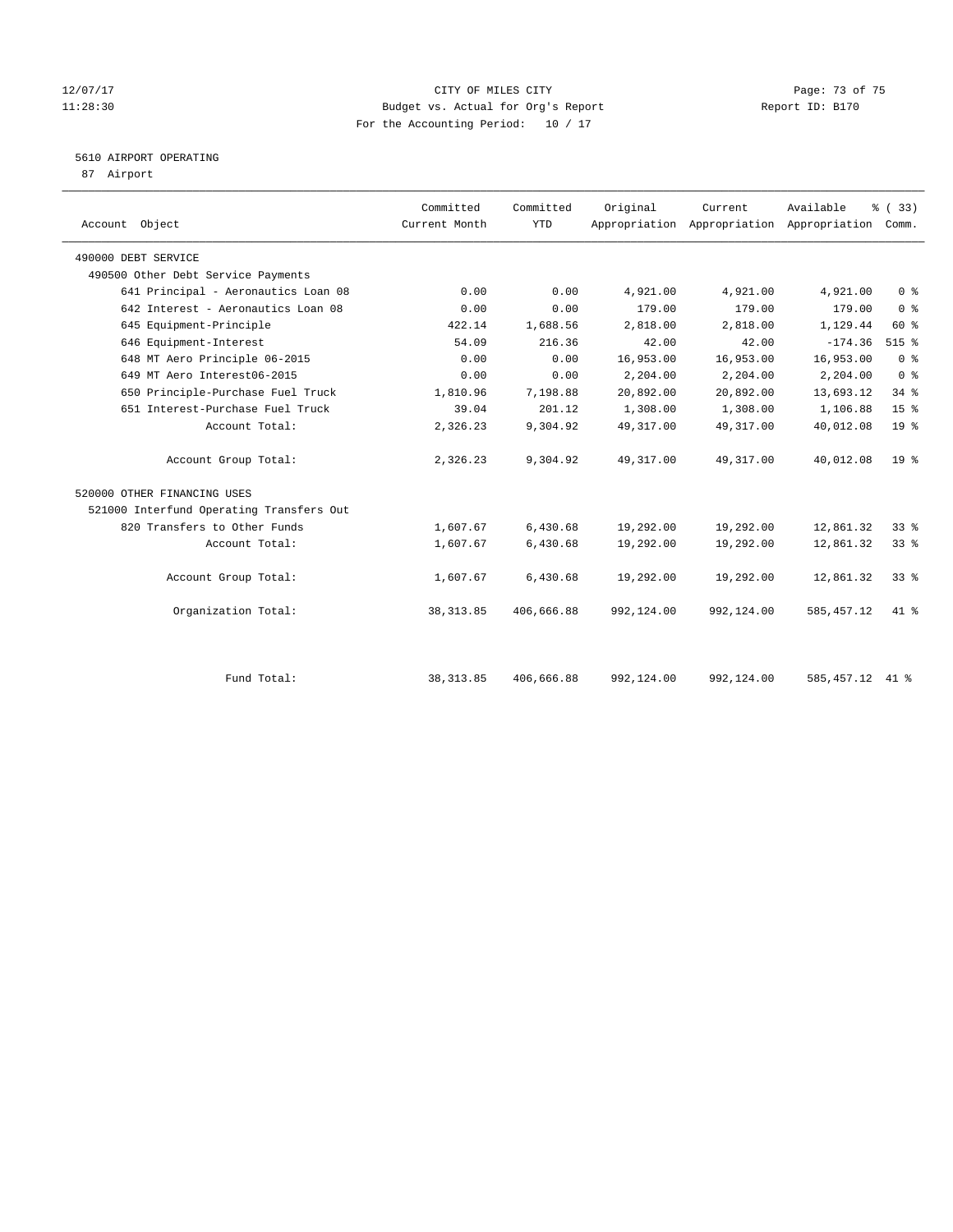### 12/07/17 Page: 73 of 75 11:28:30 Budget vs. Actual for Org's Report Changer Report ID: B170 For the Accounting Period: 10 / 17

# 5610 AIRPORT OPERATING

87 Airport

| Account Object                           | Committed<br>Current Month | Committed<br><b>YTD</b> | Original   | Current<br>Appropriation Appropriation Appropriation Comm. | Available   | % (33)          |  |
|------------------------------------------|----------------------------|-------------------------|------------|------------------------------------------------------------|-------------|-----------------|--|
| 490000 DEBT SERVICE                      |                            |                         |            |                                                            |             |                 |  |
| 490500 Other Debt Service Payments       |                            |                         |            |                                                            |             |                 |  |
| 641 Principal - Aeronautics Loan 08      | 0.00                       | 0.00                    | 4,921.00   | 4,921.00                                                   | 4,921.00    | 0 <sup>8</sup>  |  |
| 642 Interest - Aeronautics Loan 08       | 0.00                       | 0.00                    | 179.00     | 179.00                                                     | 179.00      | 0 <sup>8</sup>  |  |
| 645 Equipment-Principle                  | 422.14                     | 1,688.56                | 2,818.00   | 2,818.00                                                   | 1,129.44    | 60 %            |  |
| 646 Equipment-Interest                   | 54.09                      | 216.36                  | 42.00      | 42.00                                                      | $-174.36$   | $515$ %         |  |
| 648 MT Aero Principle 06-2015            | 0.00                       | 0.00                    | 16,953.00  | 16,953.00                                                  | 16,953.00   | 0 <sup>8</sup>  |  |
| 649 MT Aero Interest06-2015              | 0.00                       | 0.00                    | 2,204.00   | 2,204.00                                                   | 2,204.00    | 0 <sup>8</sup>  |  |
| 650 Principle-Purchase Fuel Truck        | 1,810.96                   | 7,198.88                | 20,892.00  | 20,892.00                                                  | 13,693.12   | $34$ $%$        |  |
| 651 Interest-Purchase Fuel Truck         | 39.04                      | 201.12                  | 1,308.00   | 1,308.00                                                   | 1,106.88    | 15 <sup>°</sup> |  |
| Account Total:                           | 2,326.23                   | 9,304.92                | 49, 317.00 | 49, 317.00                                                 | 40,012.08   | 19 <sup>°</sup> |  |
| Account Group Total:                     | 2,326.23                   | 9,304.92                | 49, 317.00 | 49, 317.00                                                 | 40,012.08   | 19 <sup>°</sup> |  |
| 520000 OTHER FINANCING USES              |                            |                         |            |                                                            |             |                 |  |
| 521000 Interfund Operating Transfers Out |                            |                         |            |                                                            |             |                 |  |
| 820 Transfers to Other Funds             | 1,607.67                   | 6,430.68                | 19,292.00  | 19,292.00                                                  | 12,861.32   | 33%             |  |
| Account Total:                           | 1,607.67                   | 6,430.68                | 19,292.00  | 19,292.00                                                  | 12,861.32   | 33%             |  |
| Account Group Total:                     | 1,607.67                   | 6,430.68                | 19,292.00  | 19,292.00                                                  | 12,861.32   | 33 <sup>8</sup> |  |
| Organization Total:                      | 38, 313.85                 | 406,666.88              | 992,124.00 | 992,124.00                                                 | 585, 457.12 | $41*$           |  |
|                                          |                            |                         |            |                                                            |             |                 |  |
| Fund Total:                              | 38, 313.85                 | 406,666.88              | 992,124.00 | 992,124.00                                                 | 585, 457.12 | 41 %            |  |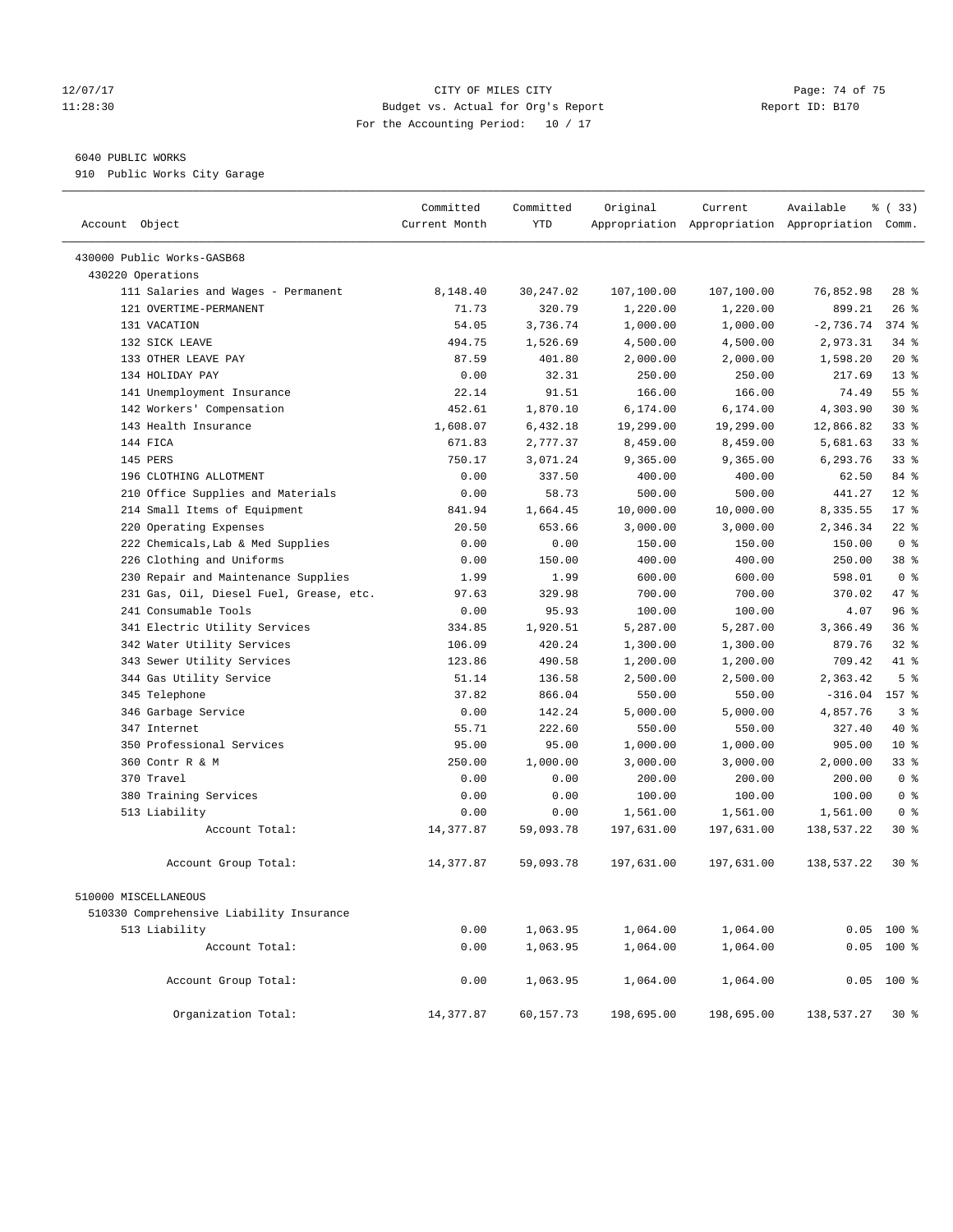### 12/07/17 Page: 74 of 75 11:28:30 Budget vs. Actual for Org's Report Report ID: B170 For the Accounting Period: 10 / 17

————————————————————————————————————————————————————————————————————————————————————————————————————————————————————————————————————

## 6040 PUBLIC WORKS

910 Public Works City Garage

|                                          | Committed     | Committed  | Original   | Current    | Available                                       | 8 (33)          |
|------------------------------------------|---------------|------------|------------|------------|-------------------------------------------------|-----------------|
| Account Object                           | Current Month | <b>YTD</b> |            |            | Appropriation Appropriation Appropriation Comm. |                 |
| 430000 Public Works-GASB68               |               |            |            |            |                                                 |                 |
| 430220 Operations                        |               |            |            |            |                                                 |                 |
| 111 Salaries and Wages - Permanent       | 8,148.40      | 30,247.02  | 107,100.00 | 107,100.00 | 76,852.98                                       | $28$ %          |
| 121 OVERTIME-PERMANENT                   | 71.73         | 320.79     | 1,220.00   | 1,220.00   | 899.21                                          | $26$ %          |
| 131 VACATION                             | 54.05         | 3,736.74   | 1,000.00   | 1,000.00   | $-2,736.74$                                     | $374$ $%$       |
| 132 SICK LEAVE                           | 494.75        | 1,526.69   | 4,500.00   | 4,500.00   | 2,973.31                                        | $34$ $%$        |
| 133 OTHER LEAVE PAY                      | 87.59         | 401.80     | 2,000.00   | 2,000.00   | 1,598.20                                        | $20*$           |
| 134 HOLIDAY PAY                          | 0.00          | 32.31      | 250.00     | 250.00     | 217.69                                          | $13*$           |
| 141 Unemployment Insurance               | 22.14         | 91.51      | 166.00     | 166.00     | 74.49                                           | 55%             |
| 142 Workers' Compensation                | 452.61        | 1,870.10   | 6,174.00   | 6,174.00   | 4,303.90                                        | $30*$           |
| 143 Health Insurance                     | 1,608.07      | 6,432.18   | 19,299.00  | 19,299.00  | 12,866.82                                       | $33$ $%$        |
| 144 FICA                                 | 671.83        | 2,777.37   | 8,459.00   | 8,459.00   | 5,681.63                                        | 33%             |
| 145 PERS                                 | 750.17        | 3,071.24   | 9,365.00   | 9,365.00   | 6,293.76                                        | 33%             |
| 196 CLOTHING ALLOTMENT                   | 0.00          | 337.50     | 400.00     | 400.00     | 62.50                                           | 84 %            |
| 210 Office Supplies and Materials        | 0.00          | 58.73      | 500.00     | 500.00     | 441.27                                          | $12*$           |
| 214 Small Items of Equipment             | 841.94        | 1,664.45   | 10,000.00  | 10,000.00  | 8,335.55                                        | $17*$           |
| 220 Operating Expenses                   | 20.50         | 653.66     | 3,000.00   | 3,000.00   | 2,346.34                                        | $22$ %          |
| 222 Chemicals, Lab & Med Supplies        | 0.00          | 0.00       | 150.00     | 150.00     | 150.00                                          | 0 <sup>8</sup>  |
| 226 Clothing and Uniforms                | 0.00          | 150.00     | 400.00     | 400.00     | 250.00                                          | 38 <sup>8</sup> |
| 230 Repair and Maintenance Supplies      | 1.99          | 1.99       | 600.00     | 600.00     | 598.01                                          | 0 <sup>8</sup>  |
| 231 Gas, Oil, Diesel Fuel, Grease, etc.  | 97.63         | 329.98     | 700.00     | 700.00     | 370.02                                          | 47 %            |
| 241 Consumable Tools                     | 0.00          | 95.93      | 100.00     | 100.00     | 4.07                                            | 96%             |
| 341 Electric Utility Services            | 334.85        | 1,920.51   | 5,287.00   | 5,287.00   | 3,366.49                                        | 36%             |
| 342 Water Utility Services               | 106.09        | 420.24     | 1,300.00   | 1,300.00   | 879.76                                          | $32$ $%$        |
| 343 Sewer Utility Services               | 123.86        | 490.58     | 1,200.00   | 1,200.00   | 709.42                                          | 41 %            |
| 344 Gas Utility Service                  | 51.14         | 136.58     | 2,500.00   | 2,500.00   | 2,363.42                                        | 5 <sup>°</sup>  |
| 345 Telephone                            | 37.82         | 866.04     | 550.00     | 550.00     | $-316.04$ 157 %                                 |                 |
| 346 Garbage Service                      | 0.00          | 142.24     | 5,000.00   | 5,000.00   | 4,857.76                                        | 3%              |
| 347 Internet                             | 55.71         | 222.60     | 550.00     | 550.00     | 327.40                                          | 40 %            |
| 350 Professional Services                | 95.00         | 95.00      | 1,000.00   | 1,000.00   | 905.00                                          | $10*$           |
| 360 Contr R & M                          | 250.00        | 1,000.00   | 3,000.00   | 3,000.00   | 2,000.00                                        | 33%             |
| 370 Travel                               | 0.00          | 0.00       | 200.00     | 200.00     | 200.00                                          | 0 <sup>8</sup>  |
| 380 Training Services                    | 0.00          | 0.00       | 100.00     | 100.00     | 100.00                                          | 0 <sup>8</sup>  |
| 513 Liability                            | 0.00          | 0.00       | 1,561.00   | 1,561.00   | 1,561.00                                        | 0 <sup>8</sup>  |
| Account Total:                           | 14,377.87     | 59,093.78  | 197,631.00 | 197,631.00 | 138,537.22                                      | $30*$           |
| Account Group Total:                     | 14,377.87     | 59,093.78  | 197,631.00 | 197,631.00 | 138,537.22                                      | $30*$           |
| 510000 MISCELLANEOUS                     |               |            |            |            |                                                 |                 |
| 510330 Comprehensive Liability Insurance |               |            |            |            |                                                 |                 |
| 513 Liability                            | 0.00          | 1,063.95   | 1,064.00   | 1,064.00   |                                                 | $0.05$ 100 %    |
| Account Total:                           | 0.00          | 1,063.95   | 1,064.00   | 1,064.00   |                                                 | $0.05$ 100 %    |
| Account Group Total:                     | 0.00          | 1,063.95   | 1,064.00   | 1,064.00   | 0.05                                            | $100*$          |
| Organization Total:                      | 14,377.87     | 60,157.73  | 198,695.00 | 198,695.00 | 138,537.27                                      | 30%             |